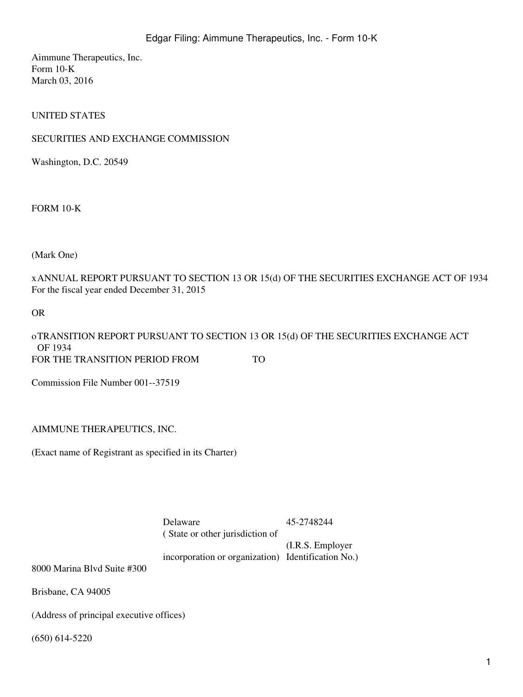Aimmune Therapeutics, Inc. Form 10-K March 03, 2016

UNITED STATES

#### SECURITIES AND EXCHANGE COMMISSION

Washington, D.C. 20549

FORM 10-K

(Mark One)

xANNUAL REPORT PURSUANT TO SECTION 13 OR 15(d) OF THE SECURITIES EXCHANGE ACT OF 1934 For the fiscal year ended December 31, 2015

OR

oTRANSITION REPORT PURSUANT TO SECTION 13 OR 15(d) OF THE SECURITIES EXCHANGE ACT OF 1934 FOR THE TRANSITION PERIOD FROM TO

Commission File Number 001--37519

AIMMUNE THERAPEUTICS, INC.

(Exact name of Registrant as specified in its Charter)

Delaware 45-2748244

( State or other jurisdiction of

incorporation or organization) Identification No.) (I.R.S. Employer

8000 Marina Blvd Suite #300

Brisbane, CA 94005

(Address of principal executive offices)

(650) 614-5220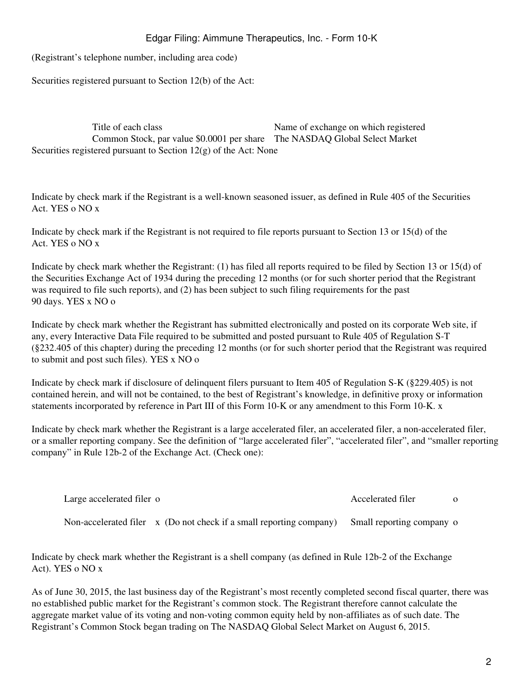(Registrant's telephone number, including area code)

Securities registered pursuant to Section 12(b) of the Act:

Title of each class Name of exchange on which registered Common Stock, par value \$0.0001 per share The NASDAQ Global Select Market Securities registered pursuant to Section 12(g) of the Act: None

Indicate by check mark if the Registrant is a well-known seasoned issuer, as defined in Rule 405 of the Securities Act. YES o NO x

Indicate by check mark if the Registrant is not required to file reports pursuant to Section 13 or 15(d) of the Act. YES o NO x

Indicate by check mark whether the Registrant: (1) has filed all reports required to be filed by Section 13 or 15(d) of the Securities Exchange Act of 1934 during the preceding 12 months (or for such shorter period that the Registrant was required to file such reports), and (2) has been subject to such filing requirements for the past 90 days. YES x NO o

Indicate by check mark whether the Registrant has submitted electronically and posted on its corporate Web site, if any, every Interactive Data File required to be submitted and posted pursuant to Rule 405 of Regulation S-T (§232.405 of this chapter) during the preceding 12 months (or for such shorter period that the Registrant was required to submit and post such files). YES x NO o

Indicate by check mark if disclosure of delinquent filers pursuant to Item 405 of Regulation S-K (§229.405) is not contained herein, and will not be contained, to the best of Registrant's knowledge, in definitive proxy or information statements incorporated by reference in Part III of this Form 10-K or any amendment to this Form 10-K. x

Indicate by check mark whether the Registrant is a large accelerated filer, an accelerated filer, a non-accelerated filer, or a smaller reporting company. See the definition of "large accelerated filer", "accelerated filer", and "smaller reporting company" in Rule 12b-2 of the Exchange Act. (Check one):

| Large accelerated filer o                                           | Accelerated filer          |  |
|---------------------------------------------------------------------|----------------------------|--|
| Non-accelerated filer x (Do not check if a small reporting company) | Small reporting company of |  |

Indicate by check mark whether the Registrant is a shell company (as defined in Rule 12b-2 of the Exchange Act). YES o NO x

As of June 30, 2015, the last business day of the Registrant's most recently completed second fiscal quarter, there was no established public market for the Registrant's common stock. The Registrant therefore cannot calculate the aggregate market value of its voting and non-voting common equity held by non-affiliates as of such date. The Registrant's Common Stock began trading on The NASDAQ Global Select Market on August 6, 2015.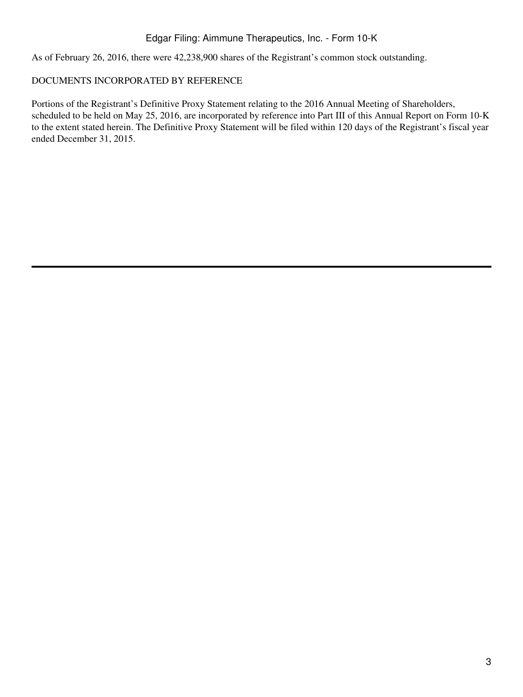As of February 26, 2016, there were 42,238,900 shares of the Registrant's common stock outstanding.

# DOCUMENTS INCORPORATED BY REFERENCE

Portions of the Registrant's Definitive Proxy Statement relating to the 2016 Annual Meeting of Shareholders, scheduled to be held on May 25, 2016, are incorporated by reference into Part III of this Annual Report on Form 10-K to the extent stated herein. The Definitive Proxy Statement will be filed within 120 days of the Registrant's fiscal year ended December 31, 2015.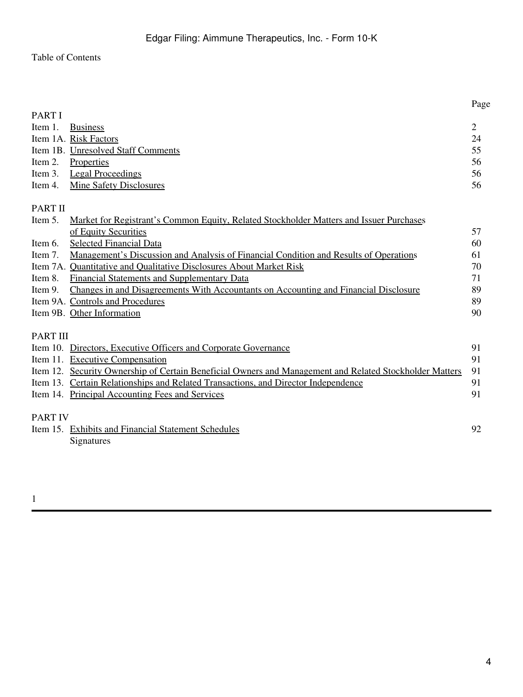# Table of Contents

|                 |                                                                                                         | Page           |
|-----------------|---------------------------------------------------------------------------------------------------------|----------------|
| <b>PART I</b>   |                                                                                                         |                |
| Item 1.         | <b>Business</b>                                                                                         | $\overline{2}$ |
|                 | Item 1A. Risk Factors                                                                                   | 24             |
|                 | Item 1B. Unresolved Staff Comments                                                                      | 55             |
| Item 2.         | Properties                                                                                              | 56             |
| Item 3.         | <b>Legal Proceedings</b>                                                                                | 56             |
| Item 4.         | <b>Mine Safety Disclosures</b>                                                                          | 56             |
| <b>PART II</b>  |                                                                                                         |                |
| Item 5.         | Market for Registrant's Common Equity, Related Stockholder Matters and Issuer Purchases                 |                |
|                 | of Equity Securities                                                                                    | 57             |
| Item 6.         | <b>Selected Financial Data</b>                                                                          | 60             |
| Item 7.         | <u>Management's Discussion and Analysis of Financial Condition and Results of Operations</u>            | 61             |
|                 | Item 7A. Quantitative and Qualitative Disclosures About Market Risk                                     | 70             |
| Item 8.         | <b>Financial Statements and Supplementary Data</b>                                                      | 71             |
| Item 9.         | Changes in and Disagreements With Accountants on Accounting and Financial Disclosure                    | 89             |
|                 | Item 9A. Controls and Procedures                                                                        | 89             |
|                 | Item 9B. Other Information                                                                              | 90             |
| <b>PART III</b> |                                                                                                         |                |
|                 | Item 10. Directors, Executive Officers and Corporate Governance                                         | 91             |
|                 | Item 11. Executive Compensation                                                                         | 91             |
|                 | Item 12. Security Ownership of Certain Beneficial Owners and Management and Related Stockholder Matters | 91             |
|                 | Item 13. Certain Relationships and Related Transactions, and Director Independence                      | 91             |
|                 | Item 14. Principal Accounting Fees and Services                                                         | 91             |
| <b>PART IV</b>  |                                                                                                         |                |
|                 | Item 15. Exhibits and Financial Statement Schedules                                                     | 92             |
|                 | Signatures                                                                                              |                |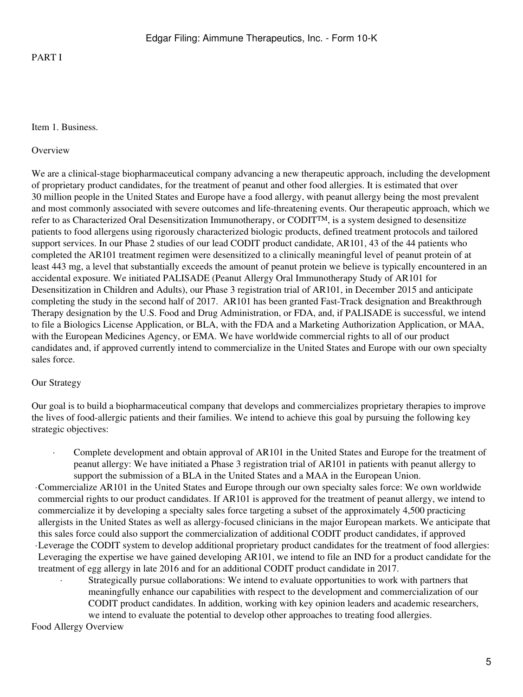PART I

#### <span id="page-4-0"></span>Item 1. Business.

#### **Overview**

We are a clinical-stage biopharmaceutical company advancing a new therapeutic approach, including the development of proprietary product candidates, for the treatment of peanut and other food allergies. It is estimated that over 30 million people in the United States and Europe have a food allergy, with peanut allergy being the most prevalent and most commonly associated with severe outcomes and life-threatening events. Our therapeutic approach, which we refer to as Characterized Oral Desensitization Immunotherapy, or CODITTM, is a system designed to desensitize patients to food allergens using rigorously characterized biologic products, defined treatment protocols and tailored support services. In our Phase 2 studies of our lead CODIT product candidate, AR101, 43 of the 44 patients who completed the AR101 treatment regimen were desensitized to a clinically meaningful level of peanut protein of at least 443 mg, a level that substantially exceeds the amount of peanut protein we believe is typically encountered in an accidental exposure. We initiated PALISADE (Peanut Allergy Oral Immunotherapy Study of AR101 for Desensitization in Children and Adults), our Phase 3 registration trial of AR101, in December 2015 and anticipate completing the study in the second half of 2017. AR101 has been granted Fast-Track designation and Breakthrough Therapy designation by the U.S. Food and Drug Administration, or FDA, and, if PALISADE is successful, we intend to file a Biologics License Application, or BLA, with the FDA and a Marketing Authorization Application, or MAA, with the European Medicines Agency, or EMA. We have worldwide commercial rights to all of our product candidates and, if approved currently intend to commercialize in the United States and Europe with our own specialty sales force.

### Our Strategy

Our goal is to build a biopharmaceutical company that develops and commercializes proprietary therapies to improve the lives of food-allergic patients and their families. We intend to achieve this goal by pursuing the following key strategic objectives:

· Complete development and obtain approval of AR101 in the United States and Europe for the treatment of peanut allergy: We have initiated a Phase 3 registration trial of AR101 in patients with peanut allergy to support the submission of a BLA in the United States and a MAA in the European Union.

·Commercialize AR101 in the United States and Europe through our own specialty sales force: We own worldwide commercial rights to our product candidates. If AR101 is approved for the treatment of peanut allergy, we intend to commercialize it by developing a specialty sales force targeting a subset of the approximately 4,500 practicing allergists in the United States as well as allergy-focused clinicians in the major European markets. We anticipate that this sales force could also support the commercialization of additional CODIT product candidates, if approved ·Leverage the CODIT system to develop additional proprietary product candidates for the treatment of food allergies: Leveraging the expertise we have gained developing AR101, we intend to file an IND for a product candidate for the treatment of egg allergy in late 2016 and for an additional CODIT product candidate in 2017.

Strategically pursue collaborations: We intend to evaluate opportunities to work with partners that meaningfully enhance our capabilities with respect to the development and commercialization of our CODIT product candidates. In addition, working with key opinion leaders and academic researchers, we intend to evaluate the potential to develop other approaches to treating food allergies.

Food Allergy Overview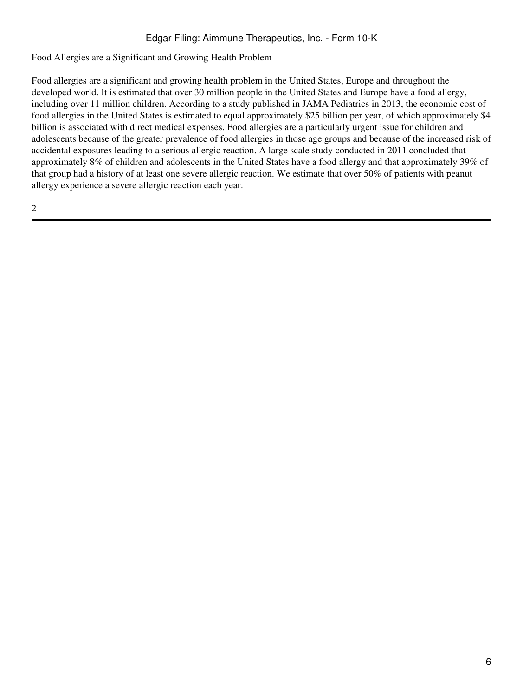Food Allergies are a Significant and Growing Health Problem

Food allergies are a significant and growing health problem in the United States, Europe and throughout the developed world. It is estimated that over 30 million people in the United States and Europe have a food allergy, including over 11 million children. According to a study published in JAMA Pediatrics in 2013, the economic cost of food allergies in the United States is estimated to equal approximately \$25 billion per year, of which approximately \$4 billion is associated with direct medical expenses. Food allergies are a particularly urgent issue for children and adolescents because of the greater prevalence of food allergies in those age groups and because of the increased risk of accidental exposures leading to a serious allergic reaction. A large scale study conducted in 2011 concluded that approximately 8% of children and adolescents in the United States have a food allergy and that approximately 39% of that group had a history of at least one severe allergic reaction. We estimate that over 50% of patients with peanut allergy experience a severe allergic reaction each year.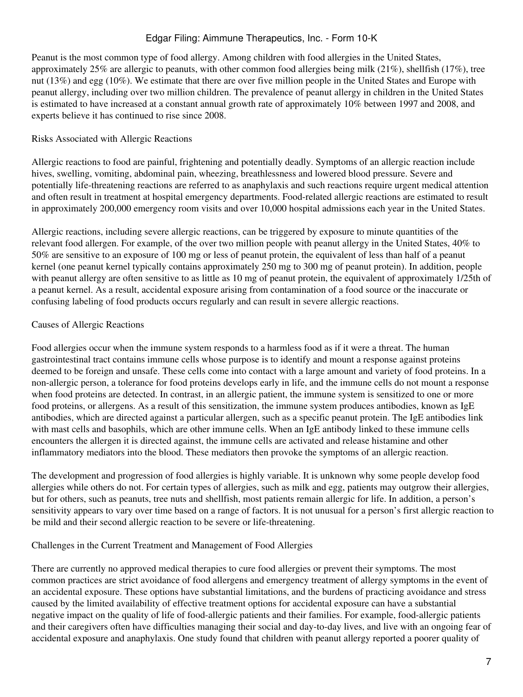Peanut is the most common type of food allergy. Among children with food allergies in the United States, approximately 25% are allergic to peanuts, with other common food allergies being milk (21%), shellfish (17%), tree nut (13%) and egg (10%). We estimate that there are over five million people in the United States and Europe with peanut allergy, including over two million children. The prevalence of peanut allergy in children in the United States is estimated to have increased at a constant annual growth rate of approximately 10% between 1997 and 2008, and experts believe it has continued to rise since 2008.

### Risks Associated with Allergic Reactions

Allergic reactions to food are painful, frightening and potentially deadly. Symptoms of an allergic reaction include hives, swelling, vomiting, abdominal pain, wheezing, breathlessness and lowered blood pressure. Severe and potentially life-threatening reactions are referred to as anaphylaxis and such reactions require urgent medical attention and often result in treatment at hospital emergency departments. Food-related allergic reactions are estimated to result in approximately 200,000 emergency room visits and over 10,000 hospital admissions each year in the United States.

Allergic reactions, including severe allergic reactions, can be triggered by exposure to minute quantities of the relevant food allergen. For example, of the over two million people with peanut allergy in the United States, 40% to 50% are sensitive to an exposure of 100 mg or less of peanut protein, the equivalent of less than half of a peanut kernel (one peanut kernel typically contains approximately 250 mg to 300 mg of peanut protein). In addition, people with peanut allergy are often sensitive to as little as 10 mg of peanut protein, the equivalent of approximately 1/25th of a peanut kernel. As a result, accidental exposure arising from contamination of a food source or the inaccurate or confusing labeling of food products occurs regularly and can result in severe allergic reactions.

#### Causes of Allergic Reactions

Food allergies occur when the immune system responds to a harmless food as if it were a threat. The human gastrointestinal tract contains immune cells whose purpose is to identify and mount a response against proteins deemed to be foreign and unsafe. These cells come into contact with a large amount and variety of food proteins. In a non-allergic person, a tolerance for food proteins develops early in life, and the immune cells do not mount a response when food proteins are detected. In contrast, in an allergic patient, the immune system is sensitized to one or more food proteins, or allergens. As a result of this sensitization, the immune system produces antibodies, known as IgE antibodies, which are directed against a particular allergen, such as a specific peanut protein. The IgE antibodies link with mast cells and basophils, which are other immune cells. When an IgE antibody linked to these immune cells encounters the allergen it is directed against, the immune cells are activated and release histamine and other inflammatory mediators into the blood. These mediators then provoke the symptoms of an allergic reaction.

The development and progression of food allergies is highly variable. It is unknown why some people develop food allergies while others do not. For certain types of allergies, such as milk and egg, patients may outgrow their allergies, but for others, such as peanuts, tree nuts and shellfish, most patients remain allergic for life. In addition, a person's sensitivity appears to vary over time based on a range of factors. It is not unusual for a person's first allergic reaction to be mild and their second allergic reaction to be severe or life-threatening.

#### Challenges in the Current Treatment and Management of Food Allergies

There are currently no approved medical therapies to cure food allergies or prevent their symptoms. The most common practices are strict avoidance of food allergens and emergency treatment of allergy symptoms in the event of an accidental exposure. These options have substantial limitations, and the burdens of practicing avoidance and stress caused by the limited availability of effective treatment options for accidental exposure can have a substantial negative impact on the quality of life of food-allergic patients and their families. For example, food-allergic patients and their caregivers often have difficulties managing their social and day-to-day lives, and live with an ongoing fear of accidental exposure and anaphylaxis. One study found that children with peanut allergy reported a poorer quality of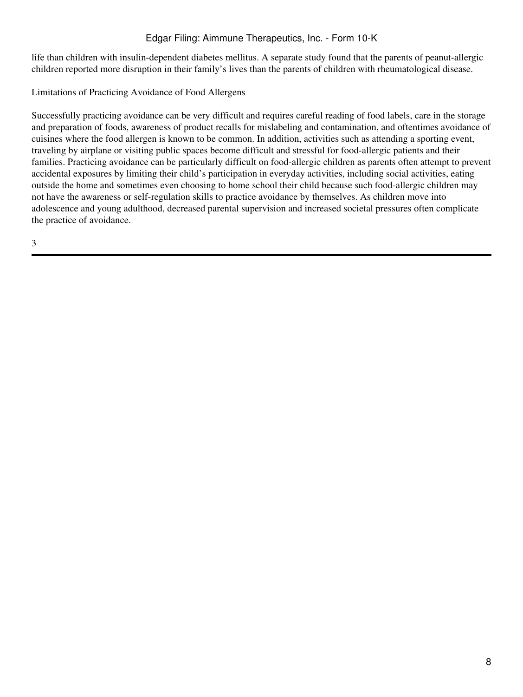life than children with insulin-dependent diabetes mellitus. A separate study found that the parents of peanut-allergic children reported more disruption in their family's lives than the parents of children with rheumatological disease.

Limitations of Practicing Avoidance of Food Allergens

Successfully practicing avoidance can be very difficult and requires careful reading of food labels, care in the storage and preparation of foods, awareness of product recalls for mislabeling and contamination, and oftentimes avoidance of cuisines where the food allergen is known to be common. In addition, activities such as attending a sporting event, traveling by airplane or visiting public spaces become difficult and stressful for food-allergic patients and their families. Practicing avoidance can be particularly difficult on food-allergic children as parents often attempt to prevent accidental exposures by limiting their child's participation in everyday activities, including social activities, eating outside the home and sometimes even choosing to home school their child because such food-allergic children may not have the awareness or self-regulation skills to practice avoidance by themselves. As children move into adolescence and young adulthood, decreased parental supervision and increased societal pressures often complicate the practice of avoidance.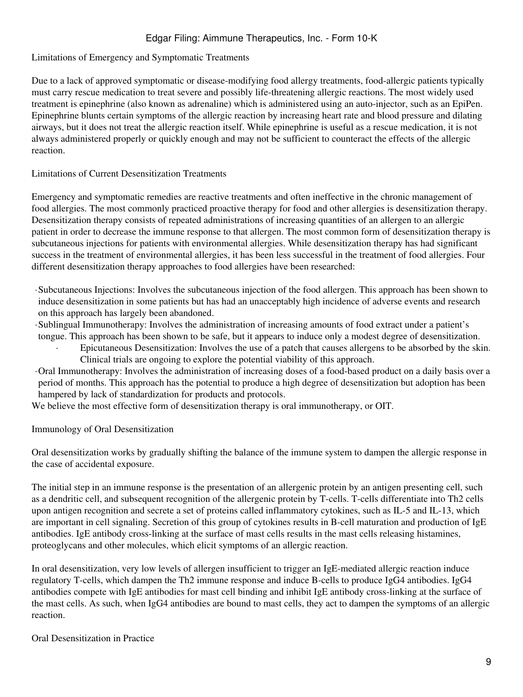### Limitations of Emergency and Symptomatic Treatments

Due to a lack of approved symptomatic or disease-modifying food allergy treatments, food-allergic patients typically must carry rescue medication to treat severe and possibly life-threatening allergic reactions. The most widely used treatment is epinephrine (also known as adrenaline) which is administered using an auto-injector, such as an EpiPen. Epinephrine blunts certain symptoms of the allergic reaction by increasing heart rate and blood pressure and dilating airways, but it does not treat the allergic reaction itself. While epinephrine is useful as a rescue medication, it is not always administered properly or quickly enough and may not be sufficient to counteract the effects of the allergic reaction.

#### Limitations of Current Desensitization Treatments

Emergency and symptomatic remedies are reactive treatments and often ineffective in the chronic management of food allergies. The most commonly practiced proactive therapy for food and other allergies is desensitization therapy. Desensitization therapy consists of repeated administrations of increasing quantities of an allergen to an allergic patient in order to decrease the immune response to that allergen. The most common form of desensitization therapy is subcutaneous injections for patients with environmental allergies. While desensitization therapy has had significant success in the treatment of environmental allergies, it has been less successful in the treatment of food allergies. Four different desensitization therapy approaches to food allergies have been researched:

- ·Subcutaneous Injections: Involves the subcutaneous injection of the food allergen. This approach has been shown to induce desensitization in some patients but has had an unacceptably high incidence of adverse events and research on this approach has largely been abandoned.
- ·Sublingual Immunotherapy: Involves the administration of increasing amounts of food extract under a patient's tongue. This approach has been shown to be safe, but it appears to induce only a modest degree of desensitization.
	- Epicutaneous Desensitization: Involves the use of a patch that causes allergens to be absorbed by the skin. Clinical trials are ongoing to explore the potential viability of this approach.
- ·Oral Immunotherapy: Involves the administration of increasing doses of a food-based product on a daily basis over a period of months. This approach has the potential to produce a high degree of desensitization but adoption has been hampered by lack of standardization for products and protocols.

We believe the most effective form of desensitization therapy is oral immunotherapy, or OIT.

### Immunology of Oral Desensitization

Oral desensitization works by gradually shifting the balance of the immune system to dampen the allergic response in the case of accidental exposure.

The initial step in an immune response is the presentation of an allergenic protein by an antigen presenting cell, such as a dendritic cell, and subsequent recognition of the allergenic protein by T-cells. T-cells differentiate into Th2 cells upon antigen recognition and secrete a set of proteins called inflammatory cytokines, such as IL-5 and IL-13, which are important in cell signaling. Secretion of this group of cytokines results in B-cell maturation and production of IgE antibodies. IgE antibody cross-linking at the surface of mast cells results in the mast cells releasing histamines, proteoglycans and other molecules, which elicit symptoms of an allergic reaction.

In oral desensitization, very low levels of allergen insufficient to trigger an IgE-mediated allergic reaction induce regulatory T-cells, which dampen the Th2 immune response and induce B-cells to produce IgG4 antibodies. IgG4 antibodies compete with IgE antibodies for mast cell binding and inhibit IgE antibody cross-linking at the surface of the mast cells. As such, when IgG4 antibodies are bound to mast cells, they act to dampen the symptoms of an allergic reaction.

#### Oral Desensitization in Practice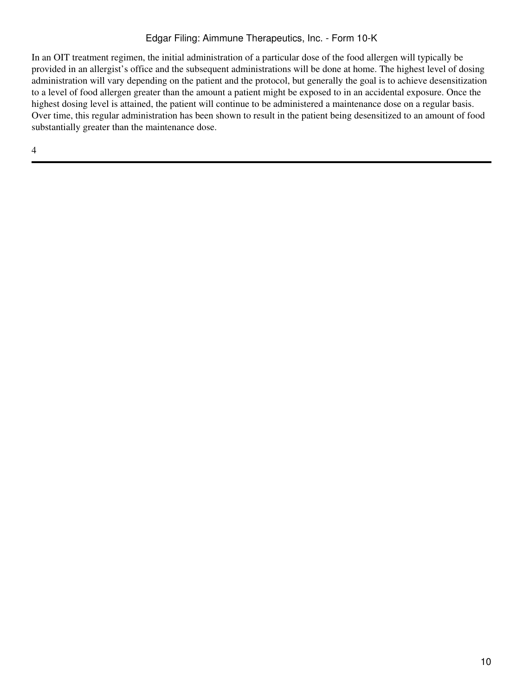In an OIT treatment regimen, the initial administration of a particular dose of the food allergen will typically be provided in an allergist's office and the subsequent administrations will be done at home. The highest level of dosing administration will vary depending on the patient and the protocol, but generally the goal is to achieve desensitization to a level of food allergen greater than the amount a patient might be exposed to in an accidental exposure. Once the highest dosing level is attained, the patient will continue to be administered a maintenance dose on a regular basis. Over time, this regular administration has been shown to result in the patient being desensitized to an amount of food substantially greater than the maintenance dose.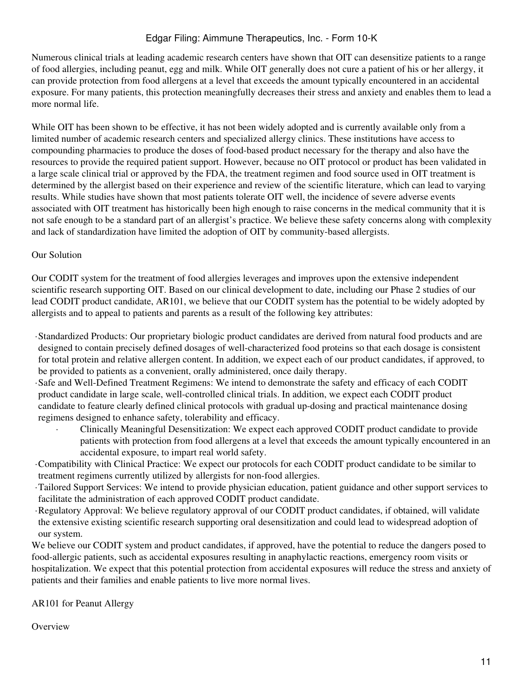Numerous clinical trials at leading academic research centers have shown that OIT can desensitize patients to a range of food allergies, including peanut, egg and milk. While OIT generally does not cure a patient of his or her allergy, it can provide protection from food allergens at a level that exceeds the amount typically encountered in an accidental exposure. For many patients, this protection meaningfully decreases their stress and anxiety and enables them to lead a more normal life.

While OIT has been shown to be effective, it has not been widely adopted and is currently available only from a limited number of academic research centers and specialized allergy clinics. These institutions have access to compounding pharmacies to produce the doses of food-based product necessary for the therapy and also have the resources to provide the required patient support. However, because no OIT protocol or product has been validated in a large scale clinical trial or approved by the FDA, the treatment regimen and food source used in OIT treatment is determined by the allergist based on their experience and review of the scientific literature, which can lead to varying results. While studies have shown that most patients tolerate OIT well, the incidence of severe adverse events associated with OIT treatment has historically been high enough to raise concerns in the medical community that it is not safe enough to be a standard part of an allergist's practice. We believe these safety concerns along with complexity and lack of standardization have limited the adoption of OIT by community-based allergists.

### Our Solution

Our CODIT system for the treatment of food allergies leverages and improves upon the extensive independent scientific research supporting OIT. Based on our clinical development to date, including our Phase 2 studies of our lead CODIT product candidate, AR101, we believe that our CODIT system has the potential to be widely adopted by allergists and to appeal to patients and parents as a result of the following key attributes:

·Standardized Products: Our proprietary biologic product candidates are derived from natural food products and are designed to contain precisely defined dosages of well-characterized food proteins so that each dosage is consistent for total protein and relative allergen content. In addition, we expect each of our product candidates, if approved, to be provided to patients as a convenient, orally administered, once daily therapy.

·Safe and Well-Defined Treatment Regimens: We intend to demonstrate the safety and efficacy of each CODIT product candidate in large scale, well-controlled clinical trials. In addition, we expect each CODIT product candidate to feature clearly defined clinical protocols with gradual up-dosing and practical maintenance dosing regimens designed to enhance safety, tolerability and efficacy.

· Clinically Meaningful Desensitization: We expect each approved CODIT product candidate to provide patients with protection from food allergens at a level that exceeds the amount typically encountered in an accidental exposure, to impart real world safety.

·Compatibility with Clinical Practice: We expect our protocols for each CODIT product candidate to be similar to treatment regimens currently utilized by allergists for non-food allergies.

- ·Tailored Support Services: We intend to provide physician education, patient guidance and other support services to facilitate the administration of each approved CODIT product candidate.
- ·Regulatory Approval: We believe regulatory approval of our CODIT product candidates, if obtained, will validate the extensive existing scientific research supporting oral desensitization and could lead to widespread adoption of our system.

We believe our CODIT system and product candidates, if approved, have the potential to reduce the dangers posed to food-allergic patients, such as accidental exposures resulting in anaphylactic reactions, emergency room visits or hospitalization. We expect that this potential protection from accidental exposures will reduce the stress and anxiety of patients and their families and enable patients to live more normal lives.

AR101 for Peanut Allergy

**Overview**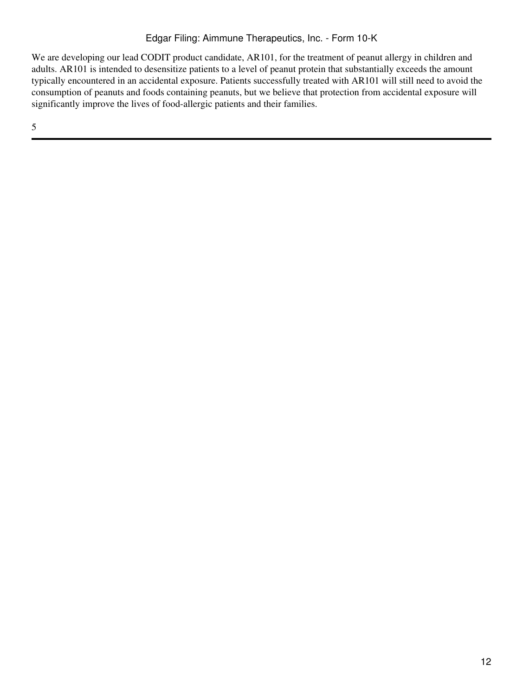We are developing our lead CODIT product candidate, AR101, for the treatment of peanut allergy in children and adults. AR101 is intended to desensitize patients to a level of peanut protein that substantially exceeds the amount typically encountered in an accidental exposure. Patients successfully treated with AR101 will still need to avoid the consumption of peanuts and foods containing peanuts, but we believe that protection from accidental exposure will significantly improve the lives of food-allergic patients and their families.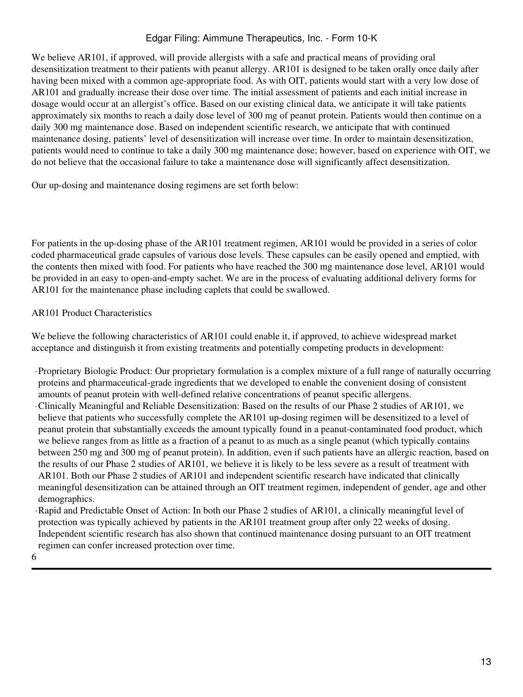We believe AR101, if approved, will provide allergists with a safe and practical means of providing oral desensitization treatment to their patients with peanut allergy. AR101 is designed to be taken orally once daily after having been mixed with a common age-appropriate food. As with OIT, patients would start with a very low dose of AR101 and gradually increase their dose over time. The initial assessment of patients and each initial increase in dosage would occur at an allergist's office. Based on our existing clinical data, we anticipate it will take patients approximately six months to reach a daily dose level of 300 mg of peanut protein. Patients would then continue on a daily 300 mg maintenance dose. Based on independent scientific research, we anticipate that with continued maintenance dosing, patients' level of desensitization will increase over time. In order to maintain desensitization, patients would need to continue to take a daily 300 mg maintenance dose; however, based on experience with OIT, we do not believe that the occasional failure to take a maintenance dose will significantly affect desensitization.

Our up-dosing and maintenance dosing regimens are set forth below:

For patients in the up-dosing phase of the AR101 treatment regimen, AR101 would be provided in a series of color coded pharmaceutical grade capsules of various dose levels. These capsules can be easily opened and emptied, with the contents then mixed with food. For patients who have reached the 300 mg maintenance dose level, AR101 would be provided in an easy to open-and-empty sachet. We are in the process of evaluating additional delivery forms for AR101 for the maintenance phase including caplets that could be swallowed.

### AR101 Product Characteristics

We believe the following characteristics of AR101 could enable it, if approved, to achieve widespread market acceptance and distinguish it from existing treatments and potentially competing products in development:

- ·Proprietary Biologic Product: Our proprietary formulation is a complex mixture of a full range of naturally occurring proteins and pharmaceutical-grade ingredients that we developed to enable the convenient dosing of consistent amounts of peanut protein with well-defined relative concentrations of peanut specific allergens.
- ·Clinically Meaningful and Reliable Desensitization: Based on the results of our Phase 2 studies of AR101, we believe that patients who successfully complete the AR101 up-dosing regimen will be desensitized to a level of peanut protein that substantially exceeds the amount typically found in a peanut-contaminated food product, which we believe ranges from as little as a fraction of a peanut to as much as a single peanut (which typically contains between 250 mg and 300 mg of peanut protein). In addition, even if such patients have an allergic reaction, based on the results of our Phase 2 studies of AR101, we believe it is likely to be less severe as a result of treatment with AR101. Both our Phase 2 studies of AR101 and independent scientific research have indicated that clinically meaningful desensitization can be attained through an OIT treatment regimen, independent of gender, age and other demographics.
- ·Rapid and Predictable Onset of Action: In both our Phase 2 studies of AR101, a clinically meaningful level of protection was typically achieved by patients in the AR101 treatment group after only 22 weeks of dosing. Independent scientific research has also shown that continued maintenance dosing pursuant to an OIT treatment regimen can confer increased protection over time.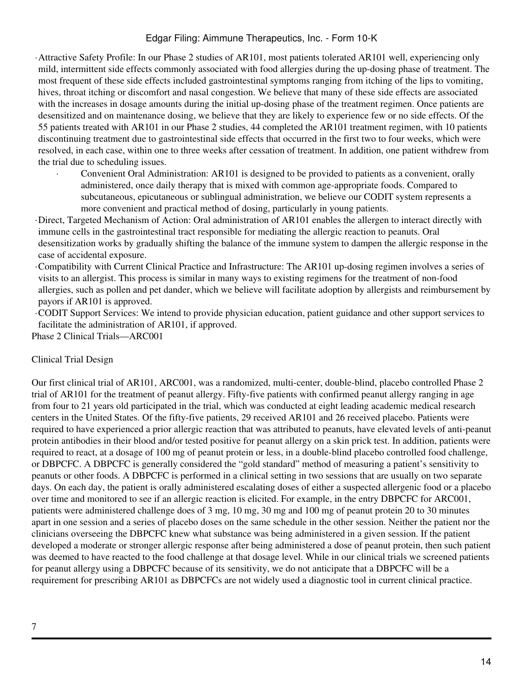·Attractive Safety Profile: In our Phase 2 studies of AR101, most patients tolerated AR101 well, experiencing only mild, intermittent side effects commonly associated with food allergies during the up-dosing phase of treatment. The most frequent of these side effects included gastrointestinal symptoms ranging from itching of the lips to vomiting, hives, throat itching or discomfort and nasal congestion. We believe that many of these side effects are associated with the increases in dosage amounts during the initial up-dosing phase of the treatment regimen. Once patients are desensitized and on maintenance dosing, we believe that they are likely to experience few or no side effects. Of the 55 patients treated with AR101 in our Phase 2 studies, 44 completed the AR101 treatment regimen, with 10 patients discontinuing treatment due to gastrointestinal side effects that occurred in the first two to four weeks, which were resolved, in each case, within one to three weeks after cessation of treatment. In addition, one patient withdrew from the trial due to scheduling issues.

Convenient Oral Administration: AR101 is designed to be provided to patients as a convenient, orally administered, once daily therapy that is mixed with common age-appropriate foods. Compared to subcutaneous, epicutaneous or sublingual administration, we believe our CODIT system represents a more convenient and practical method of dosing, particularly in young patients.

·Direct, Targeted Mechanism of Action: Oral administration of AR101 enables the allergen to interact directly with immune cells in the gastrointestinal tract responsible for mediating the allergic reaction to peanuts. Oral desensitization works by gradually shifting the balance of the immune system to dampen the allergic response in the case of accidental exposure.

·Compatibility with Current Clinical Practice and Infrastructure: The AR101 up-dosing regimen involves a series of visits to an allergist. This process is similar in many ways to existing regimens for the treatment of non-food allergies, such as pollen and pet dander, which we believe will facilitate adoption by allergists and reimbursement by payors if AR101 is approved.

·CODIT Support Services: We intend to provide physician education, patient guidance and other support services to facilitate the administration of AR101, if approved.

Phase 2 Clinical Trials—ARC001

### Clinical Trial Design

Our first clinical trial of AR101, ARC001, was a randomized, multi-center, double-blind, placebo controlled Phase 2 trial of AR101 for the treatment of peanut allergy. Fifty-five patients with confirmed peanut allergy ranging in age from four to 21 years old participated in the trial, which was conducted at eight leading academic medical research centers in the United States. Of the fifty-five patients, 29 received AR101 and 26 received placebo. Patients were required to have experienced a prior allergic reaction that was attributed to peanuts, have elevated levels of anti-peanut protein antibodies in their blood and/or tested positive for peanut allergy on a skin prick test. In addition, patients were required to react, at a dosage of 100 mg of peanut protein or less, in a double-blind placebo controlled food challenge, or DBPCFC. A DBPCFC is generally considered the "gold standard" method of measuring a patient's sensitivity to peanuts or other foods. A DBPCFC is performed in a clinical setting in two sessions that are usually on two separate days. On each day, the patient is orally administered escalating doses of either a suspected allergenic food or a placebo over time and monitored to see if an allergic reaction is elicited. For example, in the entry DBPCFC for ARC001, patients were administered challenge does of 3 mg, 10 mg, 30 mg and 100 mg of peanut protein 20 to 30 minutes apart in one session and a series of placebo doses on the same schedule in the other session. Neither the patient nor the clinicians overseeing the DBPCFC knew what substance was being administered in a given session. If the patient developed a moderate or stronger allergic response after being administered a dose of peanut protein, then such patient was deemed to have reacted to the food challenge at that dosage level. While in our clinical trials we screened patients for peanut allergy using a DBPCFC because of its sensitivity, we do not anticipate that a DBPCFC will be a requirement for prescribing AR101 as DBPCFCs are not widely used a diagnostic tool in current clinical practice.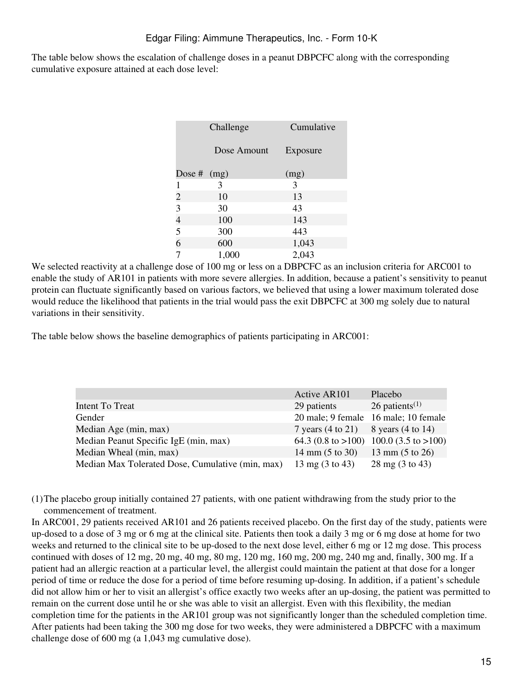The table below shows the escalation of challenge doses in a peanut DBPCFC along with the corresponding cumulative exposure attained at each dose level:

|                          | Challenge   | Cumulative |  |
|--------------------------|-------------|------------|--|
|                          | Dose Amount | Exposure   |  |
| Dose # $(mg)$            |             | (mg)       |  |
| 1                        | 3           | 3          |  |
| $\overline{c}$           | 10          | 13         |  |
| 3                        | 30          | 43         |  |
| $\overline{\mathcal{L}}$ | 100         | 143        |  |
| 5                        | 300         | 443        |  |
| 6                        | 600         | 1,043      |  |
| 7                        | 1,000       | 2,043      |  |

We selected reactivity at a challenge dose of 100 mg or less on a DBPCFC as an inclusion criteria for ARC001 to enable the study of AR101 in patients with more severe allergies. In addition, because a patient's sensitivity to peanut protein can fluctuate significantly based on various factors, we believed that using a lower maximum tolerated dose would reduce the likelihood that patients in the trial would pass the exit DBPCFC at 300 mg solely due to natural variations in their sensitivity.

The table below shows the baseline demographics of patients participating in ARC001:

|                                                  | <b>Active AR101</b>                                       | Placebo                                 |
|--------------------------------------------------|-----------------------------------------------------------|-----------------------------------------|
| Intent To Treat                                  | 29 patients                                               | 26 patients <sup><math>(1)</math></sup> |
| Gender                                           |                                                           | 20 male; 9 female 16 male; 10 female    |
| Median Age (min, max)                            | 7 years $(4 \text{ to } 21)$ 8 years $(4 \text{ to } 14)$ |                                         |
| Median Peanut Specific IgE (min, max)            |                                                           | 64.3 (0.8 to >100) 100.0 (3.5 to >100)  |
| Median Wheal (min, max)                          | 14 mm $(5 \text{ to } 30)$                                | 13 mm $(5 \text{ to } 26)$              |
| Median Max Tolerated Dose, Cumulative (min, max) | $13 \text{ mg} (3 \text{ to } 43)$                        | 28 mg (3 to 43)                         |

(1)The placebo group initially contained 27 patients, with one patient withdrawing from the study prior to the commencement of treatment.

In ARC001, 29 patients received AR101 and 26 patients received placebo. On the first day of the study, patients were up-dosed to a dose of 3 mg or 6 mg at the clinical site. Patients then took a daily 3 mg or 6 mg dose at home for two weeks and returned to the clinical site to be up-dosed to the next dose level, either 6 mg or 12 mg dose. This process continued with doses of 12 mg, 20 mg, 40 mg, 80 mg, 120 mg, 160 mg, 200 mg, 240 mg and, finally, 300 mg. If a patient had an allergic reaction at a particular level, the allergist could maintain the patient at that dose for a longer period of time or reduce the dose for a period of time before resuming up-dosing. In addition, if a patient's schedule did not allow him or her to visit an allergist's office exactly two weeks after an up-dosing, the patient was permitted to remain on the current dose until he or she was able to visit an allergist. Even with this flexibility, the median completion time for the patients in the AR101 group was not significantly longer than the scheduled completion time. After patients had been taking the 300 mg dose for two weeks, they were administered a DBPCFC with a maximum challenge dose of 600 mg (a 1,043 mg cumulative dose).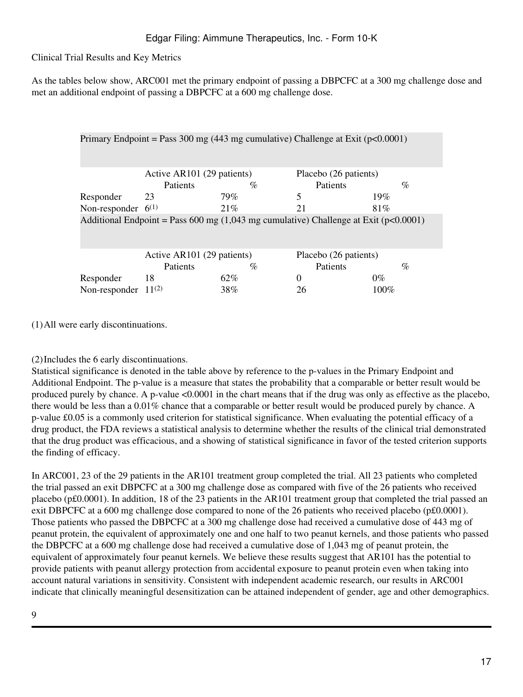Clinical Trial Results and Key Metrics

As the tables below show, ARC001 met the primary endpoint of passing a DBPCFC at a 300 mg challenge dose and met an additional endpoint of passing a DBPCFC at a 600 mg challenge dose.

| Primary Endpoint = Pass 300 mg (443 mg cumulative) Challenge at Exit ( $p<0.0001$ )            |                            |      |                       |         |  |
|------------------------------------------------------------------------------------------------|----------------------------|------|-----------------------|---------|--|
|                                                                                                | Active AR101 (29 patients) |      | Placebo (26 patients) |         |  |
|                                                                                                | <b>Patients</b>            | $\%$ | <b>Patients</b>       | $\%$    |  |
| Responder                                                                                      | 23                         | 79%  | 5                     | 19%     |  |
| Non-responder $6^{(1)}$                                                                        |                            | 21%  | 21                    | 81\%    |  |
| Additional Endpoint = Pass 600 mg $(1,043 \text{ mg cumulative})$ Challenge at Exit (p<0.0001) |                            |      |                       |         |  |
|                                                                                                | Active AR101 (29 patients) |      | Placebo (26 patients) |         |  |
|                                                                                                | <b>Patients</b>            | $\%$ | <b>Patients</b>       | $\%$    |  |
| Responder                                                                                      | 18                         | 62%  | 0                     | $0\%$   |  |
| Non-responder                                                                                  | $11^{(2)}$                 | 38%  | 26                    | $100\%$ |  |

(1)All were early discontinuations.

# (2)Includes the 6 early discontinuations.

Statistical significance is denoted in the table above by reference to the p-values in the Primary Endpoint and Additional Endpoint. The p-value is a measure that states the probability that a comparable or better result would be produced purely by chance. A p-value <0.0001 in the chart means that if the drug was only as effective as the placebo, there would be less than a 0.01% chance that a comparable or better result would be produced purely by chance. A p-value £0.05 is a commonly used criterion for statistical significance. When evaluating the potential efficacy of a drug product, the FDA reviews a statistical analysis to determine whether the results of the clinical trial demonstrated that the drug product was efficacious, and a showing of statistical significance in favor of the tested criterion supports the finding of efficacy.

In ARC001, 23 of the 29 patients in the AR101 treatment group completed the trial. All 23 patients who completed the trial passed an exit DBPCFC at a 300 mg challenge dose as compared with five of the 26 patients who received placebo (p£0.0001). In addition, 18 of the 23 patients in the AR101 treatment group that completed the trial passed an exit DBPCFC at a 600 mg challenge dose compared to none of the 26 patients who received placebo (p£0.0001). Those patients who passed the DBPCFC at a 300 mg challenge dose had received a cumulative dose of 443 mg of peanut protein, the equivalent of approximately one and one half to two peanut kernels, and those patients who passed the DBPCFC at a 600 mg challenge dose had received a cumulative dose of 1,043 mg of peanut protein, the equivalent of approximately four peanut kernels. We believe these results suggest that AR101 has the potential to provide patients with peanut allergy protection from accidental exposure to peanut protein even when taking into account natural variations in sensitivity. Consistent with independent academic research, our results in ARC001 indicate that clinically meaningful desensitization can be attained independent of gender, age and other demographics.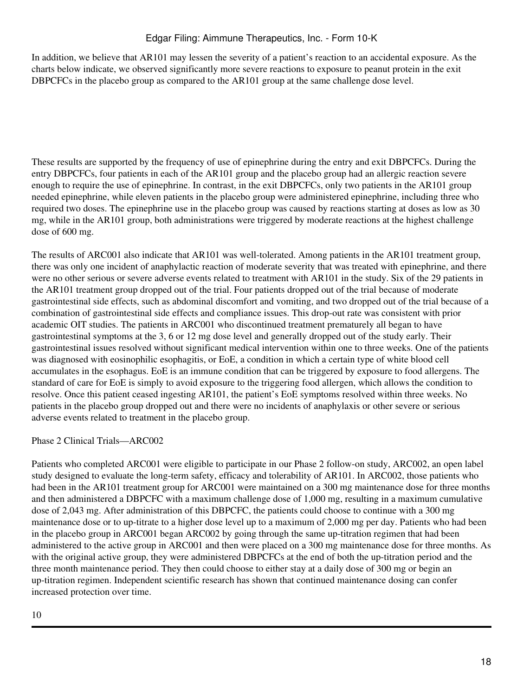In addition, we believe that AR101 may lessen the severity of a patient's reaction to an accidental exposure. As the charts below indicate, we observed significantly more severe reactions to exposure to peanut protein in the exit DBPCFCs in the placebo group as compared to the AR101 group at the same challenge dose level.

These results are supported by the frequency of use of epinephrine during the entry and exit DBPCFCs. During the entry DBPCFCs, four patients in each of the AR101 group and the placebo group had an allergic reaction severe enough to require the use of epinephrine. In contrast, in the exit DBPCFCs, only two patients in the AR101 group needed epinephrine, while eleven patients in the placebo group were administered epinephrine, including three who required two doses. The epinephrine use in the placebo group was caused by reactions starting at doses as low as 30 mg, while in the AR101 group, both administrations were triggered by moderate reactions at the highest challenge dose of 600 mg.

The results of ARC001 also indicate that AR101 was well-tolerated. Among patients in the AR101 treatment group, there was only one incident of anaphylactic reaction of moderate severity that was treated with epinephrine, and there were no other serious or severe adverse events related to treatment with AR101 in the study. Six of the 29 patients in the AR101 treatment group dropped out of the trial. Four patients dropped out of the trial because of moderate gastrointestinal side effects, such as abdominal discomfort and vomiting, and two dropped out of the trial because of a combination of gastrointestinal side effects and compliance issues. This drop-out rate was consistent with prior academic OIT studies. The patients in ARC001 who discontinued treatment prematurely all began to have gastrointestinal symptoms at the 3, 6 or 12 mg dose level and generally dropped out of the study early. Their gastrointestinal issues resolved without significant medical intervention within one to three weeks. One of the patients was diagnosed with eosinophilic esophagitis, or EoE, a condition in which a certain type of white blood cell accumulates in the esophagus. EoE is an immune condition that can be triggered by exposure to food allergens. The standard of care for EoE is simply to avoid exposure to the triggering food allergen, which allows the condition to resolve. Once this patient ceased ingesting AR101, the patient's EoE symptoms resolved within three weeks. No patients in the placebo group dropped out and there were no incidents of anaphylaxis or other severe or serious adverse events related to treatment in the placebo group.

Phase 2 Clinical Trials—ARC002

Patients who completed ARC001 were eligible to participate in our Phase 2 follow-on study, ARC002, an open label study designed to evaluate the long-term safety, efficacy and tolerability of AR101. In ARC002, those patients who had been in the AR101 treatment group for ARC001 were maintained on a 300 mg maintenance dose for three months and then administered a DBPCFC with a maximum challenge dose of 1,000 mg, resulting in a maximum cumulative dose of 2,043 mg. After administration of this DBPCFC, the patients could choose to continue with a 300 mg maintenance dose or to up-titrate to a higher dose level up to a maximum of 2,000 mg per day. Patients who had been in the placebo group in ARC001 began ARC002 by going through the same up-titration regimen that had been administered to the active group in ARC001 and then were placed on a 300 mg maintenance dose for three months. As with the original active group, they were administered DBPCFCs at the end of both the up-titration period and the three month maintenance period. They then could choose to either stay at a daily dose of 300 mg or begin an up-titration regimen. Independent scientific research has shown that continued maintenance dosing can confer increased protection over time.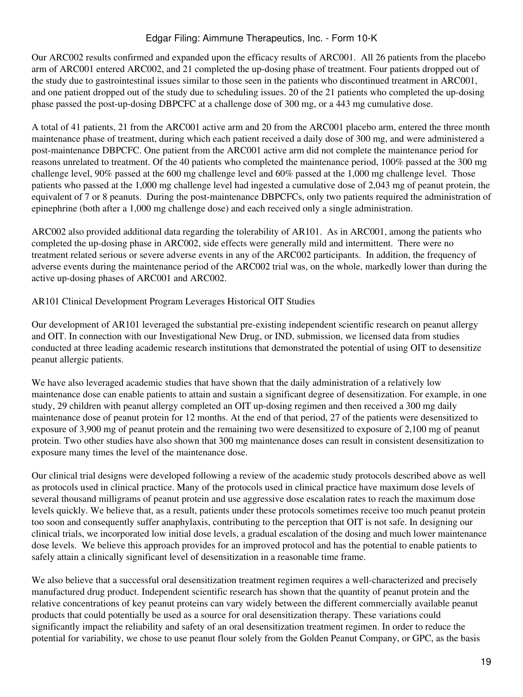Our ARC002 results confirmed and expanded upon the efficacy results of ARC001. All 26 patients from the placebo arm of ARC001 entered ARC002, and 21 completed the up-dosing phase of treatment. Four patients dropped out of the study due to gastrointestinal issues similar to those seen in the patients who discontinued treatment in ARC001, and one patient dropped out of the study due to scheduling issues. 20 of the 21 patients who completed the up-dosing phase passed the post-up-dosing DBPCFC at a challenge dose of 300 mg, or a 443 mg cumulative dose.

A total of 41 patients, 21 from the ARC001 active arm and 20 from the ARC001 placebo arm, entered the three month maintenance phase of treatment, during which each patient received a daily dose of 300 mg, and were administered a post-maintenance DBPCFC. One patient from the ARC001 active arm did not complete the maintenance period for reasons unrelated to treatment. Of the 40 patients who completed the maintenance period, 100% passed at the 300 mg challenge level, 90% passed at the 600 mg challenge level and 60% passed at the 1,000 mg challenge level. Those patients who passed at the 1,000 mg challenge level had ingested a cumulative dose of 2,043 mg of peanut protein, the equivalent of 7 or 8 peanuts. During the post-maintenance DBPCFCs, only two patients required the administration of epinephrine (both after a 1,000 mg challenge dose) and each received only a single administration.

ARC002 also provided additional data regarding the tolerability of AR101. As in ARC001, among the patients who completed the up-dosing phase in ARC002, side effects were generally mild and intermittent. There were no treatment related serious or severe adverse events in any of the ARC002 participants. In addition, the frequency of adverse events during the maintenance period of the ARC002 trial was, on the whole, markedly lower than during the active up-dosing phases of ARC001 and ARC002.

### AR101 Clinical Development Program Leverages Historical OIT Studies

Our development of AR101 leveraged the substantial pre-existing independent scientific research on peanut allergy and OIT. In connection with our Investigational New Drug, or IND, submission, we licensed data from studies conducted at three leading academic research institutions that demonstrated the potential of using OIT to desensitize peanut allergic patients.

We have also leveraged academic studies that have shown that the daily administration of a relatively low maintenance dose can enable patients to attain and sustain a significant degree of desensitization. For example, in one study, 29 children with peanut allergy completed an OIT up-dosing regimen and then received a 300 mg daily maintenance dose of peanut protein for 12 months. At the end of that period, 27 of the patients were desensitized to exposure of 3,900 mg of peanut protein and the remaining two were desensitized to exposure of 2,100 mg of peanut protein. Two other studies have also shown that 300 mg maintenance doses can result in consistent desensitization to exposure many times the level of the maintenance dose.

Our clinical trial designs were developed following a review of the academic study protocols described above as well as protocols used in clinical practice. Many of the protocols used in clinical practice have maximum dose levels of several thousand milligrams of peanut protein and use aggressive dose escalation rates to reach the maximum dose levels quickly. We believe that, as a result, patients under these protocols sometimes receive too much peanut protein too soon and consequently suffer anaphylaxis, contributing to the perception that OIT is not safe. In designing our clinical trials, we incorporated low initial dose levels, a gradual escalation of the dosing and much lower maintenance dose levels. We believe this approach provides for an improved protocol and has the potential to enable patients to safely attain a clinically significant level of desensitization in a reasonable time frame.

We also believe that a successful oral desensitization treatment regimen requires a well-characterized and precisely manufactured drug product. Independent scientific research has shown that the quantity of peanut protein and the relative concentrations of key peanut proteins can vary widely between the different commercially available peanut products that could potentially be used as a source for oral desensitization therapy. These variations could significantly impact the reliability and safety of an oral desensitization treatment regimen. In order to reduce the potential for variability, we chose to use peanut flour solely from the Golden Peanut Company, or GPC, as the basis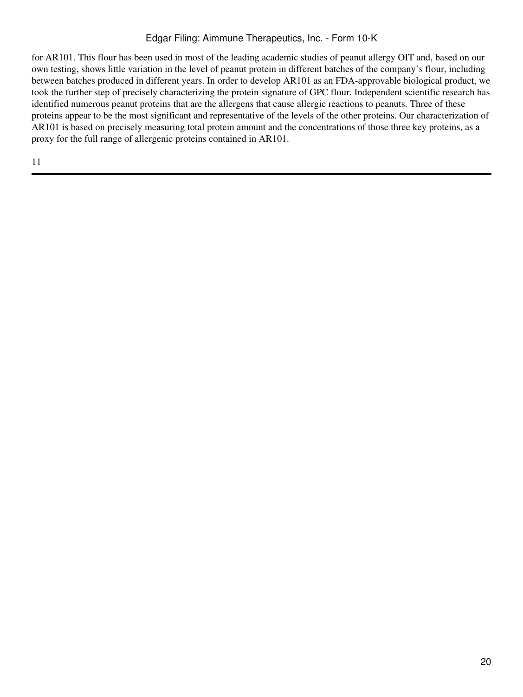for AR101. This flour has been used in most of the leading academic studies of peanut allergy OIT and, based on our own testing, shows little variation in the level of peanut protein in different batches of the company's flour, including between batches produced in different years. In order to develop AR101 as an FDA-approvable biological product, we took the further step of precisely characterizing the protein signature of GPC flour. Independent scientific research has identified numerous peanut proteins that are the allergens that cause allergic reactions to peanuts. Three of these proteins appear to be the most significant and representative of the levels of the other proteins. Our characterization of AR101 is based on precisely measuring total protein amount and the concentrations of those three key proteins, as a proxy for the full range of allergenic proteins contained in AR101.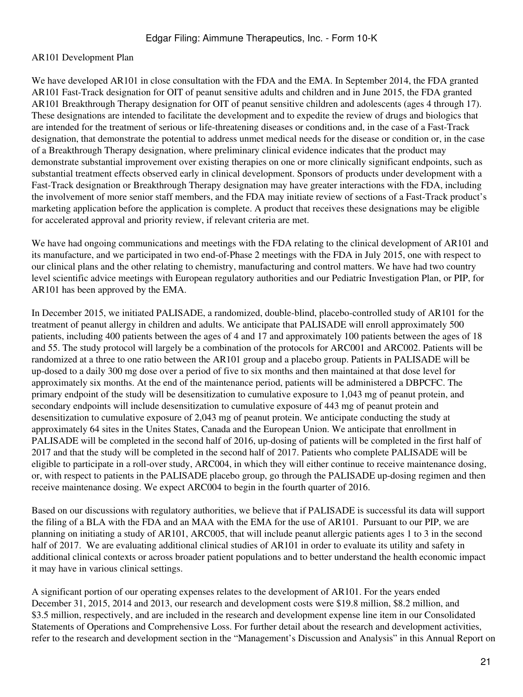## AR101 Development Plan

We have developed AR101 in close consultation with the FDA and the EMA. In September 2014, the FDA granted AR101 Fast-Track designation for OIT of peanut sensitive adults and children and in June 2015, the FDA granted AR101 Breakthrough Therapy designation for OIT of peanut sensitive children and adolescents (ages 4 through 17). These designations are intended to facilitate the development and to expedite the review of drugs and biologics that are intended for the treatment of serious or life-threatening diseases or conditions and, in the case of a Fast-Track designation, that demonstrate the potential to address unmet medical needs for the disease or condition or, in the case of a Breakthrough Therapy designation, where preliminary clinical evidence indicates that the product may demonstrate substantial improvement over existing therapies on one or more clinically significant endpoints, such as substantial treatment effects observed early in clinical development. Sponsors of products under development with a Fast-Track designation or Breakthrough Therapy designation may have greater interactions with the FDA, including the involvement of more senior staff members, and the FDA may initiate review of sections of a Fast-Track product's marketing application before the application is complete. A product that receives these designations may be eligible for accelerated approval and priority review, if relevant criteria are met.

We have had ongoing communications and meetings with the FDA relating to the clinical development of AR101 and its manufacture, and we participated in two end-of-Phase 2 meetings with the FDA in July 2015, one with respect to our clinical plans and the other relating to chemistry, manufacturing and control matters. We have had two country level scientific advice meetings with European regulatory authorities and our Pediatric Investigation Plan, or PIP, for AR101 has been approved by the EMA.

In December 2015, we initiated PALISADE, a randomized, double-blind, placebo-controlled study of AR101 for the treatment of peanut allergy in children and adults. We anticipate that PALISADE will enroll approximately 500 patients, including 400 patients between the ages of 4 and 17 and approximately 100 patients between the ages of 18 and 55. The study protocol will largely be a combination of the protocols for ARC001 and ARC002. Patients will be randomized at a three to one ratio between the AR101 group and a placebo group. Patients in PALISADE will be up-dosed to a daily 300 mg dose over a period of five to six months and then maintained at that dose level for approximately six months. At the end of the maintenance period, patients will be administered a DBPCFC. The primary endpoint of the study will be desensitization to cumulative exposure to 1,043 mg of peanut protein, and secondary endpoints will include desensitization to cumulative exposure of 443 mg of peanut protein and desensitization to cumulative exposure of 2,043 mg of peanut protein. We anticipate conducting the study at approximately 64 sites in the Unites States, Canada and the European Union. We anticipate that enrollment in PALISADE will be completed in the second half of 2016, up-dosing of patients will be completed in the first half of 2017 and that the study will be completed in the second half of 2017. Patients who complete PALISADE will be eligible to participate in a roll-over study, ARC004, in which they will either continue to receive maintenance dosing, or, with respect to patients in the PALISADE placebo group, go through the PALISADE up-dosing regimen and then receive maintenance dosing. We expect ARC004 to begin in the fourth quarter of 2016.

Based on our discussions with regulatory authorities, we believe that if PALISADE is successful its data will support the filing of a BLA with the FDA and an MAA with the EMA for the use of AR101. Pursuant to our PIP, we are planning on initiating a study of AR101, ARC005, that will include peanut allergic patients ages 1 to 3 in the second half of 2017. We are evaluating additional clinical studies of AR101 in order to evaluate its utility and safety in additional clinical contexts or across broader patient populations and to better understand the health economic impact it may have in various clinical settings.

A significant portion of our operating expenses relates to the development of AR101. For the years ended December 31, 2015, 2014 and 2013, our research and development costs were \$19.8 million, \$8.2 million, and \$3.5 million, respectively, and are included in the research and development expense line item in our Consolidated Statements of Operations and Comprehensive Loss. For further detail about the research and development activities, refer to the research and development section in the "Management's Discussion and Analysis" in this Annual Report on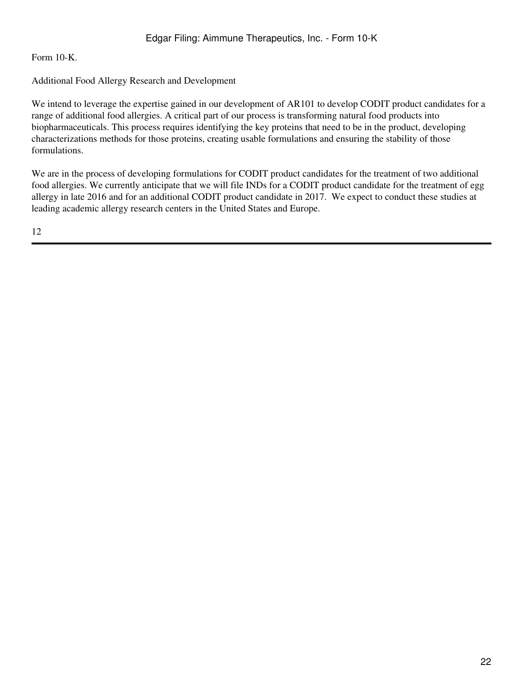Form 10-K.

## Additional Food Allergy Research and Development

We intend to leverage the expertise gained in our development of AR101 to develop CODIT product candidates for a range of additional food allergies. A critical part of our process is transforming natural food products into biopharmaceuticals. This process requires identifying the key proteins that need to be in the product, developing characterizations methods for those proteins, creating usable formulations and ensuring the stability of those formulations.

We are in the process of developing formulations for CODIT product candidates for the treatment of two additional food allergies. We currently anticipate that we will file INDs for a CODIT product candidate for the treatment of egg allergy in late 2016 and for an additional CODIT product candidate in 2017. We expect to conduct these studies at leading academic allergy research centers in the United States and Europe.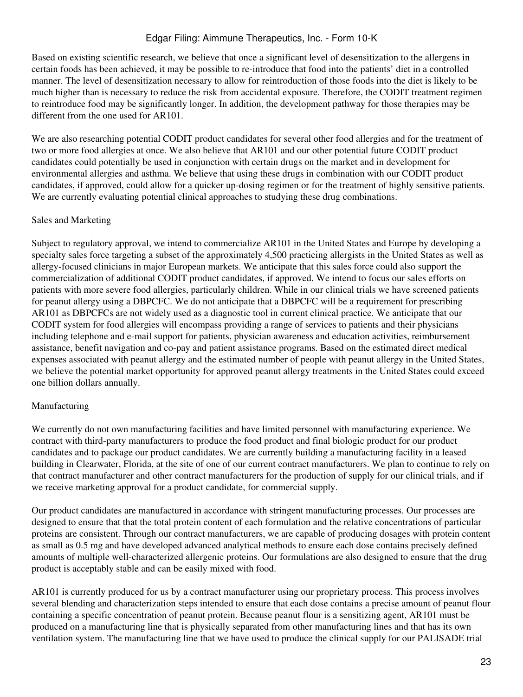Based on existing scientific research, we believe that once a significant level of desensitization to the allergens in certain foods has been achieved, it may be possible to re-introduce that food into the patients' diet in a controlled manner. The level of desensitization necessary to allow for reintroduction of those foods into the diet is likely to be much higher than is necessary to reduce the risk from accidental exposure. Therefore, the CODIT treatment regimen to reintroduce food may be significantly longer. In addition, the development pathway for those therapies may be different from the one used for AR101.

We are also researching potential CODIT product candidates for several other food allergies and for the treatment of two or more food allergies at once. We also believe that AR101 and our other potential future CODIT product candidates could potentially be used in conjunction with certain drugs on the market and in development for environmental allergies and asthma. We believe that using these drugs in combination with our CODIT product candidates, if approved, could allow for a quicker up-dosing regimen or for the treatment of highly sensitive patients. We are currently evaluating potential clinical approaches to studying these drug combinations.

### Sales and Marketing

Subject to regulatory approval, we intend to commercialize AR101 in the United States and Europe by developing a specialty sales force targeting a subset of the approximately 4,500 practicing allergists in the United States as well as allergy-focused clinicians in major European markets. We anticipate that this sales force could also support the commercialization of additional CODIT product candidates, if approved. We intend to focus our sales efforts on patients with more severe food allergies, particularly children. While in our clinical trials we have screened patients for peanut allergy using a DBPCFC. We do not anticipate that a DBPCFC will be a requirement for prescribing AR101 as DBPCFCs are not widely used as a diagnostic tool in current clinical practice. We anticipate that our CODIT system for food allergies will encompass providing a range of services to patients and their physicians including telephone and e-mail support for patients, physician awareness and education activities, reimbursement assistance, benefit navigation and co-pay and patient assistance programs. Based on the estimated direct medical expenses associated with peanut allergy and the estimated number of people with peanut allergy in the United States, we believe the potential market opportunity for approved peanut allergy treatments in the United States could exceed one billion dollars annually.

### Manufacturing

We currently do not own manufacturing facilities and have limited personnel with manufacturing experience. We contract with third-party manufacturers to produce the food product and final biologic product for our product candidates and to package our product candidates. We are currently building a manufacturing facility in a leased building in Clearwater, Florida, at the site of one of our current contract manufacturers. We plan to continue to rely on that contract manufacturer and other contract manufacturers for the production of supply for our clinical trials, and if we receive marketing approval for a product candidate, for commercial supply.

Our product candidates are manufactured in accordance with stringent manufacturing processes. Our processes are designed to ensure that that the total protein content of each formulation and the relative concentrations of particular proteins are consistent. Through our contract manufacturers, we are capable of producing dosages with protein content as small as 0.5 mg and have developed advanced analytical methods to ensure each dose contains precisely defined amounts of multiple well-characterized allergenic proteins. Our formulations are also designed to ensure that the drug product is acceptably stable and can be easily mixed with food.

AR101 is currently produced for us by a contract manufacturer using our proprietary process. This process involves several blending and characterization steps intended to ensure that each dose contains a precise amount of peanut flour containing a specific concentration of peanut protein. Because peanut flour is a sensitizing agent, AR101 must be produced on a manufacturing line that is physically separated from other manufacturing lines and that has its own ventilation system. The manufacturing line that we have used to produce the clinical supply for our PALISADE trial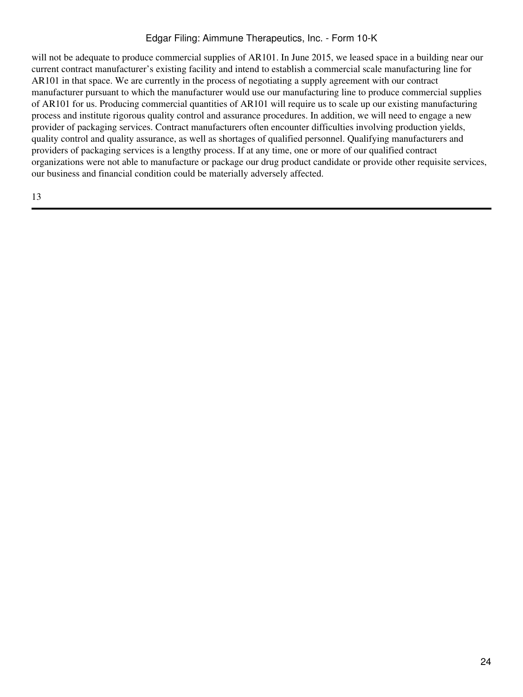will not be adequate to produce commercial supplies of AR101. In June 2015, we leased space in a building near our current contract manufacturer's existing facility and intend to establish a commercial scale manufacturing line for AR101 in that space. We are currently in the process of negotiating a supply agreement with our contract manufacturer pursuant to which the manufacturer would use our manufacturing line to produce commercial supplies of AR101 for us. Producing commercial quantities of AR101 will require us to scale up our existing manufacturing process and institute rigorous quality control and assurance procedures. In addition, we will need to engage a new provider of packaging services. Contract manufacturers often encounter difficulties involving production yields, quality control and quality assurance, as well as shortages of qualified personnel. Qualifying manufacturers and providers of packaging services is a lengthy process. If at any time, one or more of our qualified contract organizations were not able to manufacture or package our drug product candidate or provide other requisite services, our business and financial condition could be materially adversely affected.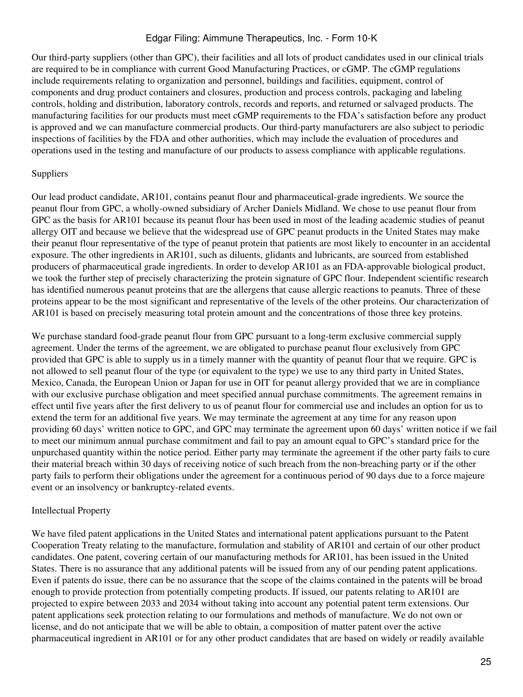Our third-party suppliers (other than GPC), their facilities and all lots of product candidates used in our clinical trials are required to be in compliance with current Good Manufacturing Practices, or cGMP. The cGMP regulations include requirements relating to organization and personnel, buildings and facilities, equipment, control of components and drug product containers and closures, production and process controls, packaging and labeling controls, holding and distribution, laboratory controls, records and reports, and returned or salvaged products. The manufacturing facilities for our products must meet cGMP requirements to the FDA's satisfaction before any product is approved and we can manufacture commercial products. Our third-party manufacturers are also subject to periodic inspections of facilities by the FDA and other authorities, which may include the evaluation of procedures and operations used in the testing and manufacture of our products to assess compliance with applicable regulations.

### Suppliers

Our lead product candidate, AR101, contains peanut flour and pharmaceutical-grade ingredients. We source the peanut flour from GPC, a wholly-owned subsidiary of Archer Daniels Midland. We chose to use peanut flour from GPC as the basis for AR101 because its peanut flour has been used in most of the leading academic studies of peanut allergy OIT and because we believe that the widespread use of GPC peanut products in the United States may make their peanut flour representative of the type of peanut protein that patients are most likely to encounter in an accidental exposure. The other ingredients in AR101, such as diluents, glidants and lubricants, are sourced from established producers of pharmaceutical grade ingredients. In order to develop AR101 as an FDA-approvable biological product, we took the further step of precisely characterizing the protein signature of GPC flour. Independent scientific research has identified numerous peanut proteins that are the allergens that cause allergic reactions to peanuts. Three of these proteins appear to be the most significant and representative of the levels of the other proteins. Our characterization of AR101 is based on precisely measuring total protein amount and the concentrations of those three key proteins.

We purchase standard food-grade peanut flour from GPC pursuant to a long-term exclusive commercial supply agreement. Under the terms of the agreement, we are obligated to purchase peanut flour exclusively from GPC provided that GPC is able to supply us in a timely manner with the quantity of peanut flour that we require. GPC is not allowed to sell peanut flour of the type (or equivalent to the type) we use to any third party in United States, Mexico, Canada, the European Union or Japan for use in OIT for peanut allergy provided that we are in compliance with our exclusive purchase obligation and meet specified annual purchase commitments. The agreement remains in effect until five years after the first delivery to us of peanut flour for commercial use and includes an option for us to extend the term for an additional five years. We may terminate the agreement at any time for any reason upon providing 60 days' written notice to GPC, and GPC may terminate the agreement upon 60 days' written notice if we fail to meet our minimum annual purchase commitment and fail to pay an amount equal to GPC's standard price for the unpurchased quantity within the notice period. Either party may terminate the agreement if the other party fails to cure their material breach within 30 days of receiving notice of such breach from the non-breaching party or if the other party fails to perform their obligations under the agreement for a continuous period of 90 days due to a force majeure event or an insolvency or bankruptcy-related events.

# Intellectual Property

We have filed patent applications in the United States and international patent applications pursuant to the Patent Cooperation Treaty relating to the manufacture, formulation and stability of AR101 and certain of our other product candidates. One patent, covering certain of our manufacturing methods for AR101, has been issued in the United States. There is no assurance that any additional patents will be issued from any of our pending patent applications. Even if patents do issue, there can be no assurance that the scope of the claims contained in the patents will be broad enough to provide protection from potentially competing products. If issued, our patents relating to AR101 are projected to expire between 2033 and 2034 without taking into account any potential patent term extensions. Our patent applications seek protection relating to our formulations and methods of manufacture. We do not own or license, and do not anticipate that we will be able to obtain, a composition of matter patent over the active pharmaceutical ingredient in AR101 or for any other product candidates that are based on widely or readily available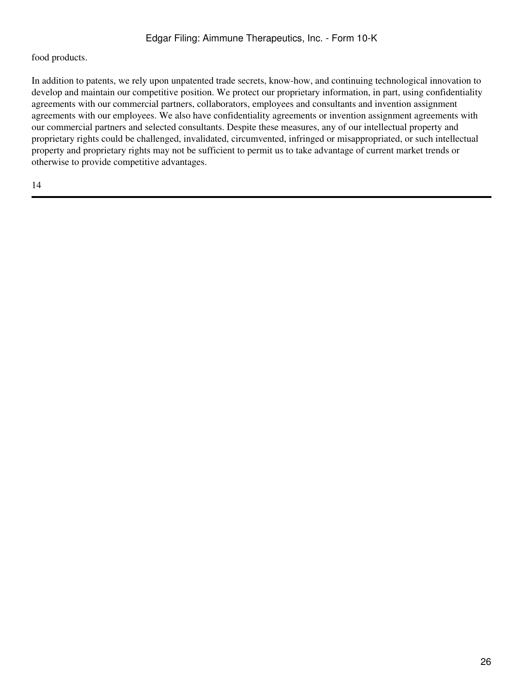## food products.

In addition to patents, we rely upon unpatented trade secrets, know-how, and continuing technological innovation to develop and maintain our competitive position. We protect our proprietary information, in part, using confidentiality agreements with our commercial partners, collaborators, employees and consultants and invention assignment agreements with our employees. We also have confidentiality agreements or invention assignment agreements with our commercial partners and selected consultants. Despite these measures, any of our intellectual property and proprietary rights could be challenged, invalidated, circumvented, infringed or misappropriated, or such intellectual property and proprietary rights may not be sufficient to permit us to take advantage of current market trends or otherwise to provide competitive advantages.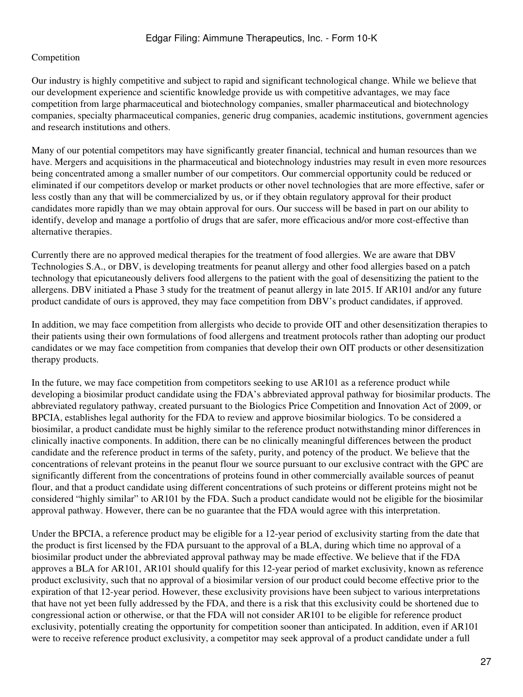# Competition

Our industry is highly competitive and subject to rapid and significant technological change. While we believe that our development experience and scientific knowledge provide us with competitive advantages, we may face competition from large pharmaceutical and biotechnology companies, smaller pharmaceutical and biotechnology companies, specialty pharmaceutical companies, generic drug companies, academic institutions, government agencies and research institutions and others.

Many of our potential competitors may have significantly greater financial, technical and human resources than we have. Mergers and acquisitions in the pharmaceutical and biotechnology industries may result in even more resources being concentrated among a smaller number of our competitors. Our commercial opportunity could be reduced or eliminated if our competitors develop or market products or other novel technologies that are more effective, safer or less costly than any that will be commercialized by us, or if they obtain regulatory approval for their product candidates more rapidly than we may obtain approval for ours. Our success will be based in part on our ability to identify, develop and manage a portfolio of drugs that are safer, more efficacious and/or more cost-effective than alternative therapies.

Currently there are no approved medical therapies for the treatment of food allergies. We are aware that DBV Technologies S.A., or DBV, is developing treatments for peanut allergy and other food allergies based on a patch technology that epicutaneously delivers food allergens to the patient with the goal of desensitizing the patient to the allergens. DBV initiated a Phase 3 study for the treatment of peanut allergy in late 2015. If AR101 and/or any future product candidate of ours is approved, they may face competition from DBV's product candidates, if approved.

In addition, we may face competition from allergists who decide to provide OIT and other desensitization therapies to their patients using their own formulations of food allergens and treatment protocols rather than adopting our product candidates or we may face competition from companies that develop their own OIT products or other desensitization therapy products.

In the future, we may face competition from competitors seeking to use AR101 as a reference product while developing a biosimilar product candidate using the FDA's abbreviated approval pathway for biosimilar products. The abbreviated regulatory pathway, created pursuant to the Biologics Price Competition and Innovation Act of 2009, or BPCIA, establishes legal authority for the FDA to review and approve biosimilar biologics. To be considered a biosimilar, a product candidate must be highly similar to the reference product notwithstanding minor differences in clinically inactive components. In addition, there can be no clinically meaningful differences between the product candidate and the reference product in terms of the safety, purity, and potency of the product. We believe that the concentrations of relevant proteins in the peanut flour we source pursuant to our exclusive contract with the GPC are significantly different from the concentrations of proteins found in other commercially available sources of peanut flour, and that a product candidate using different concentrations of such proteins or different proteins might not be considered "highly similar" to AR101 by the FDA. Such a product candidate would not be eligible for the biosimilar approval pathway. However, there can be no guarantee that the FDA would agree with this interpretation.

Under the BPCIA, a reference product may be eligible for a 12-year period of exclusivity starting from the date that the product is first licensed by the FDA pursuant to the approval of a BLA, during which time no approval of a biosimilar product under the abbreviated approval pathway may be made effective. We believe that if the FDA approves a BLA for AR101, AR101 should qualify for this 12-year period of market exclusivity, known as reference product exclusivity, such that no approval of a biosimilar version of our product could become effective prior to the expiration of that 12-year period. However, these exclusivity provisions have been subject to various interpretations that have not yet been fully addressed by the FDA, and there is a risk that this exclusivity could be shortened due to congressional action or otherwise, or that the FDA will not consider AR101 to be eligible for reference product exclusivity, potentially creating the opportunity for competition sooner than anticipated. In addition, even if AR101 were to receive reference product exclusivity, a competitor may seek approval of a product candidate under a full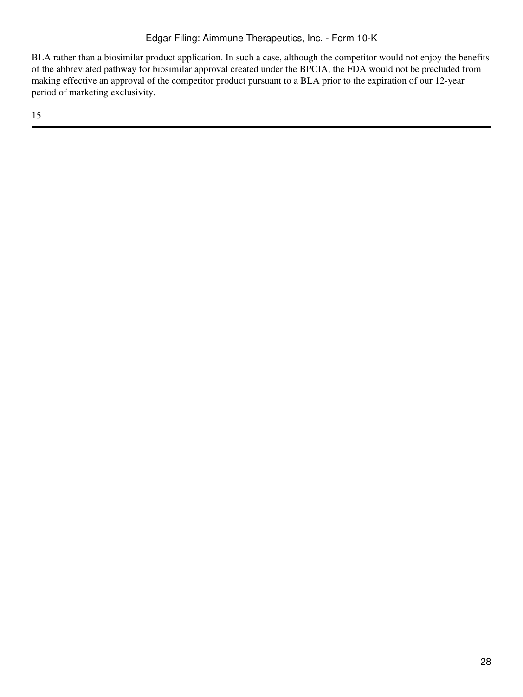BLA rather than a biosimilar product application. In such a case, although the competitor would not enjoy the benefits of the abbreviated pathway for biosimilar approval created under the BPCIA, the FDA would not be precluded from making effective an approval of the competitor product pursuant to a BLA prior to the expiration of our 12-year period of marketing exclusivity.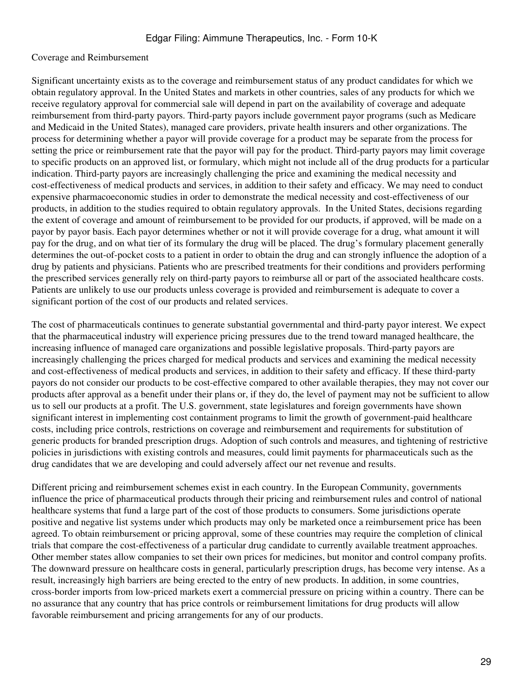#### Coverage and Reimbursement

Significant uncertainty exists as to the coverage and reimbursement status of any product candidates for which we obtain regulatory approval. In the United States and markets in other countries, sales of any products for which we receive regulatory approval for commercial sale will depend in part on the availability of coverage and adequate reimbursement from third-party payors. Third-party payors include government payor programs (such as Medicare and Medicaid in the United States), managed care providers, private health insurers and other organizations. The process for determining whether a payor will provide coverage for a product may be separate from the process for setting the price or reimbursement rate that the payor will pay for the product. Third-party payors may limit coverage to specific products on an approved list, or formulary, which might not include all of the drug products for a particular indication. Third-party payors are increasingly challenging the price and examining the medical necessity and cost-effectiveness of medical products and services, in addition to their safety and efficacy. We may need to conduct expensive pharmacoeconomic studies in order to demonstrate the medical necessity and cost-effectiveness of our products, in addition to the studies required to obtain regulatory approvals. In the United States, decisions regarding the extent of coverage and amount of reimbursement to be provided for our products, if approved, will be made on a payor by payor basis. Each payor determines whether or not it will provide coverage for a drug, what amount it will pay for the drug, and on what tier of its formulary the drug will be placed. The drug's formulary placement generally determines the out-of-pocket costs to a patient in order to obtain the drug and can strongly influence the adoption of a drug by patients and physicians. Patients who are prescribed treatments for their conditions and providers performing the prescribed services generally rely on third-party payors to reimburse all or part of the associated healthcare costs. Patients are unlikely to use our products unless coverage is provided and reimbursement is adequate to cover a significant portion of the cost of our products and related services.

The cost of pharmaceuticals continues to generate substantial governmental and third-party payor interest. We expect that the pharmaceutical industry will experience pricing pressures due to the trend toward managed healthcare, the increasing influence of managed care organizations and possible legislative proposals. Third-party payors are increasingly challenging the prices charged for medical products and services and examining the medical necessity and cost-effectiveness of medical products and services, in addition to their safety and efficacy. If these third-party payors do not consider our products to be cost-effective compared to other available therapies, they may not cover our products after approval as a benefit under their plans or, if they do, the level of payment may not be sufficient to allow us to sell our products at a profit. The U.S. government, state legislatures and foreign governments have shown significant interest in implementing cost containment programs to limit the growth of government-paid healthcare costs, including price controls, restrictions on coverage and reimbursement and requirements for substitution of generic products for branded prescription drugs. Adoption of such controls and measures, and tightening of restrictive policies in jurisdictions with existing controls and measures, could limit payments for pharmaceuticals such as the drug candidates that we are developing and could adversely affect our net revenue and results.

Different pricing and reimbursement schemes exist in each country. In the European Community, governments influence the price of pharmaceutical products through their pricing and reimbursement rules and control of national healthcare systems that fund a large part of the cost of those products to consumers. Some jurisdictions operate positive and negative list systems under which products may only be marketed once a reimbursement price has been agreed. To obtain reimbursement or pricing approval, some of these countries may require the completion of clinical trials that compare the cost-effectiveness of a particular drug candidate to currently available treatment approaches. Other member states allow companies to set their own prices for medicines, but monitor and control company profits. The downward pressure on healthcare costs in general, particularly prescription drugs, has become very intense. As a result, increasingly high barriers are being erected to the entry of new products. In addition, in some countries, cross-border imports from low-priced markets exert a commercial pressure on pricing within a country. There can be no assurance that any country that has price controls or reimbursement limitations for drug products will allow favorable reimbursement and pricing arrangements for any of our products.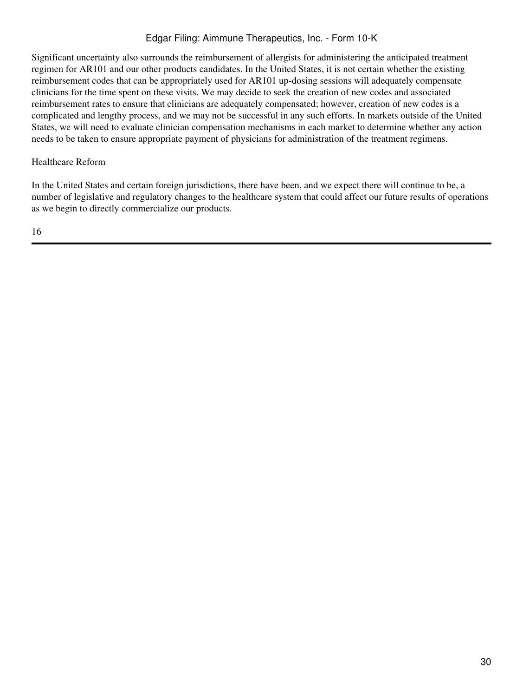Significant uncertainty also surrounds the reimbursement of allergists for administering the anticipated treatment regimen for AR101 and our other products candidates. In the United States, it is not certain whether the existing reimbursement codes that can be appropriately used for AR101 up-dosing sessions will adequately compensate clinicians for the time spent on these visits. We may decide to seek the creation of new codes and associated reimbursement rates to ensure that clinicians are adequately compensated; however, creation of new codes is a complicated and lengthy process, and we may not be successful in any such efforts. In markets outside of the United States, we will need to evaluate clinician compensation mechanisms in each market to determine whether any action needs to be taken to ensure appropriate payment of physicians for administration of the treatment regimens.

### Healthcare Reform

In the United States and certain foreign jurisdictions, there have been, and we expect there will continue to be, a number of legislative and regulatory changes to the healthcare system that could affect our future results of operations as we begin to directly commercialize our products.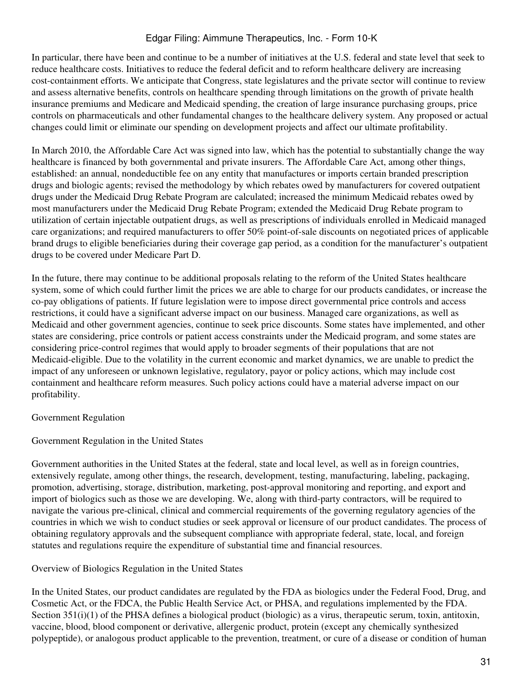In particular, there have been and continue to be a number of initiatives at the U.S. federal and state level that seek to reduce healthcare costs. Initiatives to reduce the federal deficit and to reform healthcare delivery are increasing cost-containment efforts. We anticipate that Congress, state legislatures and the private sector will continue to review and assess alternative benefits, controls on healthcare spending through limitations on the growth of private health insurance premiums and Medicare and Medicaid spending, the creation of large insurance purchasing groups, price controls on pharmaceuticals and other fundamental changes to the healthcare delivery system. Any proposed or actual changes could limit or eliminate our spending on development projects and affect our ultimate profitability.

In March 2010, the Affordable Care Act was signed into law, which has the potential to substantially change the way healthcare is financed by both governmental and private insurers. The Affordable Care Act, among other things, established: an annual, nondeductible fee on any entity that manufactures or imports certain branded prescription drugs and biologic agents; revised the methodology by which rebates owed by manufacturers for covered outpatient drugs under the Medicaid Drug Rebate Program are calculated; increased the minimum Medicaid rebates owed by most manufacturers under the Medicaid Drug Rebate Program; extended the Medicaid Drug Rebate program to utilization of certain injectable outpatient drugs, as well as prescriptions of individuals enrolled in Medicaid managed care organizations; and required manufacturers to offer 50% point-of-sale discounts on negotiated prices of applicable brand drugs to eligible beneficiaries during their coverage gap period, as a condition for the manufacturer's outpatient drugs to be covered under Medicare Part D.

In the future, there may continue to be additional proposals relating to the reform of the United States healthcare system, some of which could further limit the prices we are able to charge for our products candidates, or increase the co-pay obligations of patients. If future legislation were to impose direct governmental price controls and access restrictions, it could have a significant adverse impact on our business. Managed care organizations, as well as Medicaid and other government agencies, continue to seek price discounts. Some states have implemented, and other states are considering, price controls or patient access constraints under the Medicaid program, and some states are considering price-control regimes that would apply to broader segments of their populations that are not Medicaid-eligible. Due to the volatility in the current economic and market dynamics, we are unable to predict the impact of any unforeseen or unknown legislative, regulatory, payor or policy actions, which may include cost containment and healthcare reform measures. Such policy actions could have a material adverse impact on our profitability.

Government Regulation

Government Regulation in the United States

Government authorities in the United States at the federal, state and local level, as well as in foreign countries, extensively regulate, among other things, the research, development, testing, manufacturing, labeling, packaging, promotion, advertising, storage, distribution, marketing, post-approval monitoring and reporting, and export and import of biologics such as those we are developing. We, along with third-party contractors, will be required to navigate the various pre-clinical, clinical and commercial requirements of the governing regulatory agencies of the countries in which we wish to conduct studies or seek approval or licensure of our product candidates. The process of obtaining regulatory approvals and the subsequent compliance with appropriate federal, state, local, and foreign statutes and regulations require the expenditure of substantial time and financial resources.

Overview of Biologics Regulation in the United States

In the United States, our product candidates are regulated by the FDA as biologics under the Federal Food, Drug, and Cosmetic Act, or the FDCA, the Public Health Service Act, or PHSA, and regulations implemented by the FDA. Section 351(i)(1) of the PHSA defines a biological product (biologic) as a virus, therapeutic serum, toxin, antitoxin, vaccine, blood, blood component or derivative, allergenic product, protein (except any chemically synthesized polypeptide), or analogous product applicable to the prevention, treatment, or cure of a disease or condition of human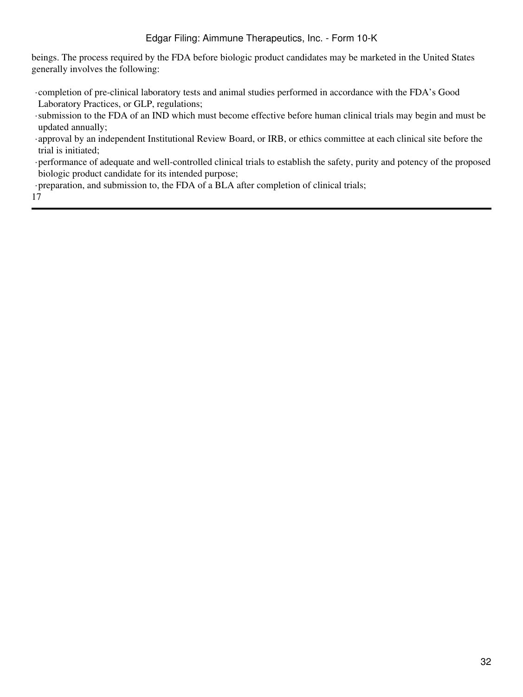beings. The process required by the FDA before biologic product candidates may be marketed in the United States generally involves the following:

- ·completion of pre-clinical laboratory tests and animal studies performed in accordance with the FDA's Good Laboratory Practices, or GLP, regulations;
- ·submission to the FDA of an IND which must become effective before human clinical trials may begin and must be updated annually;
- ·approval by an independent Institutional Review Board, or IRB, or ethics committee at each clinical site before the trial is initiated;
- ·performance of adequate and well-controlled clinical trials to establish the safety, purity and potency of the proposed biologic product candidate for its intended purpose;
- ·preparation, and submission to, the FDA of a BLA after completion of clinical trials;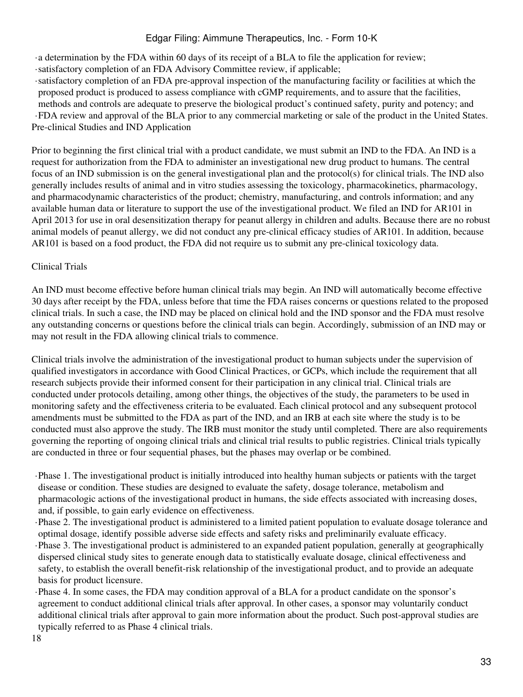·a determination by the FDA within 60 days of its receipt of a BLA to file the application for review;

- ·satisfactory completion of an FDA Advisory Committee review, if applicable;
- ·satisfactory completion of an FDA pre-approval inspection of the manufacturing facility or facilities at which the proposed product is produced to assess compliance with cGMP requirements, and to assure that the facilities, methods and controls are adequate to preserve the biological product's continued safety, purity and potency; and ·FDA review and approval of the BLA prior to any commercial marketing or sale of the product in the United States. Pre-clinical Studies and IND Application

Prior to beginning the first clinical trial with a product candidate, we must submit an IND to the FDA. An IND is a request for authorization from the FDA to administer an investigational new drug product to humans. The central focus of an IND submission is on the general investigational plan and the protocol(s) for clinical trials. The IND also generally includes results of animal and in vitro studies assessing the toxicology, pharmacokinetics, pharmacology, and pharmacodynamic characteristics of the product; chemistry, manufacturing, and controls information; and any available human data or literature to support the use of the investigational product. We filed an IND for AR101 in April 2013 for use in oral desensitization therapy for peanut allergy in children and adults. Because there are no robust animal models of peanut allergy, we did not conduct any pre-clinical efficacy studies of AR101. In addition, because AR101 is based on a food product, the FDA did not require us to submit any pre-clinical toxicology data.

# Clinical Trials

An IND must become effective before human clinical trials may begin. An IND will automatically become effective 30 days after receipt by the FDA, unless before that time the FDA raises concerns or questions related to the proposed clinical trials. In such a case, the IND may be placed on clinical hold and the IND sponsor and the FDA must resolve any outstanding concerns or questions before the clinical trials can begin. Accordingly, submission of an IND may or may not result in the FDA allowing clinical trials to commence.

Clinical trials involve the administration of the investigational product to human subjects under the supervision of qualified investigators in accordance with Good Clinical Practices, or GCPs, which include the requirement that all research subjects provide their informed consent for their participation in any clinical trial. Clinical trials are conducted under protocols detailing, among other things, the objectives of the study, the parameters to be used in monitoring safety and the effectiveness criteria to be evaluated. Each clinical protocol and any subsequent protocol amendments must be submitted to the FDA as part of the IND, and an IRB at each site where the study is to be conducted must also approve the study. The IRB must monitor the study until completed. There are also requirements governing the reporting of ongoing clinical trials and clinical trial results to public registries. Clinical trials typically are conducted in three or four sequential phases, but the phases may overlap or be combined.

- ·Phase 1. The investigational product is initially introduced into healthy human subjects or patients with the target disease or condition. These studies are designed to evaluate the safety, dosage tolerance, metabolism and pharmacologic actions of the investigational product in humans, the side effects associated with increasing doses, and, if possible, to gain early evidence on effectiveness.
- ·Phase 2. The investigational product is administered to a limited patient population to evaluate dosage tolerance and optimal dosage, identify possible adverse side effects and safety risks and preliminarily evaluate efficacy. ·Phase 3. The investigational product is administered to an expanded patient population, generally at geographically dispersed clinical study sites to generate enough data to statistically evaluate dosage, clinical effectiveness and safety, to establish the overall benefit-risk relationship of the investigational product, and to provide an adequate basis for product licensure.
- ·Phase 4. In some cases, the FDA may condition approval of a BLA for a product candidate on the sponsor's agreement to conduct additional clinical trials after approval. In other cases, a sponsor may voluntarily conduct additional clinical trials after approval to gain more information about the product. Such post-approval studies are typically referred to as Phase 4 clinical trials.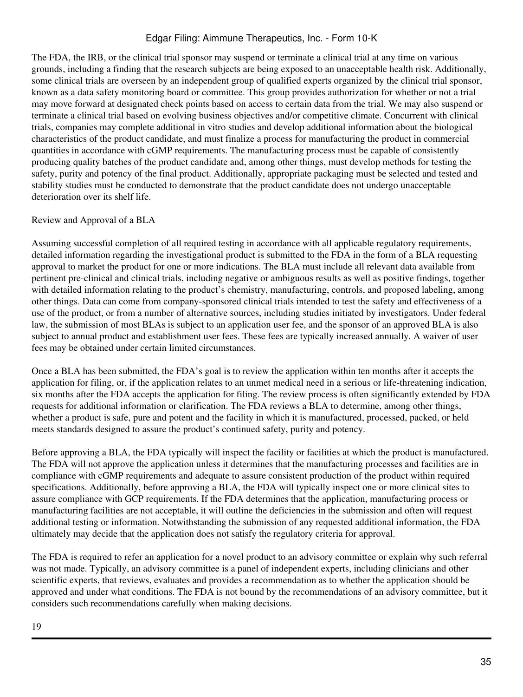The FDA, the IRB, or the clinical trial sponsor may suspend or terminate a clinical trial at any time on various grounds, including a finding that the research subjects are being exposed to an unacceptable health risk. Additionally, some clinical trials are overseen by an independent group of qualified experts organized by the clinical trial sponsor, known as a data safety monitoring board or committee. This group provides authorization for whether or not a trial may move forward at designated check points based on access to certain data from the trial. We may also suspend or terminate a clinical trial based on evolving business objectives and/or competitive climate. Concurrent with clinical trials, companies may complete additional in vitro studies and develop additional information about the biological characteristics of the product candidate, and must finalize a process for manufacturing the product in commercial quantities in accordance with cGMP requirements. The manufacturing process must be capable of consistently producing quality batches of the product candidate and, among other things, must develop methods for testing the safety, purity and potency of the final product. Additionally, appropriate packaging must be selected and tested and stability studies must be conducted to demonstrate that the product candidate does not undergo unacceptable deterioration over its shelf life.

## Review and Approval of a BLA

Assuming successful completion of all required testing in accordance with all applicable regulatory requirements, detailed information regarding the investigational product is submitted to the FDA in the form of a BLA requesting approval to market the product for one or more indications. The BLA must include all relevant data available from pertinent pre-clinical and clinical trials, including negative or ambiguous results as well as positive findings, together with detailed information relating to the product's chemistry, manufacturing, controls, and proposed labeling, among other things. Data can come from company-sponsored clinical trials intended to test the safety and effectiveness of a use of the product, or from a number of alternative sources, including studies initiated by investigators. Under federal law, the submission of most BLAs is subject to an application user fee, and the sponsor of an approved BLA is also subject to annual product and establishment user fees. These fees are typically increased annually. A waiver of user fees may be obtained under certain limited circumstances.

Once a BLA has been submitted, the FDA's goal is to review the application within ten months after it accepts the application for filing, or, if the application relates to an unmet medical need in a serious or life-threatening indication, six months after the FDA accepts the application for filing. The review process is often significantly extended by FDA requests for additional information or clarification. The FDA reviews a BLA to determine, among other things, whether a product is safe, pure and potent and the facility in which it is manufactured, processed, packed, or held meets standards designed to assure the product's continued safety, purity and potency.

Before approving a BLA, the FDA typically will inspect the facility or facilities at which the product is manufactured. The FDA will not approve the application unless it determines that the manufacturing processes and facilities are in compliance with cGMP requirements and adequate to assure consistent production of the product within required specifications. Additionally, before approving a BLA, the FDA will typically inspect one or more clinical sites to assure compliance with GCP requirements. If the FDA determines that the application, manufacturing process or manufacturing facilities are not acceptable, it will outline the deficiencies in the submission and often will request additional testing or information. Notwithstanding the submission of any requested additional information, the FDA ultimately may decide that the application does not satisfy the regulatory criteria for approval.

The FDA is required to refer an application for a novel product to an advisory committee or explain why such referral was not made. Typically, an advisory committee is a panel of independent experts, including clinicians and other scientific experts, that reviews, evaluates and provides a recommendation as to whether the application should be approved and under what conditions. The FDA is not bound by the recommendations of an advisory committee, but it considers such recommendations carefully when making decisions.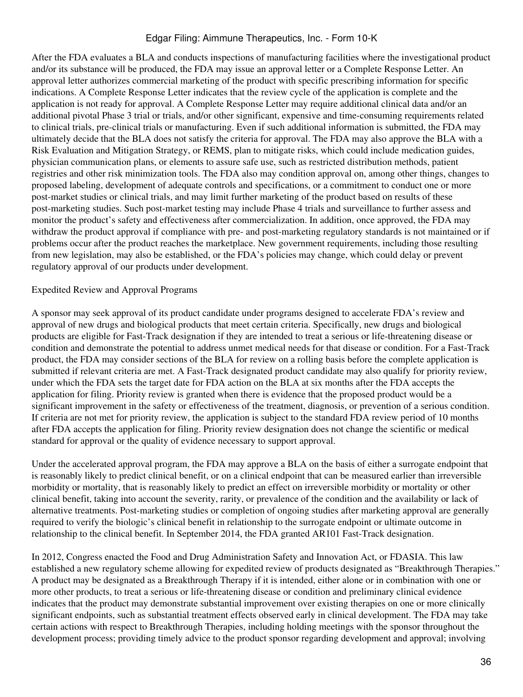After the FDA evaluates a BLA and conducts inspections of manufacturing facilities where the investigational product and/or its substance will be produced, the FDA may issue an approval letter or a Complete Response Letter. An approval letter authorizes commercial marketing of the product with specific prescribing information for specific indications. A Complete Response Letter indicates that the review cycle of the application is complete and the application is not ready for approval. A Complete Response Letter may require additional clinical data and/or an additional pivotal Phase 3 trial or trials, and/or other significant, expensive and time-consuming requirements related to clinical trials, pre-clinical trials or manufacturing. Even if such additional information is submitted, the FDA may ultimately decide that the BLA does not satisfy the criteria for approval. The FDA may also approve the BLA with a Risk Evaluation and Mitigation Strategy, or REMS, plan to mitigate risks, which could include medication guides, physician communication plans, or elements to assure safe use, such as restricted distribution methods, patient registries and other risk minimization tools. The FDA also may condition approval on, among other things, changes to proposed labeling, development of adequate controls and specifications, or a commitment to conduct one or more post-market studies or clinical trials, and may limit further marketing of the product based on results of these post-marketing studies. Such post-market testing may include Phase 4 trials and surveillance to further assess and monitor the product's safety and effectiveness after commercialization. In addition, once approved, the FDA may withdraw the product approval if compliance with pre- and post-marketing regulatory standards is not maintained or if problems occur after the product reaches the marketplace. New government requirements, including those resulting from new legislation, may also be established, or the FDA's policies may change, which could delay or prevent regulatory approval of our products under development.

#### Expedited Review and Approval Programs

A sponsor may seek approval of its product candidate under programs designed to accelerate FDA's review and approval of new drugs and biological products that meet certain criteria. Specifically, new drugs and biological products are eligible for Fast-Track designation if they are intended to treat a serious or life-threatening disease or condition and demonstrate the potential to address unmet medical needs for that disease or condition. For a Fast-Track product, the FDA may consider sections of the BLA for review on a rolling basis before the complete application is submitted if relevant criteria are met. A Fast-Track designated product candidate may also qualify for priority review, under which the FDA sets the target date for FDA action on the BLA at six months after the FDA accepts the application for filing. Priority review is granted when there is evidence that the proposed product would be a significant improvement in the safety or effectiveness of the treatment, diagnosis, or prevention of a serious condition. If criteria are not met for priority review, the application is subject to the standard FDA review period of 10 months after FDA accepts the application for filing. Priority review designation does not change the scientific or medical standard for approval or the quality of evidence necessary to support approval.

Under the accelerated approval program, the FDA may approve a BLA on the basis of either a surrogate endpoint that is reasonably likely to predict clinical benefit, or on a clinical endpoint that can be measured earlier than irreversible morbidity or mortality, that is reasonably likely to predict an effect on irreversible morbidity or mortality or other clinical benefit, taking into account the severity, rarity, or prevalence of the condition and the availability or lack of alternative treatments. Post-marketing studies or completion of ongoing studies after marketing approval are generally required to verify the biologic's clinical benefit in relationship to the surrogate endpoint or ultimate outcome in relationship to the clinical benefit. In September 2014, the FDA granted AR101 Fast-Track designation.

In 2012, Congress enacted the Food and Drug Administration Safety and Innovation Act, or FDASIA. This law established a new regulatory scheme allowing for expedited review of products designated as "Breakthrough Therapies." A product may be designated as a Breakthrough Therapy if it is intended, either alone or in combination with one or more other products, to treat a serious or life-threatening disease or condition and preliminary clinical evidence indicates that the product may demonstrate substantial improvement over existing therapies on one or more clinically significant endpoints, such as substantial treatment effects observed early in clinical development. The FDA may take certain actions with respect to Breakthrough Therapies, including holding meetings with the sponsor throughout the development process; providing timely advice to the product sponsor regarding development and approval; involving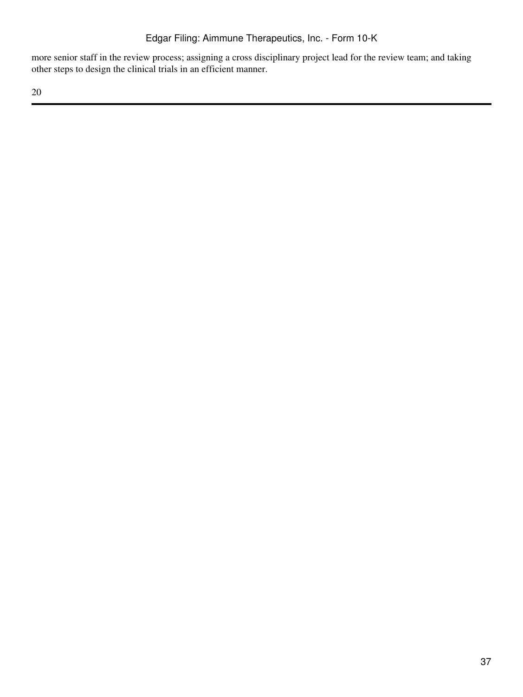more senior staff in the review process; assigning a cross disciplinary project lead for the review team; and taking other steps to design the clinical trials in an efficient manner.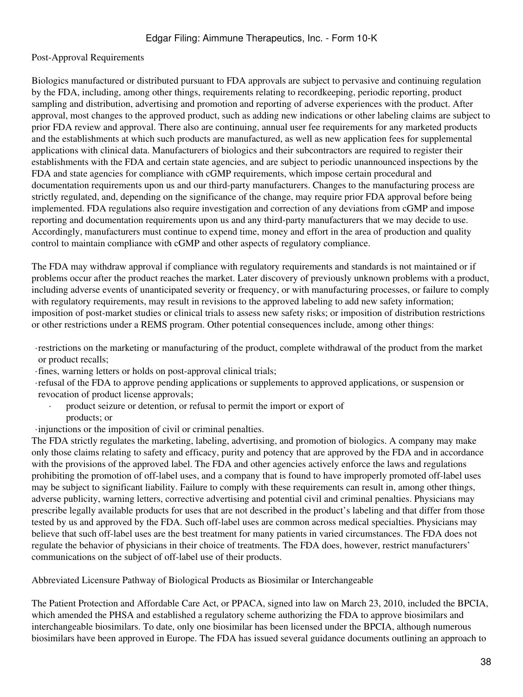#### Post-Approval Requirements

Biologics manufactured or distributed pursuant to FDA approvals are subject to pervasive and continuing regulation by the FDA, including, among other things, requirements relating to recordkeeping, periodic reporting, product sampling and distribution, advertising and promotion and reporting of adverse experiences with the product. After approval, most changes to the approved product, such as adding new indications or other labeling claims are subject to prior FDA review and approval. There also are continuing, annual user fee requirements for any marketed products and the establishments at which such products are manufactured, as well as new application fees for supplemental applications with clinical data. Manufacturers of biologics and their subcontractors are required to register their establishments with the FDA and certain state agencies, and are subject to periodic unannounced inspections by the FDA and state agencies for compliance with cGMP requirements, which impose certain procedural and documentation requirements upon us and our third-party manufacturers. Changes to the manufacturing process are strictly regulated, and, depending on the significance of the change, may require prior FDA approval before being implemented. FDA regulations also require investigation and correction of any deviations from cGMP and impose reporting and documentation requirements upon us and any third-party manufacturers that we may decide to use. Accordingly, manufacturers must continue to expend time, money and effort in the area of production and quality control to maintain compliance with cGMP and other aspects of regulatory compliance.

The FDA may withdraw approval if compliance with regulatory requirements and standards is not maintained or if problems occur after the product reaches the market. Later discovery of previously unknown problems with a product, including adverse events of unanticipated severity or frequency, or with manufacturing processes, or failure to comply with regulatory requirements, may result in revisions to the approved labeling to add new safety information; imposition of post-market studies or clinical trials to assess new safety risks; or imposition of distribution restrictions or other restrictions under a REMS program. Other potential consequences include, among other things:

- ·restrictions on the marketing or manufacturing of the product, complete withdrawal of the product from the market or product recalls;
- ·fines, warning letters or holds on post-approval clinical trials;
- ·refusal of the FDA to approve pending applications or supplements to approved applications, or suspension or revocation of product license approvals;
	- product seizure or detention, or refusal to permit the import or export of products; or
- ·injunctions or the imposition of civil or criminal penalties.

The FDA strictly regulates the marketing, labeling, advertising, and promotion of biologics. A company may make only those claims relating to safety and efficacy, purity and potency that are approved by the FDA and in accordance with the provisions of the approved label. The FDA and other agencies actively enforce the laws and regulations prohibiting the promotion of off-label uses, and a company that is found to have improperly promoted off-label uses may be subject to significant liability. Failure to comply with these requirements can result in, among other things, adverse publicity, warning letters, corrective advertising and potential civil and criminal penalties. Physicians may prescribe legally available products for uses that are not described in the product's labeling and that differ from those tested by us and approved by the FDA. Such off-label uses are common across medical specialties. Physicians may believe that such off-label uses are the best treatment for many patients in varied circumstances. The FDA does not regulate the behavior of physicians in their choice of treatments. The FDA does, however, restrict manufacturers' communications on the subject of off-label use of their products.

Abbreviated Licensure Pathway of Biological Products as Biosimilar or Interchangeable

The Patient Protection and Affordable Care Act, or PPACA, signed into law on March 23, 2010, included the BPCIA, which amended the PHSA and established a regulatory scheme authorizing the FDA to approve biosimilars and interchangeable biosimilars. To date, only one biosimilar has been licensed under the BPCIA, although numerous biosimilars have been approved in Europe. The FDA has issued several guidance documents outlining an approach to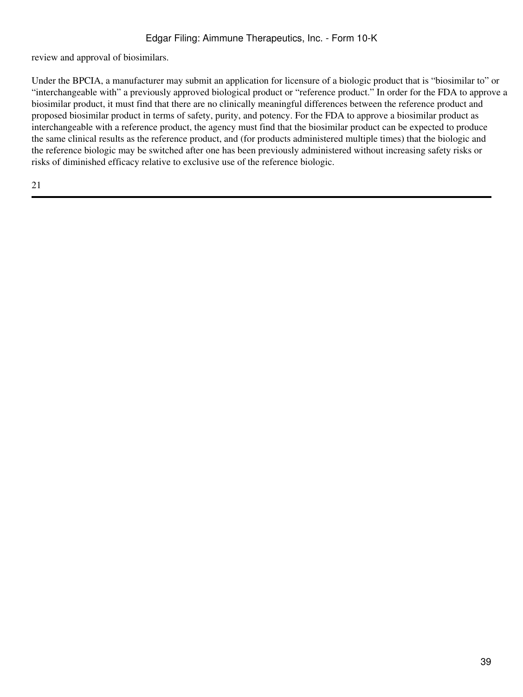review and approval of biosimilars.

Under the BPCIA, a manufacturer may submit an application for licensure of a biologic product that is "biosimilar to" or "interchangeable with" a previously approved biological product or "reference product." In order for the FDA to approve a biosimilar product, it must find that there are no clinically meaningful differences between the reference product and proposed biosimilar product in terms of safety, purity, and potency. For the FDA to approve a biosimilar product as interchangeable with a reference product, the agency must find that the biosimilar product can be expected to produce the same clinical results as the reference product, and (for products administered multiple times) that the biologic and the reference biologic may be switched after one has been previously administered without increasing safety risks or risks of diminished efficacy relative to exclusive use of the reference biologic.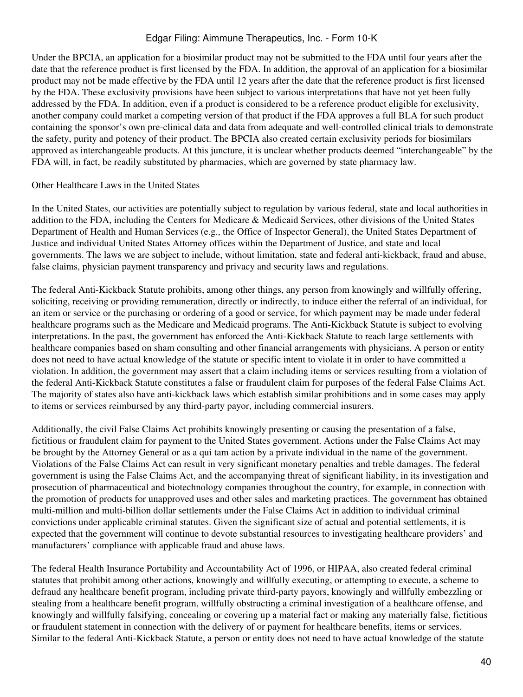Under the BPCIA, an application for a biosimilar product may not be submitted to the FDA until four years after the date that the reference product is first licensed by the FDA. In addition, the approval of an application for a biosimilar product may not be made effective by the FDA until 12 years after the date that the reference product is first licensed by the FDA. These exclusivity provisions have been subject to various interpretations that have not yet been fully addressed by the FDA. In addition, even if a product is considered to be a reference product eligible for exclusivity, another company could market a competing version of that product if the FDA approves a full BLA for such product containing the sponsor's own pre-clinical data and data from adequate and well-controlled clinical trials to demonstrate the safety, purity and potency of their product. The BPCIA also created certain exclusivity periods for biosimilars approved as interchangeable products. At this juncture, it is unclear whether products deemed "interchangeable" by the FDA will, in fact, be readily substituted by pharmacies, which are governed by state pharmacy law.

#### Other Healthcare Laws in the United States

In the United States, our activities are potentially subject to regulation by various federal, state and local authorities in addition to the FDA, including the Centers for Medicare & Medicaid Services, other divisions of the United States Department of Health and Human Services (e.g., the Office of Inspector General), the United States Department of Justice and individual United States Attorney offices within the Department of Justice, and state and local governments. The laws we are subject to include, without limitation, state and federal anti-kickback, fraud and abuse, false claims, physician payment transparency and privacy and security laws and regulations.

The federal Anti-Kickback Statute prohibits, among other things, any person from knowingly and willfully offering, soliciting, receiving or providing remuneration, directly or indirectly, to induce either the referral of an individual, for an item or service or the purchasing or ordering of a good or service, for which payment may be made under federal healthcare programs such as the Medicare and Medicaid programs. The Anti-Kickback Statute is subject to evolving interpretations. In the past, the government has enforced the Anti-Kickback Statute to reach large settlements with healthcare companies based on sham consulting and other financial arrangements with physicians. A person or entity does not need to have actual knowledge of the statute or specific intent to violate it in order to have committed a violation. In addition, the government may assert that a claim including items or services resulting from a violation of the federal Anti-Kickback Statute constitutes a false or fraudulent claim for purposes of the federal False Claims Act. The majority of states also have anti-kickback laws which establish similar prohibitions and in some cases may apply to items or services reimbursed by any third-party payor, including commercial insurers.

Additionally, the civil False Claims Act prohibits knowingly presenting or causing the presentation of a false, fictitious or fraudulent claim for payment to the United States government. Actions under the False Claims Act may be brought by the Attorney General or as a qui tam action by a private individual in the name of the government. Violations of the False Claims Act can result in very significant monetary penalties and treble damages. The federal government is using the False Claims Act, and the accompanying threat of significant liability, in its investigation and prosecution of pharmaceutical and biotechnology companies throughout the country, for example, in connection with the promotion of products for unapproved uses and other sales and marketing practices. The government has obtained multi-million and multi-billion dollar settlements under the False Claims Act in addition to individual criminal convictions under applicable criminal statutes. Given the significant size of actual and potential settlements, it is expected that the government will continue to devote substantial resources to investigating healthcare providers' and manufacturers' compliance with applicable fraud and abuse laws.

The federal Health Insurance Portability and Accountability Act of 1996, or HIPAA, also created federal criminal statutes that prohibit among other actions, knowingly and willfully executing, or attempting to execute, a scheme to defraud any healthcare benefit program, including private third-party payors, knowingly and willfully embezzling or stealing from a healthcare benefit program, willfully obstructing a criminal investigation of a healthcare offense, and knowingly and willfully falsifying, concealing or covering up a material fact or making any materially false, fictitious or fraudulent statement in connection with the delivery of or payment for healthcare benefits, items or services. Similar to the federal Anti-Kickback Statute, a person or entity does not need to have actual knowledge of the statute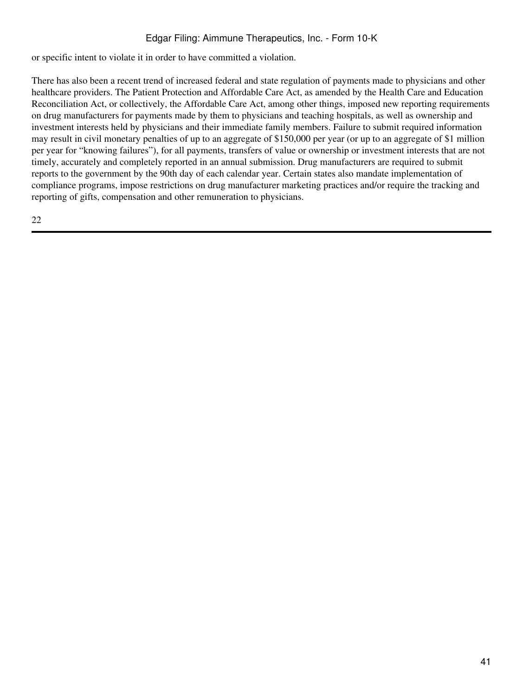or specific intent to violate it in order to have committed a violation.

There has also been a recent trend of increased federal and state regulation of payments made to physicians and other healthcare providers. The Patient Protection and Affordable Care Act, as amended by the Health Care and Education Reconciliation Act, or collectively, the Affordable Care Act, among other things, imposed new reporting requirements on drug manufacturers for payments made by them to physicians and teaching hospitals, as well as ownership and investment interests held by physicians and their immediate family members. Failure to submit required information may result in civil monetary penalties of up to an aggregate of \$150,000 per year (or up to an aggregate of \$1 million per year for "knowing failures"), for all payments, transfers of value or ownership or investment interests that are not timely, accurately and completely reported in an annual submission. Drug manufacturers are required to submit reports to the government by the 90th day of each calendar year. Certain states also mandate implementation of compliance programs, impose restrictions on drug manufacturer marketing practices and/or require the tracking and reporting of gifts, compensation and other remuneration to physicians.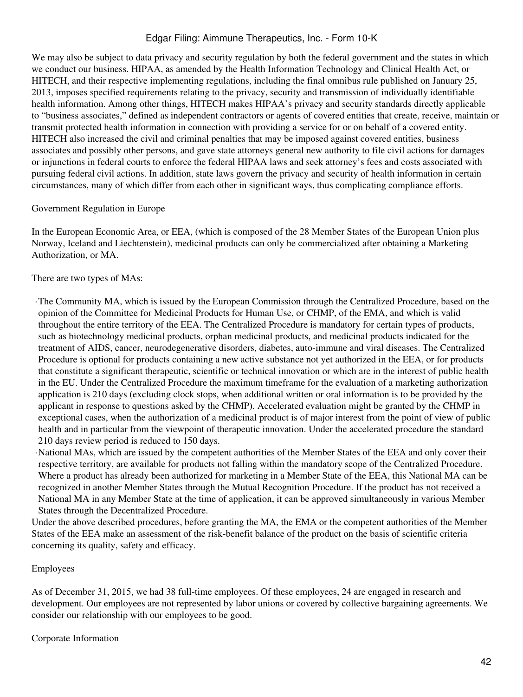We may also be subject to data privacy and security regulation by both the federal government and the states in which we conduct our business. HIPAA, as amended by the Health Information Technology and Clinical Health Act, or HITECH, and their respective implementing regulations, including the final omnibus rule published on January 25, 2013, imposes specified requirements relating to the privacy, security and transmission of individually identifiable health information. Among other things, HITECH makes HIPAA's privacy and security standards directly applicable to "business associates," defined as independent contractors or agents of covered entities that create, receive, maintain or transmit protected health information in connection with providing a service for or on behalf of a covered entity. HITECH also increased the civil and criminal penalties that may be imposed against covered entities, business associates and possibly other persons, and gave state attorneys general new authority to file civil actions for damages or injunctions in federal courts to enforce the federal HIPAA laws and seek attorney's fees and costs associated with pursuing federal civil actions. In addition, state laws govern the privacy and security of health information in certain circumstances, many of which differ from each other in significant ways, thus complicating compliance efforts.

#### Government Regulation in Europe

In the European Economic Area, or EEA, (which is composed of the 28 Member States of the European Union plus Norway, Iceland and Liechtenstein), medicinal products can only be commercialized after obtaining a Marketing Authorization, or MA.

#### There are two types of MAs:

·The Community MA, which is issued by the European Commission through the Centralized Procedure, based on the opinion of the Committee for Medicinal Products for Human Use, or CHMP, of the EMA, and which is valid throughout the entire territory of the EEA. The Centralized Procedure is mandatory for certain types of products, such as biotechnology medicinal products, orphan medicinal products, and medicinal products indicated for the treatment of AIDS, cancer, neurodegenerative disorders, diabetes, auto-immune and viral diseases. The Centralized Procedure is optional for products containing a new active substance not yet authorized in the EEA, or for products that constitute a significant therapeutic, scientific or technical innovation or which are in the interest of public health in the EU. Under the Centralized Procedure the maximum timeframe for the evaluation of a marketing authorization application is 210 days (excluding clock stops, when additional written or oral information is to be provided by the applicant in response to questions asked by the CHMP). Accelerated evaluation might be granted by the CHMP in exceptional cases, when the authorization of a medicinal product is of major interest from the point of view of public health and in particular from the viewpoint of therapeutic innovation. Under the accelerated procedure the standard 210 days review period is reduced to 150 days.

·National MAs, which are issued by the competent authorities of the Member States of the EEA and only cover their respective territory, are available for products not falling within the mandatory scope of the Centralized Procedure. Where a product has already been authorized for marketing in a Member State of the EEA, this National MA can be recognized in another Member States through the Mutual Recognition Procedure. If the product has not received a National MA in any Member State at the time of application, it can be approved simultaneously in various Member States through the Decentralized Procedure.

Under the above described procedures, before granting the MA, the EMA or the competent authorities of the Member States of the EEA make an assessment of the risk-benefit balance of the product on the basis of scientific criteria concerning its quality, safety and efficacy.

#### Employees

As of December 31, 2015, we had 38 full-time employees. Of these employees, 24 are engaged in research and development. Our employees are not represented by labor unions or covered by collective bargaining agreements. We consider our relationship with our employees to be good.

#### Corporate Information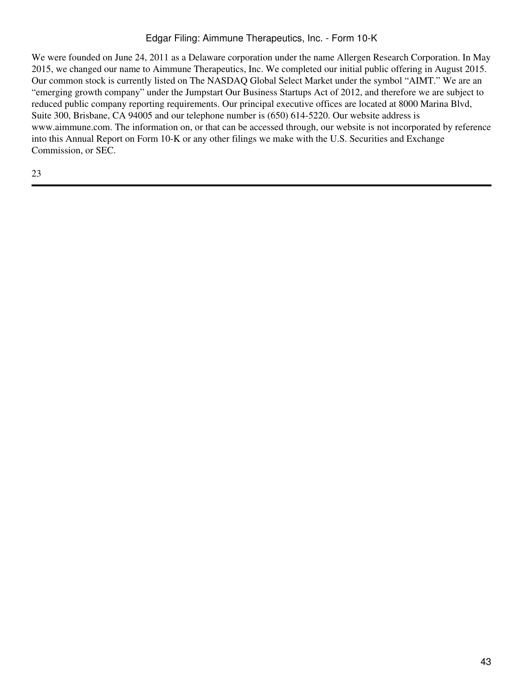We were founded on June 24, 2011 as a Delaware corporation under the name Allergen Research Corporation. In May 2015, we changed our name to Aimmune Therapeutics, Inc. We completed our initial public offering in August 2015. Our common stock is currently listed on The NASDAQ Global Select Market under the symbol "AIMT." We are an "emerging growth company" under the Jumpstart Our Business Startups Act of 2012, and therefore we are subject to reduced public company reporting requirements. Our principal executive offices are located at 8000 Marina Blvd, Suite 300, Brisbane, CA 94005 and our telephone number is (650) 614-5220. Our website address is www.aimmune.com. The information on, or that can be accessed through, our website is not incorporated by reference into this Annual Report on Form 10-K or any other filings we make with the U.S. Securities and Exchange Commission, or SEC.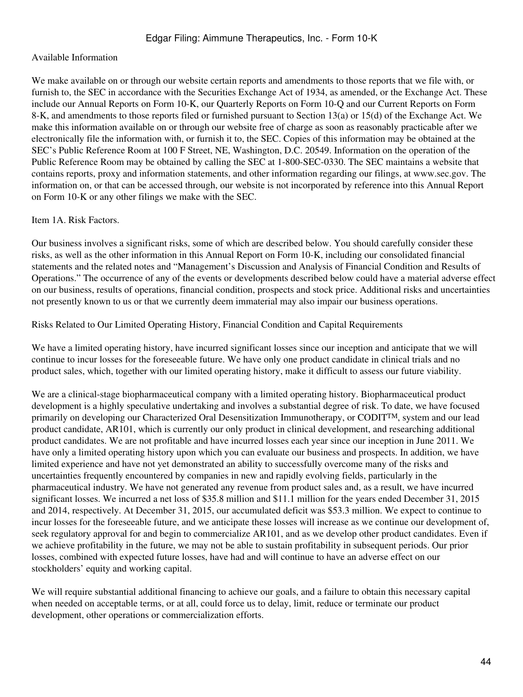#### Available Information

We make available on or through our website certain reports and amendments to those reports that we file with, or furnish to, the SEC in accordance with the Securities Exchange Act of 1934, as amended, or the Exchange Act. These include our Annual Reports on Form 10-K, our Quarterly Reports on Form 10-Q and our Current Reports on Form 8-K, and amendments to those reports filed or furnished pursuant to Section 13(a) or 15(d) of the Exchange Act. We make this information available on or through our website free of charge as soon as reasonably practicable after we electronically file the information with, or furnish it to, the SEC. Copies of this information may be obtained at the SEC's Public Reference Room at 100 F Street, NE, Washington, D.C. 20549. Information on the operation of the Public Reference Room may be obtained by calling the SEC at 1-800-SEC-0330. The SEC maintains a website that contains reports, proxy and information statements, and other information regarding our filings, at www.sec.gov. The information on, or that can be accessed through, our website is not incorporated by reference into this Annual Report on Form 10-K or any other filings we make with the SEC.

#### Item 1A. Risk Factors.

Our business involves a significant risks, some of which are described below. You should carefully consider these risks, as well as the other information in this Annual Report on Form 10-K, including our consolidated financial statements and the related notes and "Management's Discussion and Analysis of Financial Condition and Results of Operations." The occurrence of any of the events or developments described below could have a material adverse effect on our business, results of operations, financial condition, prospects and stock price. Additional risks and uncertainties not presently known to us or that we currently deem immaterial may also impair our business operations.

Risks Related to Our Limited Operating History, Financial Condition and Capital Requirements

We have a limited operating history, have incurred significant losses since our inception and anticipate that we will continue to incur losses for the foreseeable future. We have only one product candidate in clinical trials and no product sales, which, together with our limited operating history, make it difficult to assess our future viability.

We are a clinical-stage biopharmaceutical company with a limited operating history. Biopharmaceutical product development is a highly speculative undertaking and involves a substantial degree of risk. To date, we have focused primarily on developing our Characterized Oral Desensitization Immunotherapy, or CODIT<sup>TM</sup>, system and our lead product candidate, AR101, which is currently our only product in clinical development, and researching additional product candidates. We are not profitable and have incurred losses each year since our inception in June 2011. We have only a limited operating history upon which you can evaluate our business and prospects. In addition, we have limited experience and have not yet demonstrated an ability to successfully overcome many of the risks and uncertainties frequently encountered by companies in new and rapidly evolving fields, particularly in the pharmaceutical industry. We have not generated any revenue from product sales and, as a result, we have incurred significant losses. We incurred a net loss of \$35.8 million and \$11.1 million for the years ended December 31, 2015 and 2014, respectively. At December 31, 2015, our accumulated deficit was \$53.3 million. We expect to continue to incur losses for the foreseeable future, and we anticipate these losses will increase as we continue our development of, seek regulatory approval for and begin to commercialize AR101, and as we develop other product candidates. Even if we achieve profitability in the future, we may not be able to sustain profitability in subsequent periods. Our prior losses, combined with expected future losses, have had and will continue to have an adverse effect on our stockholders' equity and working capital.

We will require substantial additional financing to achieve our goals, and a failure to obtain this necessary capital when needed on acceptable terms, or at all, could force us to delay, limit, reduce or terminate our product development, other operations or commercialization efforts.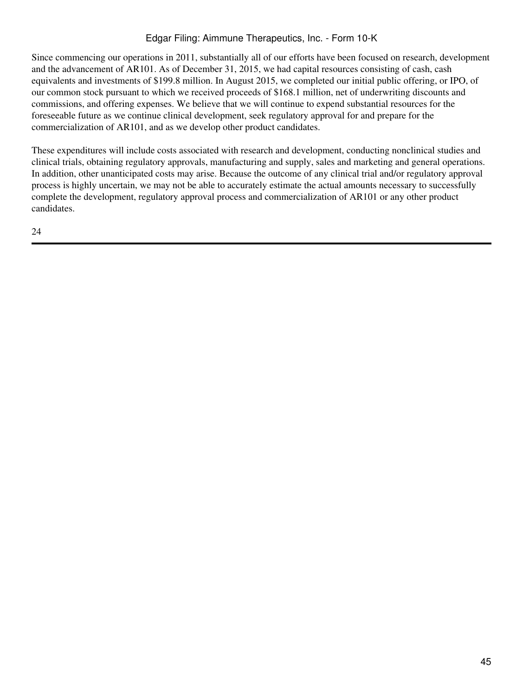Since commencing our operations in 2011, substantially all of our efforts have been focused on research, development and the advancement of AR101. As of December 31, 2015, we had capital resources consisting of cash, cash equivalents and investments of \$199.8 million. In August 2015, we completed our initial public offering, or IPO, of our common stock pursuant to which we received proceeds of \$168.1 million, net of underwriting discounts and commissions, and offering expenses. We believe that we will continue to expend substantial resources for the foreseeable future as we continue clinical development, seek regulatory approval for and prepare for the commercialization of AR101, and as we develop other product candidates.

These expenditures will include costs associated with research and development, conducting nonclinical studies and clinical trials, obtaining regulatory approvals, manufacturing and supply, sales and marketing and general operations. In addition, other unanticipated costs may arise. Because the outcome of any clinical trial and/or regulatory approval process is highly uncertain, we may not be able to accurately estimate the actual amounts necessary to successfully complete the development, regulatory approval process and commercialization of AR101 or any other product candidates.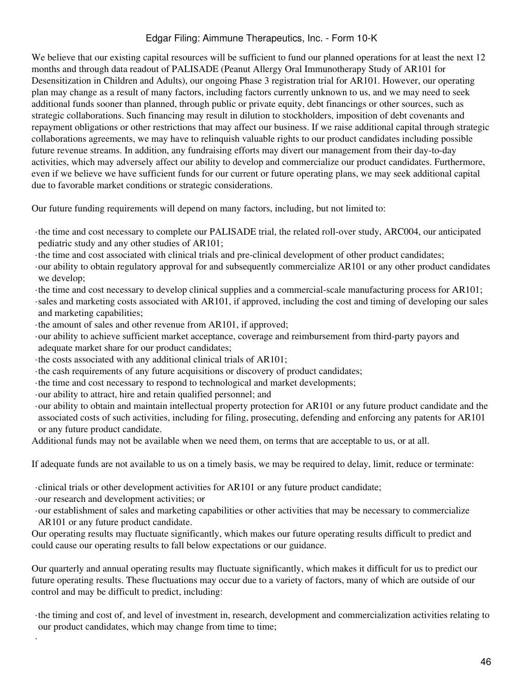We believe that our existing capital resources will be sufficient to fund our planned operations for at least the next 12 months and through data readout of PALISADE (Peanut Allergy Oral Immunotherapy Study of AR101 for Desensitization in Children and Adults), our ongoing Phase 3 registration trial for AR101. However, our operating plan may change as a result of many factors, including factors currently unknown to us, and we may need to seek additional funds sooner than planned, through public or private equity, debt financings or other sources, such as strategic collaborations. Such financing may result in dilution to stockholders, imposition of debt covenants and repayment obligations or other restrictions that may affect our business. If we raise additional capital through strategic collaborations agreements, we may have to relinquish valuable rights to our product candidates including possible future revenue streams. In addition, any fundraising efforts may divert our management from their day-to-day activities, which may adversely affect our ability to develop and commercialize our product candidates. Furthermore, even if we believe we have sufficient funds for our current or future operating plans, we may seek additional capital due to favorable market conditions or strategic considerations.

Our future funding requirements will depend on many factors, including, but not limited to:

- ·the time and cost necessary to complete our PALISADE trial, the related roll-over study, ARC004, our anticipated pediatric study and any other studies of AR101;
- ·the time and cost associated with clinical trials and pre-clinical development of other product candidates;
- ·our ability to obtain regulatory approval for and subsequently commercialize AR101 or any other product candidates we develop;
- ·the time and cost necessary to develop clinical supplies and a commercial-scale manufacturing process for AR101; ·sales and marketing costs associated with AR101, if approved, including the cost and timing of developing our sales and marketing capabilities;
- ·the amount of sales and other revenue from AR101, if approved;
- ·our ability to achieve sufficient market acceptance, coverage and reimbursement from third-party payors and adequate market share for our product candidates;
- ·the costs associated with any additional clinical trials of AR101;
- ·the cash requirements of any future acquisitions or discovery of product candidates;
- ·the time and cost necessary to respond to technological and market developments;
- ·our ability to attract, hire and retain qualified personnel; and
- ·our ability to obtain and maintain intellectual property protection for AR101 or any future product candidate and the associated costs of such activities, including for filing, prosecuting, defending and enforcing any patents for AR101 or any future product candidate.

Additional funds may not be available when we need them, on terms that are acceptable to us, or at all.

If adequate funds are not available to us on a timely basis, we may be required to delay, limit, reduce or terminate:

·clinical trials or other development activities for AR101 or any future product candidate;

·our research and development activities; or

·

- ·our establishment of sales and marketing capabilities or other activities that may be necessary to commercialize AR101 or any future product candidate.
- Our operating results may fluctuate significantly, which makes our future operating results difficult to predict and could cause our operating results to fall below expectations or our guidance.

Our quarterly and annual operating results may fluctuate significantly, which makes it difficult for us to predict our future operating results. These fluctuations may occur due to a variety of factors, many of which are outside of our control and may be difficult to predict, including:

·the timing and cost of, and level of investment in, research, development and commercialization activities relating to our product candidates, which may change from time to time;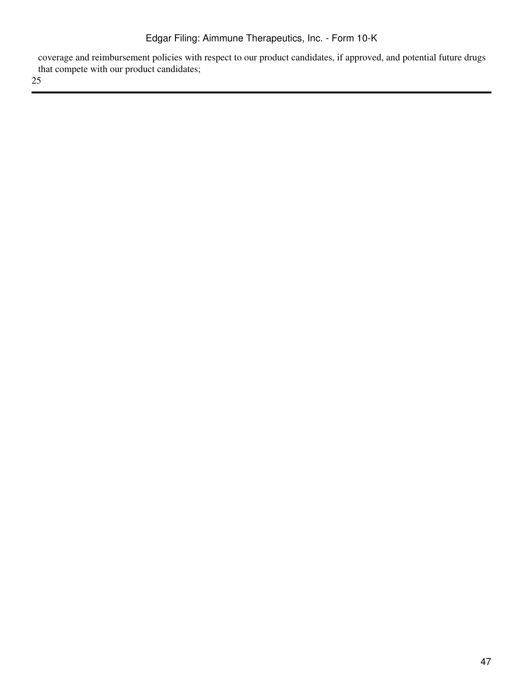coverage and reimbursement policies with respect to our product candidates, if approved, and potential future drugs that compete with our product candidates;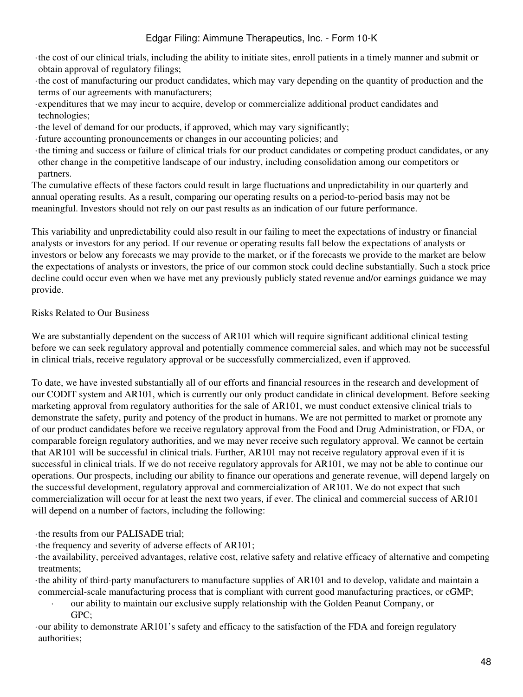- ·the cost of our clinical trials, including the ability to initiate sites, enroll patients in a timely manner and submit or obtain approval of regulatory filings;
- ·the cost of manufacturing our product candidates, which may vary depending on the quantity of production and the terms of our agreements with manufacturers;
- ·expenditures that we may incur to acquire, develop or commercialize additional product candidates and technologies;
- ·the level of demand for our products, if approved, which may vary significantly;
- ·future accounting pronouncements or changes in our accounting policies; and
- ·the timing and success or failure of clinical trials for our product candidates or competing product candidates, or any other change in the competitive landscape of our industry, including consolidation among our competitors or partners.

The cumulative effects of these factors could result in large fluctuations and unpredictability in our quarterly and annual operating results. As a result, comparing our operating results on a period-to-period basis may not be meaningful. Investors should not rely on our past results as an indication of our future performance.

This variability and unpredictability could also result in our failing to meet the expectations of industry or financial analysts or investors for any period. If our revenue or operating results fall below the expectations of analysts or investors or below any forecasts we may provide to the market, or if the forecasts we provide to the market are below the expectations of analysts or investors, the price of our common stock could decline substantially. Such a stock price decline could occur even when we have met any previously publicly stated revenue and/or earnings guidance we may provide.

# Risks Related to Our Business

We are substantially dependent on the success of AR101 which will require significant additional clinical testing before we can seek regulatory approval and potentially commence commercial sales, and which may not be successful in clinical trials, receive regulatory approval or be successfully commercialized, even if approved.

To date, we have invested substantially all of our efforts and financial resources in the research and development of our CODIT system and AR101, which is currently our only product candidate in clinical development. Before seeking marketing approval from regulatory authorities for the sale of AR101, we must conduct extensive clinical trials to demonstrate the safety, purity and potency of the product in humans. We are not permitted to market or promote any of our product candidates before we receive regulatory approval from the Food and Drug Administration, or FDA, or comparable foreign regulatory authorities, and we may never receive such regulatory approval. We cannot be certain that AR101 will be successful in clinical trials. Further, AR101 may not receive regulatory approval even if it is successful in clinical trials. If we do not receive regulatory approvals for AR101, we may not be able to continue our operations. Our prospects, including our ability to finance our operations and generate revenue, will depend largely on the successful development, regulatory approval and commercialization of AR101. We do not expect that such commercialization will occur for at least the next two years, if ever. The clinical and commercial success of AR101 will depend on a number of factors, including the following:

·the results from our PALISADE trial;

- ·the frequency and severity of adverse effects of AR101;
- ·the availability, perceived advantages, relative cost, relative safety and relative efficacy of alternative and competing treatments;
- ·the ability of third-party manufacturers to manufacture supplies of AR101 and to develop, validate and maintain a commercial-scale manufacturing process that is compliant with current good manufacturing practices, or cGMP;
	- · our ability to maintain our exclusive supply relationship with the Golden Peanut Company, or GPC;

·our ability to demonstrate AR101's safety and efficacy to the satisfaction of the FDA and foreign regulatory authorities;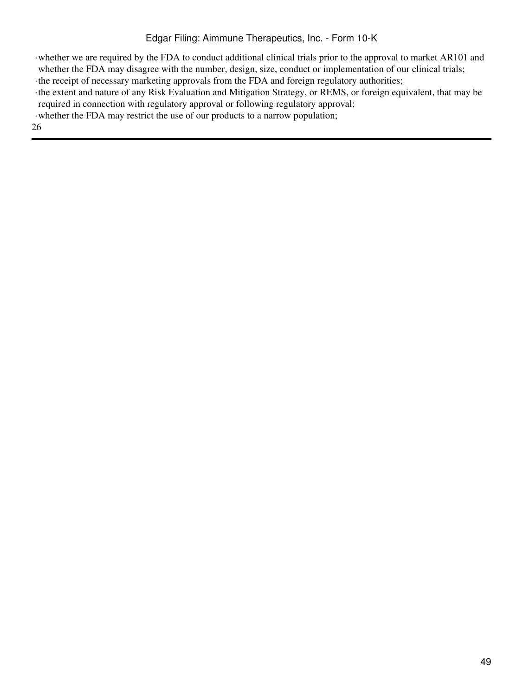·whether we are required by the FDA to conduct additional clinical trials prior to the approval to market AR101 and whether the FDA may disagree with the number, design, size, conduct or implementation of our clinical trials;

·the receipt of necessary marketing approvals from the FDA and foreign regulatory authorities;

·the extent and nature of any Risk Evaluation and Mitigation Strategy, or REMS, or foreign equivalent, that may be required in connection with regulatory approval or following regulatory approval;

·whether the FDA may restrict the use of our products to a narrow population;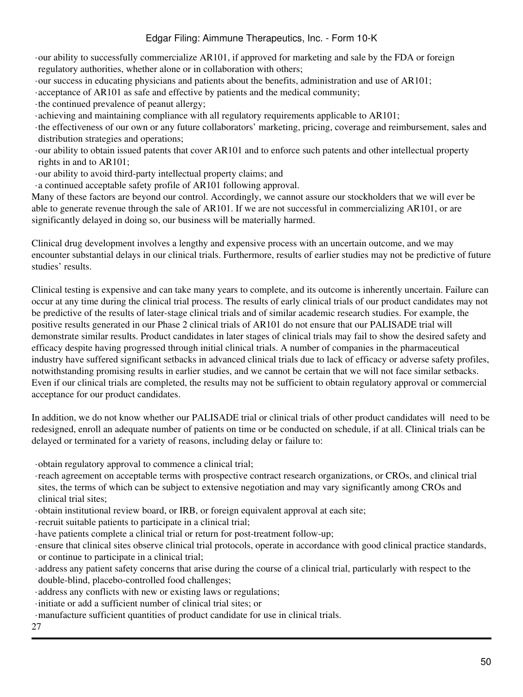- ·our ability to successfully commercialize AR101, if approved for marketing and sale by the FDA or foreign regulatory authorities, whether alone or in collaboration with others;
- ·our success in educating physicians and patients about the benefits, administration and use of AR101;
- ·acceptance of AR101 as safe and effective by patients and the medical community;
- ·the continued prevalence of peanut allergy;
- ·achieving and maintaining compliance with all regulatory requirements applicable to AR101;
- ·the effectiveness of our own or any future collaborators' marketing, pricing, coverage and reimbursement, sales and distribution strategies and operations;
- ·our ability to obtain issued patents that cover AR101 and to enforce such patents and other intellectual property rights in and to AR101;
- ·our ability to avoid third-party intellectual property claims; and
- ·a continued acceptable safety profile of AR101 following approval.

Many of these factors are beyond our control. Accordingly, we cannot assure our stockholders that we will ever be able to generate revenue through the sale of AR101. If we are not successful in commercializing AR101, or are significantly delayed in doing so, our business will be materially harmed.

Clinical drug development involves a lengthy and expensive process with an uncertain outcome, and we may encounter substantial delays in our clinical trials. Furthermore, results of earlier studies may not be predictive of future studies' results.

Clinical testing is expensive and can take many years to complete, and its outcome is inherently uncertain. Failure can occur at any time during the clinical trial process. The results of early clinical trials of our product candidates may not be predictive of the results of later-stage clinical trials and of similar academic research studies. For example, the positive results generated in our Phase 2 clinical trials of AR101 do not ensure that our PALISADE trial will demonstrate similar results. Product candidates in later stages of clinical trials may fail to show the desired safety and efficacy despite having progressed through initial clinical trials. A number of companies in the pharmaceutical industry have suffered significant setbacks in advanced clinical trials due to lack of efficacy or adverse safety profiles, notwithstanding promising results in earlier studies, and we cannot be certain that we will not face similar setbacks. Even if our clinical trials are completed, the results may not be sufficient to obtain regulatory approval or commercial acceptance for our product candidates.

In addition, we do not know whether our PALISADE trial or clinical trials of other product candidates will need to be redesigned, enroll an adequate number of patients on time or be conducted on schedule, if at all. Clinical trials can be delayed or terminated for a variety of reasons, including delay or failure to:

·obtain regulatory approval to commence a clinical trial;

- ·reach agreement on acceptable terms with prospective contract research organizations, or CROs, and clinical trial sites, the terms of which can be subject to extensive negotiation and may vary significantly among CROs and clinical trial sites;
- ·obtain institutional review board, or IRB, or foreign equivalent approval at each site;
- ·recruit suitable patients to participate in a clinical trial;
- ·have patients complete a clinical trial or return for post-treatment follow-up;
- ·ensure that clinical sites observe clinical trial protocols, operate in accordance with good clinical practice standards, or continue to participate in a clinical trial;
- ·address any patient safety concerns that arise during the course of a clinical trial, particularly with respect to the double-blind, placebo-controlled food challenges;
- ·address any conflicts with new or existing laws or regulations;
- ·initiate or add a sufficient number of clinical trial sites; or
- ·manufacture sufficient quantities of product candidate for use in clinical trials.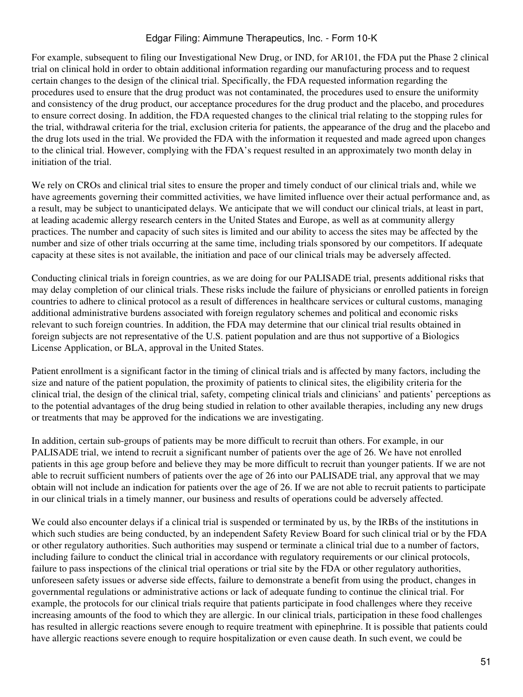For example, subsequent to filing our Investigational New Drug, or IND, for AR101, the FDA put the Phase 2 clinical trial on clinical hold in order to obtain additional information regarding our manufacturing process and to request certain changes to the design of the clinical trial. Specifically, the FDA requested information regarding the procedures used to ensure that the drug product was not contaminated, the procedures used to ensure the uniformity and consistency of the drug product, our acceptance procedures for the drug product and the placebo, and procedures to ensure correct dosing. In addition, the FDA requested changes to the clinical trial relating to the stopping rules for the trial, withdrawal criteria for the trial, exclusion criteria for patients, the appearance of the drug and the placebo and the drug lots used in the trial. We provided the FDA with the information it requested and made agreed upon changes to the clinical trial. However, complying with the FDA's request resulted in an approximately two month delay in initiation of the trial.

We rely on CROs and clinical trial sites to ensure the proper and timely conduct of our clinical trials and, while we have agreements governing their committed activities, we have limited influence over their actual performance and, as a result, may be subject to unanticipated delays. We anticipate that we will conduct our clinical trials, at least in part, at leading academic allergy research centers in the United States and Europe, as well as at community allergy practices. The number and capacity of such sites is limited and our ability to access the sites may be affected by the number and size of other trials occurring at the same time, including trials sponsored by our competitors. If adequate capacity at these sites is not available, the initiation and pace of our clinical trials may be adversely affected.

Conducting clinical trials in foreign countries, as we are doing for our PALISADE trial, presents additional risks that may delay completion of our clinical trials. These risks include the failure of physicians or enrolled patients in foreign countries to adhere to clinical protocol as a result of differences in healthcare services or cultural customs, managing additional administrative burdens associated with foreign regulatory schemes and political and economic risks relevant to such foreign countries. In addition, the FDA may determine that our clinical trial results obtained in foreign subjects are not representative of the U.S. patient population and are thus not supportive of a Biologics License Application, or BLA, approval in the United States.

Patient enrollment is a significant factor in the timing of clinical trials and is affected by many factors, including the size and nature of the patient population, the proximity of patients to clinical sites, the eligibility criteria for the clinical trial, the design of the clinical trial, safety, competing clinical trials and clinicians' and patients' perceptions as to the potential advantages of the drug being studied in relation to other available therapies, including any new drugs or treatments that may be approved for the indications we are investigating.

In addition, certain sub-groups of patients may be more difficult to recruit than others. For example, in our PALISADE trial, we intend to recruit a significant number of patients over the age of 26. We have not enrolled patients in this age group before and believe they may be more difficult to recruit than younger patients. If we are not able to recruit sufficient numbers of patients over the age of 26 into our PALISADE trial, any approval that we may obtain will not include an indication for patients over the age of 26. If we are not able to recruit patients to participate in our clinical trials in a timely manner, our business and results of operations could be adversely affected.

We could also encounter delays if a clinical trial is suspended or terminated by us, by the IRBs of the institutions in which such studies are being conducted, by an independent Safety Review Board for such clinical trial or by the FDA or other regulatory authorities. Such authorities may suspend or terminate a clinical trial due to a number of factors, including failure to conduct the clinical trial in accordance with regulatory requirements or our clinical protocols, failure to pass inspections of the clinical trial operations or trial site by the FDA or other regulatory authorities, unforeseen safety issues or adverse side effects, failure to demonstrate a benefit from using the product, changes in governmental regulations or administrative actions or lack of adequate funding to continue the clinical trial. For example, the protocols for our clinical trials require that patients participate in food challenges where they receive increasing amounts of the food to which they are allergic. In our clinical trials, participation in these food challenges has resulted in allergic reactions severe enough to require treatment with epinephrine. It is possible that patients could have allergic reactions severe enough to require hospitalization or even cause death. In such event, we could be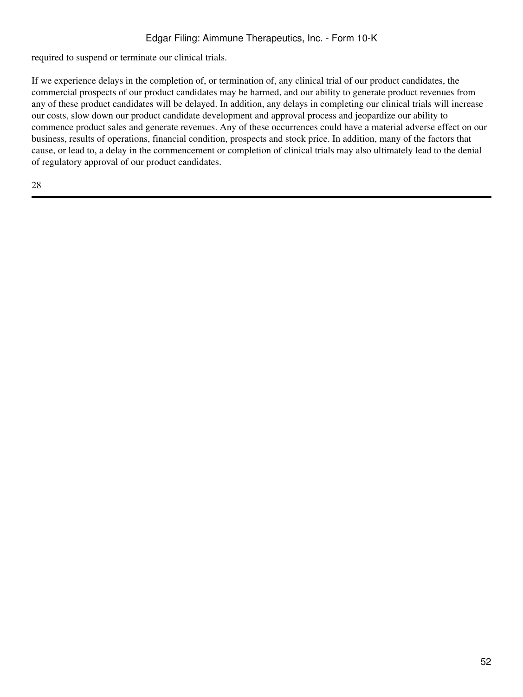required to suspend or terminate our clinical trials.

If we experience delays in the completion of, or termination of, any clinical trial of our product candidates, the commercial prospects of our product candidates may be harmed, and our ability to generate product revenues from any of these product candidates will be delayed. In addition, any delays in completing our clinical trials will increase our costs, slow down our product candidate development and approval process and jeopardize our ability to commence product sales and generate revenues. Any of these occurrences could have a material adverse effect on our business, results of operations, financial condition, prospects and stock price. In addition, many of the factors that cause, or lead to, a delay in the commencement or completion of clinical trials may also ultimately lead to the denial of regulatory approval of our product candidates.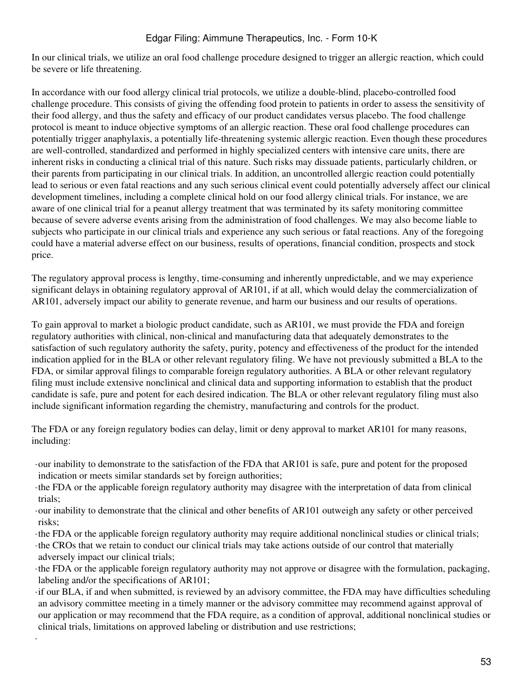In our clinical trials, we utilize an oral food challenge procedure designed to trigger an allergic reaction, which could be severe or life threatening.

In accordance with our food allergy clinical trial protocols, we utilize a double-blind, placebo-controlled food challenge procedure. This consists of giving the offending food protein to patients in order to assess the sensitivity of their food allergy, and thus the safety and efficacy of our product candidates versus placebo. The food challenge protocol is meant to induce objective symptoms of an allergic reaction. These oral food challenge procedures can potentially trigger anaphylaxis, a potentially life-threatening systemic allergic reaction. Even though these procedures are well-controlled, standardized and performed in highly specialized centers with intensive care units, there are inherent risks in conducting a clinical trial of this nature. Such risks may dissuade patients, particularly children, or their parents from participating in our clinical trials. In addition, an uncontrolled allergic reaction could potentially lead to serious or even fatal reactions and any such serious clinical event could potentially adversely affect our clinical development timelines, including a complete clinical hold on our food allergy clinical trials. For instance, we are aware of one clinical trial for a peanut allergy treatment that was terminated by its safety monitoring committee because of severe adverse events arising from the administration of food challenges. We may also become liable to subjects who participate in our clinical trials and experience any such serious or fatal reactions. Any of the foregoing could have a material adverse effect on our business, results of operations, financial condition, prospects and stock price.

The regulatory approval process is lengthy, time-consuming and inherently unpredictable, and we may experience significant delays in obtaining regulatory approval of AR101, if at all, which would delay the commercialization of AR101, adversely impact our ability to generate revenue, and harm our business and our results of operations.

To gain approval to market a biologic product candidate, such as AR101, we must provide the FDA and foreign regulatory authorities with clinical, non-clinical and manufacturing data that adequately demonstrates to the satisfaction of such regulatory authority the safety, purity, potency and effectiveness of the product for the intended indication applied for in the BLA or other relevant regulatory filing. We have not previously submitted a BLA to the FDA, or similar approval filings to comparable foreign regulatory authorities. A BLA or other relevant regulatory filing must include extensive nonclinical and clinical data and supporting information to establish that the product candidate is safe, pure and potent for each desired indication. The BLA or other relevant regulatory filing must also include significant information regarding the chemistry, manufacturing and controls for the product.

The FDA or any foreign regulatory bodies can delay, limit or deny approval to market AR101 for many reasons, including:

- ·our inability to demonstrate to the satisfaction of the FDA that AR101 is safe, pure and potent for the proposed indication or meets similar standards set by foreign authorities;
- ·the FDA or the applicable foreign regulatory authority may disagree with the interpretation of data from clinical trials;
- ·our inability to demonstrate that the clinical and other benefits of AR101 outweigh any safety or other perceived risks;
- ·the FDA or the applicable foreign regulatory authority may require additional nonclinical studies or clinical trials;

·the CROs that we retain to conduct our clinical trials may take actions outside of our control that materially adversely impact our clinical trials;

·

- ·the FDA or the applicable foreign regulatory authority may not approve or disagree with the formulation, packaging, labeling and/or the specifications of AR101;
- ·if our BLA, if and when submitted, is reviewed by an advisory committee, the FDA may have difficulties scheduling an advisory committee meeting in a timely manner or the advisory committee may recommend against approval of our application or may recommend that the FDA require, as a condition of approval, additional nonclinical studies or clinical trials, limitations on approved labeling or distribution and use restrictions;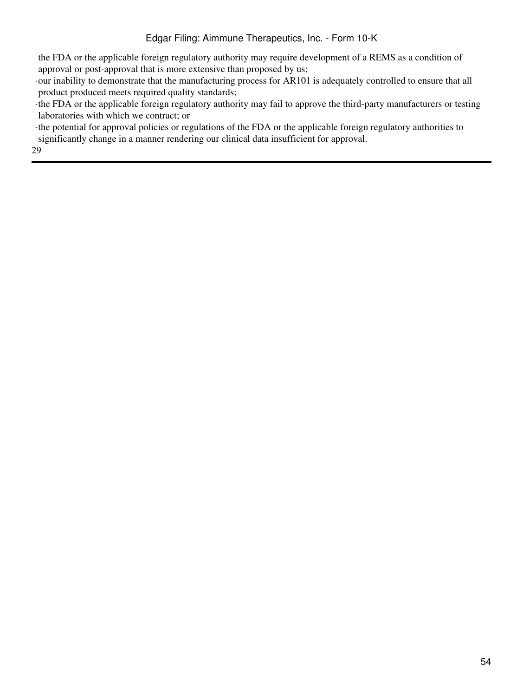the FDA or the applicable foreign regulatory authority may require development of a REMS as a condition of approval or post-approval that is more extensive than proposed by us;

·our inability to demonstrate that the manufacturing process for AR101 is adequately controlled to ensure that all product produced meets required quality standards;

·the FDA or the applicable foreign regulatory authority may fail to approve the third-party manufacturers or testing laboratories with which we contract; or

·the potential for approval policies or regulations of the FDA or the applicable foreign regulatory authorities to significantly change in a manner rendering our clinical data insufficient for approval.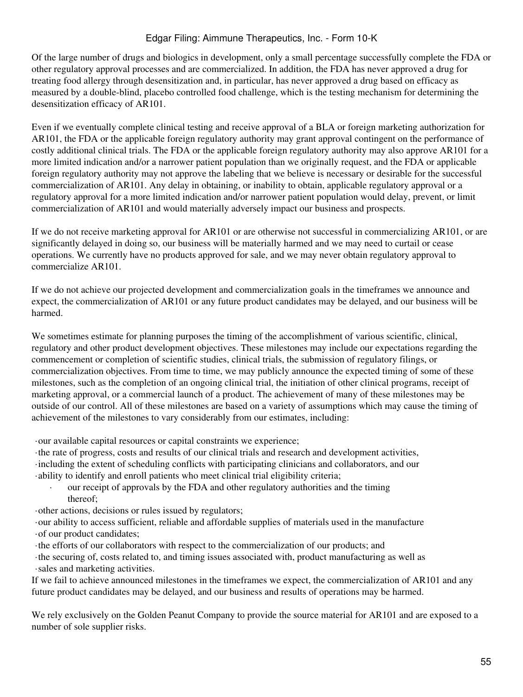Of the large number of drugs and biologics in development, only a small percentage successfully complete the FDA or other regulatory approval processes and are commercialized. In addition, the FDA has never approved a drug for treating food allergy through desensitization and, in particular, has never approved a drug based on efficacy as measured by a double-blind, placebo controlled food challenge, which is the testing mechanism for determining the desensitization efficacy of AR101.

Even if we eventually complete clinical testing and receive approval of a BLA or foreign marketing authorization for AR101, the FDA or the applicable foreign regulatory authority may grant approval contingent on the performance of costly additional clinical trials. The FDA or the applicable foreign regulatory authority may also approve AR101 for a more limited indication and/or a narrower patient population than we originally request, and the FDA or applicable foreign regulatory authority may not approve the labeling that we believe is necessary or desirable for the successful commercialization of AR101. Any delay in obtaining, or inability to obtain, applicable regulatory approval or a regulatory approval for a more limited indication and/or narrower patient population would delay, prevent, or limit commercialization of AR101 and would materially adversely impact our business and prospects.

If we do not receive marketing approval for AR101 or are otherwise not successful in commercializing AR101, or are significantly delayed in doing so, our business will be materially harmed and we may need to curtail or cease operations. We currently have no products approved for sale, and we may never obtain regulatory approval to commercialize AR101.

If we do not achieve our projected development and commercialization goals in the timeframes we announce and expect, the commercialization of AR101 or any future product candidates may be delayed, and our business will be harmed.

We sometimes estimate for planning purposes the timing of the accomplishment of various scientific, clinical, regulatory and other product development objectives. These milestones may include our expectations regarding the commencement or completion of scientific studies, clinical trials, the submission of regulatory filings, or commercialization objectives. From time to time, we may publicly announce the expected timing of some of these milestones, such as the completion of an ongoing clinical trial, the initiation of other clinical programs, receipt of marketing approval, or a commercial launch of a product. The achievement of many of these milestones may be outside of our control. All of these milestones are based on a variety of assumptions which may cause the timing of achievement of the milestones to vary considerably from our estimates, including:

·our available capital resources or capital constraints we experience;

·the rate of progress, costs and results of our clinical trials and research and development activities,

·including the extent of scheduling conflicts with participating clinicians and collaborators, and our

·ability to identify and enroll patients who meet clinical trial eligibility criteria;

· our receipt of approvals by the FDA and other regulatory authorities and the timing thereof;

·other actions, decisions or rules issued by regulators;

·our ability to access sufficient, reliable and affordable supplies of materials used in the manufacture ·of our product candidates;

·the efforts of our collaborators with respect to the commercialization of our products; and

·the securing of, costs related to, and timing issues associated with, product manufacturing as well as ·sales and marketing activities.

If we fail to achieve announced milestones in the timeframes we expect, the commercialization of AR101 and any future product candidates may be delayed, and our business and results of operations may be harmed.

We rely exclusively on the Golden Peanut Company to provide the source material for AR101 and are exposed to a number of sole supplier risks.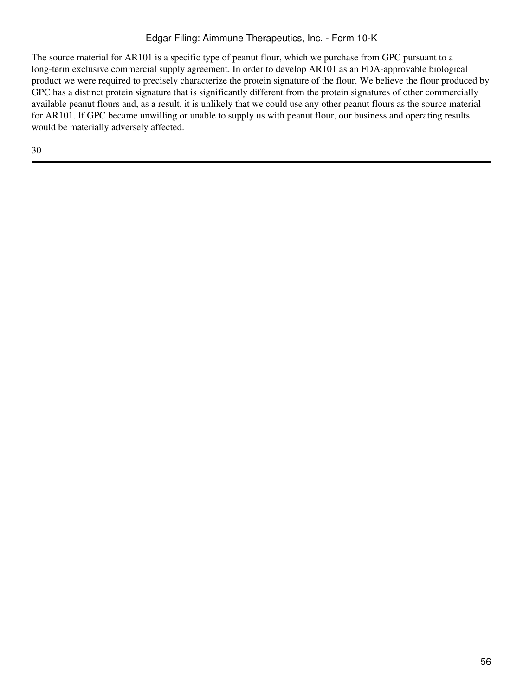The source material for AR101 is a specific type of peanut flour, which we purchase from GPC pursuant to a long-term exclusive commercial supply agreement. In order to develop AR101 as an FDA-approvable biological product we were required to precisely characterize the protein signature of the flour. We believe the flour produced by GPC has a distinct protein signature that is significantly different from the protein signatures of other commercially available peanut flours and, as a result, it is unlikely that we could use any other peanut flours as the source material for AR101. If GPC became unwilling or unable to supply us with peanut flour, our business and operating results would be materially adversely affected.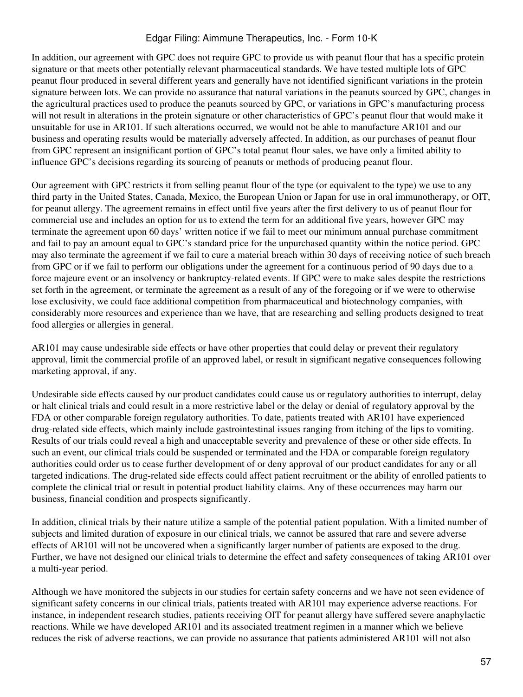In addition, our agreement with GPC does not require GPC to provide us with peanut flour that has a specific protein signature or that meets other potentially relevant pharmaceutical standards. We have tested multiple lots of GPC peanut flour produced in several different years and generally have not identified significant variations in the protein signature between lots. We can provide no assurance that natural variations in the peanuts sourced by GPC, changes in the agricultural practices used to produce the peanuts sourced by GPC, or variations in GPC's manufacturing process will not result in alterations in the protein signature or other characteristics of GPC's peanut flour that would make it unsuitable for use in AR101. If such alterations occurred, we would not be able to manufacture AR101 and our business and operating results would be materially adversely affected. In addition, as our purchases of peanut flour from GPC represent an insignificant portion of GPC's total peanut flour sales, we have only a limited ability to influence GPC's decisions regarding its sourcing of peanuts or methods of producing peanut flour.

Our agreement with GPC restricts it from selling peanut flour of the type (or equivalent to the type) we use to any third party in the United States, Canada, Mexico, the European Union or Japan for use in oral immunotherapy, or OIT, for peanut allergy. The agreement remains in effect until five years after the first delivery to us of peanut flour for commercial use and includes an option for us to extend the term for an additional five years, however GPC may terminate the agreement upon 60 days' written notice if we fail to meet our minimum annual purchase commitment and fail to pay an amount equal to GPC's standard price for the unpurchased quantity within the notice period. GPC may also terminate the agreement if we fail to cure a material breach within 30 days of receiving notice of such breach from GPC or if we fail to perform our obligations under the agreement for a continuous period of 90 days due to a force majeure event or an insolvency or bankruptcy-related events. If GPC were to make sales despite the restrictions set forth in the agreement, or terminate the agreement as a result of any of the foregoing or if we were to otherwise lose exclusivity, we could face additional competition from pharmaceutical and biotechnology companies, with considerably more resources and experience than we have, that are researching and selling products designed to treat food allergies or allergies in general.

AR101 may cause undesirable side effects or have other properties that could delay or prevent their regulatory approval, limit the commercial profile of an approved label, or result in significant negative consequences following marketing approval, if any.

Undesirable side effects caused by our product candidates could cause us or regulatory authorities to interrupt, delay or halt clinical trials and could result in a more restrictive label or the delay or denial of regulatory approval by the FDA or other comparable foreign regulatory authorities. To date, patients treated with AR101 have experienced drug-related side effects, which mainly include gastrointestinal issues ranging from itching of the lips to vomiting. Results of our trials could reveal a high and unacceptable severity and prevalence of these or other side effects. In such an event, our clinical trials could be suspended or terminated and the FDA or comparable foreign regulatory authorities could order us to cease further development of or deny approval of our product candidates for any or all targeted indications. The drug-related side effects could affect patient recruitment or the ability of enrolled patients to complete the clinical trial or result in potential product liability claims. Any of these occurrences may harm our business, financial condition and prospects significantly.

In addition, clinical trials by their nature utilize a sample of the potential patient population. With a limited number of subjects and limited duration of exposure in our clinical trials, we cannot be assured that rare and severe adverse effects of AR101 will not be uncovered when a significantly larger number of patients are exposed to the drug. Further, we have not designed our clinical trials to determine the effect and safety consequences of taking AR101 over a multi-year period.

Although we have monitored the subjects in our studies for certain safety concerns and we have not seen evidence of significant safety concerns in our clinical trials, patients treated with AR101 may experience adverse reactions. For instance, in independent research studies, patients receiving OIT for peanut allergy have suffered severe anaphylactic reactions. While we have developed AR101 and its associated treatment regimen in a manner which we believe reduces the risk of adverse reactions, we can provide no assurance that patients administered AR101 will not also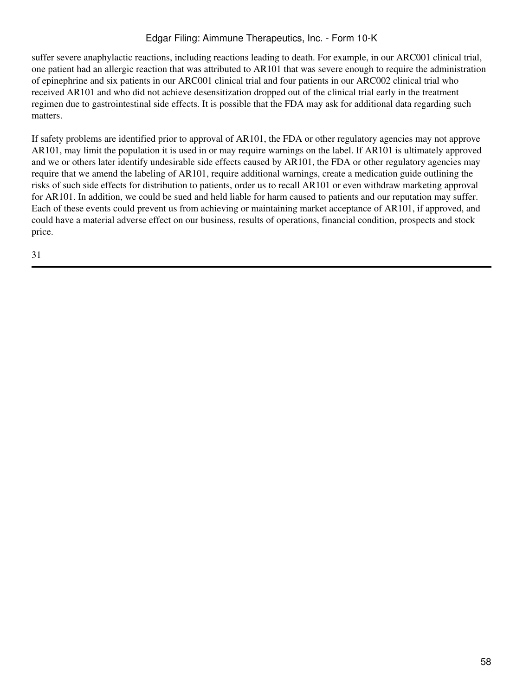suffer severe anaphylactic reactions, including reactions leading to death. For example, in our ARC001 clinical trial, one patient had an allergic reaction that was attributed to AR101 that was severe enough to require the administration of epinephrine and six patients in our ARC001 clinical trial and four patients in our ARC002 clinical trial who received AR101 and who did not achieve desensitization dropped out of the clinical trial early in the treatment regimen due to gastrointestinal side effects. It is possible that the FDA may ask for additional data regarding such matters.

If safety problems are identified prior to approval of AR101, the FDA or other regulatory agencies may not approve AR101, may limit the population it is used in or may require warnings on the label. If AR101 is ultimately approved and we or others later identify undesirable side effects caused by AR101, the FDA or other regulatory agencies may require that we amend the labeling of AR101, require additional warnings, create a medication guide outlining the risks of such side effects for distribution to patients, order us to recall AR101 or even withdraw marketing approval for AR101. In addition, we could be sued and held liable for harm caused to patients and our reputation may suffer. Each of these events could prevent us from achieving or maintaining market acceptance of AR101, if approved, and could have a material adverse effect on our business, results of operations, financial condition, prospects and stock price.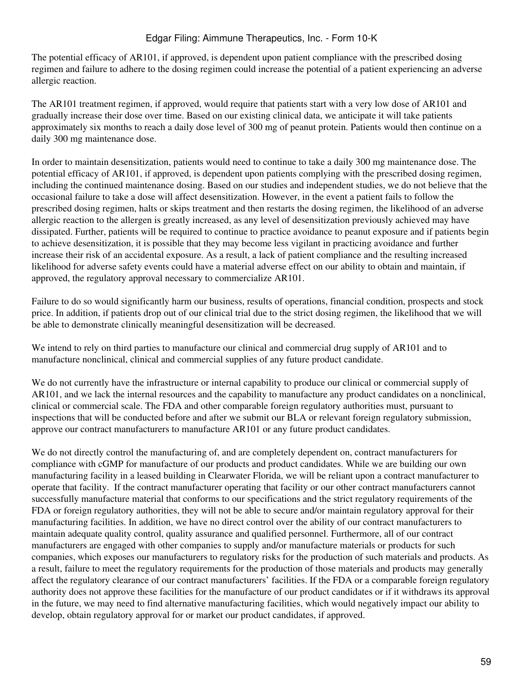The potential efficacy of AR101, if approved, is dependent upon patient compliance with the prescribed dosing regimen and failure to adhere to the dosing regimen could increase the potential of a patient experiencing an adverse allergic reaction.

The AR101 treatment regimen, if approved, would require that patients start with a very low dose of AR101 and gradually increase their dose over time. Based on our existing clinical data, we anticipate it will take patients approximately six months to reach a daily dose level of 300 mg of peanut protein. Patients would then continue on a daily 300 mg maintenance dose.

In order to maintain desensitization, patients would need to continue to take a daily 300 mg maintenance dose. The potential efficacy of AR101, if approved, is dependent upon patients complying with the prescribed dosing regimen, including the continued maintenance dosing. Based on our studies and independent studies, we do not believe that the occasional failure to take a dose will affect desensitization. However, in the event a patient fails to follow the prescribed dosing regimen, halts or skips treatment and then restarts the dosing regimen, the likelihood of an adverse allergic reaction to the allergen is greatly increased, as any level of desensitization previously achieved may have dissipated. Further, patients will be required to continue to practice avoidance to peanut exposure and if patients begin to achieve desensitization, it is possible that they may become less vigilant in practicing avoidance and further increase their risk of an accidental exposure. As a result, a lack of patient compliance and the resulting increased likelihood for adverse safety events could have a material adverse effect on our ability to obtain and maintain, if approved, the regulatory approval necessary to commercialize AR101.

Failure to do so would significantly harm our business, results of operations, financial condition, prospects and stock price. In addition, if patients drop out of our clinical trial due to the strict dosing regimen, the likelihood that we will be able to demonstrate clinically meaningful desensitization will be decreased.

We intend to rely on third parties to manufacture our clinical and commercial drug supply of AR101 and to manufacture nonclinical, clinical and commercial supplies of any future product candidate.

We do not currently have the infrastructure or internal capability to produce our clinical or commercial supply of AR101, and we lack the internal resources and the capability to manufacture any product candidates on a nonclinical, clinical or commercial scale. The FDA and other comparable foreign regulatory authorities must, pursuant to inspections that will be conducted before and after we submit our BLA or relevant foreign regulatory submission, approve our contract manufacturers to manufacture AR101 or any future product candidates.

We do not directly control the manufacturing of, and are completely dependent on, contract manufacturers for compliance with cGMP for manufacture of our products and product candidates. While we are building our own manufacturing facility in a leased building in Clearwater Florida, we will be reliant upon a contract manufacturer to operate that facility. If the contract manufacturer operating that facility or our other contract manufacturers cannot successfully manufacture material that conforms to our specifications and the strict regulatory requirements of the FDA or foreign regulatory authorities, they will not be able to secure and/or maintain regulatory approval for their manufacturing facilities. In addition, we have no direct control over the ability of our contract manufacturers to maintain adequate quality control, quality assurance and qualified personnel. Furthermore, all of our contract manufacturers are engaged with other companies to supply and/or manufacture materials or products for such companies, which exposes our manufacturers to regulatory risks for the production of such materials and products. As a result, failure to meet the regulatory requirements for the production of those materials and products may generally affect the regulatory clearance of our contract manufacturers' facilities. If the FDA or a comparable foreign regulatory authority does not approve these facilities for the manufacture of our product candidates or if it withdraws its approval in the future, we may need to find alternative manufacturing facilities, which would negatively impact our ability to develop, obtain regulatory approval for or market our product candidates, if approved.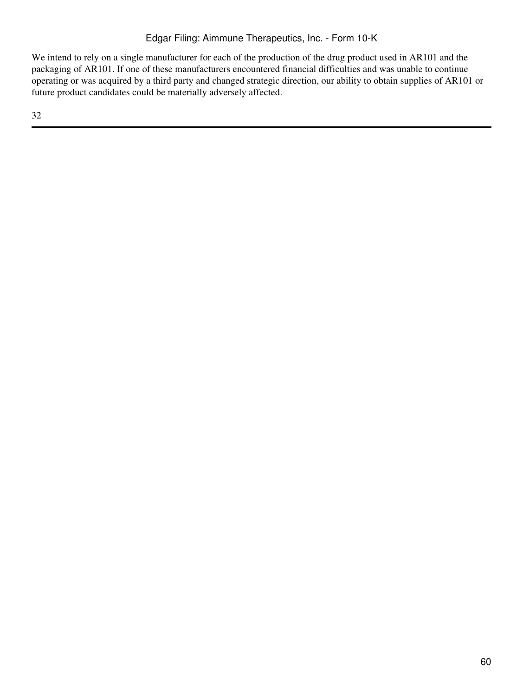We intend to rely on a single manufacturer for each of the production of the drug product used in AR101 and the packaging of AR101. If one of these manufacturers encountered financial difficulties and was unable to continue operating or was acquired by a third party and changed strategic direction, our ability to obtain supplies of AR101 or future product candidates could be materially adversely affected.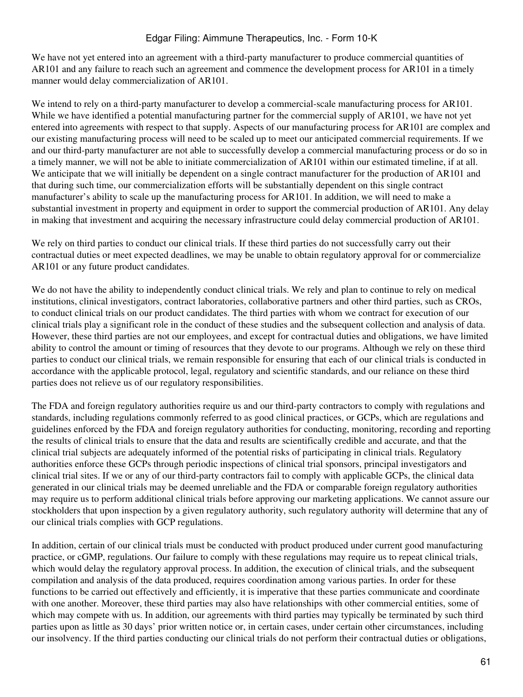We have not yet entered into an agreement with a third-party manufacturer to produce commercial quantities of AR101 and any failure to reach such an agreement and commence the development process for AR101 in a timely manner would delay commercialization of AR101.

We intend to rely on a third-party manufacturer to develop a commercial-scale manufacturing process for AR101. While we have identified a potential manufacturing partner for the commercial supply of AR101, we have not yet entered into agreements with respect to that supply. Aspects of our manufacturing process for AR101 are complex and our existing manufacturing process will need to be scaled up to meet our anticipated commercial requirements. If we and our third-party manufacturer are not able to successfully develop a commercial manufacturing process or do so in a timely manner, we will not be able to initiate commercialization of AR101 within our estimated timeline, if at all. We anticipate that we will initially be dependent on a single contract manufacturer for the production of AR101 and that during such time, our commercialization efforts will be substantially dependent on this single contract manufacturer's ability to scale up the manufacturing process for AR101. In addition, we will need to make a substantial investment in property and equipment in order to support the commercial production of AR101. Any delay in making that investment and acquiring the necessary infrastructure could delay commercial production of AR101.

We rely on third parties to conduct our clinical trials. If these third parties do not successfully carry out their contractual duties or meet expected deadlines, we may be unable to obtain regulatory approval for or commercialize AR101 or any future product candidates.

We do not have the ability to independently conduct clinical trials. We rely and plan to continue to rely on medical institutions, clinical investigators, contract laboratories, collaborative partners and other third parties, such as CROs, to conduct clinical trials on our product candidates. The third parties with whom we contract for execution of our clinical trials play a significant role in the conduct of these studies and the subsequent collection and analysis of data. However, these third parties are not our employees, and except for contractual duties and obligations, we have limited ability to control the amount or timing of resources that they devote to our programs. Although we rely on these third parties to conduct our clinical trials, we remain responsible for ensuring that each of our clinical trials is conducted in accordance with the applicable protocol, legal, regulatory and scientific standards, and our reliance on these third parties does not relieve us of our regulatory responsibilities.

The FDA and foreign regulatory authorities require us and our third-party contractors to comply with regulations and standards, including regulations commonly referred to as good clinical practices, or GCPs, which are regulations and guidelines enforced by the FDA and foreign regulatory authorities for conducting, monitoring, recording and reporting the results of clinical trials to ensure that the data and results are scientifically credible and accurate, and that the clinical trial subjects are adequately informed of the potential risks of participating in clinical trials. Regulatory authorities enforce these GCPs through periodic inspections of clinical trial sponsors, principal investigators and clinical trial sites. If we or any of our third-party contractors fail to comply with applicable GCPs, the clinical data generated in our clinical trials may be deemed unreliable and the FDA or comparable foreign regulatory authorities may require us to perform additional clinical trials before approving our marketing applications. We cannot assure our stockholders that upon inspection by a given regulatory authority, such regulatory authority will determine that any of our clinical trials complies with GCP regulations.

In addition, certain of our clinical trials must be conducted with product produced under current good manufacturing practice, or cGMP, regulations. Our failure to comply with these regulations may require us to repeat clinical trials, which would delay the regulatory approval process. In addition, the execution of clinical trials, and the subsequent compilation and analysis of the data produced, requires coordination among various parties. In order for these functions to be carried out effectively and efficiently, it is imperative that these parties communicate and coordinate with one another. Moreover, these third parties may also have relationships with other commercial entities, some of which may compete with us. In addition, our agreements with third parties may typically be terminated by such third parties upon as little as 30 days' prior written notice or, in certain cases, under certain other circumstances, including our insolvency. If the third parties conducting our clinical trials do not perform their contractual duties or obligations,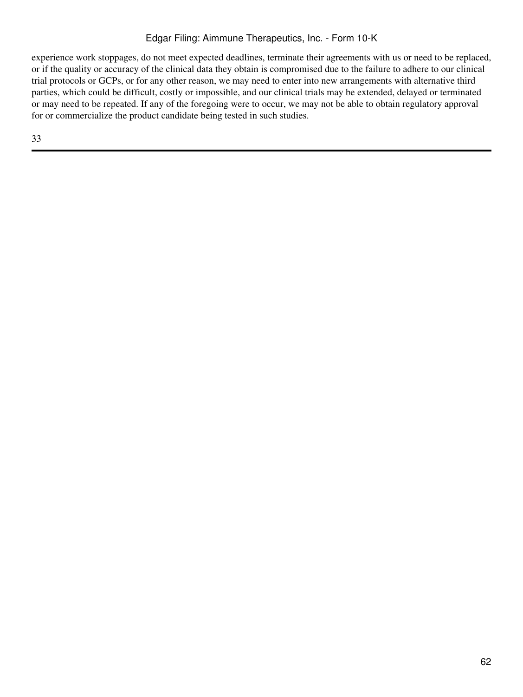experience work stoppages, do not meet expected deadlines, terminate their agreements with us or need to be replaced, or if the quality or accuracy of the clinical data they obtain is compromised due to the failure to adhere to our clinical trial protocols or GCPs, or for any other reason, we may need to enter into new arrangements with alternative third parties, which could be difficult, costly or impossible, and our clinical trials may be extended, delayed or terminated or may need to be repeated. If any of the foregoing were to occur, we may not be able to obtain regulatory approval for or commercialize the product candidate being tested in such studies.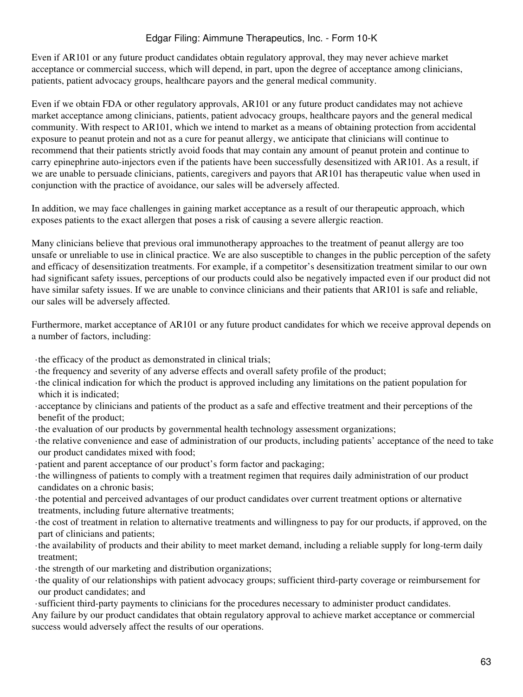Even if AR101 or any future product candidates obtain regulatory approval, they may never achieve market acceptance or commercial success, which will depend, in part, upon the degree of acceptance among clinicians, patients, patient advocacy groups, healthcare payors and the general medical community.

Even if we obtain FDA or other regulatory approvals, AR101 or any future product candidates may not achieve market acceptance among clinicians, patients, patient advocacy groups, healthcare payors and the general medical community. With respect to AR101, which we intend to market as a means of obtaining protection from accidental exposure to peanut protein and not as a cure for peanut allergy, we anticipate that clinicians will continue to recommend that their patients strictly avoid foods that may contain any amount of peanut protein and continue to carry epinephrine auto-injectors even if the patients have been successfully desensitized with AR101. As a result, if we are unable to persuade clinicians, patients, caregivers and payors that AR101 has therapeutic value when used in conjunction with the practice of avoidance, our sales will be adversely affected.

In addition, we may face challenges in gaining market acceptance as a result of our therapeutic approach, which exposes patients to the exact allergen that poses a risk of causing a severe allergic reaction.

Many clinicians believe that previous oral immunotherapy approaches to the treatment of peanut allergy are too unsafe or unreliable to use in clinical practice. We are also susceptible to changes in the public perception of the safety and efficacy of desensitization treatments. For example, if a competitor's desensitization treatment similar to our own had significant safety issues, perceptions of our products could also be negatively impacted even if our product did not have similar safety issues. If we are unable to convince clinicians and their patients that AR101 is safe and reliable, our sales will be adversely affected.

Furthermore, market acceptance of AR101 or any future product candidates for which we receive approval depends on a number of factors, including:

·the efficacy of the product as demonstrated in clinical trials;

- ·the frequency and severity of any adverse effects and overall safety profile of the product;
- ·the clinical indication for which the product is approved including any limitations on the patient population for which it is indicated;
- ·acceptance by clinicians and patients of the product as a safe and effective treatment and their perceptions of the benefit of the product;
- ·the evaluation of our products by governmental health technology assessment organizations;
- ·the relative convenience and ease of administration of our products, including patients' acceptance of the need to take our product candidates mixed with food;
- ·patient and parent acceptance of our product's form factor and packaging;
- ·the willingness of patients to comply with a treatment regimen that requires daily administration of our product candidates on a chronic basis;
- ·the potential and perceived advantages of our product candidates over current treatment options or alternative treatments, including future alternative treatments;
- ·the cost of treatment in relation to alternative treatments and willingness to pay for our products, if approved, on the part of clinicians and patients;
- ·the availability of products and their ability to meet market demand, including a reliable supply for long-term daily treatment;
- ·the strength of our marketing and distribution organizations;
- ·the quality of our relationships with patient advocacy groups; sufficient third-party coverage or reimbursement for our product candidates; and
- ·sufficient third-party payments to clinicians for the procedures necessary to administer product candidates.

Any failure by our product candidates that obtain regulatory approval to achieve market acceptance or commercial success would adversely affect the results of our operations.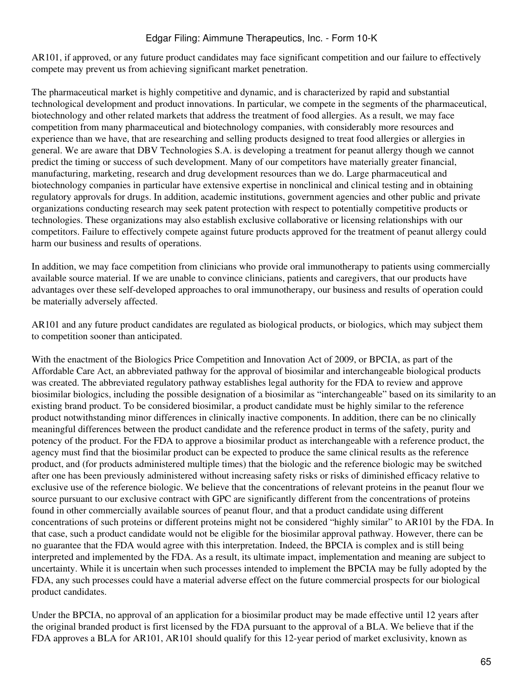AR101, if approved, or any future product candidates may face significant competition and our failure to effectively compete may prevent us from achieving significant market penetration.

The pharmaceutical market is highly competitive and dynamic, and is characterized by rapid and substantial technological development and product innovations. In particular, we compete in the segments of the pharmaceutical, biotechnology and other related markets that address the treatment of food allergies. As a result, we may face competition from many pharmaceutical and biotechnology companies, with considerably more resources and experience than we have, that are researching and selling products designed to treat food allergies or allergies in general. We are aware that DBV Technologies S.A. is developing a treatment for peanut allergy though we cannot predict the timing or success of such development. Many of our competitors have materially greater financial, manufacturing, marketing, research and drug development resources than we do. Large pharmaceutical and biotechnology companies in particular have extensive expertise in nonclinical and clinical testing and in obtaining regulatory approvals for drugs. In addition, academic institutions, government agencies and other public and private organizations conducting research may seek patent protection with respect to potentially competitive products or technologies. These organizations may also establish exclusive collaborative or licensing relationships with our competitors. Failure to effectively compete against future products approved for the treatment of peanut allergy could harm our business and results of operations.

In addition, we may face competition from clinicians who provide oral immunotherapy to patients using commercially available source material. If we are unable to convince clinicians, patients and caregivers, that our products have advantages over these self-developed approaches to oral immunotherapy, our business and results of operation could be materially adversely affected.

AR101 and any future product candidates are regulated as biological products, or biologics, which may subject them to competition sooner than anticipated.

With the enactment of the Biologics Price Competition and Innovation Act of 2009, or BPCIA, as part of the Affordable Care Act, an abbreviated pathway for the approval of biosimilar and interchangeable biological products was created. The abbreviated regulatory pathway establishes legal authority for the FDA to review and approve biosimilar biologics, including the possible designation of a biosimilar as "interchangeable" based on its similarity to an existing brand product. To be considered biosimilar, a product candidate must be highly similar to the reference product notwithstanding minor differences in clinically inactive components. In addition, there can be no clinically meaningful differences between the product candidate and the reference product in terms of the safety, purity and potency of the product. For the FDA to approve a biosimilar product as interchangeable with a reference product, the agency must find that the biosimilar product can be expected to produce the same clinical results as the reference product, and (for products administered multiple times) that the biologic and the reference biologic may be switched after one has been previously administered without increasing safety risks or risks of diminished efficacy relative to exclusive use of the reference biologic. We believe that the concentrations of relevant proteins in the peanut flour we source pursuant to our exclusive contract with GPC are significantly different from the concentrations of proteins found in other commercially available sources of peanut flour, and that a product candidate using different concentrations of such proteins or different proteins might not be considered "highly similar" to AR101 by the FDA. In that case, such a product candidate would not be eligible for the biosimilar approval pathway. However, there can be no guarantee that the FDA would agree with this interpretation. Indeed, the BPCIA is complex and is still being interpreted and implemented by the FDA. As a result, its ultimate impact, implementation and meaning are subject to uncertainty. While it is uncertain when such processes intended to implement the BPCIA may be fully adopted by the FDA, any such processes could have a material adverse effect on the future commercial prospects for our biological product candidates.

Under the BPCIA, no approval of an application for a biosimilar product may be made effective until 12 years after the original branded product is first licensed by the FDA pursuant to the approval of a BLA. We believe that if the FDA approves a BLA for AR101, AR101 should qualify for this 12-year period of market exclusivity, known as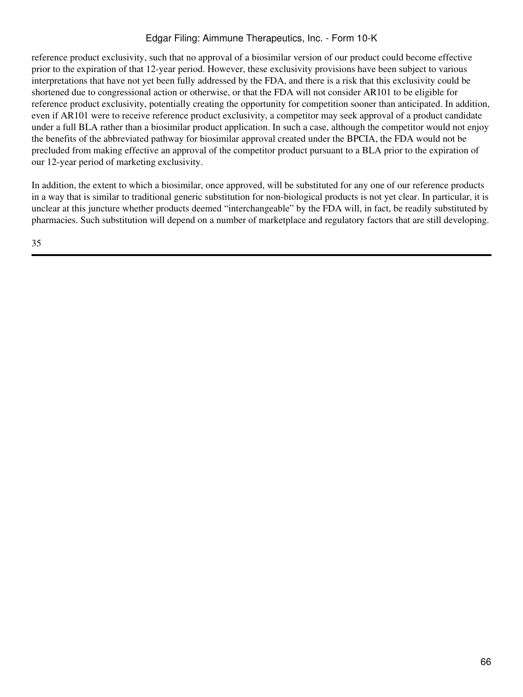reference product exclusivity, such that no approval of a biosimilar version of our product could become effective prior to the expiration of that 12-year period. However, these exclusivity provisions have been subject to various interpretations that have not yet been fully addressed by the FDA, and there is a risk that this exclusivity could be shortened due to congressional action or otherwise, or that the FDA will not consider AR101 to be eligible for reference product exclusivity, potentially creating the opportunity for competition sooner than anticipated. In addition, even if AR101 were to receive reference product exclusivity, a competitor may seek approval of a product candidate under a full BLA rather than a biosimilar product application. In such a case, although the competitor would not enjoy the benefits of the abbreviated pathway for biosimilar approval created under the BPCIA, the FDA would not be precluded from making effective an approval of the competitor product pursuant to a BLA prior to the expiration of our 12-year period of marketing exclusivity.

In addition, the extent to which a biosimilar, once approved, will be substituted for any one of our reference products in a way that is similar to traditional generic substitution for non-biological products is not yet clear. In particular, it is unclear at this juncture whether products deemed "interchangeable" by the FDA will, in fact, be readily substituted by pharmacies. Such substitution will depend on a number of marketplace and regulatory factors that are still developing.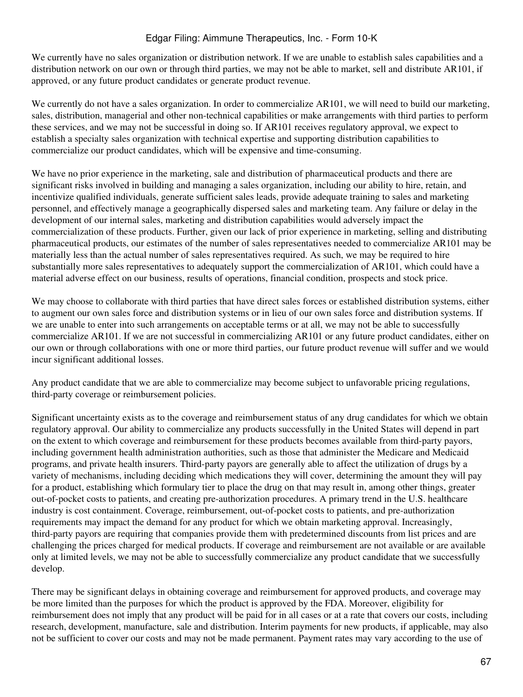We currently have no sales organization or distribution network. If we are unable to establish sales capabilities and a distribution network on our own or through third parties, we may not be able to market, sell and distribute AR101, if approved, or any future product candidates or generate product revenue.

We currently do not have a sales organization. In order to commercialize AR101, we will need to build our marketing, sales, distribution, managerial and other non-technical capabilities or make arrangements with third parties to perform these services, and we may not be successful in doing so. If AR101 receives regulatory approval, we expect to establish a specialty sales organization with technical expertise and supporting distribution capabilities to commercialize our product candidates, which will be expensive and time-consuming.

We have no prior experience in the marketing, sale and distribution of pharmaceutical products and there are significant risks involved in building and managing a sales organization, including our ability to hire, retain, and incentivize qualified individuals, generate sufficient sales leads, provide adequate training to sales and marketing personnel, and effectively manage a geographically dispersed sales and marketing team. Any failure or delay in the development of our internal sales, marketing and distribution capabilities would adversely impact the commercialization of these products. Further, given our lack of prior experience in marketing, selling and distributing pharmaceutical products, our estimates of the number of sales representatives needed to commercialize AR101 may be materially less than the actual number of sales representatives required. As such, we may be required to hire substantially more sales representatives to adequately support the commercialization of AR101, which could have a material adverse effect on our business, results of operations, financial condition, prospects and stock price.

We may choose to collaborate with third parties that have direct sales forces or established distribution systems, either to augment our own sales force and distribution systems or in lieu of our own sales force and distribution systems. If we are unable to enter into such arrangements on acceptable terms or at all, we may not be able to successfully commercialize AR101. If we are not successful in commercializing AR101 or any future product candidates, either on our own or through collaborations with one or more third parties, our future product revenue will suffer and we would incur significant additional losses.

Any product candidate that we are able to commercialize may become subject to unfavorable pricing regulations, third-party coverage or reimbursement policies.

Significant uncertainty exists as to the coverage and reimbursement status of any drug candidates for which we obtain regulatory approval. Our ability to commercialize any products successfully in the United States will depend in part on the extent to which coverage and reimbursement for these products becomes available from third-party payors, including government health administration authorities, such as those that administer the Medicare and Medicaid programs, and private health insurers. Third-party payors are generally able to affect the utilization of drugs by a variety of mechanisms, including deciding which medications they will cover, determining the amount they will pay for a product, establishing which formulary tier to place the drug on that may result in, among other things, greater out-of-pocket costs to patients, and creating pre-authorization procedures. A primary trend in the U.S. healthcare industry is cost containment. Coverage, reimbursement, out-of-pocket costs to patients, and pre-authorization requirements may impact the demand for any product for which we obtain marketing approval. Increasingly, third-party payors are requiring that companies provide them with predetermined discounts from list prices and are challenging the prices charged for medical products. If coverage and reimbursement are not available or are available only at limited levels, we may not be able to successfully commercialize any product candidate that we successfully develop.

There may be significant delays in obtaining coverage and reimbursement for approved products, and coverage may be more limited than the purposes for which the product is approved by the FDA. Moreover, eligibility for reimbursement does not imply that any product will be paid for in all cases or at a rate that covers our costs, including research, development, manufacture, sale and distribution. Interim payments for new products, if applicable, may also not be sufficient to cover our costs and may not be made permanent. Payment rates may vary according to the use of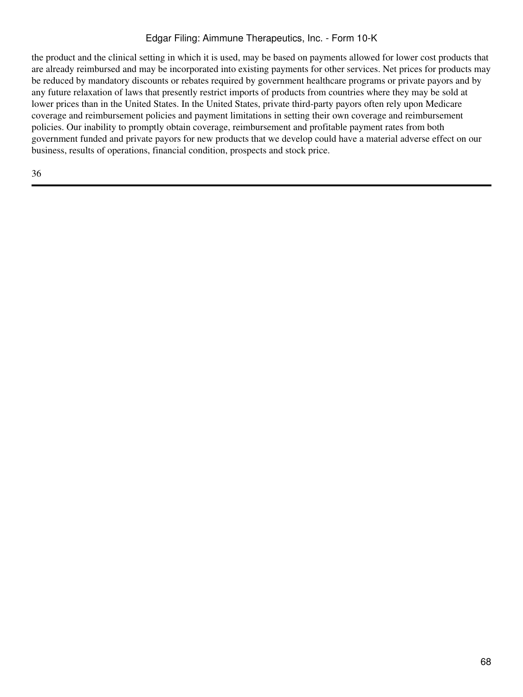the product and the clinical setting in which it is used, may be based on payments allowed for lower cost products that are already reimbursed and may be incorporated into existing payments for other services. Net prices for products may be reduced by mandatory discounts or rebates required by government healthcare programs or private payors and by any future relaxation of laws that presently restrict imports of products from countries where they may be sold at lower prices than in the United States. In the United States, private third-party payors often rely upon Medicare coverage and reimbursement policies and payment limitations in setting their own coverage and reimbursement policies. Our inability to promptly obtain coverage, reimbursement and profitable payment rates from both government funded and private payors for new products that we develop could have a material adverse effect on our business, results of operations, financial condition, prospects and stock price.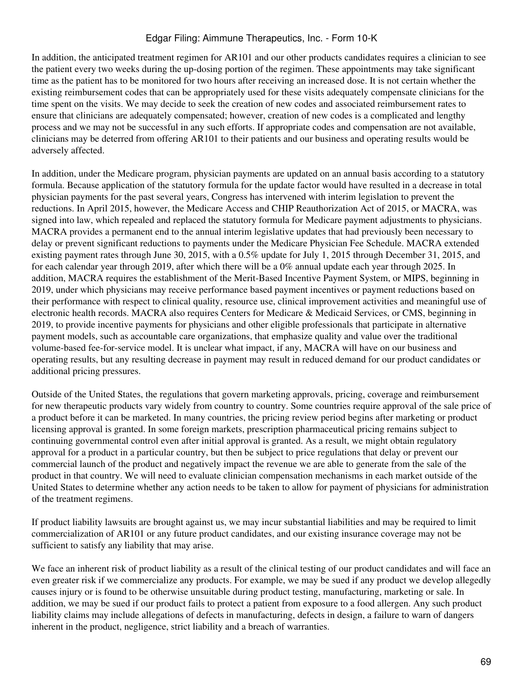In addition, the anticipated treatment regimen for AR101 and our other products candidates requires a clinician to see the patient every two weeks during the up-dosing portion of the regimen. These appointments may take significant time as the patient has to be monitored for two hours after receiving an increased dose. It is not certain whether the existing reimbursement codes that can be appropriately used for these visits adequately compensate clinicians for the time spent on the visits. We may decide to seek the creation of new codes and associated reimbursement rates to ensure that clinicians are adequately compensated; however, creation of new codes is a complicated and lengthy process and we may not be successful in any such efforts. If appropriate codes and compensation are not available, clinicians may be deterred from offering AR101 to their patients and our business and operating results would be adversely affected.

In addition, under the Medicare program, physician payments are updated on an annual basis according to a statutory formula. Because application of the statutory formula for the update factor would have resulted in a decrease in total physician payments for the past several years, Congress has intervened with interim legislation to prevent the reductions. In April 2015, however, the Medicare Access and CHIP Reauthorization Act of 2015, or MACRA, was signed into law, which repealed and replaced the statutory formula for Medicare payment adjustments to physicians. MACRA provides a permanent end to the annual interim legislative updates that had previously been necessary to delay or prevent significant reductions to payments under the Medicare Physician Fee Schedule. MACRA extended existing payment rates through June 30, 2015, with a 0.5% update for July 1, 2015 through December 31, 2015, and for each calendar year through 2019, after which there will be a 0% annual update each year through 2025. In addition, MACRA requires the establishment of the Merit-Based Incentive Payment System, or MIPS, beginning in 2019, under which physicians may receive performance based payment incentives or payment reductions based on their performance with respect to clinical quality, resource use, clinical improvement activities and meaningful use of electronic health records. MACRA also requires Centers for Medicare & Medicaid Services, or CMS, beginning in 2019, to provide incentive payments for physicians and other eligible professionals that participate in alternative payment models, such as accountable care organizations, that emphasize quality and value over the traditional volume-based fee-for-service model. It is unclear what impact, if any, MACRA will have on our business and operating results, but any resulting decrease in payment may result in reduced demand for our product candidates or additional pricing pressures.

Outside of the United States, the regulations that govern marketing approvals, pricing, coverage and reimbursement for new therapeutic products vary widely from country to country. Some countries require approval of the sale price of a product before it can be marketed. In many countries, the pricing review period begins after marketing or product licensing approval is granted. In some foreign markets, prescription pharmaceutical pricing remains subject to continuing governmental control even after initial approval is granted. As a result, we might obtain regulatory approval for a product in a particular country, but then be subject to price regulations that delay or prevent our commercial launch of the product and negatively impact the revenue we are able to generate from the sale of the product in that country. We will need to evaluate clinician compensation mechanisms in each market outside of the United States to determine whether any action needs to be taken to allow for payment of physicians for administration of the treatment regimens.

If product liability lawsuits are brought against us, we may incur substantial liabilities and may be required to limit commercialization of AR101 or any future product candidates, and our existing insurance coverage may not be sufficient to satisfy any liability that may arise.

We face an inherent risk of product liability as a result of the clinical testing of our product candidates and will face an even greater risk if we commercialize any products. For example, we may be sued if any product we develop allegedly causes injury or is found to be otherwise unsuitable during product testing, manufacturing, marketing or sale. In addition, we may be sued if our product fails to protect a patient from exposure to a food allergen. Any such product liability claims may include allegations of defects in manufacturing, defects in design, a failure to warn of dangers inherent in the product, negligence, strict liability and a breach of warranties.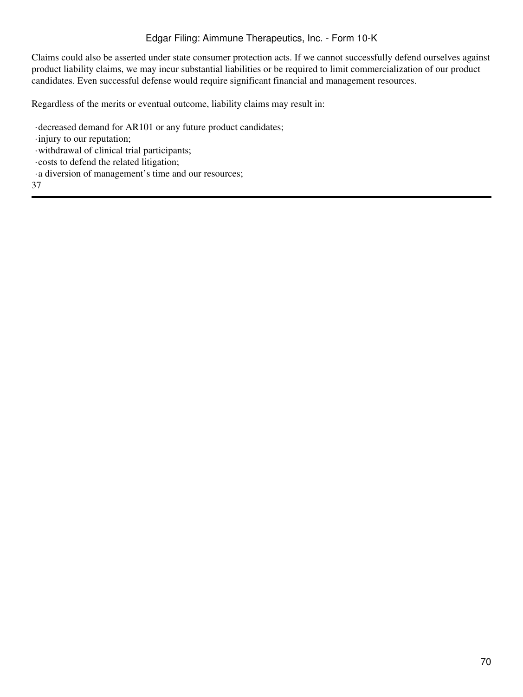Claims could also be asserted under state consumer protection acts. If we cannot successfully defend ourselves against product liability claims, we may incur substantial liabilities or be required to limit commercialization of our product candidates. Even successful defense would require significant financial and management resources.

Regardless of the merits or eventual outcome, liability claims may result in:

- ·decreased demand for AR101 or any future product candidates;
- ·injury to our reputation;
- ·withdrawal of clinical trial participants;
- ·costs to defend the related litigation;
- ·a diversion of management's time and our resources;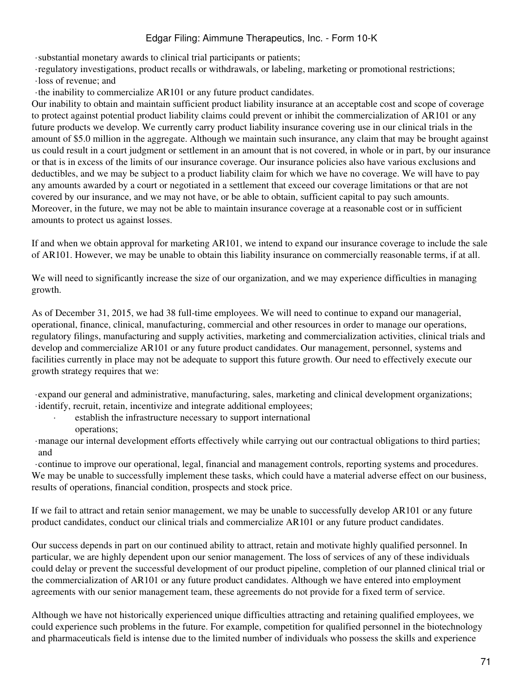·substantial monetary awards to clinical trial participants or patients;

·regulatory investigations, product recalls or withdrawals, or labeling, marketing or promotional restrictions;

·loss of revenue; and

·the inability to commercialize AR101 or any future product candidates.

Our inability to obtain and maintain sufficient product liability insurance at an acceptable cost and scope of coverage to protect against potential product liability claims could prevent or inhibit the commercialization of AR101 or any future products we develop. We currently carry product liability insurance covering use in our clinical trials in the amount of \$5.0 million in the aggregate. Although we maintain such insurance, any claim that may be brought against us could result in a court judgment or settlement in an amount that is not covered, in whole or in part, by our insurance or that is in excess of the limits of our insurance coverage. Our insurance policies also have various exclusions and deductibles, and we may be subject to a product liability claim for which we have no coverage. We will have to pay any amounts awarded by a court or negotiated in a settlement that exceed our coverage limitations or that are not covered by our insurance, and we may not have, or be able to obtain, sufficient capital to pay such amounts. Moreover, in the future, we may not be able to maintain insurance coverage at a reasonable cost or in sufficient amounts to protect us against losses.

If and when we obtain approval for marketing AR101, we intend to expand our insurance coverage to include the sale of AR101. However, we may be unable to obtain this liability insurance on commercially reasonable terms, if at all.

We will need to significantly increase the size of our organization, and we may experience difficulties in managing growth.

As of December 31, 2015, we had 38 full-time employees. We will need to continue to expand our managerial, operational, finance, clinical, manufacturing, commercial and other resources in order to manage our operations, regulatory filings, manufacturing and supply activities, marketing and commercialization activities, clinical trials and develop and commercialize AR101 or any future product candidates. Our management, personnel, systems and facilities currently in place may not be adequate to support this future growth. Our need to effectively execute our growth strategy requires that we:

·expand our general and administrative, manufacturing, sales, marketing and clinical development organizations; ·identify, recruit, retain, incentivize and integrate additional employees;

- establish the infrastructure necessary to support international
- operations;

·manage our internal development efforts effectively while carrying out our contractual obligations to third parties; and

·continue to improve our operational, legal, financial and management controls, reporting systems and procedures. We may be unable to successfully implement these tasks, which could have a material adverse effect on our business, results of operations, financial condition, prospects and stock price.

If we fail to attract and retain senior management, we may be unable to successfully develop AR101 or any future product candidates, conduct our clinical trials and commercialize AR101 or any future product candidates.

Our success depends in part on our continued ability to attract, retain and motivate highly qualified personnel. In particular, we are highly dependent upon our senior management. The loss of services of any of these individuals could delay or prevent the successful development of our product pipeline, completion of our planned clinical trial or the commercialization of AR101 or any future product candidates. Although we have entered into employment agreements with our senior management team, these agreements do not provide for a fixed term of service.

Although we have not historically experienced unique difficulties attracting and retaining qualified employees, we could experience such problems in the future. For example, competition for qualified personnel in the biotechnology and pharmaceuticals field is intense due to the limited number of individuals who possess the skills and experience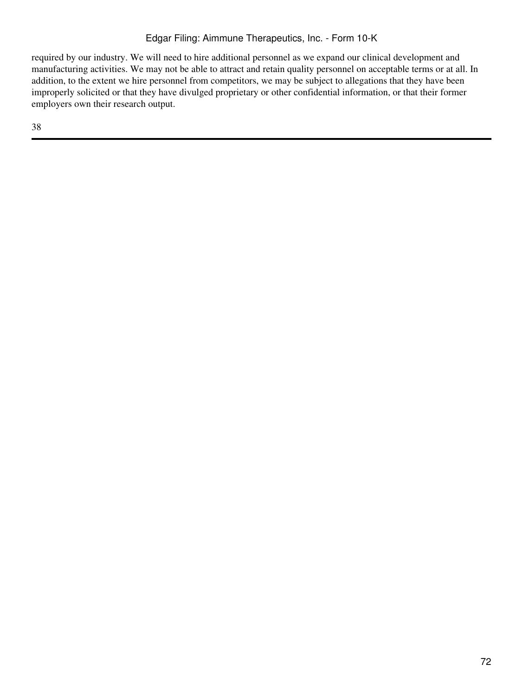required by our industry. We will need to hire additional personnel as we expand our clinical development and manufacturing activities. We may not be able to attract and retain quality personnel on acceptable terms or at all. In addition, to the extent we hire personnel from competitors, we may be subject to allegations that they have been improperly solicited or that they have divulged proprietary or other confidential information, or that their former employers own their research output.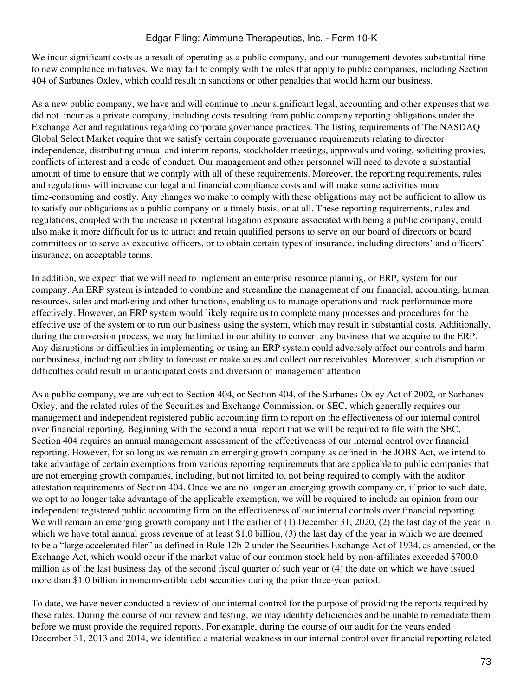We incur significant costs as a result of operating as a public company, and our management devotes substantial time to new compliance initiatives. We may fail to comply with the rules that apply to public companies, including Section 404 of Sarbanes Oxley, which could result in sanctions or other penalties that would harm our business.

As a new public company, we have and will continue to incur significant legal, accounting and other expenses that we did not incur as a private company, including costs resulting from public company reporting obligations under the Exchange Act and regulations regarding corporate governance practices. The listing requirements of The NASDAQ Global Select Market require that we satisfy certain corporate governance requirements relating to director independence, distributing annual and interim reports, stockholder meetings, approvals and voting, soliciting proxies, conflicts of interest and a code of conduct. Our management and other personnel will need to devote a substantial amount of time to ensure that we comply with all of these requirements. Moreover, the reporting requirements, rules and regulations will increase our legal and financial compliance costs and will make some activities more time-consuming and costly. Any changes we make to comply with these obligations may not be sufficient to allow us to satisfy our obligations as a public company on a timely basis, or at all. These reporting requirements, rules and regulations, coupled with the increase in potential litigation exposure associated with being a public company, could also make it more difficult for us to attract and retain qualified persons to serve on our board of directors or board committees or to serve as executive officers, or to obtain certain types of insurance, including directors' and officers' insurance, on acceptable terms.

In addition, we expect that we will need to implement an enterprise resource planning, or ERP, system for our company. An ERP system is intended to combine and streamline the management of our financial, accounting, human resources, sales and marketing and other functions, enabling us to manage operations and track performance more effectively. However, an ERP system would likely require us to complete many processes and procedures for the effective use of the system or to run our business using the system, which may result in substantial costs. Additionally, during the conversion process, we may be limited in our ability to convert any business that we acquire to the ERP. Any disruptions or difficulties in implementing or using an ERP system could adversely affect our controls and harm our business, including our ability to forecast or make sales and collect our receivables. Moreover, such disruption or difficulties could result in unanticipated costs and diversion of management attention.

As a public company, we are subject to Section 404, or Section 404, of the Sarbanes-Oxley Act of 2002, or Sarbanes Oxley, and the related rules of the Securities and Exchange Commission, or SEC, which generally requires our management and independent registered public accounting firm to report on the effectiveness of our internal control over financial reporting. Beginning with the second annual report that we will be required to file with the SEC, Section 404 requires an annual management assessment of the effectiveness of our internal control over financial reporting. However, for so long as we remain an emerging growth company as defined in the JOBS Act, we intend to take advantage of certain exemptions from various reporting requirements that are applicable to public companies that are not emerging growth companies, including, but not limited to, not being required to comply with the auditor attestation requirements of Section 404. Once we are no longer an emerging growth company or, if prior to such date, we opt to no longer take advantage of the applicable exemption, we will be required to include an opinion from our independent registered public accounting firm on the effectiveness of our internal controls over financial reporting. We will remain an emerging growth company until the earlier of (1) December 31, 2020, (2) the last day of the year in which we have total annual gross revenue of at least \$1.0 billion, (3) the last day of the year in which we are deemed to be a "large accelerated filer" as defined in Rule 12b-2 under the Securities Exchange Act of 1934, as amended, or the Exchange Act, which would occur if the market value of our common stock held by non-affiliates exceeded \$700.0 million as of the last business day of the second fiscal quarter of such year or (4) the date on which we have issued more than \$1.0 billion in nonconvertible debt securities during the prior three-year period.

To date, we have never conducted a review of our internal control for the purpose of providing the reports required by these rules. During the course of our review and testing, we may identify deficiencies and be unable to remediate them before we must provide the required reports. For example, during the course of our audit for the years ended December 31, 2013 and 2014, we identified a material weakness in our internal control over financial reporting related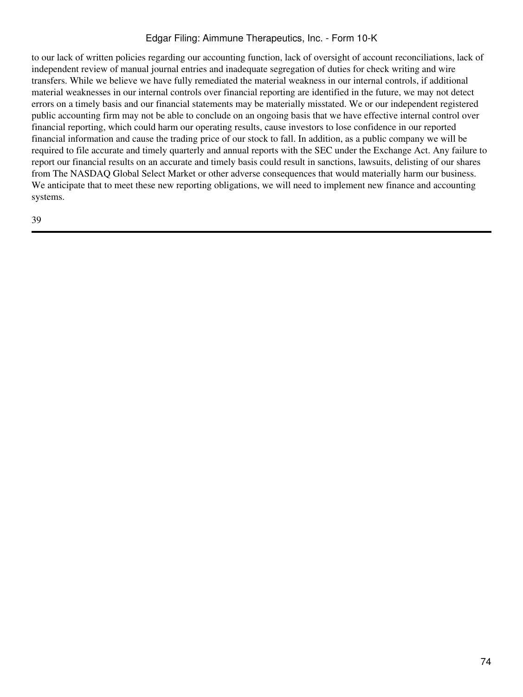to our lack of written policies regarding our accounting function, lack of oversight of account reconciliations, lack of independent review of manual journal entries and inadequate segregation of duties for check writing and wire transfers. While we believe we have fully remediated the material weakness in our internal controls, if additional material weaknesses in our internal controls over financial reporting are identified in the future, we may not detect errors on a timely basis and our financial statements may be materially misstated. We or our independent registered public accounting firm may not be able to conclude on an ongoing basis that we have effective internal control over financial reporting, which could harm our operating results, cause investors to lose confidence in our reported financial information and cause the trading price of our stock to fall. In addition, as a public company we will be required to file accurate and timely quarterly and annual reports with the SEC under the Exchange Act. Any failure to report our financial results on an accurate and timely basis could result in sanctions, lawsuits, delisting of our shares from The NASDAQ Global Select Market or other adverse consequences that would materially harm our business. We anticipate that to meet these new reporting obligations, we will need to implement new finance and accounting systems.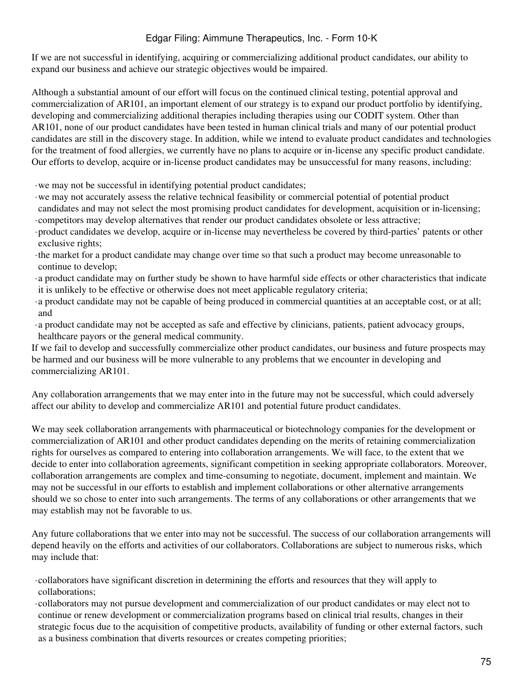If we are not successful in identifying, acquiring or commercializing additional product candidates, our ability to expand our business and achieve our strategic objectives would be impaired.

Although a substantial amount of our effort will focus on the continued clinical testing, potential approval and commercialization of AR101, an important element of our strategy is to expand our product portfolio by identifying, developing and commercializing additional therapies including therapies using our CODIT system. Other than AR101, none of our product candidates have been tested in human clinical trials and many of our potential product candidates are still in the discovery stage. In addition, while we intend to evaluate product candidates and technologies for the treatment of food allergies, we currently have no plans to acquire or in-license any specific product candidate. Our efforts to develop, acquire or in-license product candidates may be unsuccessful for many reasons, including:

·we may not be successful in identifying potential product candidates;

- ·we may not accurately assess the relative technical feasibility or commercial potential of potential product candidates and may not select the most promising product candidates for development, acquisition or in-licensing; ·competitors may develop alternatives that render our product candidates obsolete or less attractive;
- ·product candidates we develop, acquire or in-license may nevertheless be covered by third-parties' patents or other exclusive rights;
- ·the market for a product candidate may change over time so that such a product may become unreasonable to continue to develop;
- ·a product candidate may on further study be shown to have harmful side effects or other characteristics that indicate it is unlikely to be effective or otherwise does not meet applicable regulatory criteria;
- ·a product candidate may not be capable of being produced in commercial quantities at an acceptable cost, or at all; and
- ·a product candidate may not be accepted as safe and effective by clinicians, patients, patient advocacy groups, healthcare payors or the general medical community.

If we fail to develop and successfully commercialize other product candidates, our business and future prospects may be harmed and our business will be more vulnerable to any problems that we encounter in developing and commercializing AR101.

Any collaboration arrangements that we may enter into in the future may not be successful, which could adversely affect our ability to develop and commercialize AR101 and potential future product candidates.

We may seek collaboration arrangements with pharmaceutical or biotechnology companies for the development or commercialization of AR101 and other product candidates depending on the merits of retaining commercialization rights for ourselves as compared to entering into collaboration arrangements. We will face, to the extent that we decide to enter into collaboration agreements, significant competition in seeking appropriate collaborators. Moreover, collaboration arrangements are complex and time-consuming to negotiate, document, implement and maintain. We may not be successful in our efforts to establish and implement collaborations or other alternative arrangements should we so chose to enter into such arrangements. The terms of any collaborations or other arrangements that we may establish may not be favorable to us.

Any future collaborations that we enter into may not be successful. The success of our collaboration arrangements will depend heavily on the efforts and activities of our collaborators. Collaborations are subject to numerous risks, which may include that:

·collaborators have significant discretion in determining the efforts and resources that they will apply to collaborations;

·collaborators may not pursue development and commercialization of our product candidates or may elect not to continue or renew development or commercialization programs based on clinical trial results, changes in their strategic focus due to the acquisition of competitive products, availability of funding or other external factors, such as a business combination that diverts resources or creates competing priorities;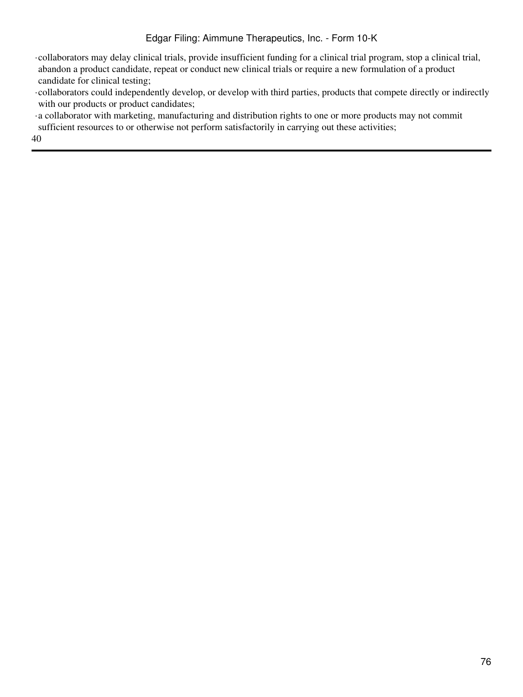·collaborators may delay clinical trials, provide insufficient funding for a clinical trial program, stop a clinical trial, abandon a product candidate, repeat or conduct new clinical trials or require a new formulation of a product candidate for clinical testing;

·collaborators could independently develop, or develop with third parties, products that compete directly or indirectly with our products or product candidates;

·a collaborator with marketing, manufacturing and distribution rights to one or more products may not commit sufficient resources to or otherwise not perform satisfactorily in carrying out these activities;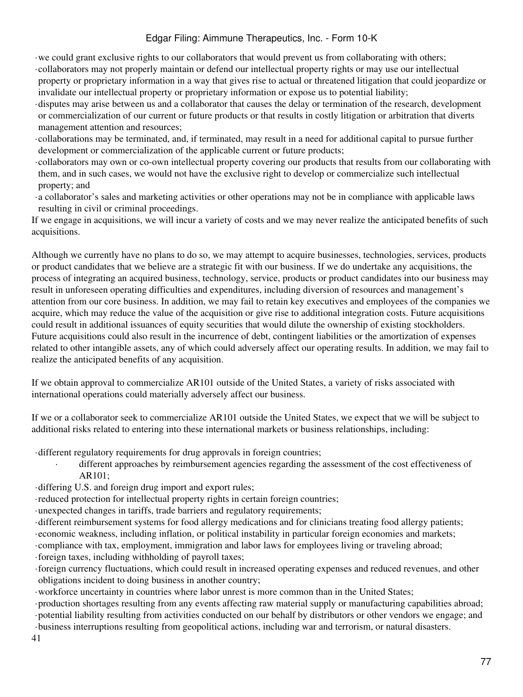- ·we could grant exclusive rights to our collaborators that would prevent us from collaborating with others;
- ·collaborators may not properly maintain or defend our intellectual property rights or may use our intellectual property or proprietary information in a way that gives rise to actual or threatened litigation that could jeopardize or invalidate our intellectual property or proprietary information or expose us to potential liability;
- ·disputes may arise between us and a collaborator that causes the delay or termination of the research, development or commercialization of our current or future products or that results in costly litigation or arbitration that diverts management attention and resources;
- ·collaborations may be terminated, and, if terminated, may result in a need for additional capital to pursue further development or commercialization of the applicable current or future products;
- ·collaborators may own or co-own intellectual property covering our products that results from our collaborating with them, and in such cases, we would not have the exclusive right to develop or commercialize such intellectual property; and
- ·a collaborator's sales and marketing activities or other operations may not be in compliance with applicable laws resulting in civil or criminal proceedings.

If we engage in acquisitions, we will incur a variety of costs and we may never realize the anticipated benefits of such acquisitions.

Although we currently have no plans to do so, we may attempt to acquire businesses, technologies, services, products or product candidates that we believe are a strategic fit with our business. If we do undertake any acquisitions, the process of integrating an acquired business, technology, service, products or product candidates into our business may result in unforeseen operating difficulties and expenditures, including diversion of resources and management's attention from our core business. In addition, we may fail to retain key executives and employees of the companies we acquire, which may reduce the value of the acquisition or give rise to additional integration costs. Future acquisitions could result in additional issuances of equity securities that would dilute the ownership of existing stockholders. Future acquisitions could also result in the incurrence of debt, contingent liabilities or the amortization of expenses related to other intangible assets, any of which could adversely affect our operating results. In addition, we may fail to realize the anticipated benefits of any acquisition.

If we obtain approval to commercialize AR101 outside of the United States, a variety of risks associated with international operations could materially adversely affect our business.

If we or a collaborator seek to commercialize AR101 outside the United States, we expect that we will be subject to additional risks related to entering into these international markets or business relationships, including:

·different regulatory requirements for drug approvals in foreign countries;

different approaches by reimbursement agencies regarding the assessment of the cost effectiveness of AR101;

·differing U.S. and foreign drug import and export rules;

·reduced protection for intellectual property rights in certain foreign countries;

·unexpected changes in tariffs, trade barriers and regulatory requirements;

·different reimbursement systems for food allergy medications and for clinicians treating food allergy patients;

·economic weakness, including inflation, or political instability in particular foreign economies and markets;

·compliance with tax, employment, immigration and labor laws for employees living or traveling abroad;

·foreign taxes, including withholding of payroll taxes;

·foreign currency fluctuations, which could result in increased operating expenses and reduced revenues, and other obligations incident to doing business in another country;

·workforce uncertainty in countries where labor unrest is more common than in the United States;

·production shortages resulting from any events affecting raw material supply or manufacturing capabilities abroad; ·potential liability resulting from activities conducted on our behalf by distributors or other vendors we engage; and ·business interruptions resulting from geopolitical actions, including war and terrorism, or natural disasters.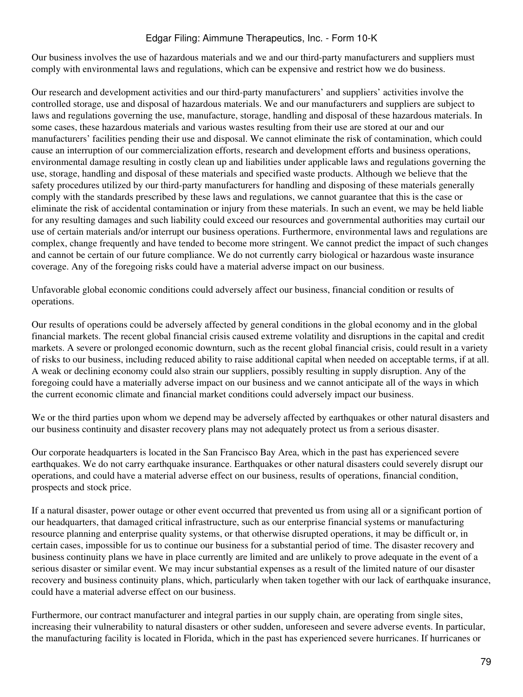Our business involves the use of hazardous materials and we and our third-party manufacturers and suppliers must comply with environmental laws and regulations, which can be expensive and restrict how we do business.

Our research and development activities and our third-party manufacturers' and suppliers' activities involve the controlled storage, use and disposal of hazardous materials. We and our manufacturers and suppliers are subject to laws and regulations governing the use, manufacture, storage, handling and disposal of these hazardous materials. In some cases, these hazardous materials and various wastes resulting from their use are stored at our and our manufacturers' facilities pending their use and disposal. We cannot eliminate the risk of contamination, which could cause an interruption of our commercialization efforts, research and development efforts and business operations, environmental damage resulting in costly clean up and liabilities under applicable laws and regulations governing the use, storage, handling and disposal of these materials and specified waste products. Although we believe that the safety procedures utilized by our third-party manufacturers for handling and disposing of these materials generally comply with the standards prescribed by these laws and regulations, we cannot guarantee that this is the case or eliminate the risk of accidental contamination or injury from these materials. In such an event, we may be held liable for any resulting damages and such liability could exceed our resources and governmental authorities may curtail our use of certain materials and/or interrupt our business operations. Furthermore, environmental laws and regulations are complex, change frequently and have tended to become more stringent. We cannot predict the impact of such changes and cannot be certain of our future compliance. We do not currently carry biological or hazardous waste insurance coverage. Any of the foregoing risks could have a material adverse impact on our business.

Unfavorable global economic conditions could adversely affect our business, financial condition or results of operations.

Our results of operations could be adversely affected by general conditions in the global economy and in the global financial markets. The recent global financial crisis caused extreme volatility and disruptions in the capital and credit markets. A severe or prolonged economic downturn, such as the recent global financial crisis, could result in a variety of risks to our business, including reduced ability to raise additional capital when needed on acceptable terms, if at all. A weak or declining economy could also strain our suppliers, possibly resulting in supply disruption. Any of the foregoing could have a materially adverse impact on our business and we cannot anticipate all of the ways in which the current economic climate and financial market conditions could adversely impact our business.

We or the third parties upon whom we depend may be adversely affected by earthquakes or other natural disasters and our business continuity and disaster recovery plans may not adequately protect us from a serious disaster.

Our corporate headquarters is located in the San Francisco Bay Area, which in the past has experienced severe earthquakes. We do not carry earthquake insurance. Earthquakes or other natural disasters could severely disrupt our operations, and could have a material adverse effect on our business, results of operations, financial condition, prospects and stock price.

If a natural disaster, power outage or other event occurred that prevented us from using all or a significant portion of our headquarters, that damaged critical infrastructure, such as our enterprise financial systems or manufacturing resource planning and enterprise quality systems, or that otherwise disrupted operations, it may be difficult or, in certain cases, impossible for us to continue our business for a substantial period of time. The disaster recovery and business continuity plans we have in place currently are limited and are unlikely to prove adequate in the event of a serious disaster or similar event. We may incur substantial expenses as a result of the limited nature of our disaster recovery and business continuity plans, which, particularly when taken together with our lack of earthquake insurance, could have a material adverse effect on our business.

Furthermore, our contract manufacturer and integral parties in our supply chain, are operating from single sites, increasing their vulnerability to natural disasters or other sudden, unforeseen and severe adverse events. In particular, the manufacturing facility is located in Florida, which in the past has experienced severe hurricanes. If hurricanes or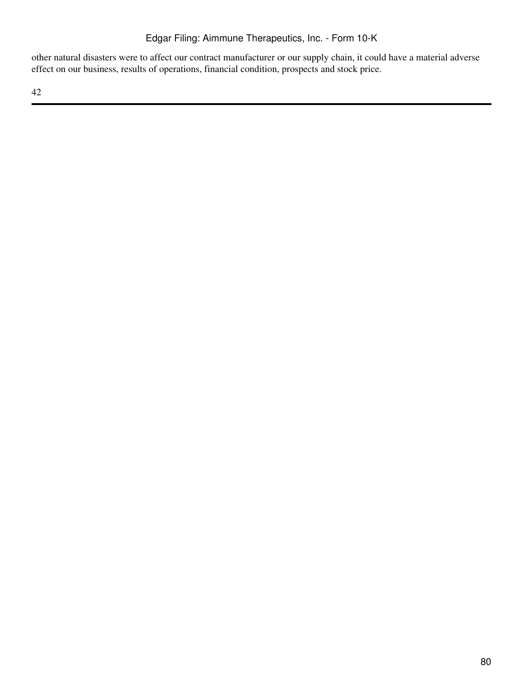other natural disasters were to affect our contract manufacturer or our supply chain, it could have a material adverse effect on our business, results of operations, financial condition, prospects and stock price.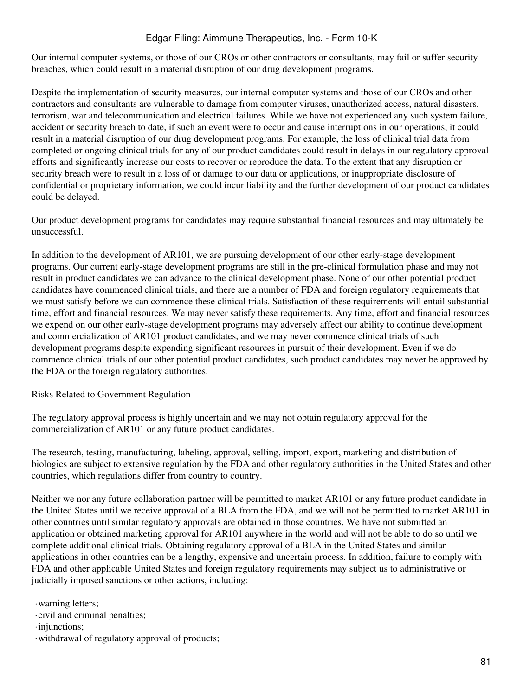Our internal computer systems, or those of our CROs or other contractors or consultants, may fail or suffer security breaches, which could result in a material disruption of our drug development programs.

Despite the implementation of security measures, our internal computer systems and those of our CROs and other contractors and consultants are vulnerable to damage from computer viruses, unauthorized access, natural disasters, terrorism, war and telecommunication and electrical failures. While we have not experienced any such system failure, accident or security breach to date, if such an event were to occur and cause interruptions in our operations, it could result in a material disruption of our drug development programs. For example, the loss of clinical trial data from completed or ongoing clinical trials for any of our product candidates could result in delays in our regulatory approval efforts and significantly increase our costs to recover or reproduce the data. To the extent that any disruption or security breach were to result in a loss of or damage to our data or applications, or inappropriate disclosure of confidential or proprietary information, we could incur liability and the further development of our product candidates could be delayed.

Our product development programs for candidates may require substantial financial resources and may ultimately be unsuccessful.

In addition to the development of AR101, we are pursuing development of our other early-stage development programs. Our current early-stage development programs are still in the pre-clinical formulation phase and may not result in product candidates we can advance to the clinical development phase. None of our other potential product candidates have commenced clinical trials, and there are a number of FDA and foreign regulatory requirements that we must satisfy before we can commence these clinical trials. Satisfaction of these requirements will entail substantial time, effort and financial resources. We may never satisfy these requirements. Any time, effort and financial resources we expend on our other early-stage development programs may adversely affect our ability to continue development and commercialization of AR101 product candidates, and we may never commence clinical trials of such development programs despite expending significant resources in pursuit of their development. Even if we do commence clinical trials of our other potential product candidates, such product candidates may never be approved by the FDA or the foreign regulatory authorities.

Risks Related to Government Regulation

The regulatory approval process is highly uncertain and we may not obtain regulatory approval for the commercialization of AR101 or any future product candidates.

The research, testing, manufacturing, labeling, approval, selling, import, export, marketing and distribution of biologics are subject to extensive regulation by the FDA and other regulatory authorities in the United States and other countries, which regulations differ from country to country.

Neither we nor any future collaboration partner will be permitted to market AR101 or any future product candidate in the United States until we receive approval of a BLA from the FDA, and we will not be permitted to market AR101 in other countries until similar regulatory approvals are obtained in those countries. We have not submitted an application or obtained marketing approval for AR101 anywhere in the world and will not be able to do so until we complete additional clinical trials. Obtaining regulatory approval of a BLA in the United States and similar applications in other countries can be a lengthy, expensive and uncertain process. In addition, failure to comply with FDA and other applicable United States and foreign regulatory requirements may subject us to administrative or judicially imposed sanctions or other actions, including:

·warning letters;

·civil and criminal penalties;

·injunctions;

·withdrawal of regulatory approval of products;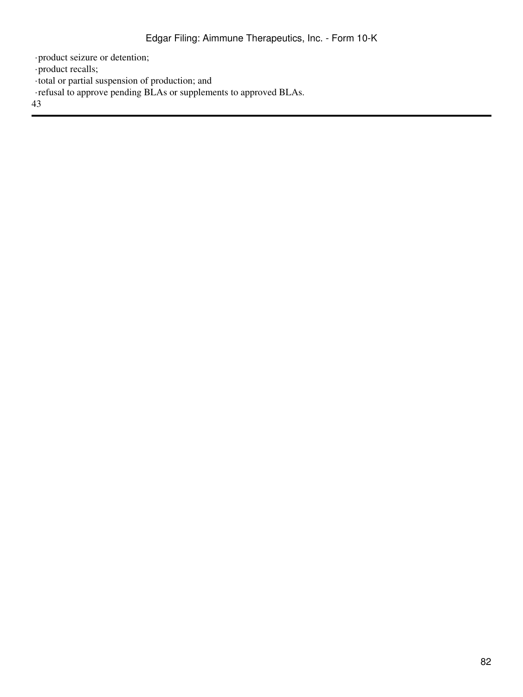·product seizure or detention;

·product recalls;

·total or partial suspension of production; and

·refusal to approve pending BLAs or supplements to approved BLAs.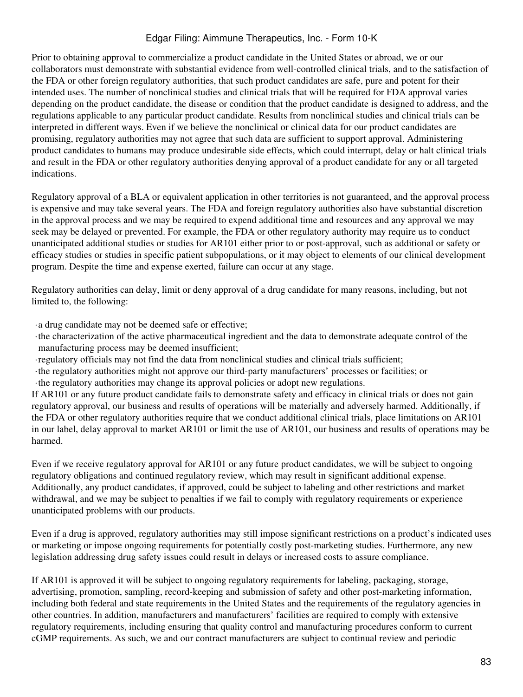Prior to obtaining approval to commercialize a product candidate in the United States or abroad, we or our collaborators must demonstrate with substantial evidence from well-controlled clinical trials, and to the satisfaction of the FDA or other foreign regulatory authorities, that such product candidates are safe, pure and potent for their intended uses. The number of nonclinical studies and clinical trials that will be required for FDA approval varies depending on the product candidate, the disease or condition that the product candidate is designed to address, and the regulations applicable to any particular product candidate. Results from nonclinical studies and clinical trials can be interpreted in different ways. Even if we believe the nonclinical or clinical data for our product candidates are promising, regulatory authorities may not agree that such data are sufficient to support approval. Administering product candidates to humans may produce undesirable side effects, which could interrupt, delay or halt clinical trials and result in the FDA or other regulatory authorities denying approval of a product candidate for any or all targeted indications.

Regulatory approval of a BLA or equivalent application in other territories is not guaranteed, and the approval process is expensive and may take several years. The FDA and foreign regulatory authorities also have substantial discretion in the approval process and we may be required to expend additional time and resources and any approval we may seek may be delayed or prevented. For example, the FDA or other regulatory authority may require us to conduct unanticipated additional studies or studies for AR101 either prior to or post-approval, such as additional or safety or efficacy studies or studies in specific patient subpopulations, or it may object to elements of our clinical development program. Despite the time and expense exerted, failure can occur at any stage.

Regulatory authorities can delay, limit or deny approval of a drug candidate for many reasons, including, but not limited to, the following:

·a drug candidate may not be deemed safe or effective;

- ·the characterization of the active pharmaceutical ingredient and the data to demonstrate adequate control of the manufacturing process may be deemed insufficient;
- ·regulatory officials may not find the data from nonclinical studies and clinical trials sufficient;
- ·the regulatory authorities might not approve our third-party manufacturers' processes or facilities; or

·the regulatory authorities may change its approval policies or adopt new regulations.

If AR101 or any future product candidate fails to demonstrate safety and efficacy in clinical trials or does not gain regulatory approval, our business and results of operations will be materially and adversely harmed. Additionally, if the FDA or other regulatory authorities require that we conduct additional clinical trials, place limitations on AR101 in our label, delay approval to market AR101 or limit the use of AR101, our business and results of operations may be harmed.

Even if we receive regulatory approval for AR101 or any future product candidates, we will be subject to ongoing regulatory obligations and continued regulatory review, which may result in significant additional expense. Additionally, any product candidates, if approved, could be subject to labeling and other restrictions and market withdrawal, and we may be subject to penalties if we fail to comply with regulatory requirements or experience unanticipated problems with our products.

Even if a drug is approved, regulatory authorities may still impose significant restrictions on a product's indicated uses or marketing or impose ongoing requirements for potentially costly post-marketing studies. Furthermore, any new legislation addressing drug safety issues could result in delays or increased costs to assure compliance.

If AR101 is approved it will be subject to ongoing regulatory requirements for labeling, packaging, storage, advertising, promotion, sampling, record-keeping and submission of safety and other post-marketing information, including both federal and state requirements in the United States and the requirements of the regulatory agencies in other countries. In addition, manufacturers and manufacturers' facilities are required to comply with extensive regulatory requirements, including ensuring that quality control and manufacturing procedures conform to current cGMP requirements. As such, we and our contract manufacturers are subject to continual review and periodic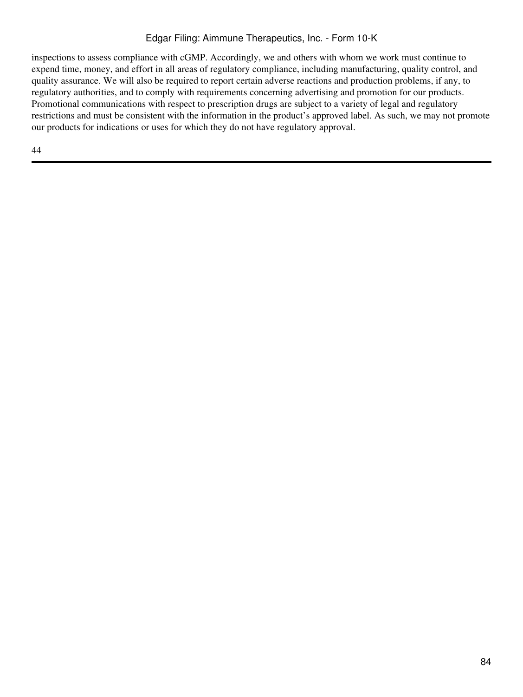inspections to assess compliance with cGMP. Accordingly, we and others with whom we work must continue to expend time, money, and effort in all areas of regulatory compliance, including manufacturing, quality control, and quality assurance. We will also be required to report certain adverse reactions and production problems, if any, to regulatory authorities, and to comply with requirements concerning advertising and promotion for our products. Promotional communications with respect to prescription drugs are subject to a variety of legal and regulatory restrictions and must be consistent with the information in the product's approved label. As such, we may not promote our products for indications or uses for which they do not have regulatory approval.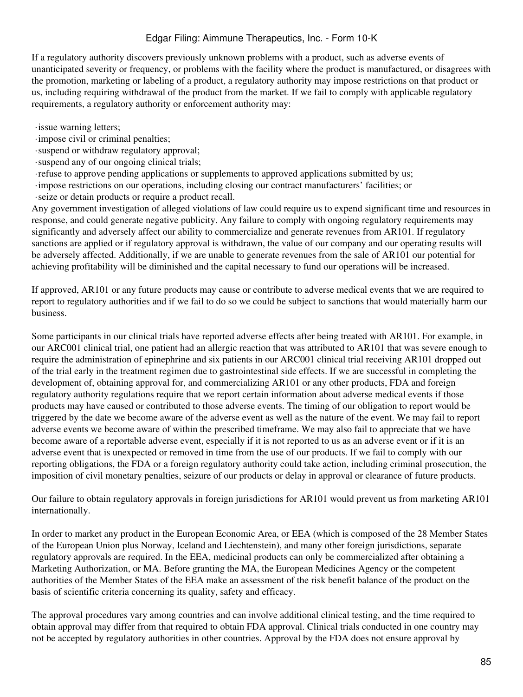If a regulatory authority discovers previously unknown problems with a product, such as adverse events of unanticipated severity or frequency, or problems with the facility where the product is manufactured, or disagrees with the promotion, marketing or labeling of a product, a regulatory authority may impose restrictions on that product or us, including requiring withdrawal of the product from the market. If we fail to comply with applicable regulatory requirements, a regulatory authority or enforcement authority may:

- ·issue warning letters;
- ·impose civil or criminal penalties;
- ·suspend or withdraw regulatory approval;
- ·suspend any of our ongoing clinical trials;
- ·refuse to approve pending applications or supplements to approved applications submitted by us;
- ·impose restrictions on our operations, including closing our contract manufacturers' facilities; or
- ·seize or detain products or require a product recall.

Any government investigation of alleged violations of law could require us to expend significant time and resources in response, and could generate negative publicity. Any failure to comply with ongoing regulatory requirements may significantly and adversely affect our ability to commercialize and generate revenues from AR101. If regulatory sanctions are applied or if regulatory approval is withdrawn, the value of our company and our operating results will be adversely affected. Additionally, if we are unable to generate revenues from the sale of AR101 our potential for achieving profitability will be diminished and the capital necessary to fund our operations will be increased.

If approved, AR101 or any future products may cause or contribute to adverse medical events that we are required to report to regulatory authorities and if we fail to do so we could be subject to sanctions that would materially harm our business.

Some participants in our clinical trials have reported adverse effects after being treated with AR101. For example, in our ARC001 clinical trial, one patient had an allergic reaction that was attributed to AR101 that was severe enough to require the administration of epinephrine and six patients in our ARC001 clinical trial receiving AR101 dropped out of the trial early in the treatment regimen due to gastrointestinal side effects. If we are successful in completing the development of, obtaining approval for, and commercializing AR101 or any other products, FDA and foreign regulatory authority regulations require that we report certain information about adverse medical events if those products may have caused or contributed to those adverse events. The timing of our obligation to report would be triggered by the date we become aware of the adverse event as well as the nature of the event. We may fail to report adverse events we become aware of within the prescribed timeframe. We may also fail to appreciate that we have become aware of a reportable adverse event, especially if it is not reported to us as an adverse event or if it is an adverse event that is unexpected or removed in time from the use of our products. If we fail to comply with our reporting obligations, the FDA or a foreign regulatory authority could take action, including criminal prosecution, the imposition of civil monetary penalties, seizure of our products or delay in approval or clearance of future products.

Our failure to obtain regulatory approvals in foreign jurisdictions for AR101 would prevent us from marketing AR101 internationally.

In order to market any product in the European Economic Area, or EEA (which is composed of the 28 Member States of the European Union plus Norway, Iceland and Liechtenstein), and many other foreign jurisdictions, separate regulatory approvals are required. In the EEA, medicinal products can only be commercialized after obtaining a Marketing Authorization, or MA. Before granting the MA, the European Medicines Agency or the competent authorities of the Member States of the EEA make an assessment of the risk benefit balance of the product on the basis of scientific criteria concerning its quality, safety and efficacy.

The approval procedures vary among countries and can involve additional clinical testing, and the time required to obtain approval may differ from that required to obtain FDA approval. Clinical trials conducted in one country may not be accepted by regulatory authorities in other countries. Approval by the FDA does not ensure approval by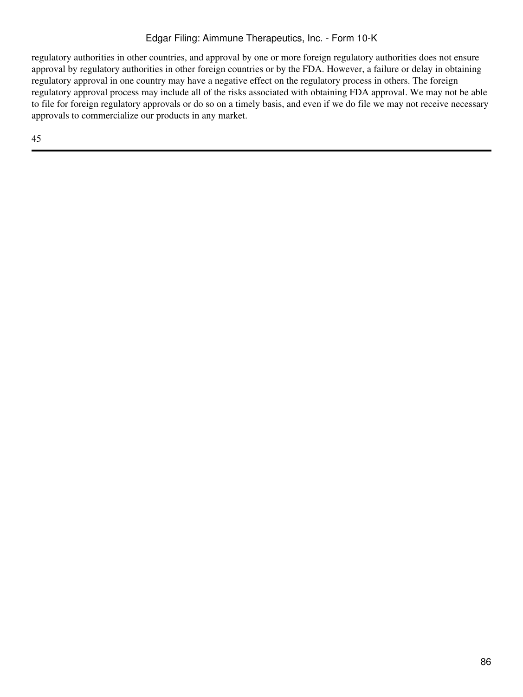regulatory authorities in other countries, and approval by one or more foreign regulatory authorities does not ensure approval by regulatory authorities in other foreign countries or by the FDA. However, a failure or delay in obtaining regulatory approval in one country may have a negative effect on the regulatory process in others. The foreign regulatory approval process may include all of the risks associated with obtaining FDA approval. We may not be able to file for foreign regulatory approvals or do so on a timely basis, and even if we do file we may not receive necessary approvals to commercialize our products in any market.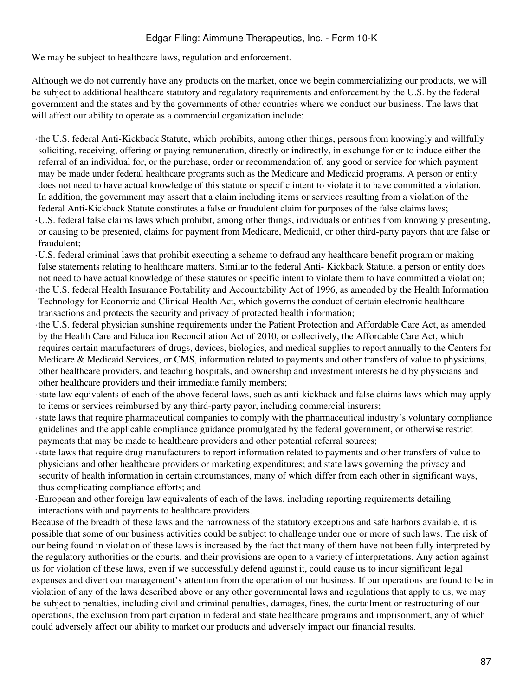We may be subject to healthcare laws, regulation and enforcement.

Although we do not currently have any products on the market, once we begin commercializing our products, we will be subject to additional healthcare statutory and regulatory requirements and enforcement by the U.S. by the federal government and the states and by the governments of other countries where we conduct our business. The laws that will affect our ability to operate as a commercial organization include:

- ·the U.S. federal Anti-Kickback Statute, which prohibits, among other things, persons from knowingly and willfully soliciting, receiving, offering or paying remuneration, directly or indirectly, in exchange for or to induce either the referral of an individual for, or the purchase, order or recommendation of, any good or service for which payment may be made under federal healthcare programs such as the Medicare and Medicaid programs. A person or entity does not need to have actual knowledge of this statute or specific intent to violate it to have committed a violation. In addition, the government may assert that a claim including items or services resulting from a violation of the federal Anti-Kickback Statute constitutes a false or fraudulent claim for purposes of the false claims laws; ·U.S. federal false claims laws which prohibit, among other things, individuals or entities from knowingly presenting, or causing to be presented, claims for payment from Medicare, Medicaid, or other third-party payors that are false or fraudulent;
- ·U.S. federal criminal laws that prohibit executing a scheme to defraud any healthcare benefit program or making false statements relating to healthcare matters. Similar to the federal Anti- Kickback Statute, a person or entity does not need to have actual knowledge of these statutes or specific intent to violate them to have committed a violation; ·the U.S. federal Health Insurance Portability and Accountability Act of 1996, as amended by the Health Information Technology for Economic and Clinical Health Act, which governs the conduct of certain electronic healthcare transactions and protects the security and privacy of protected health information;
- ·the U.S. federal physician sunshine requirements under the Patient Protection and Affordable Care Act, as amended by the Health Care and Education Reconciliation Act of 2010, or collectively, the Affordable Care Act, which requires certain manufacturers of drugs, devices, biologics, and medical supplies to report annually to the Centers for Medicare & Medicaid Services, or CMS, information related to payments and other transfers of value to physicians, other healthcare providers, and teaching hospitals, and ownership and investment interests held by physicians and other healthcare providers and their immediate family members;
- ·state law equivalents of each of the above federal laws, such as anti-kickback and false claims laws which may apply to items or services reimbursed by any third-party payor, including commercial insurers;
- ·state laws that require pharmaceutical companies to comply with the pharmaceutical industry's voluntary compliance guidelines and the applicable compliance guidance promulgated by the federal government, or otherwise restrict payments that may be made to healthcare providers and other potential referral sources;
- ·state laws that require drug manufacturers to report information related to payments and other transfers of value to physicians and other healthcare providers or marketing expenditures; and state laws governing the privacy and security of health information in certain circumstances, many of which differ from each other in significant ways, thus complicating compliance efforts; and
- ·European and other foreign law equivalents of each of the laws, including reporting requirements detailing interactions with and payments to healthcare providers.

Because of the breadth of these laws and the narrowness of the statutory exceptions and safe harbors available, it is possible that some of our business activities could be subject to challenge under one or more of such laws. The risk of our being found in violation of these laws is increased by the fact that many of them have not been fully interpreted by the regulatory authorities or the courts, and their provisions are open to a variety of interpretations. Any action against us for violation of these laws, even if we successfully defend against it, could cause us to incur significant legal expenses and divert our management's attention from the operation of our business. If our operations are found to be in violation of any of the laws described above or any other governmental laws and regulations that apply to us, we may be subject to penalties, including civil and criminal penalties, damages, fines, the curtailment or restructuring of our operations, the exclusion from participation in federal and state healthcare programs and imprisonment, any of which could adversely affect our ability to market our products and adversely impact our financial results.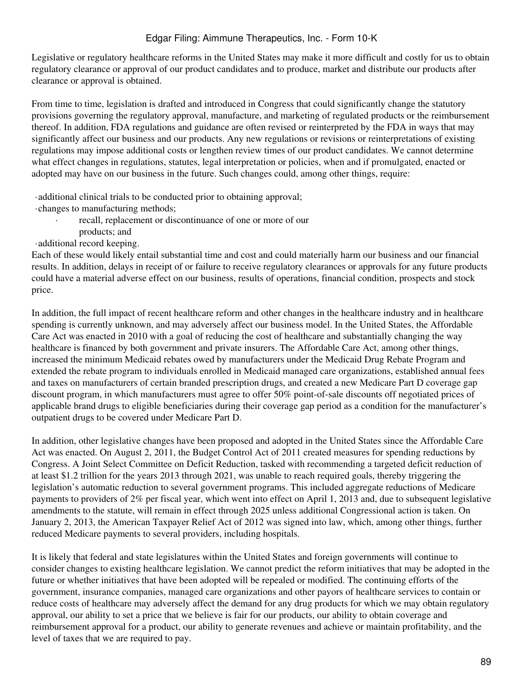Legislative or regulatory healthcare reforms in the United States may make it more difficult and costly for us to obtain regulatory clearance or approval of our product candidates and to produce, market and distribute our products after clearance or approval is obtained.

From time to time, legislation is drafted and introduced in Congress that could significantly change the statutory provisions governing the regulatory approval, manufacture, and marketing of regulated products or the reimbursement thereof. In addition, FDA regulations and guidance are often revised or reinterpreted by the FDA in ways that may significantly affect our business and our products. Any new regulations or revisions or reinterpretations of existing regulations may impose additional costs or lengthen review times of our product candidates. We cannot determine what effect changes in regulations, statutes, legal interpretation or policies, when and if promulgated, enacted or adopted may have on our business in the future. Such changes could, among other things, require:

·additional clinical trials to be conducted prior to obtaining approval;

- ·changes to manufacturing methods;
	- recall, replacement or discontinuance of one or more of our
	- products; and

#### ·additional record keeping.

Each of these would likely entail substantial time and cost and could materially harm our business and our financial results. In addition, delays in receipt of or failure to receive regulatory clearances or approvals for any future products could have a material adverse effect on our business, results of operations, financial condition, prospects and stock price.

In addition, the full impact of recent healthcare reform and other changes in the healthcare industry and in healthcare spending is currently unknown, and may adversely affect our business model. In the United States, the Affordable Care Act was enacted in 2010 with a goal of reducing the cost of healthcare and substantially changing the way healthcare is financed by both government and private insurers. The Affordable Care Act, among other things, increased the minimum Medicaid rebates owed by manufacturers under the Medicaid Drug Rebate Program and extended the rebate program to individuals enrolled in Medicaid managed care organizations, established annual fees and taxes on manufacturers of certain branded prescription drugs, and created a new Medicare Part D coverage gap discount program, in which manufacturers must agree to offer 50% point-of-sale discounts off negotiated prices of applicable brand drugs to eligible beneficiaries during their coverage gap period as a condition for the manufacturer's outpatient drugs to be covered under Medicare Part D.

In addition, other legislative changes have been proposed and adopted in the United States since the Affordable Care Act was enacted. On August 2, 2011, the Budget Control Act of 2011 created measures for spending reductions by Congress. A Joint Select Committee on Deficit Reduction, tasked with recommending a targeted deficit reduction of at least \$1.2 trillion for the years 2013 through 2021, was unable to reach required goals, thereby triggering the legislation's automatic reduction to several government programs. This included aggregate reductions of Medicare payments to providers of 2% per fiscal year, which went into effect on April 1, 2013 and, due to subsequent legislative amendments to the statute, will remain in effect through 2025 unless additional Congressional action is taken. On January 2, 2013, the American Taxpayer Relief Act of 2012 was signed into law, which, among other things, further reduced Medicare payments to several providers, including hospitals.

It is likely that federal and state legislatures within the United States and foreign governments will continue to consider changes to existing healthcare legislation. We cannot predict the reform initiatives that may be adopted in the future or whether initiatives that have been adopted will be repealed or modified. The continuing efforts of the government, insurance companies, managed care organizations and other payors of healthcare services to contain or reduce costs of healthcare may adversely affect the demand for any drug products for which we may obtain regulatory approval, our ability to set a price that we believe is fair for our products, our ability to obtain coverage and reimbursement approval for a product, our ability to generate revenues and achieve or maintain profitability, and the level of taxes that we are required to pay.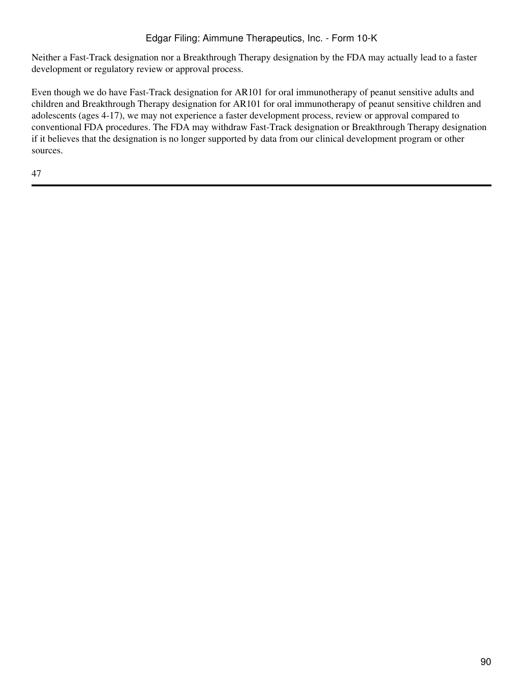Neither a Fast-Track designation nor a Breakthrough Therapy designation by the FDA may actually lead to a faster development or regulatory review or approval process.

Even though we do have Fast-Track designation for AR101 for oral immunotherapy of peanut sensitive adults and children and Breakthrough Therapy designation for AR101 for oral immunotherapy of peanut sensitive children and adolescents (ages 4-17), we may not experience a faster development process, review or approval compared to conventional FDA procedures. The FDA may withdraw Fast-Track designation or Breakthrough Therapy designation if it believes that the designation is no longer supported by data from our clinical development program or other sources.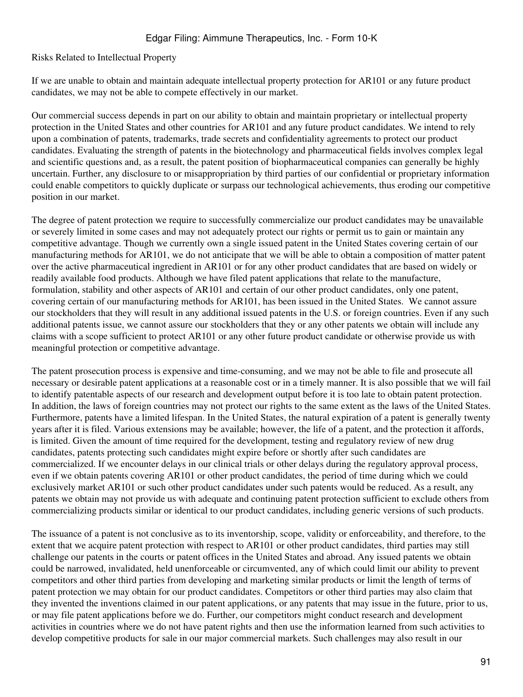Risks Related to Intellectual Property

If we are unable to obtain and maintain adequate intellectual property protection for AR101 or any future product candidates, we may not be able to compete effectively in our market.

Our commercial success depends in part on our ability to obtain and maintain proprietary or intellectual property protection in the United States and other countries for AR101 and any future product candidates. We intend to rely upon a combination of patents, trademarks, trade secrets and confidentiality agreements to protect our product candidates. Evaluating the strength of patents in the biotechnology and pharmaceutical fields involves complex legal and scientific questions and, as a result, the patent position of biopharmaceutical companies can generally be highly uncertain. Further, any disclosure to or misappropriation by third parties of our confidential or proprietary information could enable competitors to quickly duplicate or surpass our technological achievements, thus eroding our competitive position in our market.

The degree of patent protection we require to successfully commercialize our product candidates may be unavailable or severely limited in some cases and may not adequately protect our rights or permit us to gain or maintain any competitive advantage. Though we currently own a single issued patent in the United States covering certain of our manufacturing methods for AR101, we do not anticipate that we will be able to obtain a composition of matter patent over the active pharmaceutical ingredient in AR101 or for any other product candidates that are based on widely or readily available food products. Although we have filed patent applications that relate to the manufacture, formulation, stability and other aspects of AR101 and certain of our other product candidates, only one patent, covering certain of our manufacturing methods for AR101, has been issued in the United States. We cannot assure our stockholders that they will result in any additional issued patents in the U.S. or foreign countries. Even if any such additional patents issue, we cannot assure our stockholders that they or any other patents we obtain will include any claims with a scope sufficient to protect AR101 or any other future product candidate or otherwise provide us with meaningful protection or competitive advantage.

The patent prosecution process is expensive and time-consuming, and we may not be able to file and prosecute all necessary or desirable patent applications at a reasonable cost or in a timely manner. It is also possible that we will fail to identify patentable aspects of our research and development output before it is too late to obtain patent protection. In addition, the laws of foreign countries may not protect our rights to the same extent as the laws of the United States. Furthermore, patents have a limited lifespan. In the United States, the natural expiration of a patent is generally twenty years after it is filed. Various extensions may be available; however, the life of a patent, and the protection it affords, is limited. Given the amount of time required for the development, testing and regulatory review of new drug candidates, patents protecting such candidates might expire before or shortly after such candidates are commercialized. If we encounter delays in our clinical trials or other delays during the regulatory approval process, even if we obtain patents covering AR101 or other product candidates, the period of time during which we could exclusively market AR101 or such other product candidates under such patents would be reduced. As a result, any patents we obtain may not provide us with adequate and continuing patent protection sufficient to exclude others from commercializing products similar or identical to our product candidates, including generic versions of such products.

The issuance of a patent is not conclusive as to its inventorship, scope, validity or enforceability, and therefore, to the extent that we acquire patent protection with respect to AR101 or other product candidates, third parties may still challenge our patents in the courts or patent offices in the United States and abroad. Any issued patents we obtain could be narrowed, invalidated, held unenforceable or circumvented, any of which could limit our ability to prevent competitors and other third parties from developing and marketing similar products or limit the length of terms of patent protection we may obtain for our product candidates. Competitors or other third parties may also claim that they invented the inventions claimed in our patent applications, or any patents that may issue in the future, prior to us, or may file patent applications before we do. Further, our competitors might conduct research and development activities in countries where we do not have patent rights and then use the information learned from such activities to develop competitive products for sale in our major commercial markets. Such challenges may also result in our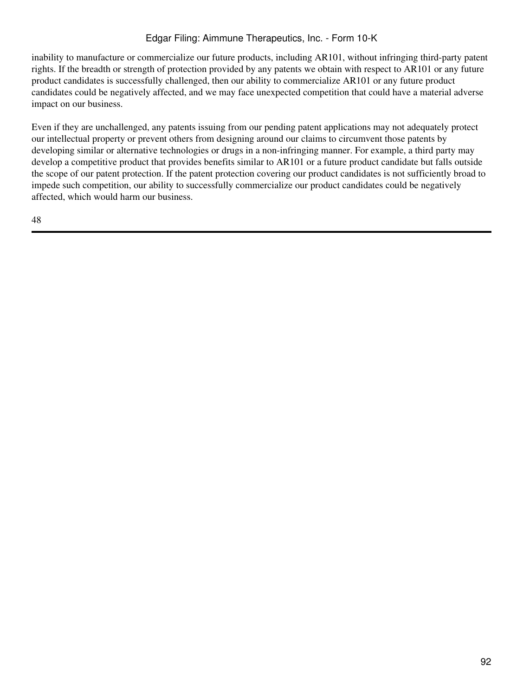inability to manufacture or commercialize our future products, including AR101, without infringing third-party patent rights. If the breadth or strength of protection provided by any patents we obtain with respect to AR101 or any future product candidates is successfully challenged, then our ability to commercialize AR101 or any future product candidates could be negatively affected, and we may face unexpected competition that could have a material adverse impact on our business.

Even if they are unchallenged, any patents issuing from our pending patent applications may not adequately protect our intellectual property or prevent others from designing around our claims to circumvent those patents by developing similar or alternative technologies or drugs in a non-infringing manner. For example, a third party may develop a competitive product that provides benefits similar to AR101 or a future product candidate but falls outside the scope of our patent protection. If the patent protection covering our product candidates is not sufficiently broad to impede such competition, our ability to successfully commercialize our product candidates could be negatively affected, which would harm our business.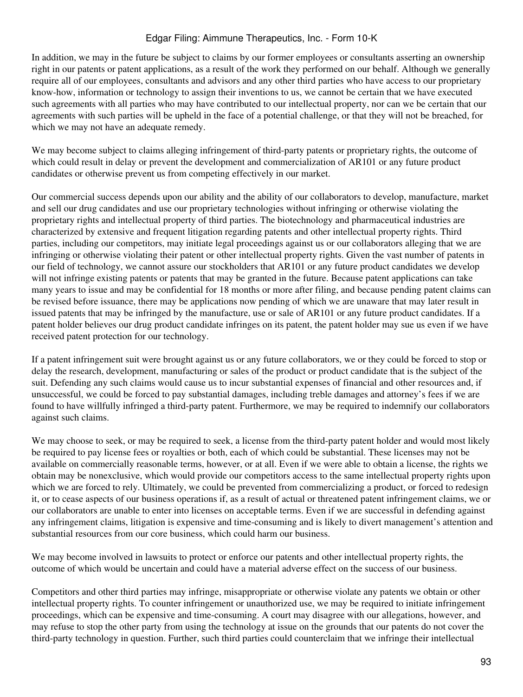In addition, we may in the future be subject to claims by our former employees or consultants asserting an ownership right in our patents or patent applications, as a result of the work they performed on our behalf. Although we generally require all of our employees, consultants and advisors and any other third parties who have access to our proprietary know-how, information or technology to assign their inventions to us, we cannot be certain that we have executed such agreements with all parties who may have contributed to our intellectual property, nor can we be certain that our agreements with such parties will be upheld in the face of a potential challenge, or that they will not be breached, for which we may not have an adequate remedy.

We may become subject to claims alleging infringement of third-party patents or proprietary rights, the outcome of which could result in delay or prevent the development and commercialization of AR101 or any future product candidates or otherwise prevent us from competing effectively in our market.

Our commercial success depends upon our ability and the ability of our collaborators to develop, manufacture, market and sell our drug candidates and use our proprietary technologies without infringing or otherwise violating the proprietary rights and intellectual property of third parties. The biotechnology and pharmaceutical industries are characterized by extensive and frequent litigation regarding patents and other intellectual property rights. Third parties, including our competitors, may initiate legal proceedings against us or our collaborators alleging that we are infringing or otherwise violating their patent or other intellectual property rights. Given the vast number of patents in our field of technology, we cannot assure our stockholders that AR101 or any future product candidates we develop will not infringe existing patents or patents that may be granted in the future. Because patent applications can take many years to issue and may be confidential for 18 months or more after filing, and because pending patent claims can be revised before issuance, there may be applications now pending of which we are unaware that may later result in issued patents that may be infringed by the manufacture, use or sale of AR101 or any future product candidates. If a patent holder believes our drug product candidate infringes on its patent, the patent holder may sue us even if we have received patent protection for our technology.

If a patent infringement suit were brought against us or any future collaborators, we or they could be forced to stop or delay the research, development, manufacturing or sales of the product or product candidate that is the subject of the suit. Defending any such claims would cause us to incur substantial expenses of financial and other resources and, if unsuccessful, we could be forced to pay substantial damages, including treble damages and attorney's fees if we are found to have willfully infringed a third-party patent. Furthermore, we may be required to indemnify our collaborators against such claims.

We may choose to seek, or may be required to seek, a license from the third-party patent holder and would most likely be required to pay license fees or royalties or both, each of which could be substantial. These licenses may not be available on commercially reasonable terms, however, or at all. Even if we were able to obtain a license, the rights we obtain may be nonexclusive, which would provide our competitors access to the same intellectual property rights upon which we are forced to rely. Ultimately, we could be prevented from commercializing a product, or forced to redesign it, or to cease aspects of our business operations if, as a result of actual or threatened patent infringement claims, we or our collaborators are unable to enter into licenses on acceptable terms. Even if we are successful in defending against any infringement claims, litigation is expensive and time-consuming and is likely to divert management's attention and substantial resources from our core business, which could harm our business.

We may become involved in lawsuits to protect or enforce our patents and other intellectual property rights, the outcome of which would be uncertain and could have a material adverse effect on the success of our business.

Competitors and other third parties may infringe, misappropriate or otherwise violate any patents we obtain or other intellectual property rights. To counter infringement or unauthorized use, we may be required to initiate infringement proceedings, which can be expensive and time-consuming. A court may disagree with our allegations, however, and may refuse to stop the other party from using the technology at issue on the grounds that our patents do not cover the third-party technology in question. Further, such third parties could counterclaim that we infringe their intellectual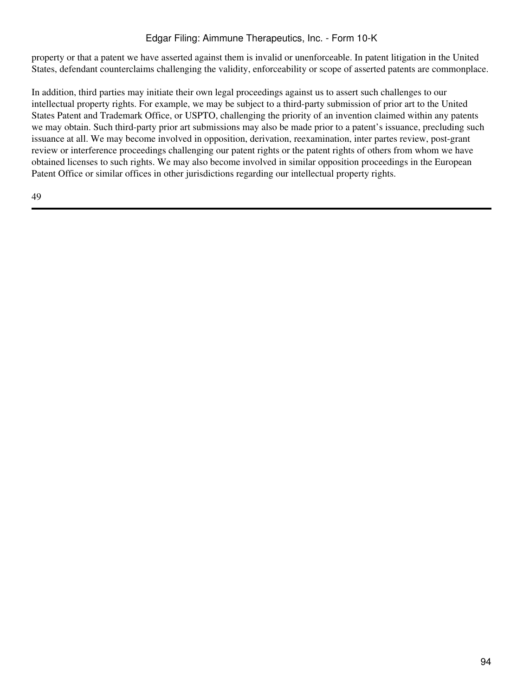property or that a patent we have asserted against them is invalid or unenforceable. In patent litigation in the United States, defendant counterclaims challenging the validity, enforceability or scope of asserted patents are commonplace.

In addition, third parties may initiate their own legal proceedings against us to assert such challenges to our intellectual property rights. For example, we may be subject to a third-party submission of prior art to the United States Patent and Trademark Office, or USPTO, challenging the priority of an invention claimed within any patents we may obtain. Such third-party prior art submissions may also be made prior to a patent's issuance, precluding such issuance at all. We may become involved in opposition, derivation, reexamination, inter partes review, post-grant review or interference proceedings challenging our patent rights or the patent rights of others from whom we have obtained licenses to such rights. We may also become involved in similar opposition proceedings in the European Patent Office or similar offices in other jurisdictions regarding our intellectual property rights.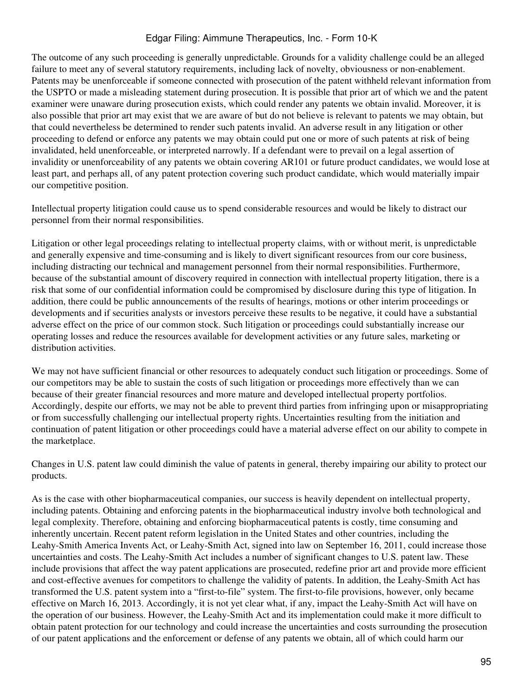The outcome of any such proceeding is generally unpredictable. Grounds for a validity challenge could be an alleged failure to meet any of several statutory requirements, including lack of novelty, obviousness or non-enablement. Patents may be unenforceable if someone connected with prosecution of the patent withheld relevant information from the USPTO or made a misleading statement during prosecution. It is possible that prior art of which we and the patent examiner were unaware during prosecution exists, which could render any patents we obtain invalid. Moreover, it is also possible that prior art may exist that we are aware of but do not believe is relevant to patents we may obtain, but that could nevertheless be determined to render such patents invalid. An adverse result in any litigation or other proceeding to defend or enforce any patents we may obtain could put one or more of such patents at risk of being invalidated, held unenforceable, or interpreted narrowly. If a defendant were to prevail on a legal assertion of invalidity or unenforceability of any patents we obtain covering AR101 or future product candidates, we would lose at least part, and perhaps all, of any patent protection covering such product candidate, which would materially impair our competitive position.

Intellectual property litigation could cause us to spend considerable resources and would be likely to distract our personnel from their normal responsibilities.

Litigation or other legal proceedings relating to intellectual property claims, with or without merit, is unpredictable and generally expensive and time-consuming and is likely to divert significant resources from our core business, including distracting our technical and management personnel from their normal responsibilities. Furthermore, because of the substantial amount of discovery required in connection with intellectual property litigation, there is a risk that some of our confidential information could be compromised by disclosure during this type of litigation. In addition, there could be public announcements of the results of hearings, motions or other interim proceedings or developments and if securities analysts or investors perceive these results to be negative, it could have a substantial adverse effect on the price of our common stock. Such litigation or proceedings could substantially increase our operating losses and reduce the resources available for development activities or any future sales, marketing or distribution activities.

We may not have sufficient financial or other resources to adequately conduct such litigation or proceedings. Some of our competitors may be able to sustain the costs of such litigation or proceedings more effectively than we can because of their greater financial resources and more mature and developed intellectual property portfolios. Accordingly, despite our efforts, we may not be able to prevent third parties from infringing upon or misappropriating or from successfully challenging our intellectual property rights. Uncertainties resulting from the initiation and continuation of patent litigation or other proceedings could have a material adverse effect on our ability to compete in the marketplace.

Changes in U.S. patent law could diminish the value of patents in general, thereby impairing our ability to protect our products.

As is the case with other biopharmaceutical companies, our success is heavily dependent on intellectual property, including patents. Obtaining and enforcing patents in the biopharmaceutical industry involve both technological and legal complexity. Therefore, obtaining and enforcing biopharmaceutical patents is costly, time consuming and inherently uncertain. Recent patent reform legislation in the United States and other countries, including the Leahy-Smith America Invents Act, or Leahy-Smith Act, signed into law on September 16, 2011, could increase those uncertainties and costs. The Leahy-Smith Act includes a number of significant changes to U.S. patent law. These include provisions that affect the way patent applications are prosecuted, redefine prior art and provide more efficient and cost-effective avenues for competitors to challenge the validity of patents. In addition, the Leahy-Smith Act has transformed the U.S. patent system into a "first-to-file" system. The first-to-file provisions, however, only became effective on March 16, 2013. Accordingly, it is not yet clear what, if any, impact the Leahy-Smith Act will have on the operation of our business. However, the Leahy-Smith Act and its implementation could make it more difficult to obtain patent protection for our technology and could increase the uncertainties and costs surrounding the prosecution of our patent applications and the enforcement or defense of any patents we obtain, all of which could harm our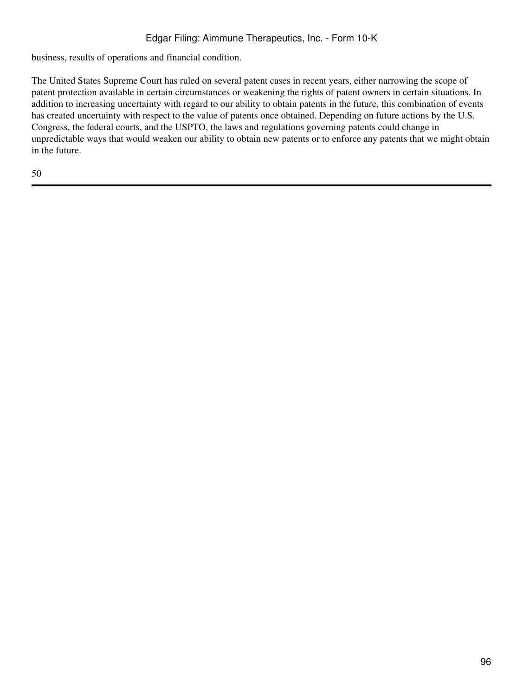business, results of operations and financial condition.

The United States Supreme Court has ruled on several patent cases in recent years, either narrowing the scope of patent protection available in certain circumstances or weakening the rights of patent owners in certain situations. In addition to increasing uncertainty with regard to our ability to obtain patents in the future, this combination of events has created uncertainty with respect to the value of patents once obtained. Depending on future actions by the U.S. Congress, the federal courts, and the USPTO, the laws and regulations governing patents could change in unpredictable ways that would weaken our ability to obtain new patents or to enforce any patents that we might obtain in the future.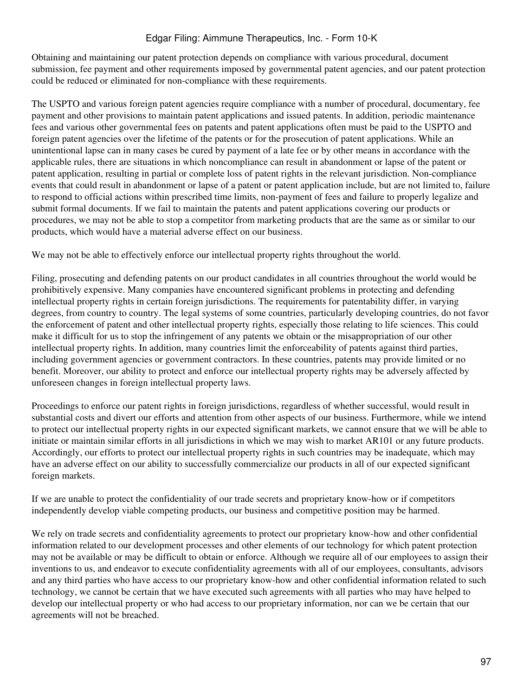Obtaining and maintaining our patent protection depends on compliance with various procedural, document submission, fee payment and other requirements imposed by governmental patent agencies, and our patent protection could be reduced or eliminated for non-compliance with these requirements.

The USPTO and various foreign patent agencies require compliance with a number of procedural, documentary, fee payment and other provisions to maintain patent applications and issued patents. In addition, periodic maintenance fees and various other governmental fees on patents and patent applications often must be paid to the USPTO and foreign patent agencies over the lifetime of the patents or for the prosecution of patent applications. While an unintentional lapse can in many cases be cured by payment of a late fee or by other means in accordance with the applicable rules, there are situations in which noncompliance can result in abandonment or lapse of the patent or patent application, resulting in partial or complete loss of patent rights in the relevant jurisdiction. Non-compliance events that could result in abandonment or lapse of a patent or patent application include, but are not limited to, failure to respond to official actions within prescribed time limits, non-payment of fees and failure to properly legalize and submit formal documents. If we fail to maintain the patents and patent applications covering our products or procedures, we may not be able to stop a competitor from marketing products that are the same as or similar to our products, which would have a material adverse effect on our business.

We may not be able to effectively enforce our intellectual property rights throughout the world.

Filing, prosecuting and defending patents on our product candidates in all countries throughout the world would be prohibitively expensive. Many companies have encountered significant problems in protecting and defending intellectual property rights in certain foreign jurisdictions. The requirements for patentability differ, in varying degrees, from country to country. The legal systems of some countries, particularly developing countries, do not favor the enforcement of patent and other intellectual property rights, especially those relating to life sciences. This could make it difficult for us to stop the infringement of any patents we obtain or the misappropriation of our other intellectual property rights. In addition, many countries limit the enforceability of patents against third parties, including government agencies or government contractors. In these countries, patents may provide limited or no benefit. Moreover, our ability to protect and enforce our intellectual property rights may be adversely affected by unforeseen changes in foreign intellectual property laws.

Proceedings to enforce our patent rights in foreign jurisdictions, regardless of whether successful, would result in substantial costs and divert our efforts and attention from other aspects of our business. Furthermore, while we intend to protect our intellectual property rights in our expected significant markets, we cannot ensure that we will be able to initiate or maintain similar efforts in all jurisdictions in which we may wish to market AR101 or any future products. Accordingly, our efforts to protect our intellectual property rights in such countries may be inadequate, which may have an adverse effect on our ability to successfully commercialize our products in all of our expected significant foreign markets.

If we are unable to protect the confidentiality of our trade secrets and proprietary know-how or if competitors independently develop viable competing products, our business and competitive position may be harmed.

We rely on trade secrets and confidentiality agreements to protect our proprietary know-how and other confidential information related to our development processes and other elements of our technology for which patent protection may not be available or may be difficult to obtain or enforce. Although we require all of our employees to assign their inventions to us, and endeavor to execute confidentiality agreements with all of our employees, consultants, advisors and any third parties who have access to our proprietary know-how and other confidential information related to such technology, we cannot be certain that we have executed such agreements with all parties who may have helped to develop our intellectual property or who had access to our proprietary information, nor can we be certain that our agreements will not be breached.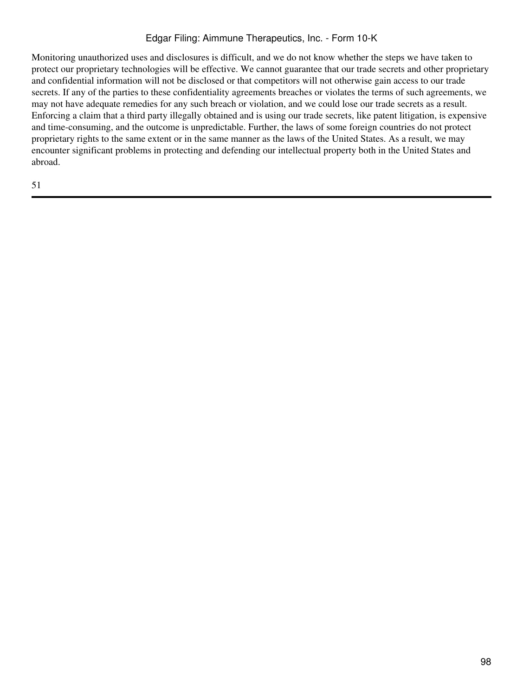Monitoring unauthorized uses and disclosures is difficult, and we do not know whether the steps we have taken to protect our proprietary technologies will be effective. We cannot guarantee that our trade secrets and other proprietary and confidential information will not be disclosed or that competitors will not otherwise gain access to our trade secrets. If any of the parties to these confidentiality agreements breaches or violates the terms of such agreements, we may not have adequate remedies for any such breach or violation, and we could lose our trade secrets as a result. Enforcing a claim that a third party illegally obtained and is using our trade secrets, like patent litigation, is expensive and time-consuming, and the outcome is unpredictable. Further, the laws of some foreign countries do not protect proprietary rights to the same extent or in the same manner as the laws of the United States. As a result, we may encounter significant problems in protecting and defending our intellectual property both in the United States and abroad.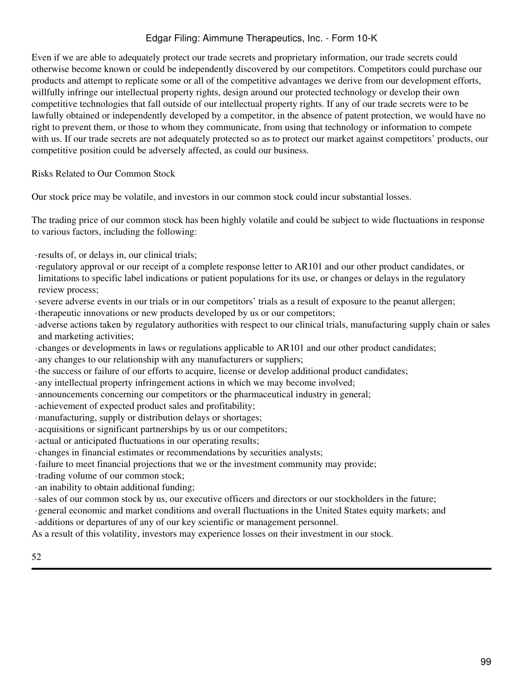Even if we are able to adequately protect our trade secrets and proprietary information, our trade secrets could otherwise become known or could be independently discovered by our competitors. Competitors could purchase our products and attempt to replicate some or all of the competitive advantages we derive from our development efforts, willfully infringe our intellectual property rights, design around our protected technology or develop their own competitive technologies that fall outside of our intellectual property rights. If any of our trade secrets were to be lawfully obtained or independently developed by a competitor, in the absence of patent protection, we would have no right to prevent them, or those to whom they communicate, from using that technology or information to compete with us. If our trade secrets are not adequately protected so as to protect our market against competitors' products, our competitive position could be adversely affected, as could our business.

Risks Related to Our Common Stock

Our stock price may be volatile, and investors in our common stock could incur substantial losses.

The trading price of our common stock has been highly volatile and could be subject to wide fluctuations in response to various factors, including the following:

- ·results of, or delays in, our clinical trials;
- ·regulatory approval or our receipt of a complete response letter to AR101 and our other product candidates, or limitations to specific label indications or patient populations for its use, or changes or delays in the regulatory review process;
- ·severe adverse events in our trials or in our competitors' trials as a result of exposure to the peanut allergen;
- ·therapeutic innovations or new products developed by us or our competitors;
- ·adverse actions taken by regulatory authorities with respect to our clinical trials, manufacturing supply chain or sales and marketing activities;
- ·changes or developments in laws or regulations applicable to AR101 and our other product candidates;
- ·any changes to our relationship with any manufacturers or suppliers;
- ·the success or failure of our efforts to acquire, license or develop additional product candidates;
- ·any intellectual property infringement actions in which we may become involved;
- ·announcements concerning our competitors or the pharmaceutical industry in general;
- ·achievement of expected product sales and profitability;
- ·manufacturing, supply or distribution delays or shortages;
- ·acquisitions or significant partnerships by us or our competitors;
- ·actual or anticipated fluctuations in our operating results;
- ·changes in financial estimates or recommendations by securities analysts;
- ·failure to meet financial projections that we or the investment community may provide;
- ·trading volume of our common stock;
- ·an inability to obtain additional funding;
- ·sales of our common stock by us, our executive officers and directors or our stockholders in the future;
- ·general economic and market conditions and overall fluctuations in the United States equity markets; and
- ·additions or departures of any of our key scientific or management personnel.
- As a result of this volatility, investors may experience losses on their investment in our stock.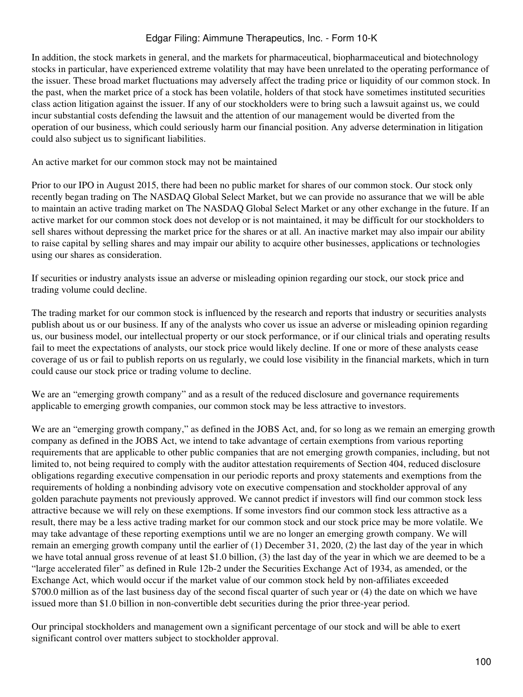In addition, the stock markets in general, and the markets for pharmaceutical, biopharmaceutical and biotechnology stocks in particular, have experienced extreme volatility that may have been unrelated to the operating performance of the issuer. These broad market fluctuations may adversely affect the trading price or liquidity of our common stock. In the past, when the market price of a stock has been volatile, holders of that stock have sometimes instituted securities class action litigation against the issuer. If any of our stockholders were to bring such a lawsuit against us, we could incur substantial costs defending the lawsuit and the attention of our management would be diverted from the operation of our business, which could seriously harm our financial position. Any adverse determination in litigation could also subject us to significant liabilities.

An active market for our common stock may not be maintained

Prior to our IPO in August 2015, there had been no public market for shares of our common stock. Our stock only recently began trading on The NASDAQ Global Select Market, but we can provide no assurance that we will be able to maintain an active trading market on The NASDAQ Global Select Market or any other exchange in the future. If an active market for our common stock does not develop or is not maintained, it may be difficult for our stockholders to sell shares without depressing the market price for the shares or at all. An inactive market may also impair our ability to raise capital by selling shares and may impair our ability to acquire other businesses, applications or technologies using our shares as consideration.

If securities or industry analysts issue an adverse or misleading opinion regarding our stock, our stock price and trading volume could decline.

The trading market for our common stock is influenced by the research and reports that industry or securities analysts publish about us or our business. If any of the analysts who cover us issue an adverse or misleading opinion regarding us, our business model, our intellectual property or our stock performance, or if our clinical trials and operating results fail to meet the expectations of analysts, our stock price would likely decline. If one or more of these analysts cease coverage of us or fail to publish reports on us regularly, we could lose visibility in the financial markets, which in turn could cause our stock price or trading volume to decline.

We are an "emerging growth company" and as a result of the reduced disclosure and governance requirements applicable to emerging growth companies, our common stock may be less attractive to investors.

We are an "emerging growth company," as defined in the JOBS Act, and, for so long as we remain an emerging growth company as defined in the JOBS Act, we intend to take advantage of certain exemptions from various reporting requirements that are applicable to other public companies that are not emerging growth companies, including, but not limited to, not being required to comply with the auditor attestation requirements of Section 404, reduced disclosure obligations regarding executive compensation in our periodic reports and proxy statements and exemptions from the requirements of holding a nonbinding advisory vote on executive compensation and stockholder approval of any golden parachute payments not previously approved. We cannot predict if investors will find our common stock less attractive because we will rely on these exemptions. If some investors find our common stock less attractive as a result, there may be a less active trading market for our common stock and our stock price may be more volatile. We may take advantage of these reporting exemptions until we are no longer an emerging growth company. We will remain an emerging growth company until the earlier of (1) December 31, 2020, (2) the last day of the year in which we have total annual gross revenue of at least \$1.0 billion, (3) the last day of the year in which we are deemed to be a "large accelerated filer" as defined in Rule 12b-2 under the Securities Exchange Act of 1934, as amended, or the Exchange Act, which would occur if the market value of our common stock held by non-affiliates exceeded \$700.0 million as of the last business day of the second fiscal quarter of such year or (4) the date on which we have issued more than \$1.0 billion in non-convertible debt securities during the prior three-year period.

Our principal stockholders and management own a significant percentage of our stock and will be able to exert significant control over matters subject to stockholder approval.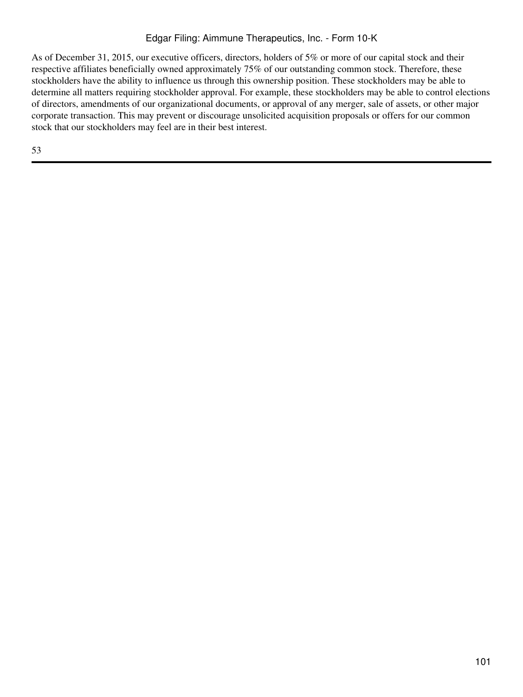As of December 31, 2015, our executive officers, directors, holders of 5% or more of our capital stock and their respective affiliates beneficially owned approximately 75% of our outstanding common stock. Therefore, these stockholders have the ability to influence us through this ownership position. These stockholders may be able to determine all matters requiring stockholder approval. For example, these stockholders may be able to control elections of directors, amendments of our organizational documents, or approval of any merger, sale of assets, or other major corporate transaction. This may prevent or discourage unsolicited acquisition proposals or offers for our common stock that our stockholders may feel are in their best interest.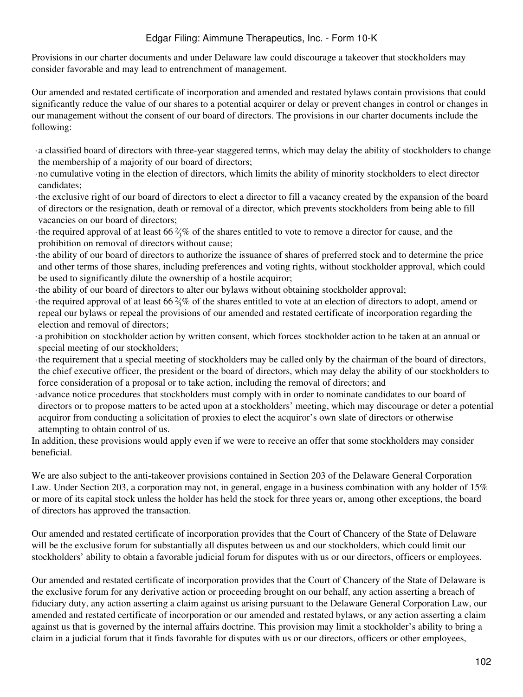Provisions in our charter documents and under Delaware law could discourage a takeover that stockholders may consider favorable and may lead to entrenchment of management.

Our amended and restated certificate of incorporation and amended and restated bylaws contain provisions that could significantly reduce the value of our shares to a potential acquirer or delay or prevent changes in control or changes in our management without the consent of our board of directors. The provisions in our charter documents include the following:

- ·a classified board of directors with three-year staggered terms, which may delay the ability of stockholders to change the membership of a majority of our board of directors;
- ·no cumulative voting in the election of directors, which limits the ability of minority stockholders to elect director candidates;
- ·the exclusive right of our board of directors to elect a director to fill a vacancy created by the expansion of the board of directors or the resignation, death or removal of a director, which prevents stockholders from being able to fill vacancies on our board of directors;
- $\cdot$ the required approval of at least 66  $\frac{2}{\sqrt{6}}$  of the shares entitled to vote to remove a director for cause, and the prohibition on removal of directors without cause;
- ·the ability of our board of directors to authorize the issuance of shares of preferred stock and to determine the price and other terms of those shares, including preferences and voting rights, without stockholder approval, which could be used to significantly dilute the ownership of a hostile acquiror;
- ·the ability of our board of directors to alter our bylaws without obtaining stockholder approval;
- $\cdot$ the required approval of at least 66  $\frac{2}{\sqrt{6}}$  of the shares entitled to vote at an election of directors to adopt, amend or repeal our bylaws or repeal the provisions of our amended and restated certificate of incorporation regarding the election and removal of directors;
- ·a prohibition on stockholder action by written consent, which forces stockholder action to be taken at an annual or special meeting of our stockholders;
- ·the requirement that a special meeting of stockholders may be called only by the chairman of the board of directors, the chief executive officer, the president or the board of directors, which may delay the ability of our stockholders to force consideration of a proposal or to take action, including the removal of directors; and
- ·advance notice procedures that stockholders must comply with in order to nominate candidates to our board of directors or to propose matters to be acted upon at a stockholders' meeting, which may discourage or deter a potential acquiror from conducting a solicitation of proxies to elect the acquiror's own slate of directors or otherwise attempting to obtain control of us.

In addition, these provisions would apply even if we were to receive an offer that some stockholders may consider beneficial.

We are also subject to the anti-takeover provisions contained in Section 203 of the Delaware General Corporation Law. Under Section 203, a corporation may not, in general, engage in a business combination with any holder of 15% or more of its capital stock unless the holder has held the stock for three years or, among other exceptions, the board of directors has approved the transaction.

Our amended and restated certificate of incorporation provides that the Court of Chancery of the State of Delaware will be the exclusive forum for substantially all disputes between us and our stockholders, which could limit our stockholders' ability to obtain a favorable judicial forum for disputes with us or our directors, officers or employees.

Our amended and restated certificate of incorporation provides that the Court of Chancery of the State of Delaware is the exclusive forum for any derivative action or proceeding brought on our behalf, any action asserting a breach of fiduciary duty, any action asserting a claim against us arising pursuant to the Delaware General Corporation Law, our amended and restated certificate of incorporation or our amended and restated bylaws, or any action asserting a claim against us that is governed by the internal affairs doctrine. This provision may limit a stockholder's ability to bring a claim in a judicial forum that it finds favorable for disputes with us or our directors, officers or other employees,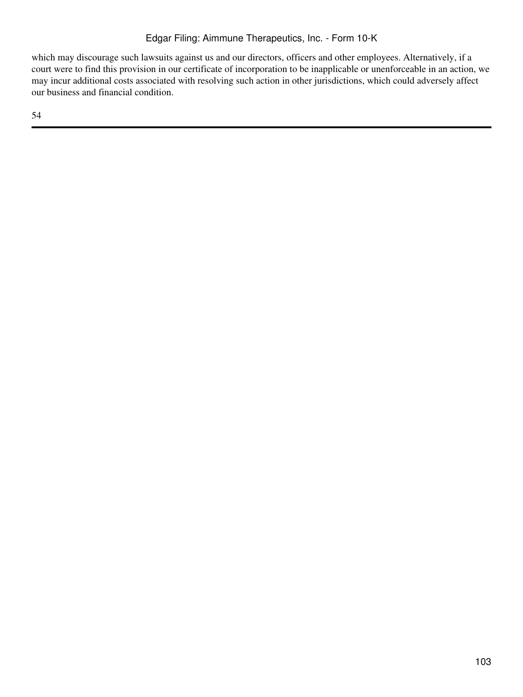which may discourage such lawsuits against us and our directors, officers and other employees. Alternatively, if a court were to find this provision in our certificate of incorporation to be inapplicable or unenforceable in an action, we may incur additional costs associated with resolving such action in other jurisdictions, which could adversely affect our business and financial condition.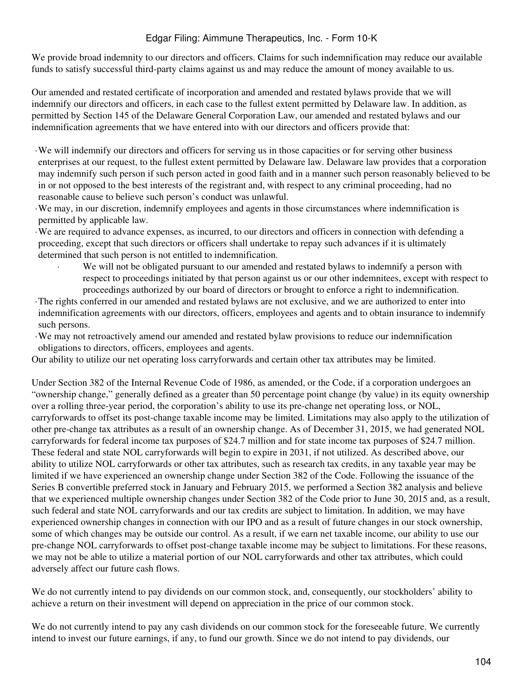We provide broad indemnity to our directors and officers. Claims for such indemnification may reduce our available funds to satisfy successful third-party claims against us and may reduce the amount of money available to us.

Our amended and restated certificate of incorporation and amended and restated bylaws provide that we will indemnify our directors and officers, in each case to the fullest extent permitted by Delaware law. In addition, as permitted by Section 145 of the Delaware General Corporation Law, our amended and restated bylaws and our indemnification agreements that we have entered into with our directors and officers provide that:

- ·We will indemnify our directors and officers for serving us in those capacities or for serving other business enterprises at our request, to the fullest extent permitted by Delaware law. Delaware law provides that a corporation may indemnify such person if such person acted in good faith and in a manner such person reasonably believed to be in or not opposed to the best interests of the registrant and, with respect to any criminal proceeding, had no reasonable cause to believe such person's conduct was unlawful.
- ·We may, in our discretion, indemnify employees and agents in those circumstances where indemnification is permitted by applicable law.
- ·We are required to advance expenses, as incurred, to our directors and officers in connection with defending a proceeding, except that such directors or officers shall undertake to repay such advances if it is ultimately determined that such person is not entitled to indemnification.
	- We will not be obligated pursuant to our amended and restated bylaws to indemnify a person with respect to proceedings initiated by that person against us or our other indemnitees, except with respect to proceedings authorized by our board of directors or brought to enforce a right to indemnification.
- ·The rights conferred in our amended and restated bylaws are not exclusive, and we are authorized to enter into indemnification agreements with our directors, officers, employees and agents and to obtain insurance to indemnify such persons.
- ·We may not retroactively amend our amended and restated bylaw provisions to reduce our indemnification obligations to directors, officers, employees and agents.

Our ability to utilize our net operating loss carryforwards and certain other tax attributes may be limited.

Under Section 382 of the Internal Revenue Code of 1986, as amended, or the Code, if a corporation undergoes an "ownership change," generally defined as a greater than 50 percentage point change (by value) in its equity ownership over a rolling three-year period, the corporation's ability to use its pre-change net operating loss, or NOL, carryforwards to offset its post-change taxable income may be limited. Limitations may also apply to the utilization of other pre-change tax attributes as a result of an ownership change. As of December 31, 2015, we had generated NOL carryforwards for federal income tax purposes of \$24.7 million and for state income tax purposes of \$24.7 million. These federal and state NOL carryforwards will begin to expire in 2031, if not utilized. As described above, our ability to utilize NOL carryforwards or other tax attributes, such as research tax credits, in any taxable year may be limited if we have experienced an ownership change under Section 382 of the Code. Following the issuance of the Series B convertible preferred stock in January and February 2015, we performed a Section 382 analysis and believe that we experienced multiple ownership changes under Section 382 of the Code prior to June 30, 2015 and, as a result, such federal and state NOL carryforwards and our tax credits are subject to limitation. In addition, we may have experienced ownership changes in connection with our IPO and as a result of future changes in our stock ownership, some of which changes may be outside our control. As a result, if we earn net taxable income, our ability to use our pre-change NOL carryforwards to offset post-change taxable income may be subject to limitations. For these reasons, we may not be able to utilize a material portion of our NOL carryforwards and other tax attributes, which could adversely affect our future cash flows.

We do not currently intend to pay dividends on our common stock, and, consequently, our stockholders' ability to achieve a return on their investment will depend on appreciation in the price of our common stock.

We do not currently intend to pay any cash dividends on our common stock for the foreseeable future. We currently intend to invest our future earnings, if any, to fund our growth. Since we do not intend to pay dividends, our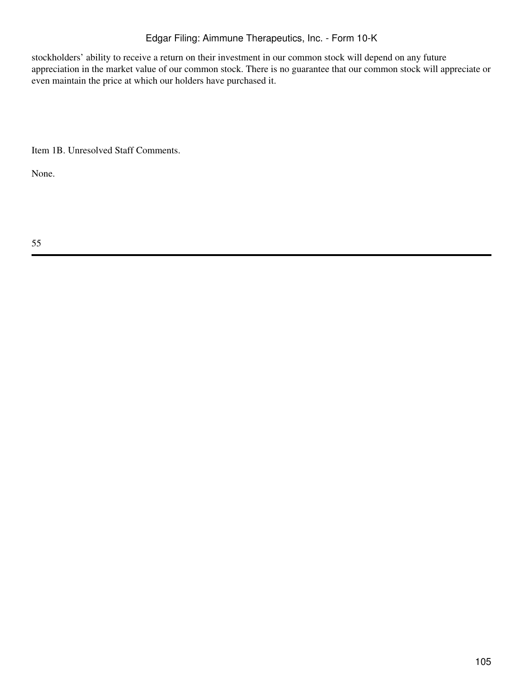stockholders' ability to receive a return on their investment in our common stock will depend on any future appreciation in the market value of our common stock. There is no guarantee that our common stock will appreciate or even maintain the price at which our holders have purchased it.

Item 1B. Unresolved Staff Comments.

None.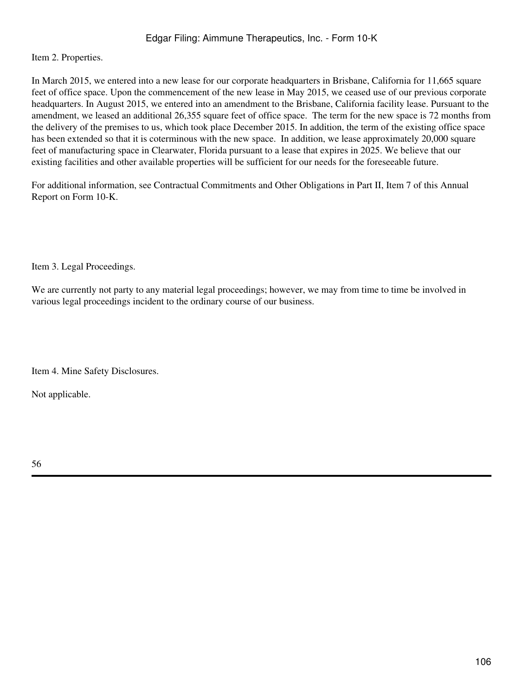Item 2. Properties.

In March 2015, we entered into a new lease for our corporate headquarters in Brisbane, California for 11,665 square feet of office space. Upon the commencement of the new lease in May 2015, we ceased use of our previous corporate headquarters. In August 2015, we entered into an amendment to the Brisbane, California facility lease. Pursuant to the amendment, we leased an additional 26,355 square feet of office space. The term for the new space is 72 months from the delivery of the premises to us, which took place December 2015. In addition, the term of the existing office space has been extended so that it is coterminous with the new space. In addition, we lease approximately 20,000 square feet of manufacturing space in Clearwater, Florida pursuant to a lease that expires in 2025. We believe that our existing facilities and other available properties will be sufficient for our needs for the foreseeable future.

For additional information, see Contractual Commitments and Other Obligations in Part II, Item 7 of this Annual Report on Form 10-K.

Item 3. Legal Proceedings.

We are currently not party to any material legal proceedings; however, we may from time to time be involved in various legal proceedings incident to the ordinary course of our business.

Item 4. Mine Safety Disclosures.

Not applicable.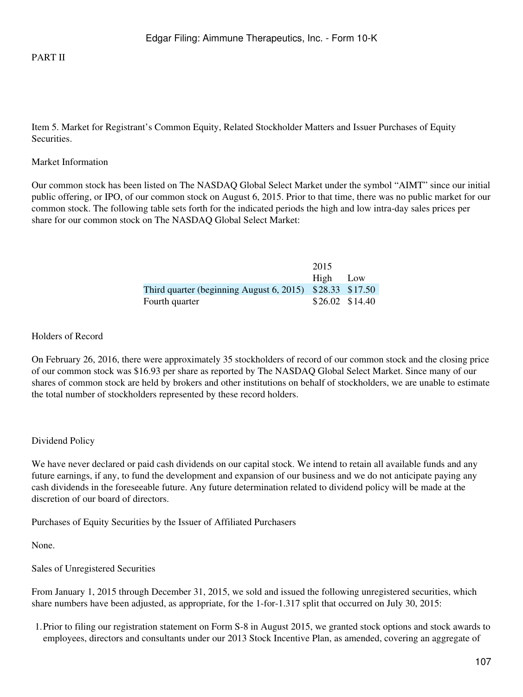#### PART II

Item 5. Market for Registrant's Common Equity, Related Stockholder Matters and Issuer Purchases of Equity Securities.

#### Market Information

Our common stock has been listed on The NASDAQ Global Select Market under the symbol "AIMT" since our initial public offering, or IPO, of our common stock on August 6, 2015. Prior to that time, there was no public market for our common stock. The following table sets forth for the indicated periods the high and low intra-day sales prices per share for our common stock on The NASDAQ Global Select Market:

|                                                            | 2015                  |  |
|------------------------------------------------------------|-----------------------|--|
|                                                            | High Low              |  |
| Third quarter (beginning August 6, 2015) $$28.33$ $$17.50$ |                       |  |
| Fourth quarter                                             | $$26.02 \quad $14.40$ |  |

#### Holders of Record

On February 26, 2016, there were approximately 35 stockholders of record of our common stock and the closing price of our common stock was \$16.93 per share as reported by The NASDAQ Global Select Market. Since many of our shares of common stock are held by brokers and other institutions on behalf of stockholders, we are unable to estimate the total number of stockholders represented by these record holders.

#### Dividend Policy

We have never declared or paid cash dividends on our capital stock. We intend to retain all available funds and any future earnings, if any, to fund the development and expansion of our business and we do not anticipate paying any cash dividends in the foreseeable future. Any future determination related to dividend policy will be made at the discretion of our board of directors.

Purchases of Equity Securities by the Issuer of Affiliated Purchasers

None.

Sales of Unregistered Securities

From January 1, 2015 through December 31, 2015, we sold and issued the following unregistered securities, which share numbers have been adjusted, as appropriate, for the 1-for-1.317 split that occurred on July 30, 2015:

1.Prior to filing our registration statement on Form S-8 in August 2015, we granted stock options and stock awards to employees, directors and consultants under our 2013 Stock Incentive Plan, as amended, covering an aggregate of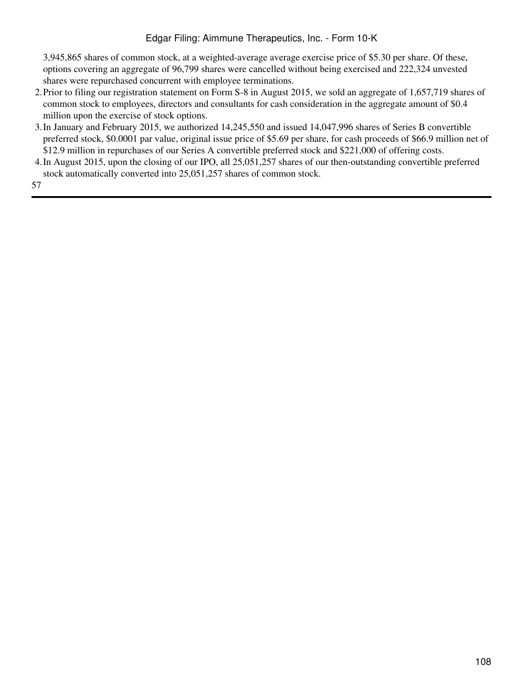3,945,865 shares of common stock, at a weighted-average average exercise price of \$5.30 per share. Of these, options covering an aggregate of 96,799 shares were cancelled without being exercised and 222,324 unvested shares were repurchased concurrent with employee terminations.

- 2.Prior to filing our registration statement on Form S-8 in August 2015, we sold an aggregate of 1,657,719 shares of common stock to employees, directors and consultants for cash consideration in the aggregate amount of \$0.4 million upon the exercise of stock options.
- 3.In January and February 2015, we authorized 14,245,550 and issued 14,047,996 shares of Series B convertible preferred stock, \$0.0001 par value, original issue price of \$5.69 per share, for cash proceeds of \$66.9 million net of \$12.9 million in repurchases of our Series A convertible preferred stock and \$221,000 of offering costs.
- 4.In August 2015, upon the closing of our IPO, all 25,051,257 shares of our then-outstanding convertible preferred stock automatically converted into 25,051,257 shares of common stock.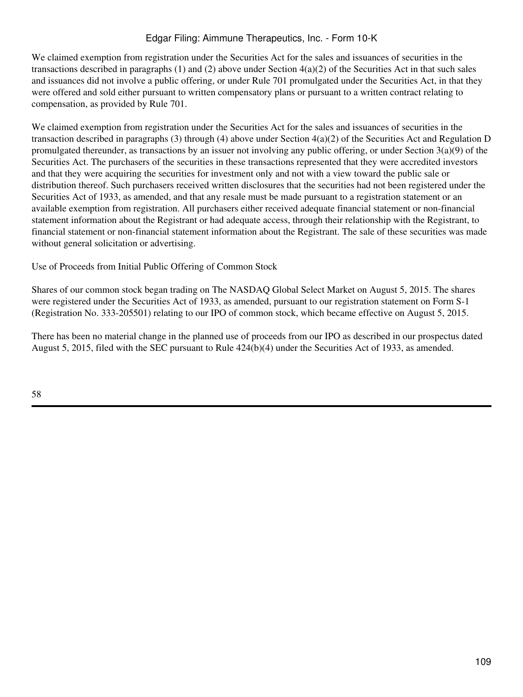We claimed exemption from registration under the Securities Act for the sales and issuances of securities in the transactions described in paragraphs (1) and (2) above under Section  $4(a)(2)$  of the Securities Act in that such sales and issuances did not involve a public offering, or under Rule 701 promulgated under the Securities Act, in that they were offered and sold either pursuant to written compensatory plans or pursuant to a written contract relating to compensation, as provided by Rule 701.

We claimed exemption from registration under the Securities Act for the sales and issuances of securities in the transaction described in paragraphs (3) through (4) above under Section  $4(a)(2)$  of the Securities Act and Regulation D promulgated thereunder, as transactions by an issuer not involving any public offering, or under Section  $3(a)(9)$  of the Securities Act. The purchasers of the securities in these transactions represented that they were accredited investors and that they were acquiring the securities for investment only and not with a view toward the public sale or distribution thereof. Such purchasers received written disclosures that the securities had not been registered under the Securities Act of 1933, as amended, and that any resale must be made pursuant to a registration statement or an available exemption from registration. All purchasers either received adequate financial statement or non-financial statement information about the Registrant or had adequate access, through their relationship with the Registrant, to financial statement or non-financial statement information about the Registrant. The sale of these securities was made without general solicitation or advertising.

Use of Proceeds from Initial Public Offering of Common Stock

Shares of our common stock began trading on The NASDAQ Global Select Market on August 5, 2015. The shares were registered under the Securities Act of 1933, as amended, pursuant to our registration statement on Form S-1 (Registration No. 333-205501) relating to our IPO of common stock, which became effective on August 5, 2015.

There has been no material change in the planned use of proceeds from our IPO as described in our prospectus dated August 5, 2015, filed with the SEC pursuant to Rule 424(b)(4) under the Securities Act of 1933, as amended.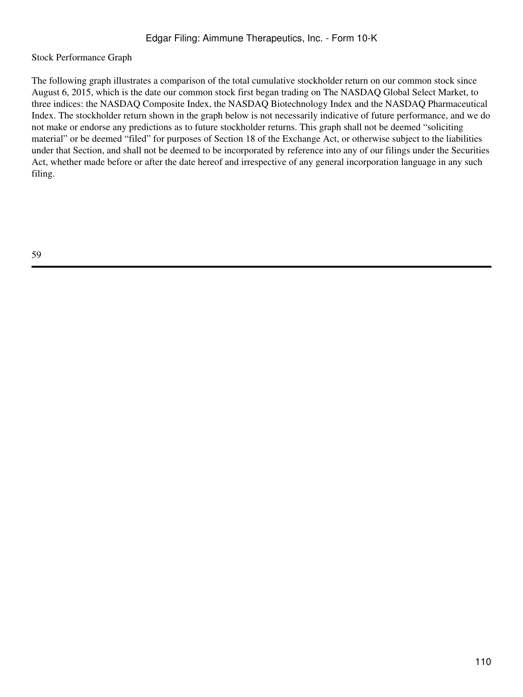# Stock Performance Graph

The following graph illustrates a comparison of the total cumulative stockholder return on our common stock since August 6, 2015, which is the date our common stock first began trading on The NASDAQ Global Select Market, to three indices: the NASDAQ Composite Index, the NASDAQ Biotechnology Index and the NASDAQ Pharmaceutical Index. The stockholder return shown in the graph below is not necessarily indicative of future performance, and we do not make or endorse any predictions as to future stockholder returns. This graph shall not be deemed "soliciting material" or be deemed "filed" for purposes of Section 18 of the Exchange Act, or otherwise subject to the liabilities under that Section, and shall not be deemed to be incorporated by reference into any of our filings under the Securities Act, whether made before or after the date hereof and irrespective of any general incorporation language in any such filing.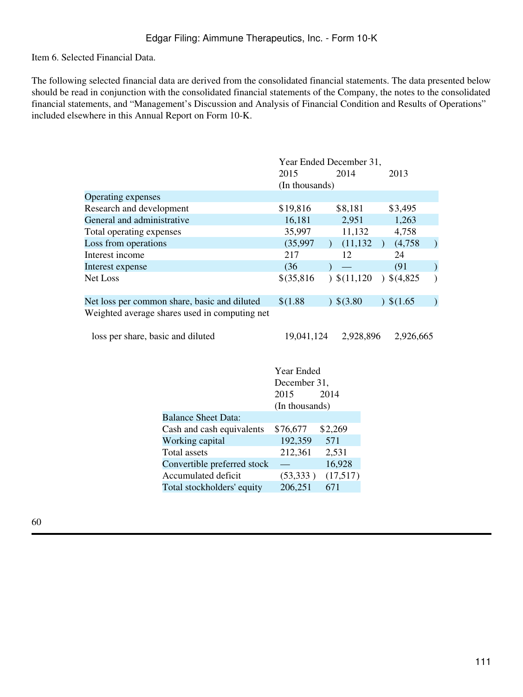Item 6. Selected Financial Data.

The following selected financial data are derived from the consolidated financial statements. The data presented below should be read in conjunction with the consolidated financial statements of the Company, the notes to the consolidated financial statements, and "Management's Discussion and Analysis of Financial Condition and Results of Operations" included elsewhere in this Annual Report on Form 10-K.

|                                               | Year Ended December 31, |                        |                   |  |  |  |
|-----------------------------------------------|-------------------------|------------------------|-------------------|--|--|--|
|                                               | 2015                    | 2014                   | 2013              |  |  |  |
|                                               | (In thousands)          |                        |                   |  |  |  |
| Operating expenses                            |                         |                        |                   |  |  |  |
| Research and development                      | \$19,816                | \$8,181                | \$3,495           |  |  |  |
| General and administrative                    | 16,181                  | 2,951                  | 1,263             |  |  |  |
| Total operating expenses                      | 35,997                  | 11,132                 | 4,758             |  |  |  |
| Loss from operations                          | (35,997)                | (11, 132)              | (4,758)           |  |  |  |
| Interest income                               | 217                     | 12                     | 24                |  |  |  |
| Interest expense                              | (36)                    |                        | (91)              |  |  |  |
| <b>Net Loss</b>                               | \$(35,816)              | $\frac{\$(11,120)}{1}$ | $\big)$ \$(4,825) |  |  |  |
| Net loss per common share, basic and diluted  | \$(1.88)                | 3,80                   | $)$ \$(1.65       |  |  |  |
| Weighted average shares used in computing net |                         |                        |                   |  |  |  |
| loss per share, basic and diluted             | 19,041,124              | 2,928,896              | 2.926.665         |  |  |  |

|                             | Year Ended     |          |  |  |  |
|-----------------------------|----------------|----------|--|--|--|
|                             | December 31,   |          |  |  |  |
|                             | 2015           | 2014     |  |  |  |
|                             | (In thousands) |          |  |  |  |
| <b>Balance Sheet Data:</b>  |                |          |  |  |  |
| Cash and cash equivalents   | \$76,677       | \$2,269  |  |  |  |
| Working capital             | 192,359        | 571      |  |  |  |
| Total assets                | 212,361        | 2,531    |  |  |  |
| Convertible preferred stock |                | 16,928   |  |  |  |
| Accumulated deficit         | (53,333)       | (17,517) |  |  |  |
| Total stockholders' equity  | 206,251        | 671      |  |  |  |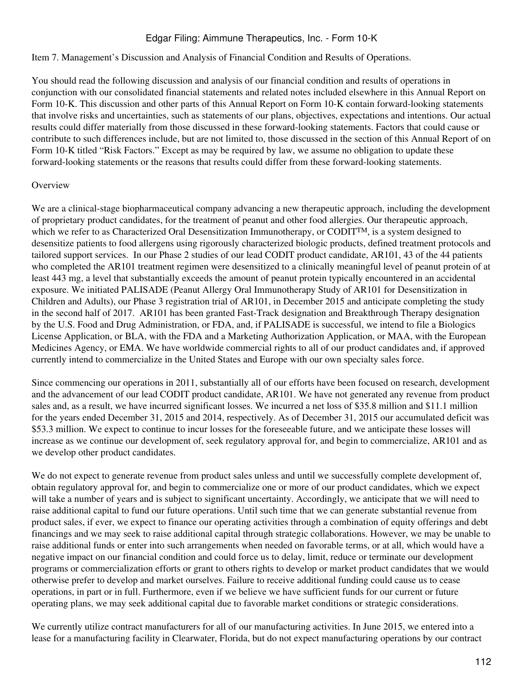#### Item 7. Management's Discussion and Analysis of Financial Condition and Results of Operations.

You should read the following discussion and analysis of our financial condition and results of operations in conjunction with our consolidated financial statements and related notes included elsewhere in this Annual Report on Form 10-K. This discussion and other parts of this Annual Report on Form 10-K contain forward-looking statements that involve risks and uncertainties, such as statements of our plans, objectives, expectations and intentions. Our actual results could differ materially from those discussed in these forward-looking statements. Factors that could cause or contribute to such differences include, but are not limited to, those discussed in the section of this Annual Report of on Form 10-K titled "Risk Factors." Except as may be required by law, we assume no obligation to update these forward-looking statements or the reasons that results could differ from these forward-looking statements.

## **Overview**

We are a clinical-stage biopharmaceutical company advancing a new therapeutic approach, including the development of proprietary product candidates, for the treatment of peanut and other food allergies. Our therapeutic approach, which we refer to as Characterized Oral Desensitization Immunotherapy, or CODIT<sup>TM</sup>, is a system designed to desensitize patients to food allergens using rigorously characterized biologic products, defined treatment protocols and tailored support services. In our Phase 2 studies of our lead CODIT product candidate, AR101, 43 of the 44 patients who completed the AR101 treatment regimen were desensitized to a clinically meaningful level of peanut protein of at least 443 mg, a level that substantially exceeds the amount of peanut protein typically encountered in an accidental exposure. We initiated PALISADE (Peanut Allergy Oral Immunotherapy Study of AR101 for Desensitization in Children and Adults), our Phase 3 registration trial of AR101, in December 2015 and anticipate completing the study in the second half of 2017. AR101 has been granted Fast-Track designation and Breakthrough Therapy designation by the U.S. Food and Drug Administration, or FDA, and, if PALISADE is successful, we intend to file a Biologics License Application, or BLA, with the FDA and a Marketing Authorization Application, or MAA, with the European Medicines Agency, or EMA. We have worldwide commercial rights to all of our product candidates and, if approved currently intend to commercialize in the United States and Europe with our own specialty sales force.

Since commencing our operations in 2011, substantially all of our efforts have been focused on research, development and the advancement of our lead CODIT product candidate, AR101. We have not generated any revenue from product sales and, as a result, we have incurred significant losses. We incurred a net loss of \$35.8 million and \$11.1 million for the years ended December 31, 2015 and 2014, respectively. As of December 31, 2015 our accumulated deficit was \$53.3 million. We expect to continue to incur losses for the foreseeable future, and we anticipate these losses will increase as we continue our development of, seek regulatory approval for, and begin to commercialize, AR101 and as we develop other product candidates.

We do not expect to generate revenue from product sales unless and until we successfully complete development of, obtain regulatory approval for, and begin to commercialize one or more of our product candidates, which we expect will take a number of years and is subject to significant uncertainty. Accordingly, we anticipate that we will need to raise additional capital to fund our future operations. Until such time that we can generate substantial revenue from product sales, if ever, we expect to finance our operating activities through a combination of equity offerings and debt financings and we may seek to raise additional capital through strategic collaborations. However, we may be unable to raise additional funds or enter into such arrangements when needed on favorable terms, or at all, which would have a negative impact on our financial condition and could force us to delay, limit, reduce or terminate our development programs or commercialization efforts or grant to others rights to develop or market product candidates that we would otherwise prefer to develop and market ourselves. Failure to receive additional funding could cause us to cease operations, in part or in full. Furthermore, even if we believe we have sufficient funds for our current or future operating plans, we may seek additional capital due to favorable market conditions or strategic considerations.

We currently utilize contract manufacturers for all of our manufacturing activities. In June 2015, we entered into a lease for a manufacturing facility in Clearwater, Florida, but do not expect manufacturing operations by our contract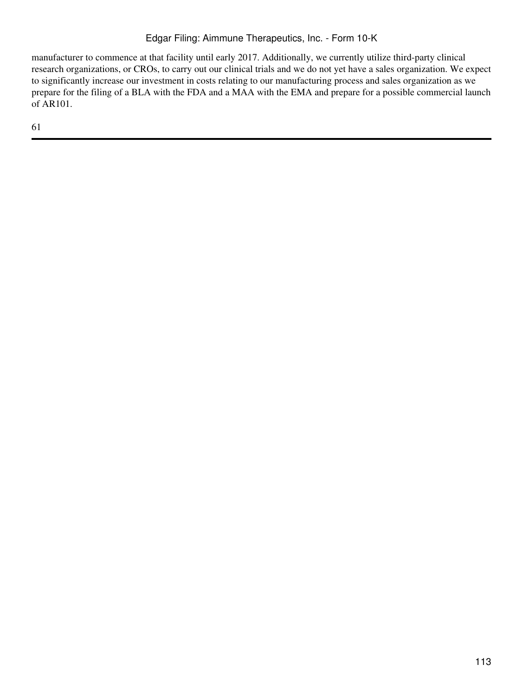manufacturer to commence at that facility until early 2017. Additionally, we currently utilize third-party clinical research organizations, or CROs, to carry out our clinical trials and we do not yet have a sales organization. We expect to significantly increase our investment in costs relating to our manufacturing process and sales organization as we prepare for the filing of a BLA with the FDA and a MAA with the EMA and prepare for a possible commercial launch of AR101.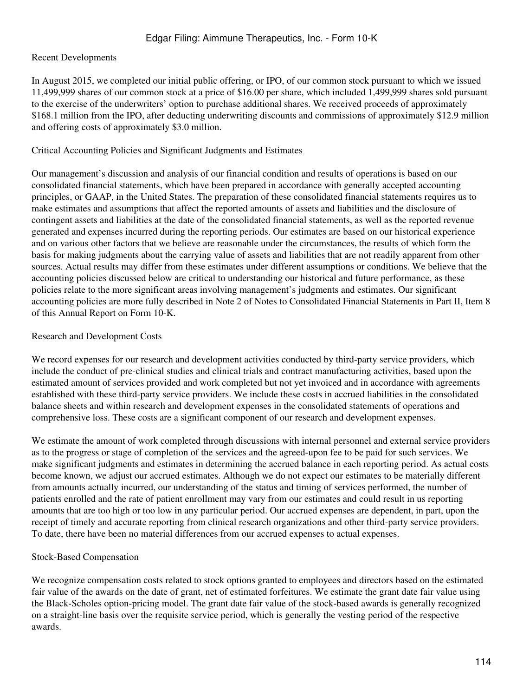# Recent Developments

In August 2015, we completed our initial public offering, or IPO, of our common stock pursuant to which we issued 11,499,999 shares of our common stock at a price of \$16.00 per share, which included 1,499,999 shares sold pursuant to the exercise of the underwriters' option to purchase additional shares. We received proceeds of approximately \$168.1 million from the IPO, after deducting underwriting discounts and commissions of approximately \$12.9 million and offering costs of approximately \$3.0 million.

# Critical Accounting Policies and Significant Judgments and Estimates

Our management's discussion and analysis of our financial condition and results of operations is based on our consolidated financial statements, which have been prepared in accordance with generally accepted accounting principles, or GAAP, in the United States. The preparation of these consolidated financial statements requires us to make estimates and assumptions that affect the reported amounts of assets and liabilities and the disclosure of contingent assets and liabilities at the date of the consolidated financial statements, as well as the reported revenue generated and expenses incurred during the reporting periods. Our estimates are based on our historical experience and on various other factors that we believe are reasonable under the circumstances, the results of which form the basis for making judgments about the carrying value of assets and liabilities that are not readily apparent from other sources. Actual results may differ from these estimates under different assumptions or conditions. We believe that the accounting policies discussed below are critical to understanding our historical and future performance, as these policies relate to the more significant areas involving management's judgments and estimates. Our significant accounting policies are more fully described in Note 2 of Notes to Consolidated Financial Statements in Part II, Item 8 of this Annual Report on Form 10-K.

# Research and Development Costs

We record expenses for our research and development activities conducted by third-party service providers, which include the conduct of pre-clinical studies and clinical trials and contract manufacturing activities, based upon the estimated amount of services provided and work completed but not yet invoiced and in accordance with agreements established with these third-party service providers. We include these costs in accrued liabilities in the consolidated balance sheets and within research and development expenses in the consolidated statements of operations and comprehensive loss. These costs are a significant component of our research and development expenses.

We estimate the amount of work completed through discussions with internal personnel and external service providers as to the progress or stage of completion of the services and the agreed-upon fee to be paid for such services. We make significant judgments and estimates in determining the accrued balance in each reporting period. As actual costs become known, we adjust our accrued estimates. Although we do not expect our estimates to be materially different from amounts actually incurred, our understanding of the status and timing of services performed, the number of patients enrolled and the rate of patient enrollment may vary from our estimates and could result in us reporting amounts that are too high or too low in any particular period. Our accrued expenses are dependent, in part, upon the receipt of timely and accurate reporting from clinical research organizations and other third-party service providers. To date, there have been no material differences from our accrued expenses to actual expenses.

# Stock-Based Compensation

We recognize compensation costs related to stock options granted to employees and directors based on the estimated fair value of the awards on the date of grant, net of estimated forfeitures. We estimate the grant date fair value using the Black-Scholes option-pricing model. The grant date fair value of the stock-based awards is generally recognized on a straight-line basis over the requisite service period, which is generally the vesting period of the respective awards.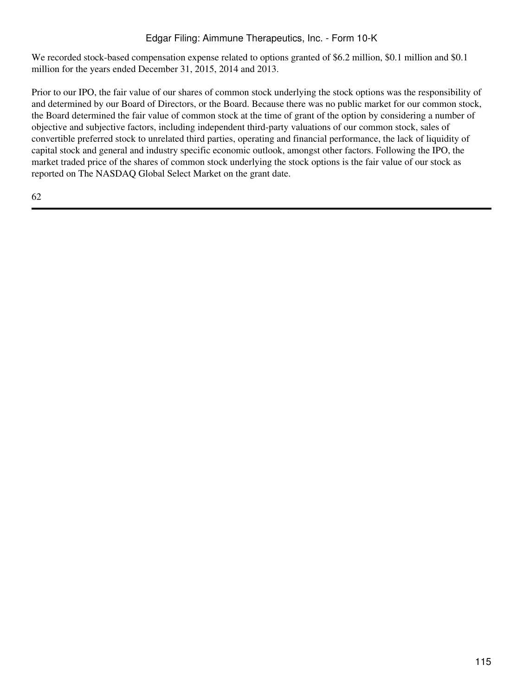We recorded stock-based compensation expense related to options granted of \$6.2 million, \$0.1 million and \$0.1 million for the years ended December 31, 2015, 2014 and 2013.

Prior to our IPO, the fair value of our shares of common stock underlying the stock options was the responsibility of and determined by our Board of Directors, or the Board. Because there was no public market for our common stock, the Board determined the fair value of common stock at the time of grant of the option by considering a number of objective and subjective factors, including independent third-party valuations of our common stock, sales of convertible preferred stock to unrelated third parties, operating and financial performance, the lack of liquidity of capital stock and general and industry specific economic outlook, amongst other factors. Following the IPO, the market traded price of the shares of common stock underlying the stock options is the fair value of our stock as reported on The NASDAQ Global Select Market on the grant date.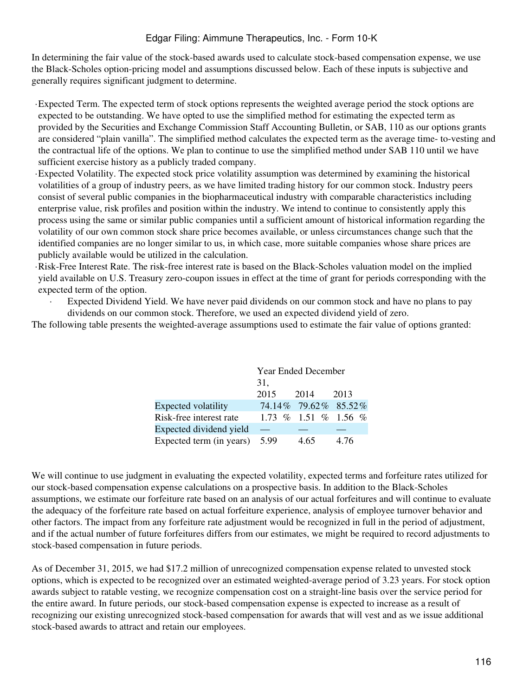In determining the fair value of the stock-based awards used to calculate stock-based compensation expense, we use the Black-Scholes option-pricing model and assumptions discussed below. Each of these inputs is subjective and generally requires significant judgment to determine.

·Expected Term. The expected term of stock options represents the weighted average period the stock options are expected to be outstanding. We have opted to use the simplified method for estimating the expected term as provided by the Securities and Exchange Commission Staff Accounting Bulletin, or SAB, 110 as our options grants are considered "plain vanilla". The simplified method calculates the expected term as the average time- to-vesting and the contractual life of the options. We plan to continue to use the simplified method under SAB 110 until we have sufficient exercise history as a publicly traded company.

·Expected Volatility. The expected stock price volatility assumption was determined by examining the historical volatilities of a group of industry peers, as we have limited trading history for our common stock. Industry peers consist of several public companies in the biopharmaceutical industry with comparable characteristics including enterprise value, risk profiles and position within the industry. We intend to continue to consistently apply this process using the same or similar public companies until a sufficient amount of historical information regarding the volatility of our own common stock share price becomes available, or unless circumstances change such that the identified companies are no longer similar to us, in which case, more suitable companies whose share prices are publicly available would be utilized in the calculation.

·Risk-Free Interest Rate. The risk-free interest rate is based on the Black-Scholes valuation model on the implied yield available on U.S. Treasury zero-coupon issues in effect at the time of grant for periods corresponding with the expected term of the option.

Expected Dividend Yield. We have never paid dividends on our common stock and have no plans to pay dividends on our common stock. Therefore, we used an expected dividend yield of zero.

The following table presents the weighted-average assumptions used to estimate the fair value of options granted:

|                          | Year Ended December |                        |      |  |  |  |  |
|--------------------------|---------------------|------------------------|------|--|--|--|--|
|                          | 31,                 |                        |      |  |  |  |  |
|                          | 2015                | 2014                   | 2013 |  |  |  |  |
| Expected volatility      |                     | 74.14% 79.62% 85.52%   |      |  |  |  |  |
| Risk-free interest rate  |                     | $1.73\%$ 1.51 % 1.56 % |      |  |  |  |  |
| Expected dividend yield  |                     |                        |      |  |  |  |  |
| Expected term (in years) | 5.99                | 4.65                   | 4.76 |  |  |  |  |

We will continue to use judgment in evaluating the expected volatility, expected terms and forfeiture rates utilized for our stock-based compensation expense calculations on a prospective basis. In addition to the Black-Scholes assumptions, we estimate our forfeiture rate based on an analysis of our actual forfeitures and will continue to evaluate the adequacy of the forfeiture rate based on actual forfeiture experience, analysis of employee turnover behavior and other factors. The impact from any forfeiture rate adjustment would be recognized in full in the period of adjustment, and if the actual number of future forfeitures differs from our estimates, we might be required to record adjustments to stock-based compensation in future periods.

As of December 31, 2015, we had \$17.2 million of unrecognized compensation expense related to unvested stock options, which is expected to be recognized over an estimated weighted-average period of 3.23 years. For stock option awards subject to ratable vesting, we recognize compensation cost on a straight-line basis over the service period for the entire award. In future periods, our stock-based compensation expense is expected to increase as a result of recognizing our existing unrecognized stock-based compensation for awards that will vest and as we issue additional stock-based awards to attract and retain our employees.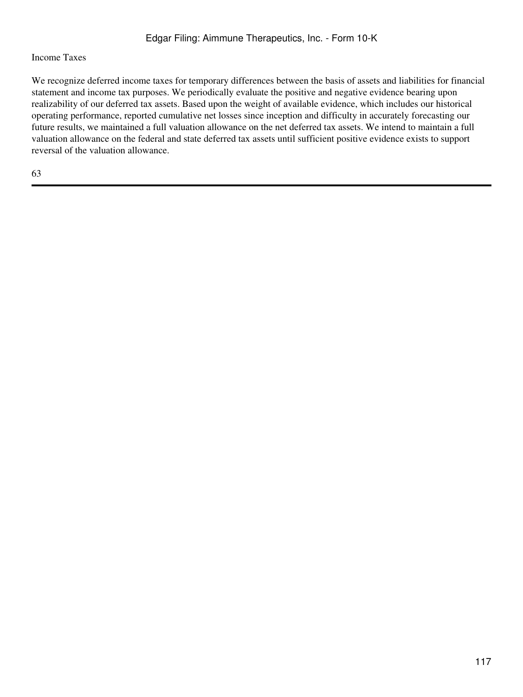# Income Taxes

We recognize deferred income taxes for temporary differences between the basis of assets and liabilities for financial statement and income tax purposes. We periodically evaluate the positive and negative evidence bearing upon realizability of our deferred tax assets. Based upon the weight of available evidence, which includes our historical operating performance, reported cumulative net losses since inception and difficulty in accurately forecasting our future results, we maintained a full valuation allowance on the net deferred tax assets. We intend to maintain a full valuation allowance on the federal and state deferred tax assets until sufficient positive evidence exists to support reversal of the valuation allowance.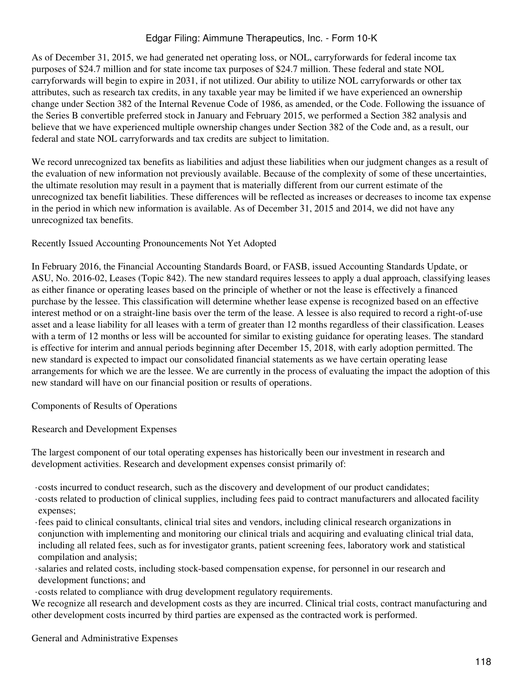As of December 31, 2015, we had generated net operating loss, or NOL, carryforwards for federal income tax purposes of \$24.7 million and for state income tax purposes of \$24.7 million. These federal and state NOL carryforwards will begin to expire in 2031, if not utilized. Our ability to utilize NOL carryforwards or other tax attributes, such as research tax credits, in any taxable year may be limited if we have experienced an ownership change under Section 382 of the Internal Revenue Code of 1986, as amended, or the Code. Following the issuance of the Series B convertible preferred stock in January and February 2015, we performed a Section 382 analysis and believe that we have experienced multiple ownership changes under Section 382 of the Code and, as a result, our federal and state NOL carryforwards and tax credits are subject to limitation.

We record unrecognized tax benefits as liabilities and adjust these liabilities when our judgment changes as a result of the evaluation of new information not previously available. Because of the complexity of some of these uncertainties, the ultimate resolution may result in a payment that is materially different from our current estimate of the unrecognized tax benefit liabilities. These differences will be reflected as increases or decreases to income tax expense in the period in which new information is available. As of December 31, 2015 and 2014, we did not have any unrecognized tax benefits.

Recently Issued Accounting Pronouncements Not Yet Adopted

In February 2016, the Financial Accounting Standards Board, or FASB, issued Accounting Standards Update, or ASU, No. 2016-02, Leases (Topic 842). The new standard requires lessees to apply a dual approach, classifying leases as either finance or operating leases based on the principle of whether or not the lease is effectively a financed purchase by the lessee. This classification will determine whether lease expense is recognized based on an effective interest method or on a straight-line basis over the term of the lease. A lessee is also required to record a right-of-use asset and a lease liability for all leases with a term of greater than 12 months regardless of their classification. Leases with a term of 12 months or less will be accounted for similar to existing guidance for operating leases. The standard is effective for interim and annual periods beginning after December 15, 2018, with early adoption permitted. The new standard is expected to impact our consolidated financial statements as we have certain operating lease arrangements for which we are the lessee. We are currently in the process of evaluating the impact the adoption of this new standard will have on our financial position or results of operations.

Components of Results of Operations

Research and Development Expenses

The largest component of our total operating expenses has historically been our investment in research and development activities. Research and development expenses consist primarily of:

·costs incurred to conduct research, such as the discovery and development of our product candidates;

- ·costs related to production of clinical supplies, including fees paid to contract manufacturers and allocated facility expenses;
- ·fees paid to clinical consultants, clinical trial sites and vendors, including clinical research organizations in conjunction with implementing and monitoring our clinical trials and acquiring and evaluating clinical trial data, including all related fees, such as for investigator grants, patient screening fees, laboratory work and statistical compilation and analysis;
- ·salaries and related costs, including stock-based compensation expense, for personnel in our research and development functions; and
- ·costs related to compliance with drug development regulatory requirements.

We recognize all research and development costs as they are incurred. Clinical trial costs, contract manufacturing and other development costs incurred by third parties are expensed as the contracted work is performed.

General and Administrative Expenses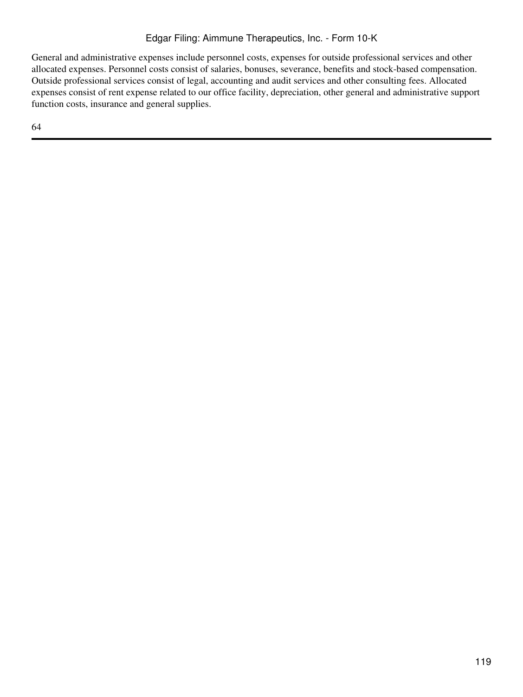General and administrative expenses include personnel costs, expenses for outside professional services and other allocated expenses. Personnel costs consist of salaries, bonuses, severance, benefits and stock-based compensation. Outside professional services consist of legal, accounting and audit services and other consulting fees. Allocated expenses consist of rent expense related to our office facility, depreciation, other general and administrative support function costs, insurance and general supplies.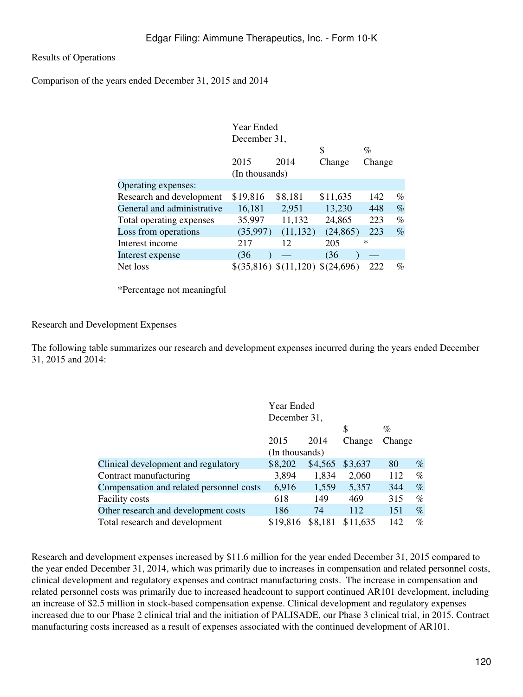Results of Operations

Comparison of the years ended December 31, 2015 and 2014

|                            | Year Ended     |                                  |           |        |      |
|----------------------------|----------------|----------------------------------|-----------|--------|------|
|                            | December 31,   |                                  |           |        |      |
|                            |                |                                  | \$        | $\%$   |      |
|                            | 2015           | 2014                             | Change    | Change |      |
|                            | (In thousands) |                                  |           |        |      |
| Operating expenses:        |                |                                  |           |        |      |
| Research and development   | \$19,816       | \$8,181                          | \$11,635  | 142    | $\%$ |
| General and administrative | 16,181         | 2,951                            | 13,230    | 448    | $\%$ |
| Total operating expenses   | 35,997         | 11,132                           | 24,865    | 223    | $\%$ |
| Loss from operations       | (35,997)       | (11, 132)                        | (24, 865) | 223    | $\%$ |
| Interest income            | 217            | 12                               | 205       | ∗      |      |
| Interest expense           | (36)           |                                  | (36)      |        |      |
| Net loss                   |                | \$(35,816) \$(11,120) \$(24,696) |           | 222    | $\%$ |
|                            |                |                                  |           |        |      |

\*Percentage not meaningful

Research and Development Expenses

The following table summarizes our research and development expenses incurred during the years ended December 31, 2015 and 2014:

|                                          | Year Ended<br>December 31, |         |          |        |      |
|------------------------------------------|----------------------------|---------|----------|--------|------|
|                                          |                            |         | S        | $\%$   |      |
|                                          | 2015                       | 2014    | Change   | Change |      |
|                                          | (In thousands)             |         |          |        |      |
| Clinical development and regulatory      | \$8,202                    | \$4,565 | \$3,637  | 80     | $\%$ |
| Contract manufacturing                   | 3,894                      | 1,834   | 2,060    | 112    | $\%$ |
| Compensation and related personnel costs | 6,916                      | 1,559   | 5,357    | 344    | $\%$ |
| <b>Facility costs</b>                    | 618                        | 149     | 469      | 315    | %    |
| Other research and development costs     | 186                        | 74      | 112      | 151    | $\%$ |
| Total research and development           | \$19,816                   | \$8,181 | \$11,635 | 142    | %    |

Research and development expenses increased by \$11.6 million for the year ended December 31, 2015 compared to the year ended December 31, 2014, which was primarily due to increases in compensation and related personnel costs, clinical development and regulatory expenses and contract manufacturing costs. The increase in compensation and related personnel costs was primarily due to increased headcount to support continued AR101 development, including an increase of \$2.5 million in stock-based compensation expense. Clinical development and regulatory expenses increased due to our Phase 2 clinical trial and the initiation of PALISADE, our Phase 3 clinical trial, in 2015. Contract manufacturing costs increased as a result of expenses associated with the continued development of AR101.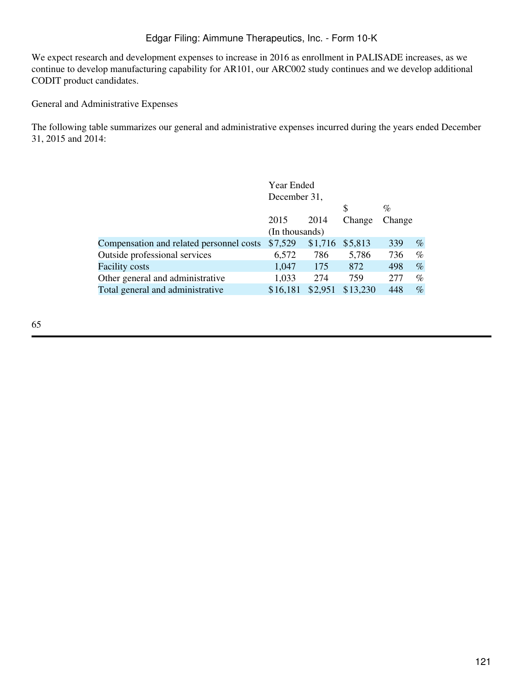We expect research and development expenses to increase in 2016 as enrollment in PALISADE increases, as we continue to develop manufacturing capability for AR101, our ARC002 study continues and we develop additional CODIT product candidates.

General and Administrative Expenses

The following table summarizes our general and administrative expenses incurred during the years ended December 31, 2015 and 2014:

|                                          | Year Ended     |         |          |        |      |
|------------------------------------------|----------------|---------|----------|--------|------|
|                                          | December 31,   |         |          |        |      |
|                                          |                |         | S        | $\%$   |      |
|                                          | 2015           | 2014    | Change   | Change |      |
|                                          | (In thousands) |         |          |        |      |
| Compensation and related personnel costs | \$7,529        | \$1,716 | \$5,813  | 339    | $\%$ |
| Outside professional services            | 6,572          | 786     | 5,786    | 736    | $\%$ |
| <b>Facility costs</b>                    | 1,047          | 175     | 872      | 498    | $\%$ |
| Other general and administrative         | 1,033          | 274     | 759      | 277    | $\%$ |
| Total general and administrative         | \$16,181       | \$2,951 | \$13,230 | 448    | $\%$ |
|                                          |                |         |          |        |      |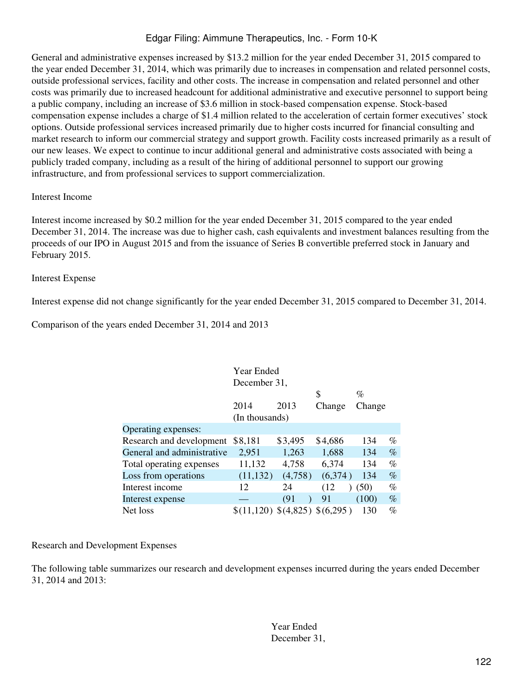General and administrative expenses increased by \$13.2 million for the year ended December 31, 2015 compared to the year ended December 31, 2014, which was primarily due to increases in compensation and related personnel costs, outside professional services, facility and other costs. The increase in compensation and related personnel and other costs was primarily due to increased headcount for additional administrative and executive personnel to support being a public company, including an increase of \$3.6 million in stock-based compensation expense. Stock-based compensation expense includes a charge of \$1.4 million related to the acceleration of certain former executives' stock options. Outside professional services increased primarily due to higher costs incurred for financial consulting and market research to inform our commercial strategy and support growth. Facility costs increased primarily as a result of our new leases. We expect to continue to incur additional general and administrative costs associated with being a publicly traded company, including as a result of the hiring of additional personnel to support our growing infrastructure, and from professional services to support commercialization.

## Interest Income

Interest income increased by \$0.2 million for the year ended December 31, 2015 compared to the year ended December 31, 2014. The increase was due to higher cash, cash equivalents and investment balances resulting from the proceeds of our IPO in August 2015 and from the issuance of Series B convertible preferred stock in January and February 2015.

## Interest Expense

Interest expense did not change significantly for the year ended December 31, 2015 compared to December 31, 2014.

Comparison of the years ended December 31, 2014 and 2013

| <b>Year Ended</b>          |                                |         |         |        |      |  |
|----------------------------|--------------------------------|---------|---------|--------|------|--|
|                            | December 31,                   |         |         |        |      |  |
|                            |                                |         | S       | $\%$   |      |  |
|                            | 2014                           | 2013    | Change  | Change |      |  |
|                            | (In thousands)                 |         |         |        |      |  |
| Operating expenses:        |                                |         |         |        |      |  |
| Research and development   | \$8,181                        | \$3,495 | \$4,686 | 134    | $\%$ |  |
| General and administrative | 2,951                          | 1,263   | 1,688   | 134    | $\%$ |  |
| Total operating expenses   | 11,132                         | 4,758   | 6,374   | 134    | %    |  |
| Loss from operations       | (11, 132)                      | (4,758) | (6,374) | 134    | $\%$ |  |
| Interest income            | 12                             | 24      | (12)    | (50)   | %    |  |
| Interest expense           |                                | (91)    | 91      | (100)  | $\%$ |  |
| Net loss                   | \$(11,120) \$(4,825) \$(6,295) |         |         | 130    | %    |  |

# Research and Development Expenses

The following table summarizes our research and development expenses incurred during the years ended December 31, 2014 and 2013:

> Year Ended December 31,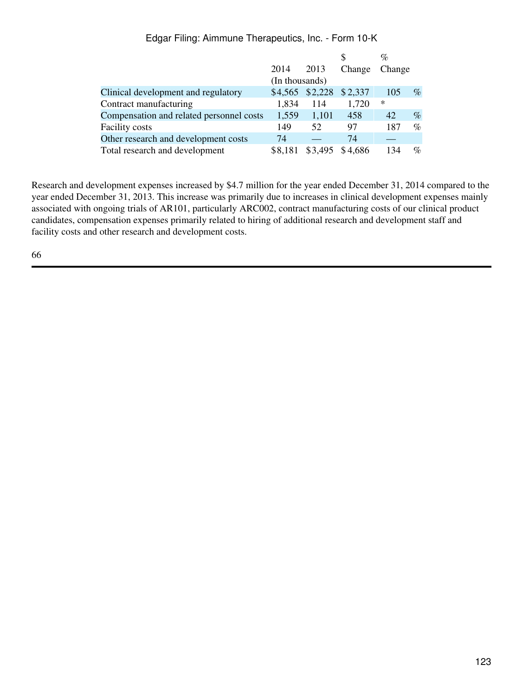|                                          |                |         |         | %      |      |
|------------------------------------------|----------------|---------|---------|--------|------|
|                                          | 2014           | 2013    | Change  | Change |      |
|                                          | (In thousands) |         |         |        |      |
| Clinical development and regulatory      | \$4,565        | \$2,228 | \$2,337 | 105    | $\%$ |
| Contract manufacturing                   | 1,834          | 114     | 1,720   | ∗      |      |
| Compensation and related personnel costs | 1,559          | 1,101   | 458     | 42     | $\%$ |
| <b>Facility costs</b>                    | 149            | 52      | 97      | 187    | $\%$ |
| Other research and development costs     | 74             |         | 74      |        |      |
| Total research and development           | \$8,181        | \$3,495 | \$4,686 | 134    | $\%$ |

Research and development expenses increased by \$4.7 million for the year ended December 31, 2014 compared to the year ended December 31, 2013. This increase was primarily due to increases in clinical development expenses mainly associated with ongoing trials of AR101, particularly ARC002, contract manufacturing costs of our clinical product candidates, compensation expenses primarily related to hiring of additional research and development staff and facility costs and other research and development costs.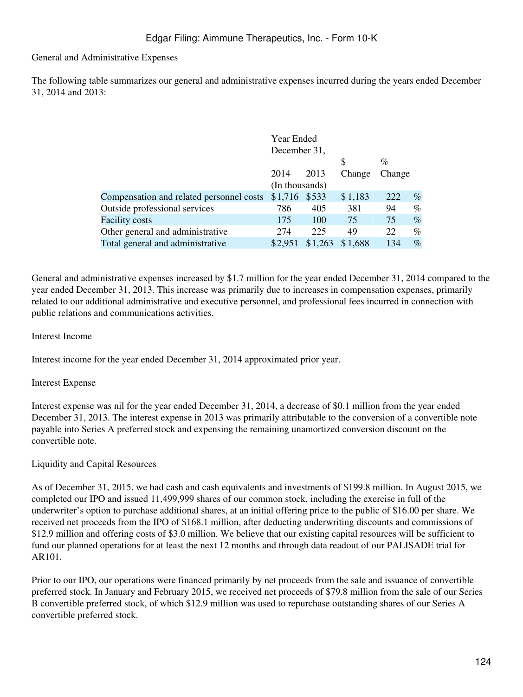# General and Administrative Expenses

The following table summarizes our general and administrative expenses incurred during the years ended December 31, 2014 and 2013:

|                                          | Year Ended     |         |         |        |      |
|------------------------------------------|----------------|---------|---------|--------|------|
|                                          | December 31,   |         |         |        |      |
|                                          |                |         | \$      | %      |      |
|                                          | 2014           | 2013    | Change  | Change |      |
|                                          | (In thousands) |         |         |        |      |
| Compensation and related personnel costs | \$1,716 \$533  |         | \$1,183 | 222    | $\%$ |
| Outside professional services            | 786            | 405     | 381     | 94     | $\%$ |
| <b>Facility costs</b>                    | 175            | 100     | 75      | 75     | $\%$ |
| Other general and administrative         | 274            | 225     | 49      | 22     | $\%$ |
| Total general and administrative         | \$2,951        | \$1,263 | \$1,688 | 134    | $\%$ |

General and administrative expenses increased by \$1.7 million for the year ended December 31, 2014 compared to the year ended December 31, 2013. This increase was primarily due to increases in compensation expenses, primarily related to our additional administrative and executive personnel, and professional fees incurred in connection with public relations and communications activities.

# Interest Income

Interest income for the year ended December 31, 2014 approximated prior year.

#### Interest Expense

Interest expense was nil for the year ended December 31, 2014, a decrease of \$0.1 million from the year ended December 31, 2013. The interest expense in 2013 was primarily attributable to the conversion of a convertible note payable into Series A preferred stock and expensing the remaining unamortized conversion discount on the convertible note.

# Liquidity and Capital Resources

As of December 31, 2015, we had cash and cash equivalents and investments of \$199.8 million. In August 2015, we completed our IPO and issued 11,499,999 shares of our common stock, including the exercise in full of the underwriter's option to purchase additional shares, at an initial offering price to the public of \$16.00 per share. We received net proceeds from the IPO of \$168.1 million, after deducting underwriting discounts and commissions of \$12.9 million and offering costs of \$3.0 million. We believe that our existing capital resources will be sufficient to fund our planned operations for at least the next 12 months and through data readout of our PALISADE trial for AR101.

Prior to our IPO, our operations were financed primarily by net proceeds from the sale and issuance of convertible preferred stock. In January and February 2015, we received net proceeds of \$79.8 million from the sale of our Series B convertible preferred stock, of which \$12.9 million was used to repurchase outstanding shares of our Series A convertible preferred stock.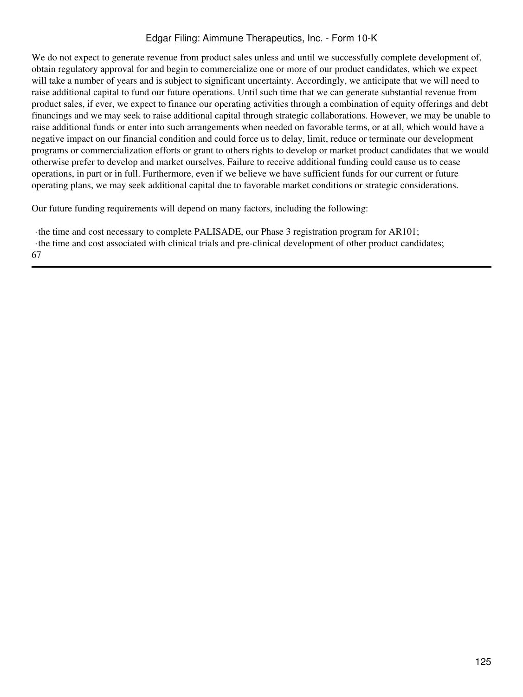We do not expect to generate revenue from product sales unless and until we successfully complete development of, obtain regulatory approval for and begin to commercialize one or more of our product candidates, which we expect will take a number of years and is subject to significant uncertainty. Accordingly, we anticipate that we will need to raise additional capital to fund our future operations. Until such time that we can generate substantial revenue from product sales, if ever, we expect to finance our operating activities through a combination of equity offerings and debt financings and we may seek to raise additional capital through strategic collaborations. However, we may be unable to raise additional funds or enter into such arrangements when needed on favorable terms, or at all, which would have a negative impact on our financial condition and could force us to delay, limit, reduce or terminate our development programs or commercialization efforts or grant to others rights to develop or market product candidates that we would otherwise prefer to develop and market ourselves. Failure to receive additional funding could cause us to cease operations, in part or in full. Furthermore, even if we believe we have sufficient funds for our current or future operating plans, we may seek additional capital due to favorable market conditions or strategic considerations.

Our future funding requirements will depend on many factors, including the following:

·the time and cost necessary to complete PALISADE, our Phase 3 registration program for AR101; ·the time and cost associated with clinical trials and pre-clinical development of other product candidates;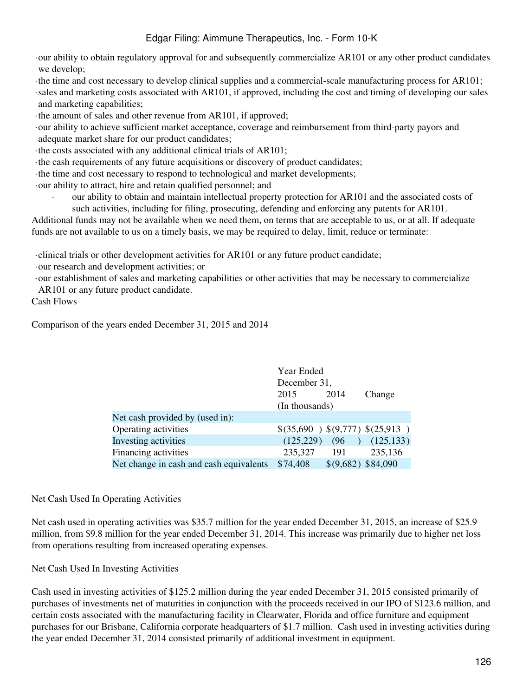·our ability to obtain regulatory approval for and subsequently commercialize AR101 or any other product candidates we develop;

·the time and cost necessary to develop clinical supplies and a commercial-scale manufacturing process for AR101; ·sales and marketing costs associated with AR101, if approved, including the cost and timing of developing our sales and marketing capabilities;

·the amount of sales and other revenue from AR101, if approved;

·our ability to achieve sufficient market acceptance, coverage and reimbursement from third-party payors and adequate market share for our product candidates;

·the costs associated with any additional clinical trials of AR101;

·the cash requirements of any future acquisitions or discovery of product candidates;

·the time and cost necessary to respond to technological and market developments;

·our ability to attract, hire and retain qualified personnel; and

our ability to obtain and maintain intellectual property protection for AR101 and the associated costs of such activities, including for filing, prosecuting, defending and enforcing any patents for AR101.

Additional funds may not be available when we need them, on terms that are acceptable to us, or at all. If adequate funds are not available to us on a timely basis, we may be required to delay, limit, reduce or terminate:

·clinical trials or other development activities for AR101 or any future product candidate;

·our research and development activities; or

·our establishment of sales and marketing capabilities or other activities that may be necessary to commercialize AR101 or any future product candidate.

Cash Flows

Comparison of the years ended December 31, 2015 and 2014

|                                         | Year Ended     |                     |                                 |  |  |
|-----------------------------------------|----------------|---------------------|---------------------------------|--|--|
|                                         | December 31,   |                     |                                 |  |  |
|                                         | 2015           | 2014                | Change                          |  |  |
|                                         | (In thousands) |                     |                                 |  |  |
| Net cash provided by (used in):         |                |                     |                                 |  |  |
| Operating activities                    |                |                     | \$(35,690) \$(9,777) \$(25,913) |  |  |
| Investing activities                    | (125, 229)     | (96)                | (125, 133)                      |  |  |
| <b>Financing activities</b>             | 235,327        | 191                 | 235,136                         |  |  |
| Net change in cash and cash equivalents | \$74,408       | $$(9,682)$ \$84,090 |                                 |  |  |
|                                         |                |                     |                                 |  |  |

# Net Cash Used In Operating Activities

Net cash used in operating activities was \$35.7 million for the year ended December 31, 2015, an increase of \$25.9 million, from \$9.8 million for the year ended December 31, 2014. This increase was primarily due to higher net loss from operations resulting from increased operating expenses.

# Net Cash Used In Investing Activities

Cash used in investing activities of \$125.2 million during the year ended December 31, 2015 consisted primarily of purchases of investments net of maturities in conjunction with the proceeds received in our IPO of \$123.6 million, and certain costs associated with the manufacturing facility in Clearwater, Florida and office furniture and equipment purchases for our Brisbane, California corporate headquarters of \$1.7 million. Cash used in investing activities during the year ended December 31, 2014 consisted primarily of additional investment in equipment.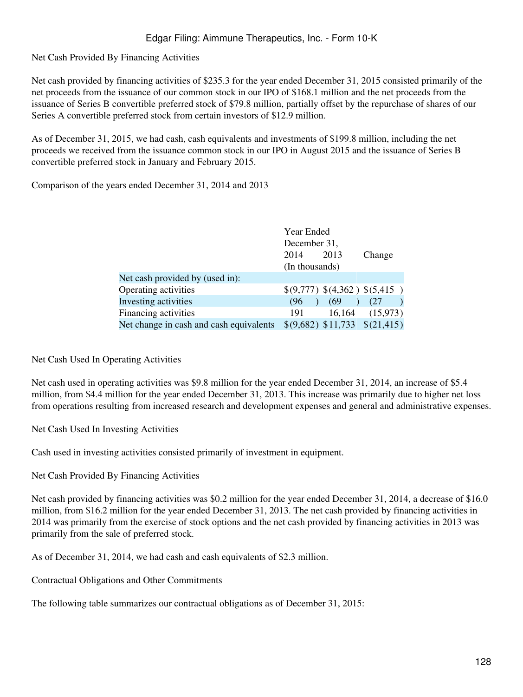Net Cash Provided By Financing Activities

Net cash provided by financing activities of \$235.3 for the year ended December 31, 2015 consisted primarily of the net proceeds from the issuance of our common stock in our IPO of \$168.1 million and the net proceeds from the issuance of Series B convertible preferred stock of \$79.8 million, partially offset by the repurchase of shares of our Series A convertible preferred stock from certain investors of \$12.9 million.

As of December 31, 2015, we had cash, cash equivalents and investments of \$199.8 million, including the net proceeds we received from the issuance common stock in our IPO in August 2015 and the issuance of Series B convertible preferred stock in January and February 2015.

Comparison of the years ended December 31, 2014 and 2013

|                                         | Year Ended     |      |                                     |  |  |
|-----------------------------------------|----------------|------|-------------------------------------|--|--|
|                                         | December 31,   |      |                                     |  |  |
|                                         | 2014           | 2013 | Change                              |  |  |
|                                         | (In thousands) |      |                                     |  |  |
| Net cash provided by (used in):         |                |      |                                     |  |  |
| Operating activities                    |                |      | \$(9,777) \$(4,362) \$(5,415)       |  |  |
| Investing activities                    | (96)           | (69) | (27)                                |  |  |
| Financing activities                    | 191            |      | $16,164$ $(15,973)$                 |  |  |
| Net change in cash and cash equivalents |                |      | $$(9,682) $11,733 \quad $(21,415)$$ |  |  |

Net Cash Used In Operating Activities

Net cash used in operating activities was \$9.8 million for the year ended December 31, 2014, an increase of \$5.4 million, from \$4.4 million for the year ended December 31, 2013. This increase was primarily due to higher net loss from operations resulting from increased research and development expenses and general and administrative expenses.

Net Cash Used In Investing Activities

Cash used in investing activities consisted primarily of investment in equipment.

Net Cash Provided By Financing Activities

Net cash provided by financing activities was \$0.2 million for the year ended December 31, 2014, a decrease of \$16.0 million, from \$16.2 million for the year ended December 31, 2013. The net cash provided by financing activities in 2014 was primarily from the exercise of stock options and the net cash provided by financing activities in 2013 was primarily from the sale of preferred stock.

As of December 31, 2014, we had cash and cash equivalents of \$2.3 million.

Contractual Obligations and Other Commitments

The following table summarizes our contractual obligations as of December 31, 2015: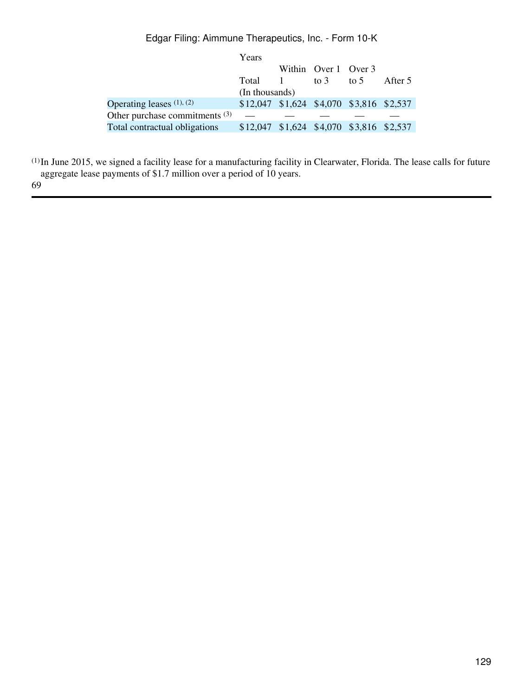|                                  | Years                                    |                      |         |
|----------------------------------|------------------------------------------|----------------------|---------|
|                                  |                                          | Within Over 1 Over 3 |         |
|                                  | Total 1                                  | to 3 to 5            | After 5 |
|                                  | (In thousands)                           |                      |         |
| Operating leases $(1)$ , $(2)$   | \$12,047 \$1,624 \$4,070 \$3,816 \$2,537 |                      |         |
| Other purchase commitments $(3)$ |                                          |                      |         |
| Total contractual obligations    | \$12,047 \$1,624 \$4,070 \$3,816 \$2,537 |                      |         |

(1)In June 2015, we signed a facility lease for a manufacturing facility in Clearwater, Florida. The lease calls for future aggregate lease payments of \$1.7 million over a period of 10 years. 69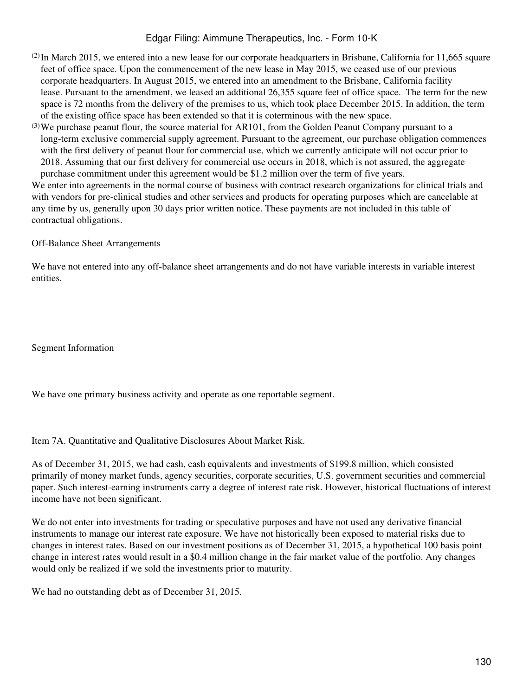- $(2)$ In March 2015, we entered into a new lease for our corporate headquarters in Brisbane, California for 11,665 square feet of office space. Upon the commencement of the new lease in May 2015, we ceased use of our previous corporate headquarters. In August 2015, we entered into an amendment to the Brisbane, California facility lease. Pursuant to the amendment, we leased an additional 26,355 square feet of office space. The term for the new space is 72 months from the delivery of the premises to us, which took place December 2015. In addition, the term of the existing office space has been extended so that it is coterminous with the new space.
- (3)We purchase peanut flour, the source material for AR101, from the Golden Peanut Company pursuant to a long-term exclusive commercial supply agreement. Pursuant to the agreement, our purchase obligation commences with the first delivery of peanut flour for commercial use, which we currently anticipate will not occur prior to 2018. Assuming that our first delivery for commercial use occurs in 2018, which is not assured, the aggregate purchase commitment under this agreement would be \$1.2 million over the term of five years.

We enter into agreements in the normal course of business with contract research organizations for clinical trials and with vendors for pre-clinical studies and other services and products for operating purposes which are cancelable at any time by us, generally upon 30 days prior written notice. These payments are not included in this table of contractual obligations.

#### Off-Balance Sheet Arrangements

We have not entered into any off-balance sheet arrangements and do not have variable interests in variable interest entities.

Segment Information

We have one primary business activity and operate as one reportable segment.

Item 7A. Quantitative and Qualitative Disclosures About Market Risk.

As of December 31, 2015, we had cash, cash equivalents and investments of \$199.8 million, which consisted primarily of money market funds, agency securities, corporate securities, U.S. government securities and commercial paper. Such interest-earning instruments carry a degree of interest rate risk. However, historical fluctuations of interest income have not been significant.

We do not enter into investments for trading or speculative purposes and have not used any derivative financial instruments to manage our interest rate exposure. We have not historically been exposed to material risks due to changes in interest rates. Based on our investment positions as of December 31, 2015, a hypothetical 100 basis point change in interest rates would result in a \$0.4 million change in the fair market value of the portfolio. Any changes would only be realized if we sold the investments prior to maturity.

We had no outstanding debt as of December 31, 2015.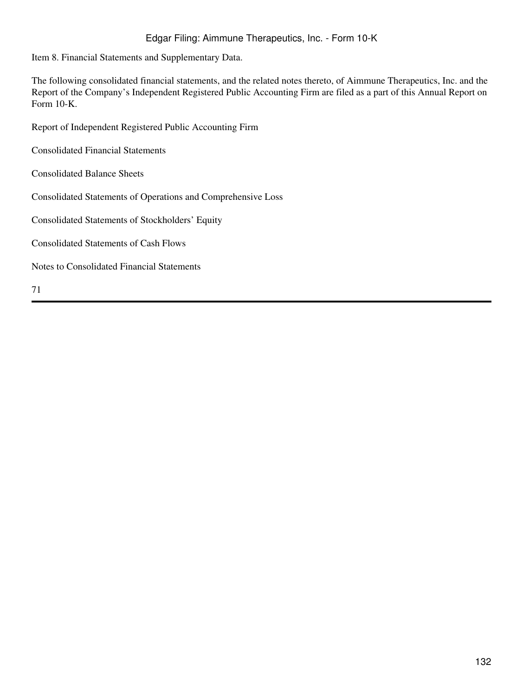Item 8. Financial Statements and Supplementary Data.

The following consolidated financial statements, and the related notes thereto, of Aimmune Therapeutics, Inc. and the Report of the Company's Independent Registered Public Accounting Firm are filed as a part of this Annual Report on Form 10-K.

Report of Independent Registered Public Accounting Firm

Consolidated Financial Statements

Consolidated Balance Sheets

Consolidated Statements of Operations and Comprehensive Loss

Consolidated Statements of Stockholders' Equity

Consolidated Statements of Cash Flows

Notes to Consolidated Financial Statements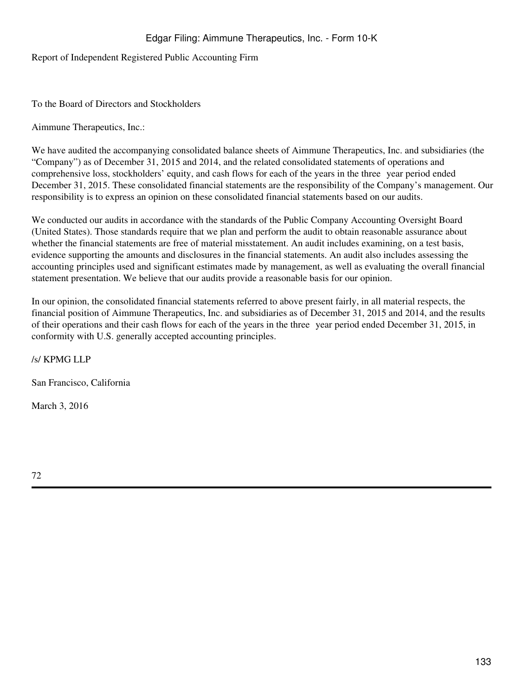Report of Independent Registered Public Accounting Firm

To the Board of Directors and Stockholders

Aimmune Therapeutics, Inc.:

We have audited the accompanying consolidated balance sheets of Aimmune Therapeutics, Inc. and subsidiaries (the "Company") as of December 31, 2015 and 2014, and the related consolidated statements of operations and comprehensive loss, stockholders' equity, and cash flows for each of the years in the three‑year period ended December 31, 2015. These consolidated financial statements are the responsibility of the Company's management. Our responsibility is to express an opinion on these consolidated financial statements based on our audits.

We conducted our audits in accordance with the standards of the Public Company Accounting Oversight Board (United States). Those standards require that we plan and perform the audit to obtain reasonable assurance about whether the financial statements are free of material misstatement. An audit includes examining, on a test basis, evidence supporting the amounts and disclosures in the financial statements. An audit also includes assessing the accounting principles used and significant estimates made by management, as well as evaluating the overall financial statement presentation. We believe that our audits provide a reasonable basis for our opinion.

In our opinion, the consolidated financial statements referred to above present fairly, in all material respects, the financial position of Aimmune Therapeutics, Inc. and subsidiaries as of December 31, 2015 and 2014, and the results of their operations and their cash flows for each of the years in the three‑year period ended December 31, 2015, in conformity with U.S. generally accepted accounting principles.

/s/ KPMG LLP

San Francisco, California

March 3, 2016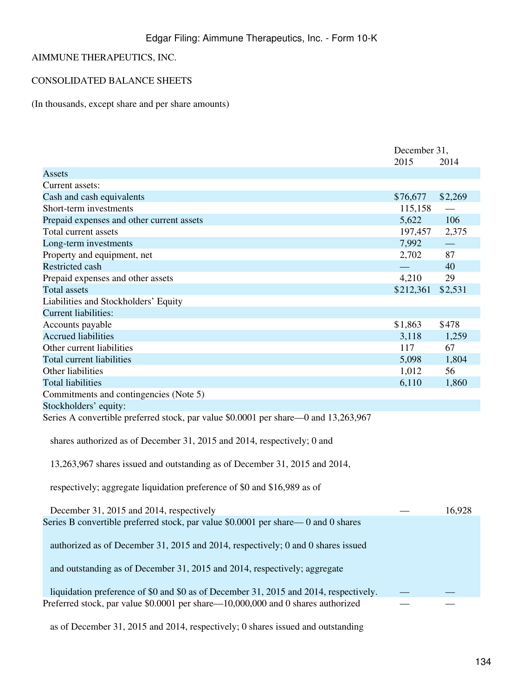# AIMMUNE THERAPEUTICS, INC.

# CONSOLIDATED BALANCE SHEETS

(In thousands, except share and per share amounts)

|                                                                                       | December 31, |         |
|---------------------------------------------------------------------------------------|--------------|---------|
|                                                                                       | 2015         | 2014    |
| Assets                                                                                |              |         |
| Current assets:                                                                       |              |         |
| Cash and cash equivalents                                                             | \$76,677     | \$2,269 |
| Short-term investments                                                                | 115,158      |         |
| Prepaid expenses and other current assets                                             | 5,622        | 106     |
| Total current assets                                                                  | 197,457      | 2,375   |
| Long-term investments                                                                 | 7,992        |         |
| Property and equipment, net                                                           | 2,702        | 87      |
| <b>Restricted cash</b>                                                                |              | 40      |
| Prepaid expenses and other assets                                                     | 4,210        | 29      |
| <b>Total assets</b>                                                                   | \$212,361    | \$2,531 |
| Liabilities and Stockholders' Equity                                                  |              |         |
| <b>Current liabilities:</b>                                                           |              |         |
| Accounts payable                                                                      | \$1,863      | \$478   |
| <b>Accrued liabilities</b>                                                            | 3,118        | 1,259   |
| Other current liabilities                                                             | 117          | 67      |
| <b>Total current liabilities</b>                                                      | 5,098        | 1,804   |
| Other liabilities                                                                     | 1,012        | 56      |
| <b>Total liabilities</b>                                                              | 6,110        | 1,860   |
| Commitments and contingencies (Note 5)                                                |              |         |
| Stockholders' equity:                                                                 |              |         |
| Series A convertible preferred stock, par value \$0.0001 per share—0 and 13,263,967   |              |         |
| shares authorized as of December 31, 2015 and 2014, respectively; 0 and               |              |         |
| 13,263,967 shares issued and outstanding as of December 31, 2015 and 2014,            |              |         |
| respectively; aggregate liquidation preference of \$0 and \$16,989 as of              |              |         |
| December 31, 2015 and 2014, respectively                                              |              | 16,928  |
| Series B convertible preferred stock, par value \$0.0001 per share—0 and 0 shares     |              |         |
| authorized as of December 31, 2015 and 2014, respectively; 0 and 0 shares issued      |              |         |
| and outstanding as of December 31, 2015 and 2014, respectively; aggregate             |              |         |
| liquidation preference of \$0 and \$0 as of December 31, 2015 and 2014, respectively. |              |         |
| Preferred stock, par value \$0.0001 per share-10,000,000 and 0 shares authorized      |              |         |

as of December 31, 2015 and 2014, respectively; 0 shares issued and outstanding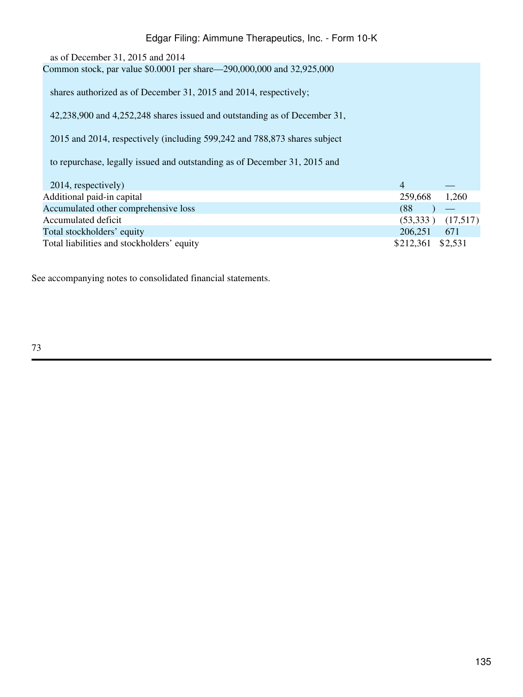# as of December 31, 2015 and 2014 Common stock, par value \$0.0001 per share—290,000,000 and 32,925,000 shares authorized as of December 31, 2015 and 2014, respectively; 42,238,900 and 4,252,248 shares issued and outstanding as of December 31, 2015 and 2014, respectively (including 599,242 and 788,873 shares subject to repurchase, legally issued and outstanding as of December 31, 2015 and Edgar Filing: Aimmune Therapeutics, Inc. - Form 10-K

| 259,668           | 1,260                 |
|-------------------|-----------------------|
| (88               |                       |
|                   | $(53,333)$ $(17,517)$ |
| 206,251           | 671                   |
| \$212,361 \$2,531 |                       |
|                   |                       |

See accompanying notes to consolidated financial statements.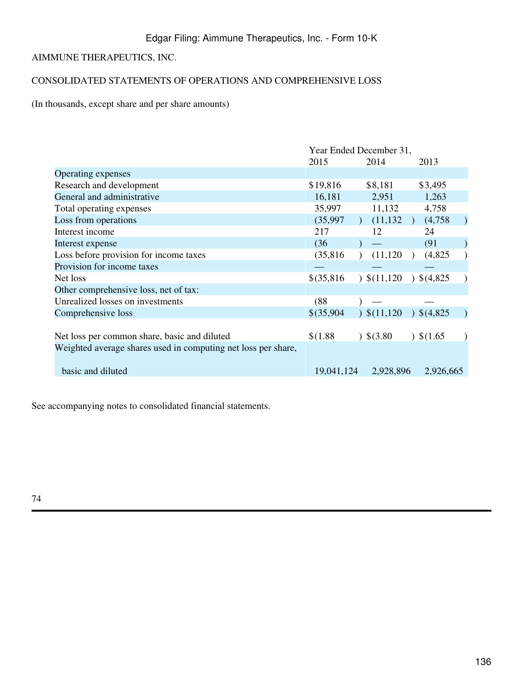# AIMMUNE THERAPEUTICS, INC.

# CONSOLIDATED STATEMENTS OF OPERATIONS AND COMPREHENSIVE LOSS

(In thousands, except share and per share amounts)

|                                                               | Year Ended December 31, |                        |               |  |  |
|---------------------------------------------------------------|-------------------------|------------------------|---------------|--|--|
|                                                               | 2015                    | 2014                   | 2013          |  |  |
| Operating expenses                                            |                         |                        |               |  |  |
| Research and development                                      | \$19,816                | \$8,181                | \$3,495       |  |  |
| General and administrative                                    | 16,181                  | 2,951                  | 1,263         |  |  |
| Total operating expenses                                      | 35,997                  | 11,132                 | 4,758         |  |  |
| Loss from operations                                          | (35,997)                | (11, 132)              | (4,758)       |  |  |
| Interest income                                               | 217                     | 12                     | 24            |  |  |
| Interest expense                                              | (36)                    |                        | (91)          |  |  |
| Loss before provision for income taxes                        | (35,816)                | (11, 120)              | (4,825)       |  |  |
| Provision for income taxes                                    |                         |                        |               |  |  |
| Net loss                                                      | $$$ (35,816)            | $\frac{\$(11,120)}{1}$ | 3(4,825)      |  |  |
| Other comprehensive loss, net of tax:                         |                         |                        |               |  |  |
| Unrealized losses on investments                              | (88)                    |                        |               |  |  |
| Comprehensive loss                                            | $$$ (35,904)            | $\frac{1}{2}(11,120)$  | $)$ \$(4,825) |  |  |
|                                                               |                         |                        |               |  |  |
| Net loss per common share, basic and diluted                  | \$(1.88)                | 3.80                   | $)$ \$(1.65)  |  |  |
| Weighted average shares used in computing net loss per share, |                         |                        |               |  |  |
| basic and diluted                                             | 19,041,124              | 2,928,896              | 2,926,665     |  |  |

See accompanying notes to consolidated financial statements.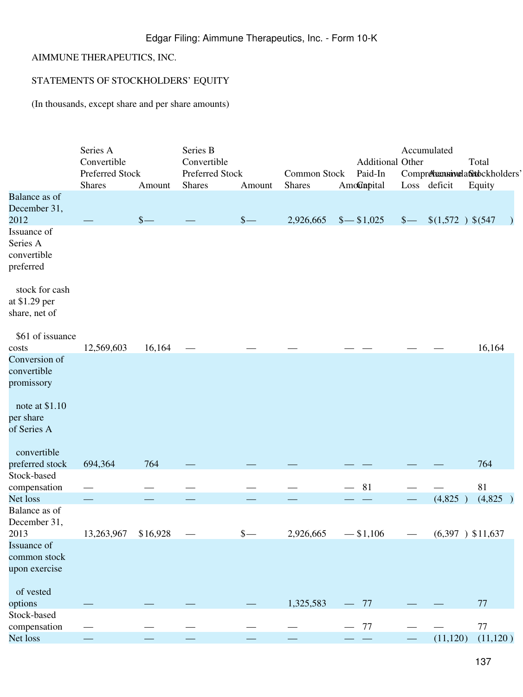# AIMMUNE THERAPEUTICS, INC.

# STATEMENTS OF STOCKHOLDERS' EQUITY

(In thousands, except share and per share amounts)

|                                                     | Series A<br>Convertible<br>Preferred Stock<br><b>Shares</b> | Amount                            | Series B<br>Convertible<br>Preferred Stock<br><b>Shares</b> | Amount                            | Common Stock<br><b>Shares</b> |                               | <b>Additional Other</b><br>Paid-In<br>AmoCapital |        | Accumulated<br>Comprehennivela&tockholders'<br>Loss deficit | Total<br>Equity    |  |
|-----------------------------------------------------|-------------------------------------------------------------|-----------------------------------|-------------------------------------------------------------|-----------------------------------|-------------------------------|-------------------------------|--------------------------------------------------|--------|-------------------------------------------------------------|--------------------|--|
| Balance as of                                       |                                                             |                                   |                                                             |                                   |                               |                               |                                                  |        |                                                             |                    |  |
| December 31,<br>2012                                |                                                             | $\frac{\mathcal{S}}{\mathcal{S}}$ |                                                             | $\frac{\mathcal{S}}{\mathcal{S}}$ | 2,926,665                     |                               | $\frac{$- $1,025}$                               | $\sim$ | \$(1,572) \$(547)                                           |                    |  |
| Issuance of<br>Series A<br>convertible<br>preferred |                                                             |                                   |                                                             |                                   |                               |                               |                                                  |        |                                                             |                    |  |
| stock for cash<br>at \$1.29 per                     |                                                             |                                   |                                                             |                                   |                               |                               |                                                  |        |                                                             |                    |  |
| share, net of                                       |                                                             |                                   |                                                             |                                   |                               |                               |                                                  |        |                                                             |                    |  |
| \$61 of issuance                                    |                                                             |                                   |                                                             |                                   |                               |                               |                                                  |        |                                                             |                    |  |
| costs                                               | 12,569,603                                                  | 16,164                            |                                                             |                                   |                               |                               |                                                  |        |                                                             | 16,164             |  |
| Conversion of                                       |                                                             |                                   |                                                             |                                   |                               |                               |                                                  |        |                                                             |                    |  |
| convertible                                         |                                                             |                                   |                                                             |                                   |                               |                               |                                                  |        |                                                             |                    |  |
| promissory                                          |                                                             |                                   |                                                             |                                   |                               |                               |                                                  |        |                                                             |                    |  |
| note at \$1.10                                      |                                                             |                                   |                                                             |                                   |                               |                               |                                                  |        |                                                             |                    |  |
| per share                                           |                                                             |                                   |                                                             |                                   |                               |                               |                                                  |        |                                                             |                    |  |
| of Series A                                         |                                                             |                                   |                                                             |                                   |                               |                               |                                                  |        |                                                             |                    |  |
| convertible                                         |                                                             |                                   |                                                             |                                   |                               |                               |                                                  |        |                                                             |                    |  |
| preferred stock                                     | 694,364                                                     | 764                               |                                                             |                                   |                               |                               |                                                  |        |                                                             | 764                |  |
| Stock-based                                         |                                                             |                                   |                                                             |                                   |                               |                               | 81                                               |        |                                                             | 81                 |  |
| compensation<br>Net loss                            |                                                             |                                   |                                                             |                                   |                               |                               |                                                  |        | (4,825)                                                     | (4,825)            |  |
| Balance as of                                       |                                                             |                                   |                                                             |                                   |                               |                               |                                                  |        |                                                             |                    |  |
| December 31,                                        |                                                             |                                   |                                                             |                                   |                               |                               |                                                  |        |                                                             |                    |  |
| 2013                                                | 13,263,967                                                  | \$16,928                          |                                                             | $\frac{\S}{\S}$                   | 2,926,665                     |                               | $- $1,106$                                       |        |                                                             | $(6,397)$ \$11,637 |  |
| Issuance of                                         |                                                             |                                   |                                                             |                                   |                               |                               |                                                  |        |                                                             |                    |  |
| common stock                                        |                                                             |                                   |                                                             |                                   |                               |                               |                                                  |        |                                                             |                    |  |
| upon exercise                                       |                                                             |                                   |                                                             |                                   |                               |                               |                                                  |        |                                                             |                    |  |
| of vested                                           |                                                             |                                   |                                                             |                                   |                               |                               |                                                  |        |                                                             |                    |  |
| options                                             |                                                             |                                   |                                                             |                                   | 1,325,583                     | $\overbrace{\phantom{aaaaa}}$ | 77                                               |        |                                                             | 77                 |  |
| Stock-based                                         |                                                             |                                   |                                                             |                                   |                               |                               |                                                  |        |                                                             |                    |  |
| compensation                                        |                                                             |                                   |                                                             |                                   |                               |                               | 77                                               |        |                                                             | $77\,$             |  |
| Net loss                                            |                                                             |                                   |                                                             |                                   |                               |                               |                                                  |        | (11, 120)                                                   | (11, 120)          |  |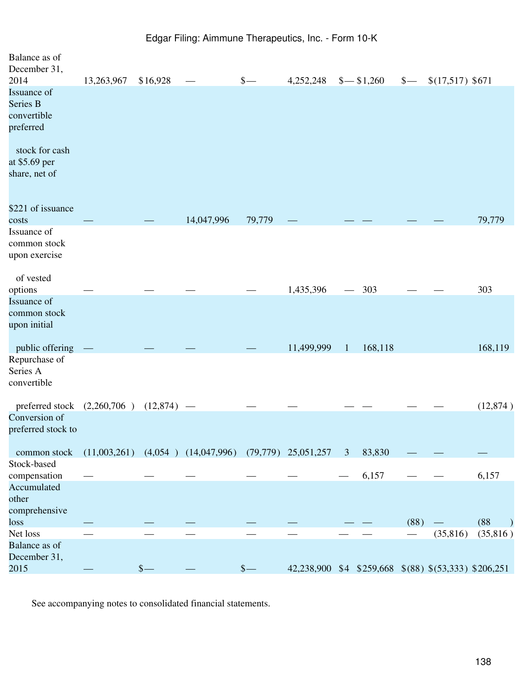| Balance as of<br>December 31,<br>2014                                                                   | 13,263,967 | \$16,928      |                                                                 | $\frac{1}{2}$ |            | $4,252,248$ \$ $-$ \$1,260                           | $\sim$ | $$(17,517)$ \$671 |                   |
|---------------------------------------------------------------------------------------------------------|------------|---------------|-----------------------------------------------------------------|---------------|------------|------------------------------------------------------|--------|-------------------|-------------------|
| Issuance of<br>Series B<br>convertible<br>preferred<br>stock for cash<br>at \$5.69 per<br>share, net of |            |               |                                                                 |               |            |                                                      |        |                   |                   |
| \$221 of issuance                                                                                       |            |               | 14,047,996                                                      | 79,779        |            |                                                      |        |                   | 79,779            |
| costs<br>Issuance of<br>common stock<br>upon exercise                                                   |            |               |                                                                 |               |            |                                                      |        |                   |                   |
| of vested<br>options                                                                                    |            |               |                                                                 |               | 1,435,396  | $-303$                                               |        |                   | 303               |
| Issuance of<br>common stock<br>upon initial                                                             |            |               |                                                                 |               |            |                                                      |        |                   |                   |
| public offering<br>Repurchase of<br>Series A<br>convertible                                             |            |               |                                                                 |               | 11,499,999 | 168,118<br>$\mathbf{1}$                              |        |                   | 168,119           |
| preferred stock $(2,260,706)$ $(12,874)$ —<br>Conversion of                                             |            |               |                                                                 |               |            |                                                      |        |                   | (12, 874)         |
| preferred stock to<br>common stock                                                                      |            |               | $(11,003,261)$ $(4,054)$ $(14,047,996)$ $(79,779)$ $25,051,257$ |               |            | $\mathfrak{Z}$<br>83,830                             |        |                   |                   |
| Stock-based<br>compensation                                                                             |            |               |                                                                 |               |            | 6,157                                                |        |                   | 6,157             |
| Accumulated<br>other<br>comprehensive                                                                   |            |               |                                                                 |               |            |                                                      |        |                   |                   |
| loss                                                                                                    |            |               |                                                                 |               |            |                                                      | (88)   |                   | (88)<br>$\lambda$ |
| Net loss                                                                                                |            |               |                                                                 |               |            |                                                      |        | (35, 816)         | (35,816)          |
| Balance as of<br>December 31,<br>2015                                                                   |            | $\frac{1}{2}$ |                                                                 | $\frac{1}{2}$ |            | 42,238,900 \$4 \$259,668 \$(88) \$(53,333) \$206,251 |        |                   |                   |
|                                                                                                         |            |               |                                                                 |               |            |                                                      |        |                   |                   |

See accompanying notes to consolidated financial statements.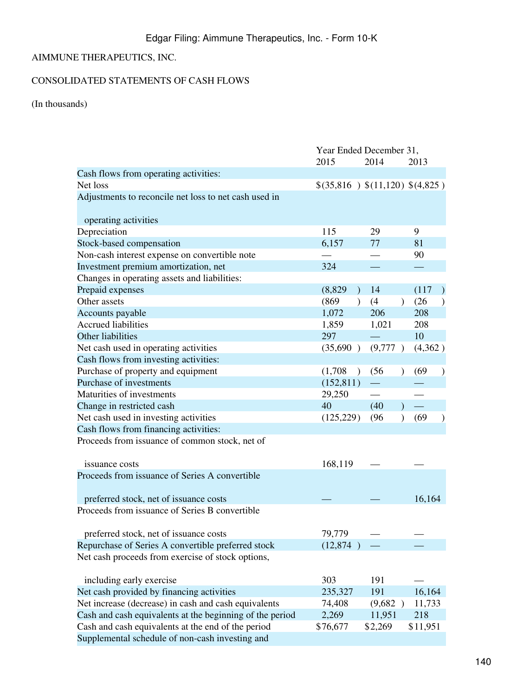# AIMMUNE THERAPEUTICS, INC.

# CONSOLIDATED STATEMENTS OF CASH FLOWS

(In thousands)

|                                                          | Year Ended December 31,  |         |                                    |  |  |
|----------------------------------------------------------|--------------------------|---------|------------------------------------|--|--|
|                                                          | 2015                     | 2014    | 2013                               |  |  |
| Cash flows from operating activities:                    |                          |         |                                    |  |  |
| Net loss                                                 |                          |         | \$(35,816) \$(11,120) \$(4,825)    |  |  |
| Adjustments to reconcile net loss to net cash used in    |                          |         |                                    |  |  |
|                                                          |                          |         |                                    |  |  |
| operating activities                                     |                          |         |                                    |  |  |
| Depreciation                                             | 115                      | 29      | 9                                  |  |  |
| Stock-based compensation                                 | 6,157                    | 77      | 81                                 |  |  |
| Non-cash interest expense on convertible note            |                          |         | 90                                 |  |  |
| Investment premium amortization, net                     | 324                      |         |                                    |  |  |
| Changes in operating assets and liabilities:             |                          |         |                                    |  |  |
| Prepaid expenses                                         | (8,829)<br>$\mathcal{L}$ | 14      | (117)                              |  |  |
| Other assets                                             | (869)<br>$\mathcal{L}$   | (4)     | (26)<br>$\mathcal{L}$<br>$\lambda$ |  |  |
| Accounts payable                                         | 1,072                    | 206     | 208                                |  |  |
| <b>Accrued liabilities</b>                               | 1,859                    | 1,021   | 208                                |  |  |
| Other liabilities                                        | 297                      |         | 10                                 |  |  |
| Net cash used in operating activities                    | (35,690)                 | (9,777) | (4,362)                            |  |  |
| Cash flows from investing activities:                    |                          |         |                                    |  |  |
| Purchase of property and equipment                       | (1,708)<br>$\rightarrow$ | (56)    | (69)<br>$\mathcal{L}$              |  |  |
| Purchase of investments                                  | (152, 811)               |         |                                    |  |  |
| Maturities of investments                                | 29,250                   |         |                                    |  |  |
| Change in restricted cash                                | 40                       | (40)    |                                    |  |  |
| Net cash used in investing activities                    | (125, 229)               | (96)    | (69)<br>$\mathcal{E}$<br>$\lambda$ |  |  |
| Cash flows from financing activities:                    |                          |         |                                    |  |  |
| Proceeds from issuance of common stock, net of           |                          |         |                                    |  |  |
|                                                          |                          |         |                                    |  |  |
| issuance costs                                           | 168,119                  |         |                                    |  |  |
| Proceeds from issuance of Series A convertible           |                          |         |                                    |  |  |
|                                                          |                          |         |                                    |  |  |
| preferred stock, net of issuance costs                   |                          |         | 16,164                             |  |  |
| Proceeds from issuance of Series B convertible           |                          |         |                                    |  |  |
|                                                          |                          |         |                                    |  |  |
| preferred stock, net of issuance costs                   | 79,779                   |         |                                    |  |  |
| Repurchase of Series A convertible preferred stock       | (12,874)                 |         |                                    |  |  |
| Net cash proceeds from exercise of stock options,        |                          |         |                                    |  |  |
|                                                          |                          |         |                                    |  |  |
| including early exercise                                 | 303                      | 191     |                                    |  |  |
| Net cash provided by financing activities                | 235,327                  | 191     | 16,164                             |  |  |
| Net increase (decrease) in cash and cash equivalents     | 74,408                   | (9,682) | 11,733                             |  |  |
| Cash and cash equivalents at the beginning of the period | 2,269                    | 11,951  | 218                                |  |  |
| Cash and cash equivalents at the end of the period       | \$76,677                 | \$2,269 | \$11,951                           |  |  |
| Supplemental schedule of non-cash investing and          |                          |         |                                    |  |  |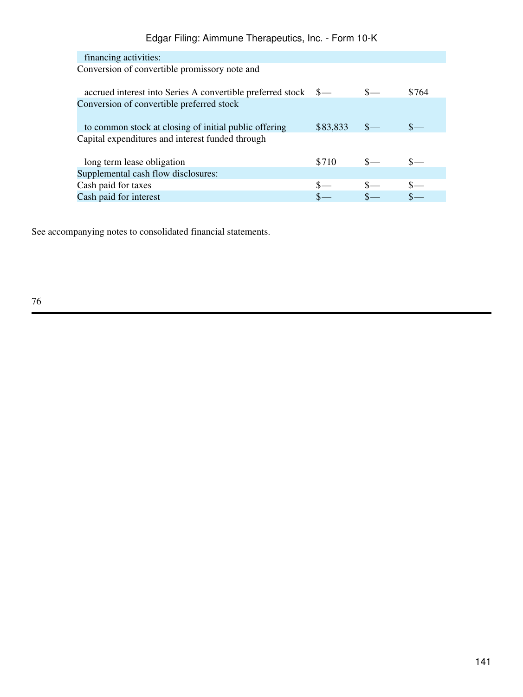| financing activities:                                          |          |       |
|----------------------------------------------------------------|----------|-------|
| Conversion of convertible promissory note and                  |          |       |
|                                                                |          |       |
| accrued interest into Series A convertible preferred stock \$— |          | \$764 |
| Conversion of convertible preferred stock                      |          |       |
|                                                                |          |       |
| to common stock at closing of initial public offering          | \$83,833 |       |
| Capital expenditures and interest funded through               |          |       |
|                                                                |          |       |
| long term lease obligation                                     | \$710    |       |
| Supplemental cash flow disclosures:                            |          |       |
| Cash paid for taxes                                            |          |       |
| Cash paid for interest                                         |          |       |
|                                                                |          |       |

See accompanying notes to consolidated financial statements.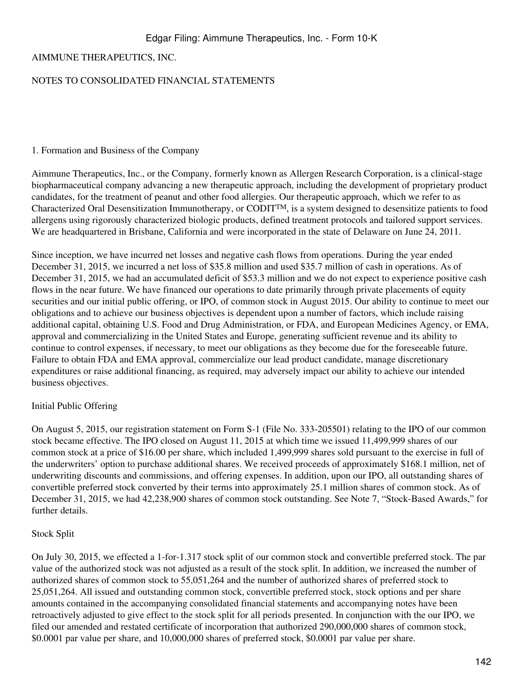# AIMMUNE THERAPEUTICS, INC.

## NOTES TO CONSOLIDATED FINANCIAL STATEMENTS

#### 1. Formation and Business of the Company

Aimmune Therapeutics, Inc., or the Company, formerly known as Allergen Research Corporation, is a clinical-stage biopharmaceutical company advancing a new therapeutic approach, including the development of proprietary product candidates, for the treatment of peanut and other food allergies. Our therapeutic approach, which we refer to as Characterized Oral Desensitization Immunotherapy, or CODITTM, is a system designed to desensitize patients to food allergens using rigorously characterized biologic products, defined treatment protocols and tailored support services. We are headquartered in Brisbane, California and were incorporated in the state of Delaware on June 24, 2011.

Since inception, we have incurred net losses and negative cash flows from operations. During the year ended December 31, 2015, we incurred a net loss of \$35.8 million and used \$35.7 million of cash in operations. As of December 31, 2015, we had an accumulated deficit of \$53.3 million and we do not expect to experience positive cash flows in the near future. We have financed our operations to date primarily through private placements of equity securities and our initial public offering, or IPO, of common stock in August 2015. Our ability to continue to meet our obligations and to achieve our business objectives is dependent upon a number of factors, which include raising additional capital, obtaining U.S. Food and Drug Administration, or FDA, and European Medicines Agency, or EMA, approval and commercializing in the United States and Europe, generating sufficient revenue and its ability to continue to control expenses, if necessary, to meet our obligations as they become due for the foreseeable future. Failure to obtain FDA and EMA approval, commercialize our lead product candidate, manage discretionary expenditures or raise additional financing, as required, may adversely impact our ability to achieve our intended business objectives.

#### Initial Public Offering

On August 5, 2015, our registration statement on Form S-1 (File No. 333-205501) relating to the IPO of our common stock became effective. The IPO closed on August 11, 2015 at which time we issued 11,499,999 shares of our common stock at a price of \$16.00 per share, which included 1,499,999 shares sold pursuant to the exercise in full of the underwriters' option to purchase additional shares. We received proceeds of approximately \$168.1 million, net of underwriting discounts and commissions, and offering expenses. In addition, upon our IPO, all outstanding shares of convertible preferred stock converted by their terms into approximately 25.1 million shares of common stock. As of December 31, 2015, we had 42,238,900 shares of common stock outstanding. See Note 7, "Stock-Based Awards," for further details.

#### Stock Split

On July 30, 2015, we effected a 1-for-1.317 stock split of our common stock and convertible preferred stock. The par value of the authorized stock was not adjusted as a result of the stock split. In addition, we increased the number of authorized shares of common stock to 55,051,264 and the number of authorized shares of preferred stock to 25,051,264. All issued and outstanding common stock, convertible preferred stock, stock options and per share amounts contained in the accompanying consolidated financial statements and accompanying notes have been retroactively adjusted to give effect to the stock split for all periods presented. In conjunction with the our IPO, we filed our amended and restated certificate of incorporation that authorized 290,000,000 shares of common stock, \$0.0001 par value per share, and 10,000,000 shares of preferred stock, \$0.0001 par value per share.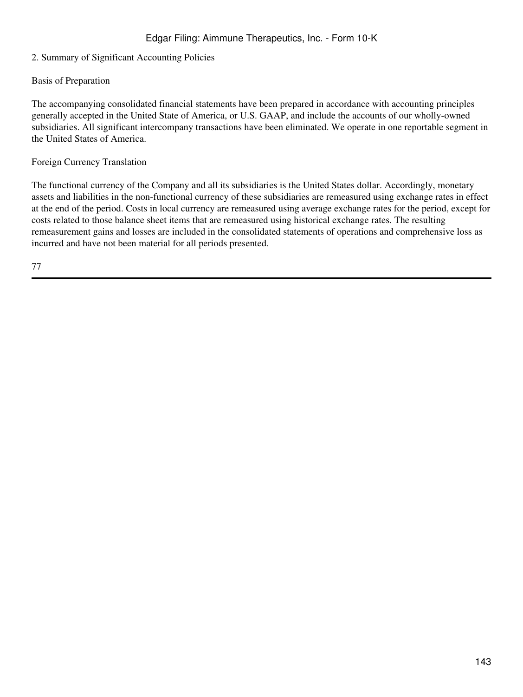# 2. Summary of Significant Accounting Policies

## Basis of Preparation

The accompanying consolidated financial statements have been prepared in accordance with accounting principles generally accepted in the United State of America, or U.S. GAAP, and include the accounts of our wholly-owned subsidiaries. All significant intercompany transactions have been eliminated. We operate in one reportable segment in the United States of America.

#### Foreign Currency Translation

The functional currency of the Company and all its subsidiaries is the United States dollar. Accordingly, monetary assets and liabilities in the non-functional currency of these subsidiaries are remeasured using exchange rates in effect at the end of the period. Costs in local currency are remeasured using average exchange rates for the period, except for costs related to those balance sheet items that are remeasured using historical exchange rates. The resulting remeasurement gains and losses are included in the consolidated statements of operations and comprehensive loss as incurred and have not been material for all periods presented.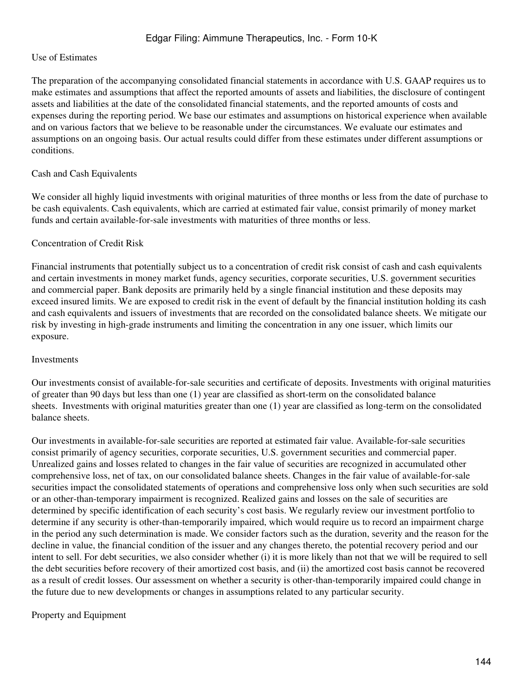## Use of Estimates

The preparation of the accompanying consolidated financial statements in accordance with U.S. GAAP requires us to make estimates and assumptions that affect the reported amounts of assets and liabilities, the disclosure of contingent assets and liabilities at the date of the consolidated financial statements, and the reported amounts of costs and expenses during the reporting period. We base our estimates and assumptions on historical experience when available and on various factors that we believe to be reasonable under the circumstances. We evaluate our estimates and assumptions on an ongoing basis. Our actual results could differ from these estimates under different assumptions or conditions.

## Cash and Cash Equivalents

We consider all highly liquid investments with original maturities of three months or less from the date of purchase to be cash equivalents. Cash equivalents, which are carried at estimated fair value, consist primarily of money market funds and certain available-for-sale investments with maturities of three months or less.

## Concentration of Credit Risk

Financial instruments that potentially subject us to a concentration of credit risk consist of cash and cash equivalents and certain investments in money market funds, agency securities, corporate securities, U.S. government securities and commercial paper. Bank deposits are primarily held by a single financial institution and these deposits may exceed insured limits. We are exposed to credit risk in the event of default by the financial institution holding its cash and cash equivalents and issuers of investments that are recorded on the consolidated balance sheets. We mitigate our risk by investing in high-grade instruments and limiting the concentration in any one issuer, which limits our exposure.

#### Investments

Our investments consist of available-for-sale securities and certificate of deposits. Investments with original maturities of greater than 90 days but less than one (1) year are classified as short-term on the consolidated balance sheets. Investments with original maturities greater than one (1) year are classified as long-term on the consolidated balance sheets.

Our investments in available-for-sale securities are reported at estimated fair value. Available-for-sale securities consist primarily of agency securities, corporate securities, U.S. government securities and commercial paper. Unrealized gains and losses related to changes in the fair value of securities are recognized in accumulated other comprehensive loss, net of tax, on our consolidated balance sheets. Changes in the fair value of available-for-sale securities impact the consolidated statements of operations and comprehensive loss only when such securities are sold or an other-than-temporary impairment is recognized. Realized gains and losses on the sale of securities are determined by specific identification of each security's cost basis. We regularly review our investment portfolio to determine if any security is other-than-temporarily impaired, which would require us to record an impairment charge in the period any such determination is made. We consider factors such as the duration, severity and the reason for the decline in value, the financial condition of the issuer and any changes thereto, the potential recovery period and our intent to sell. For debt securities, we also consider whether (i) it is more likely than not that we will be required to sell the debt securities before recovery of their amortized cost basis, and (ii) the amortized cost basis cannot be recovered as a result of credit losses. Our assessment on whether a security is other-than-temporarily impaired could change in the future due to new developments or changes in assumptions related to any particular security.

# Property and Equipment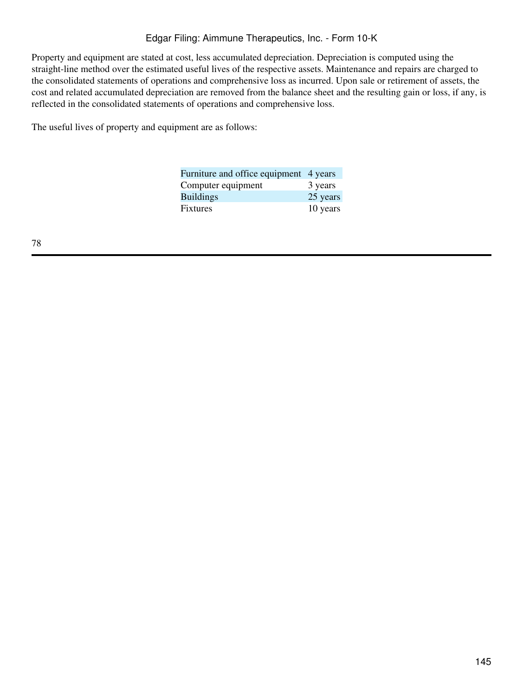Property and equipment are stated at cost, less accumulated depreciation. Depreciation is computed using the straight-line method over the estimated useful lives of the respective assets. Maintenance and repairs are charged to the consolidated statements of operations and comprehensive loss as incurred. Upon sale or retirement of assets, the cost and related accumulated depreciation are removed from the balance sheet and the resulting gain or loss, if any, is reflected in the consolidated statements of operations and comprehensive loss.

The useful lives of property and equipment are as follows:

| Furniture and office equipment 4 years |          |
|----------------------------------------|----------|
| Computer equipment                     | 3 years  |
| <b>Buildings</b>                       | 25 years |
| <b>Fixtures</b>                        | 10 years |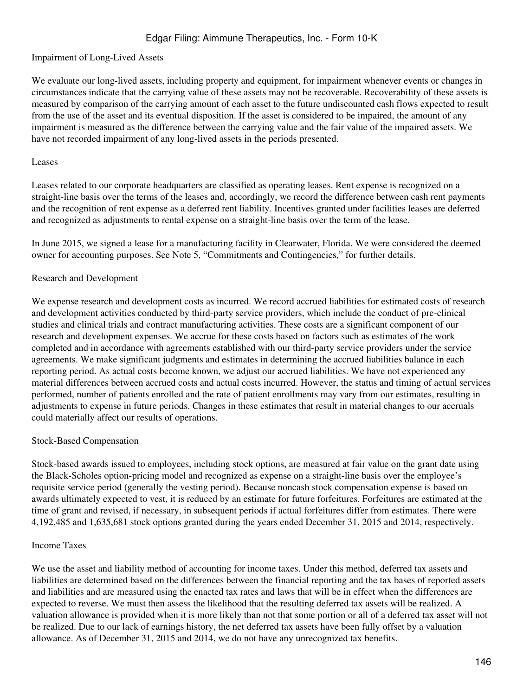#### Impairment of Long-Lived Assets

We evaluate our long-lived assets, including property and equipment, for impairment whenever events or changes in circumstances indicate that the carrying value of these assets may not be recoverable. Recoverability of these assets is measured by comparison of the carrying amount of each asset to the future undiscounted cash flows expected to result from the use of the asset and its eventual disposition. If the asset is considered to be impaired, the amount of any impairment is measured as the difference between the carrying value and the fair value of the impaired assets. We have not recorded impairment of any long-lived assets in the periods presented.

#### Leases

Leases related to our corporate headquarters are classified as operating leases. Rent expense is recognized on a straight-line basis over the terms of the leases and, accordingly, we record the difference between cash rent payments and the recognition of rent expense as a deferred rent liability. Incentives granted under facilities leases are deferred and recognized as adjustments to rental expense on a straight-line basis over the term of the lease.

In June 2015, we signed a lease for a manufacturing facility in Clearwater, Florida. We were considered the deemed owner for accounting purposes. See Note 5, "Commitments and Contingencies," for further details.

#### Research and Development

We expense research and development costs as incurred. We record accrued liabilities for estimated costs of research and development activities conducted by third-party service providers, which include the conduct of pre-clinical studies and clinical trials and contract manufacturing activities. These costs are a significant component of our research and development expenses. We accrue for these costs based on factors such as estimates of the work completed and in accordance with agreements established with our third-party service providers under the service agreements. We make significant judgments and estimates in determining the accrued liabilities balance in each reporting period. As actual costs become known, we adjust our accrued liabilities. We have not experienced any material differences between accrued costs and actual costs incurred. However, the status and timing of actual services performed, number of patients enrolled and the rate of patient enrollments may vary from our estimates, resulting in adjustments to expense in future periods. Changes in these estimates that result in material changes to our accruals could materially affect our results of operations.

#### Stock-Based Compensation

Stock-based awards issued to employees, including stock options, are measured at fair value on the grant date using the Black-Scholes option-pricing model and recognized as expense on a straight-line basis over the employee's requisite service period (generally the vesting period). Because noncash stock compensation expense is based on awards ultimately expected to vest, it is reduced by an estimate for future forfeitures. Forfeitures are estimated at the time of grant and revised, if necessary, in subsequent periods if actual forfeitures differ from estimates. There were 4,192,485 and 1,635,681 stock options granted during the years ended December 31, 2015 and 2014, respectively.

#### Income Taxes

We use the asset and liability method of accounting for income taxes. Under this method, deferred tax assets and liabilities are determined based on the differences between the financial reporting and the tax bases of reported assets and liabilities and are measured using the enacted tax rates and laws that will be in effect when the differences are expected to reverse. We must then assess the likelihood that the resulting deferred tax assets will be realized. A valuation allowance is provided when it is more likely than not that some portion or all of a deferred tax asset will not be realized. Due to our lack of earnings history, the net deferred tax assets have been fully offset by a valuation allowance. As of December 31, 2015 and 2014, we do not have any unrecognized tax benefits.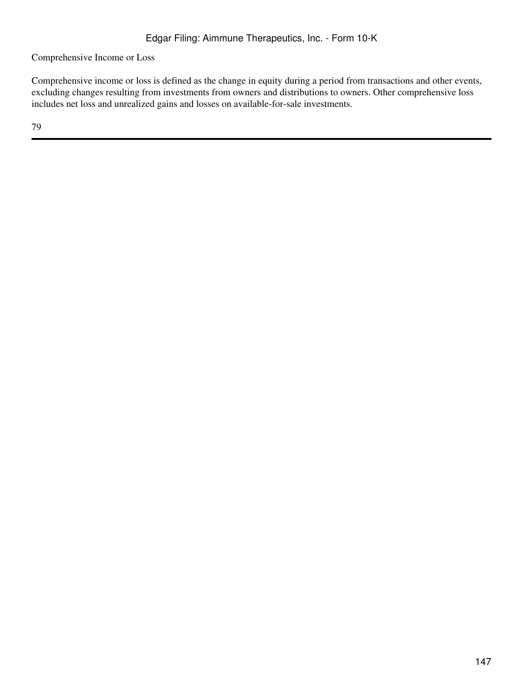Comprehensive Income or Loss

Comprehensive income or loss is defined as the change in equity during a period from transactions and other events, excluding changes resulting from investments from owners and distributions to owners. Other comprehensive loss includes net loss and unrealized gains and losses on available-for-sale investments.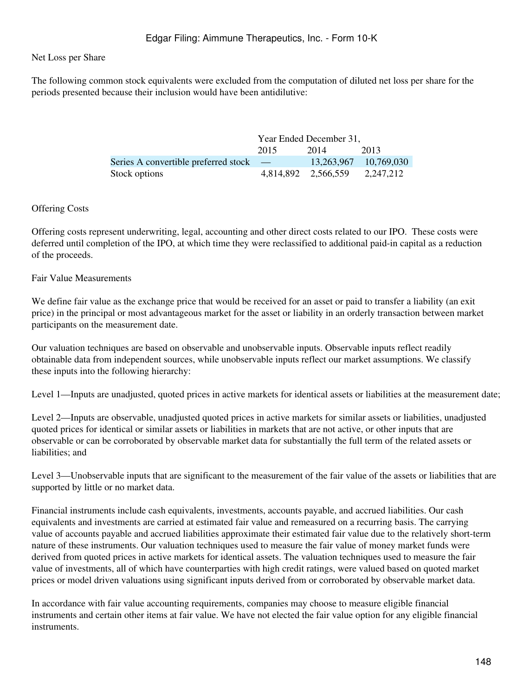#### Net Loss per Share

The following common stock equivalents were excluded from the computation of diluted net loss per share for the periods presented because their inclusion would have been antidilutive:

|                                               | Year Ended December 31, |                     |            |  |
|-----------------------------------------------|-------------------------|---------------------|------------|--|
|                                               | 2015                    | 2014                | 2013       |  |
| Series A convertible preferred stock $\qquad$ |                         | 13,263,967          | 10.769.030 |  |
| Stock options                                 |                         | 4,814,892 2,566,559 | 2.247.212  |  |

#### Offering Costs

Offering costs represent underwriting, legal, accounting and other direct costs related to our IPO. These costs were deferred until completion of the IPO, at which time they were reclassified to additional paid-in capital as a reduction of the proceeds.

#### Fair Value Measurements

We define fair value as the exchange price that would be received for an asset or paid to transfer a liability (an exit price) in the principal or most advantageous market for the asset or liability in an orderly transaction between market participants on the measurement date.

Our valuation techniques are based on observable and unobservable inputs. Observable inputs reflect readily obtainable data from independent sources, while unobservable inputs reflect our market assumptions. We classify these inputs into the following hierarchy:

Level 1—Inputs are unadjusted, quoted prices in active markets for identical assets or liabilities at the measurement date;

Level 2—Inputs are observable, unadjusted quoted prices in active markets for similar assets or liabilities, unadjusted quoted prices for identical or similar assets or liabilities in markets that are not active, or other inputs that are observable or can be corroborated by observable market data for substantially the full term of the related assets or liabilities; and

Level 3—Unobservable inputs that are significant to the measurement of the fair value of the assets or liabilities that are supported by little or no market data.

Financial instruments include cash equivalents, investments, accounts payable, and accrued liabilities. Our cash equivalents and investments are carried at estimated fair value and remeasured on a recurring basis. The carrying value of accounts payable and accrued liabilities approximate their estimated fair value due to the relatively short-term nature of these instruments. Our valuation techniques used to measure the fair value of money market funds were derived from quoted prices in active markets for identical assets. The valuation techniques used to measure the fair value of investments, all of which have counterparties with high credit ratings, were valued based on quoted market prices or model driven valuations using significant inputs derived from or corroborated by observable market data.

In accordance with fair value accounting requirements, companies may choose to measure eligible financial instruments and certain other items at fair value. We have not elected the fair value option for any eligible financial **instruments**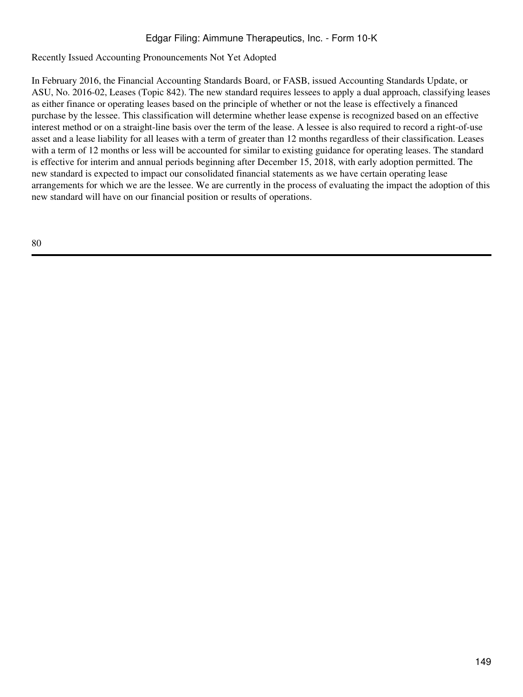Recently Issued Accounting Pronouncements Not Yet Adopted

In February 2016, the Financial Accounting Standards Board, or FASB, issued Accounting Standards Update, or ASU, No. 2016-02, Leases (Topic 842). The new standard requires lessees to apply a dual approach, classifying leases as either finance or operating leases based on the principle of whether or not the lease is effectively a financed purchase by the lessee. This classification will determine whether lease expense is recognized based on an effective interest method or on a straight-line basis over the term of the lease. A lessee is also required to record a right-of-use asset and a lease liability for all leases with a term of greater than 12 months regardless of their classification. Leases with a term of 12 months or less will be accounted for similar to existing guidance for operating leases. The standard is effective for interim and annual periods beginning after December 15, 2018, with early adoption permitted. The new standard is expected to impact our consolidated financial statements as we have certain operating lease arrangements for which we are the lessee. We are currently in the process of evaluating the impact the adoption of this new standard will have on our financial position or results of operations.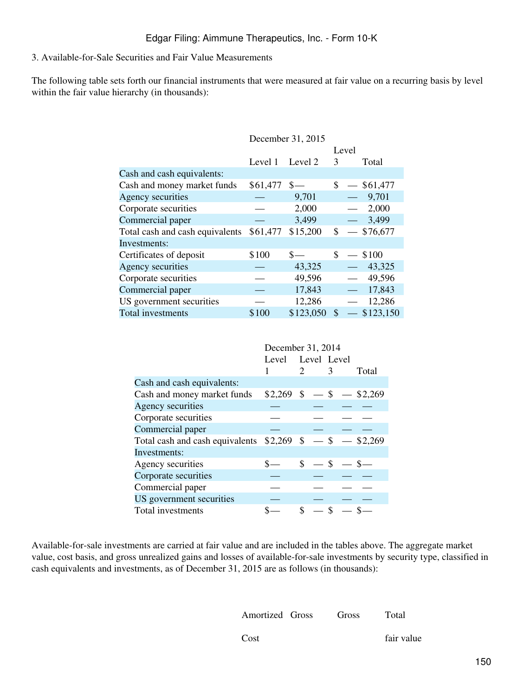#### 3. Available-for-Sale Securities and Fair Value Measurements

The following table sets forth our financial instruments that were measured at fair value on a recurring basis by level within the fair value hierarchy (in thousands):

|                                 | December 31, 2015 |           |    |                                    |
|---------------------------------|-------------------|-----------|----|------------------------------------|
|                                 |                   |           |    | Level                              |
|                                 | Level 1           | Level 2   | 3  | Total                              |
| Cash and cash equivalents:      |                   |           |    |                                    |
| Cash and money market funds     | $$61,477$ \$-     |           |    | $$ - $61,477$                      |
| Agency securities               |                   | 9,701     |    | 9,701<br>$\overline{\phantom{m}}$  |
| Corporate securities            |                   | 2,000     |    | 2,000<br>$\frac{1}{2}$             |
| Commercial paper                |                   | 3,499     |    | 3,499<br>$\overline{\phantom{m}}$  |
| Total cash and cash equivalents | \$61,477          | \$15,200  | \$ | \$76,677                           |
| Investments:                    |                   |           |    |                                    |
| Certificates of deposit         | \$100             | $S-$      | \$ | \$100<br>$\overline{\phantom{m}}$  |
| Agency securities               |                   | 43,325    |    | 43,325<br>$\equiv$ .               |
| Corporate securities            |                   | 49,596    |    | 49,596                             |
| Commercial paper                |                   | 17,843    |    | 17,843<br>$\overline{\phantom{0}}$ |
| US government securities        |                   | 12,286    |    | 12,286                             |
| Total investments               | \$100             | \$123,050 | \$ | \$123,150                          |

|                                 | December 31, 2014 |                                |               |                            |
|---------------------------------|-------------------|--------------------------------|---------------|----------------------------|
|                                 | Level             | Level Level                    |               |                            |
|                                 |                   | $2 \left( \frac{1}{2} \right)$ | 3             | Total                      |
| Cash and cash equivalents:      |                   |                                |               |                            |
| Cash and money market funds     |                   |                                |               | $$2,269$ \$ - \$ - \$2,269 |
| Agency securities               |                   |                                |               |                            |
| Corporate securities            |                   |                                |               |                            |
| Commercial paper                |                   |                                |               |                            |
| Total cash and cash equivalents | $$2,269$ \$ - \$  |                                |               | $-$ \$2,269                |
| Investments:                    |                   |                                |               |                            |
| Agency securities               |                   | $\mathbb{S}$                   | $-$ \$        |                            |
| Corporate securities            |                   |                                |               |                            |
| Commercial paper                |                   |                                |               |                            |
| US government securities        |                   |                                |               |                            |
| Total investments               |                   | \$                             | $\mathcal{S}$ |                            |

Available-for-sale investments are carried at fair value and are included in the tables above. The aggregate market value, cost basis, and gross unrealized gains and losses of available-for-sale investments by security type, classified in cash equivalents and investments, as of December 31, 2015 are as follows (in thousands):

Amortized Gross

Gross Total

Cost

fair value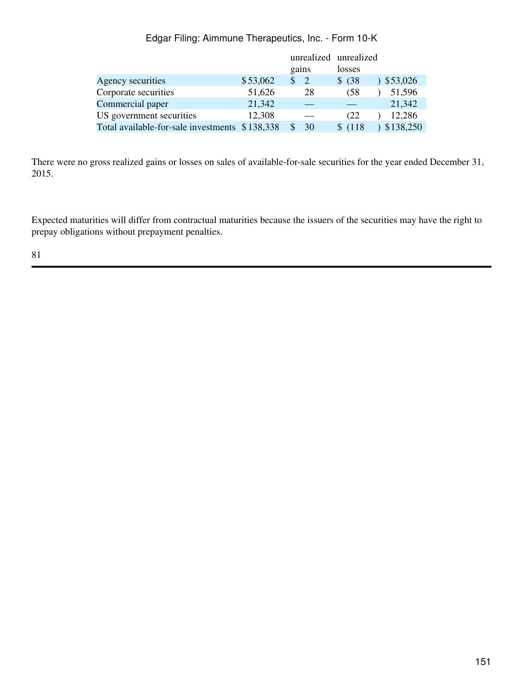|                                                |          | unrealized unrealized |         |           |
|------------------------------------------------|----------|-----------------------|---------|-----------|
|                                                |          | gains                 | losses  |           |
| Agency securities                              | \$53,062 | -2                    | \$ (38) | \$53,026  |
| Corporate securities                           | 51,626   | 28                    | (58     | 51,596    |
| Commercial paper                               | 21,342   |                       |         | 21,342    |
| US government securities                       | 12,308   |                       | (22)    | 12,286    |
| Total available-for-sale investments \$138,338 |          | 30                    | \$(118) | \$138,250 |

There were no gross realized gains or losses on sales of available-for-sale securities for the year ended December 31, 2015.

Expected maturities will differ from contractual maturities because the issuers of the securities may have the right to prepay obligations without prepayment penalties.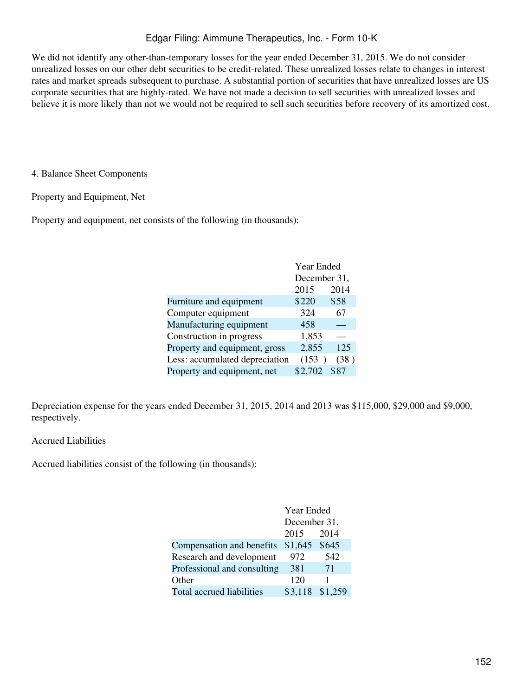We did not identify any other-than-temporary losses for the year ended December 31, 2015. We do not consider unrealized losses on our other debt securities to be credit-related. These unrealized losses relate to changes in interest rates and market spreads subsequent to purchase. A substantial portion of securities that have unrealized losses are US corporate securities that are highly-rated. We have not made a decision to sell securities with unrealized losses and believe it is more likely than not we would not be required to sell such securities before recovery of its amortized cost.

4. Balance Sheet Components

Property and Equipment, Net

Property and equipment, net consists of the following (in thousands):

|                                | Year Ended   |      |
|--------------------------------|--------------|------|
|                                | December 31, |      |
|                                | 2015         | 2014 |
| Furniture and equipment        | \$220        | \$58 |
| Computer equipment             | 324          | 67   |
| Manufacturing equipment        | 458          |      |
| Construction in progress       | 1,853        |      |
| Property and equipment, gross  | 2,855        | 125  |
| Less: accumulated depreciation | (153)        | (38) |
| Property and equipment, net    | \$2,702      | \$87 |

Depreciation expense for the years ended December 31, 2015, 2014 and 2013 was \$115,000, \$29,000 and \$9,000, respectively.

## Accrued Liabilities

Accrued liabilities consist of the following (in thousands):

|                             | Year Ended      |     |  |
|-----------------------------|-----------------|-----|--|
|                             | December 31,    |     |  |
|                             | 2014<br>2015    |     |  |
| Compensation and benefits   | $$1,645$ \$645  |     |  |
| Research and development    | 972             | 542 |  |
| Professional and consulting | 381             | 71  |  |
| Other                       | 120             |     |  |
| Total accrued liabilities   | \$3,118 \$1,259 |     |  |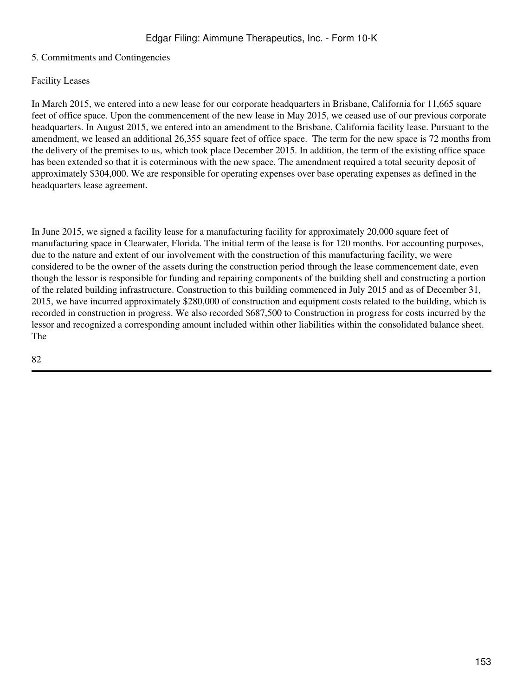## 5. Commitments and Contingencies

#### Facility Leases

In March 2015, we entered into a new lease for our corporate headquarters in Brisbane, California for 11,665 square feet of office space. Upon the commencement of the new lease in May 2015, we ceased use of our previous corporate headquarters. In August 2015, we entered into an amendment to the Brisbane, California facility lease. Pursuant to the amendment, we leased an additional 26,355 square feet of office space. The term for the new space is 72 months from the delivery of the premises to us, which took place December 2015. In addition, the term of the existing office space has been extended so that it is coterminous with the new space. The amendment required a total security deposit of approximately \$304,000. We are responsible for operating expenses over base operating expenses as defined in the headquarters lease agreement.

In June 2015, we signed a facility lease for a manufacturing facility for approximately 20,000 square feet of manufacturing space in Clearwater, Florida. The initial term of the lease is for 120 months. For accounting purposes, due to the nature and extent of our involvement with the construction of this manufacturing facility, we were considered to be the owner of the assets during the construction period through the lease commencement date, even though the lessor is responsible for funding and repairing components of the building shell and constructing a portion of the related building infrastructure. Construction to this building commenced in July 2015 and as of December 31, 2015, we have incurred approximately \$280,000 of construction and equipment costs related to the building, which is recorded in construction in progress. We also recorded \$687,500 to Construction in progress for costs incurred by the lessor and recognized a corresponding amount included within other liabilities within the consolidated balance sheet. The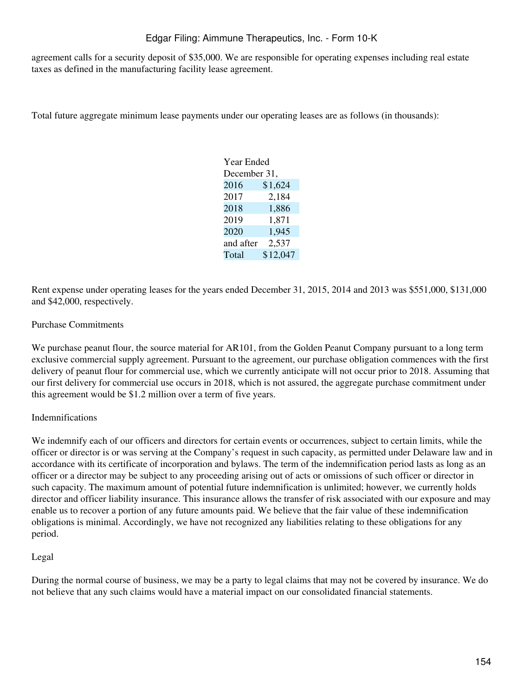agreement calls for a security deposit of \$35,000. We are responsible for operating expenses including real estate taxes as defined in the manufacturing facility lease agreement.

Total future aggregate minimum lease payments under our operating leases are as follows (in thousands):

| Year Ended   |          |
|--------------|----------|
| December 31, |          |
| 2016         | \$1,624  |
| 2017         | 2,184    |
| 2018         | 1,886    |
| 2019         | 1,871    |
| 2020         | 1,945    |
| and after    | 2,537    |
| Total        | \$12,047 |
|              |          |

Rent expense under operating leases for the years ended December 31, 2015, 2014 and 2013 was \$551,000, \$131,000 and \$42,000, respectively.

## Purchase Commitments

We purchase peanut flour, the source material for AR101, from the Golden Peanut Company pursuant to a long term exclusive commercial supply agreement. Pursuant to the agreement, our purchase obligation commences with the first delivery of peanut flour for commercial use, which we currently anticipate will not occur prior to 2018. Assuming that our first delivery for commercial use occurs in 2018, which is not assured, the aggregate purchase commitment under this agreement would be \$1.2 million over a term of five years.

## Indemnifications

We indemnify each of our officers and directors for certain events or occurrences, subject to certain limits, while the officer or director is or was serving at the Company's request in such capacity, as permitted under Delaware law and in accordance with its certificate of incorporation and bylaws. The term of the indemnification period lasts as long as an officer or a director may be subject to any proceeding arising out of acts or omissions of such officer or director in such capacity. The maximum amount of potential future indemnification is unlimited; however, we currently holds director and officer liability insurance. This insurance allows the transfer of risk associated with our exposure and may enable us to recover a portion of any future amounts paid. We believe that the fair value of these indemnification obligations is minimal. Accordingly, we have not recognized any liabilities relating to these obligations for any period.

#### Legal

During the normal course of business, we may be a party to legal claims that may not be covered by insurance. We do not believe that any such claims would have a material impact on our consolidated financial statements.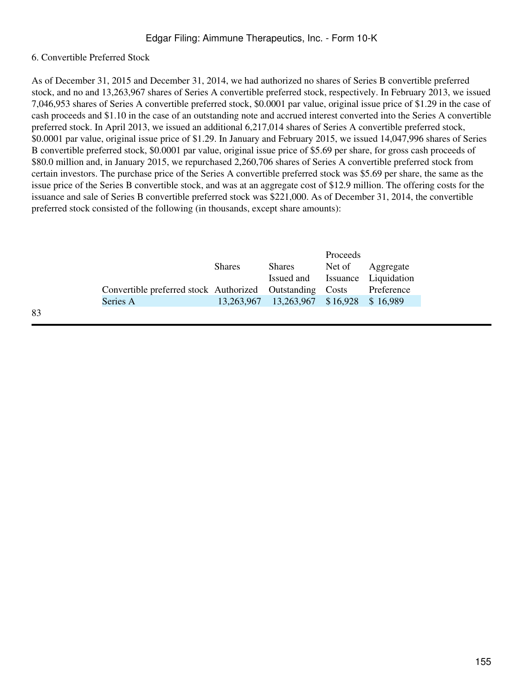#### 6. Convertible Preferred Stock

As of December 31, 2015 and December 31, 2014, we had authorized no shares of Series B convertible preferred stock, and no and 13,263,967 shares of Series A convertible preferred stock, respectively. In February 2013, we issued 7,046,953 shares of Series A convertible preferred stock, \$0.0001 par value, original issue price of \$1.29 in the case of cash proceeds and \$1.10 in the case of an outstanding note and accrued interest converted into the Series A convertible preferred stock. In April 2013, we issued an additional 6,217,014 shares of Series A convertible preferred stock, \$0.0001 par value, original issue price of \$1.29. In January and February 2015, we issued 14,047,996 shares of Series B convertible preferred stock, \$0.0001 par value, original issue price of \$5.69 per share, for gross cash proceeds of \$80.0 million and, in January 2015, we repurchased 2,260,706 shares of Series A convertible preferred stock from certain investors. The purchase price of the Series A convertible preferred stock was \$5.69 per share, the same as the issue price of the Series B convertible stock, and was at an aggregate cost of \$12.9 million. The offering costs for the issuance and sale of Series B convertible preferred stock was \$221,000. As of December 31, 2014, the convertible preferred stock consisted of the following (in thousands, except share amounts):

|                                                          |               |                                         | Proceeds |            |
|----------------------------------------------------------|---------------|-----------------------------------------|----------|------------|
|                                                          | <b>Shares</b> | <b>Shares</b>                           | Net of   | Aggregate  |
|                                                          |               | Issued and Issuance Liquidation         |          |            |
| Convertible preferred stock Authorized Outstanding Costs |               |                                         |          | Preference |
| Series A                                                 |               | 13,263,967 13,263,967 \$16,928 \$16,989 |          |            |
|                                                          |               |                                         |          |            |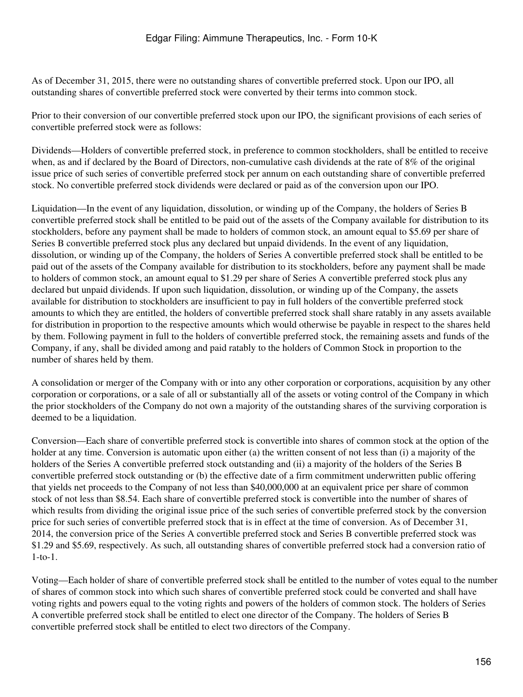As of December 31, 2015, there were no outstanding shares of convertible preferred stock. Upon our IPO, all outstanding shares of convertible preferred stock were converted by their terms into common stock.

Prior to their conversion of our convertible preferred stock upon our IPO, the significant provisions of each series of convertible preferred stock were as follows:

Dividends—Holders of convertible preferred stock, in preference to common stockholders, shall be entitled to receive when, as and if declared by the Board of Directors, non-cumulative cash dividends at the rate of 8% of the original issue price of such series of convertible preferred stock per annum on each outstanding share of convertible preferred stock. No convertible preferred stock dividends were declared or paid as of the conversion upon our IPO.

Liquidation—In the event of any liquidation, dissolution, or winding up of the Company, the holders of Series B convertible preferred stock shall be entitled to be paid out of the assets of the Company available for distribution to its stockholders, before any payment shall be made to holders of common stock, an amount equal to \$5.69 per share of Series B convertible preferred stock plus any declared but unpaid dividends. In the event of any liquidation, dissolution, or winding up of the Company, the holders of Series A convertible preferred stock shall be entitled to be paid out of the assets of the Company available for distribution to its stockholders, before any payment shall be made to holders of common stock, an amount equal to \$1.29 per share of Series A convertible preferred stock plus any declared but unpaid dividends. If upon such liquidation, dissolution, or winding up of the Company, the assets available for distribution to stockholders are insufficient to pay in full holders of the convertible preferred stock amounts to which they are entitled, the holders of convertible preferred stock shall share ratably in any assets available for distribution in proportion to the respective amounts which would otherwise be payable in respect to the shares held by them. Following payment in full to the holders of convertible preferred stock, the remaining assets and funds of the Company, if any, shall be divided among and paid ratably to the holders of Common Stock in proportion to the number of shares held by them.

A consolidation or merger of the Company with or into any other corporation or corporations, acquisition by any other corporation or corporations, or a sale of all or substantially all of the assets or voting control of the Company in which the prior stockholders of the Company do not own a majority of the outstanding shares of the surviving corporation is deemed to be a liquidation.

Conversion—Each share of convertible preferred stock is convertible into shares of common stock at the option of the holder at any time. Conversion is automatic upon either (a) the written consent of not less than (i) a majority of the holders of the Series A convertible preferred stock outstanding and (ii) a majority of the holders of the Series B convertible preferred stock outstanding or (b) the effective date of a firm commitment underwritten public offering that yields net proceeds to the Company of not less than \$40,000,000 at an equivalent price per share of common stock of not less than \$8.54. Each share of convertible preferred stock is convertible into the number of shares of which results from dividing the original issue price of the such series of convertible preferred stock by the conversion price for such series of convertible preferred stock that is in effect at the time of conversion. As of December 31, 2014, the conversion price of the Series A convertible preferred stock and Series B convertible preferred stock was \$1.29 and \$5.69, respectively. As such, all outstanding shares of convertible preferred stock had a conversion ratio of 1-to-1.

Voting—Each holder of share of convertible preferred stock shall be entitled to the number of votes equal to the number of shares of common stock into which such shares of convertible preferred stock could be converted and shall have voting rights and powers equal to the voting rights and powers of the holders of common stock. The holders of Series A convertible preferred stock shall be entitled to elect one director of the Company. The holders of Series B convertible preferred stock shall be entitled to elect two directors of the Company.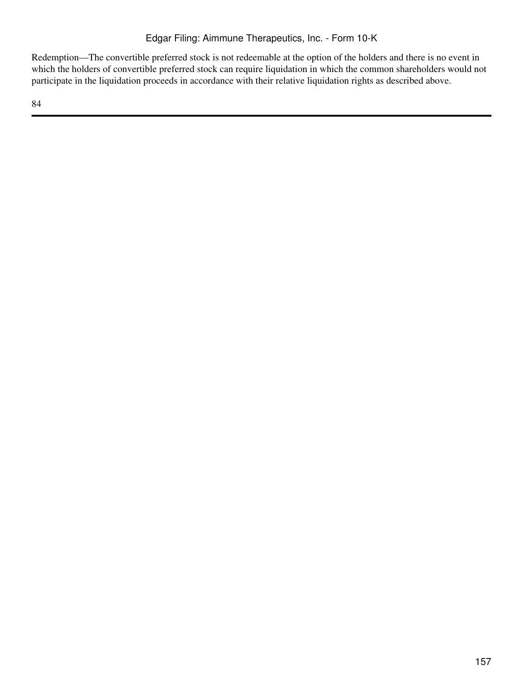Redemption—The convertible preferred stock is not redeemable at the option of the holders and there is no event in which the holders of convertible preferred stock can require liquidation in which the common shareholders would not participate in the liquidation proceeds in accordance with their relative liquidation rights as described above.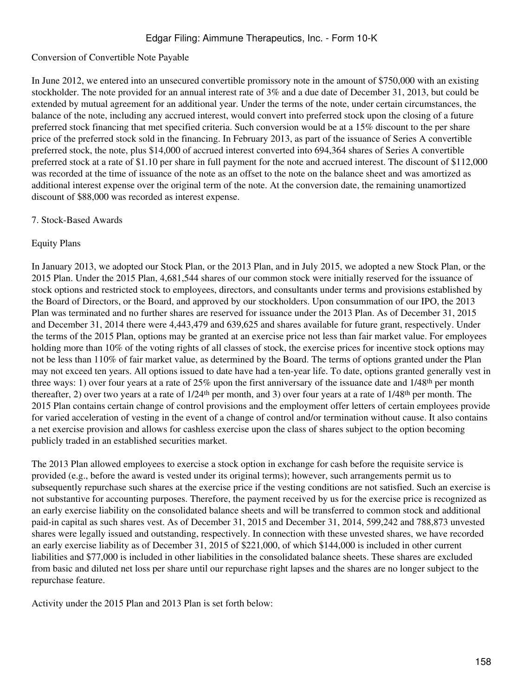## Conversion of Convertible Note Payable

In June 2012, we entered into an unsecured convertible promissory note in the amount of \$750,000 with an existing stockholder. The note provided for an annual interest rate of 3% and a due date of December 31, 2013, but could be extended by mutual agreement for an additional year. Under the terms of the note, under certain circumstances, the balance of the note, including any accrued interest, would convert into preferred stock upon the closing of a future preferred stock financing that met specified criteria. Such conversion would be at a 15% discount to the per share price of the preferred stock sold in the financing. In February 2013, as part of the issuance of Series A convertible preferred stock, the note, plus \$14,000 of accrued interest converted into 694,364 shares of Series A convertible preferred stock at a rate of \$1.10 per share in full payment for the note and accrued interest. The discount of \$112,000 was recorded at the time of issuance of the note as an offset to the note on the balance sheet and was amortized as additional interest expense over the original term of the note. At the conversion date, the remaining unamortized discount of \$88,000 was recorded as interest expense.

#### 7. Stock-Based Awards

#### Equity Plans

In January 2013, we adopted our Stock Plan, or the 2013 Plan, and in July 2015, we adopted a new Stock Plan, or the 2015 Plan. Under the 2015 Plan, 4,681,544 shares of our common stock were initially reserved for the issuance of stock options and restricted stock to employees, directors, and consultants under terms and provisions established by the Board of Directors, or the Board, and approved by our stockholders. Upon consummation of our IPO, the 2013 Plan was terminated and no further shares are reserved for issuance under the 2013 Plan. As of December 31, 2015 and December 31, 2014 there were 4,443,479 and 639,625 and shares available for future grant, respectively. Under the terms of the 2015 Plan, options may be granted at an exercise price not less than fair market value. For employees holding more than 10% of the voting rights of all classes of stock, the exercise prices for incentive stock options may not be less than 110% of fair market value, as determined by the Board. The terms of options granted under the Plan may not exceed ten years. All options issued to date have had a ten-year life. To date, options granted generally vest in three ways: 1) over four years at a rate of 25% upon the first anniversary of the issuance date and 1/48<sup>th</sup> per month thereafter, 2) over two years at a rate of  $1/24<sup>th</sup>$  per month, and 3) over four years at a rate of  $1/48<sup>th</sup>$  per month. The 2015 Plan contains certain change of control provisions and the employment offer letters of certain employees provide for varied acceleration of vesting in the event of a change of control and/or termination without cause. It also contains a net exercise provision and allows for cashless exercise upon the class of shares subject to the option becoming publicly traded in an established securities market.

The 2013 Plan allowed employees to exercise a stock option in exchange for cash before the requisite service is provided (e.g., before the award is vested under its original terms); however, such arrangements permit us to subsequently repurchase such shares at the exercise price if the vesting conditions are not satisfied. Such an exercise is not substantive for accounting purposes. Therefore, the payment received by us for the exercise price is recognized as an early exercise liability on the consolidated balance sheets and will be transferred to common stock and additional paid-in capital as such shares vest. As of December 31, 2015 and December 31, 2014, 599,242 and 788,873 unvested shares were legally issued and outstanding, respectively. In connection with these unvested shares, we have recorded an early exercise liability as of December 31, 2015 of \$221,000, of which \$144,000 is included in other current liabilities and \$77,000 is included in other liabilities in the consolidated balance sheets. These shares are excluded from basic and diluted net loss per share until our repurchase right lapses and the shares are no longer subject to the repurchase feature.

Activity under the 2015 Plan and 2013 Plan is set forth below: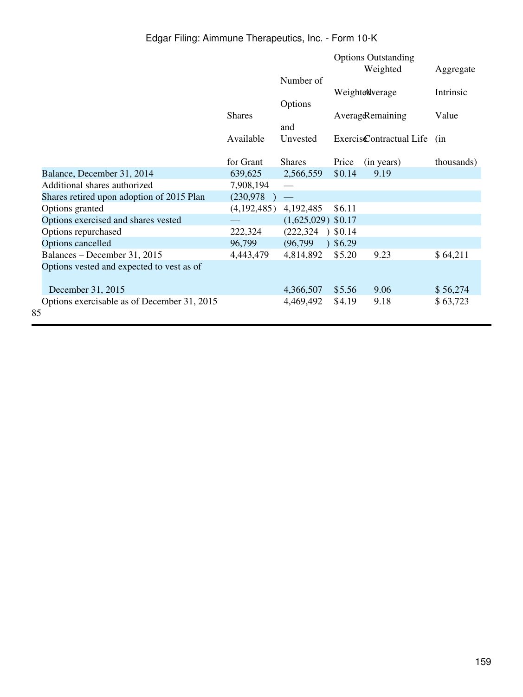|                                             |               |                         |        | <b>Options Outstanding</b>       |            |
|---------------------------------------------|---------------|-------------------------|--------|----------------------------------|------------|
|                                             |               | Number of               |        | Weighted                         | Aggregate  |
|                                             |               |                         |        | Weightendverage                  | Intrinsic  |
|                                             |               | Options                 |        |                                  |            |
|                                             | <b>Shares</b> |                         |        | Averag&emaining                  | Value      |
|                                             |               | and                     |        |                                  |            |
|                                             | Available     | Unvested                |        | Exercis <b>C</b> ontractual Life | (in        |
|                                             | for Grant     | <b>Shares</b>           | Price  | (in years)                       | thousands) |
| Balance, December 31, 2014                  | 639,625       | 2,566,559               | \$0.14 | 9.19                             |            |
| Additional shares authorized                | 7,908,194     |                         |        |                                  |            |
| Shares retired upon adoption of 2015 Plan   | (230, 978)    |                         |        |                                  |            |
| Options granted                             | (4,192,485)   | 4,192,485               | \$6.11 |                                  |            |
| Options exercised and shares vested         |               | $(1,625,029)$ \$0.17    |        |                                  |            |
| Options repurchased                         | 222,324       | (222, 324)<br>$\lambda$ | \$0.14 |                                  |            |
| Options cancelled                           | 96,799        | (96, 799)               | \$6.29 |                                  |            |
| Balances - December 31, 2015                | 4,443,479     | 4,814,892               | \$5.20 | 9.23                             | \$64,211   |
| Options vested and expected to vest as of   |               |                         |        |                                  |            |
| December 31, 2015                           |               | 4,366,507               | \$5.56 | 9.06                             | \$56,274   |
| Options exercisable as of December 31, 2015 |               | 4,469,492               | \$4.19 | 9.18                             | \$63,723   |
| 85                                          |               |                         |        |                                  |            |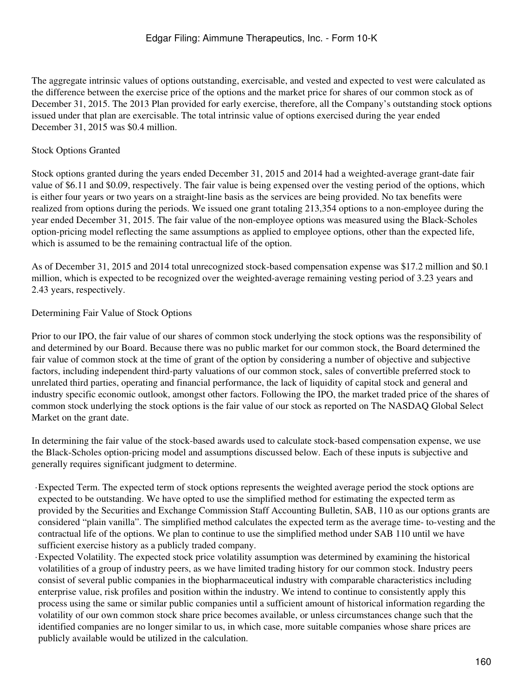The aggregate intrinsic values of options outstanding, exercisable, and vested and expected to vest were calculated as the difference between the exercise price of the options and the market price for shares of our common stock as of December 31, 2015. The 2013 Plan provided for early exercise, therefore, all the Company's outstanding stock options issued under that plan are exercisable. The total intrinsic value of options exercised during the year ended December 31, 2015 was \$0.4 million.

## Stock Options Granted

Stock options granted during the years ended December 31, 2015 and 2014 had a weighted-average grant-date fair value of \$6.11 and \$0.09, respectively. The fair value is being expensed over the vesting period of the options, which is either four years or two years on a straight-line basis as the services are being provided. No tax benefits were realized from options during the periods. We issued one grant totaling 213,354 options to a non-employee during the year ended December 31, 2015. The fair value of the non-employee options was measured using the Black-Scholes option-pricing model reflecting the same assumptions as applied to employee options, other than the expected life, which is assumed to be the remaining contractual life of the option.

As of December 31, 2015 and 2014 total unrecognized stock-based compensation expense was \$17.2 million and \$0.1 million, which is expected to be recognized over the weighted-average remaining vesting period of 3.23 years and 2.43 years, respectively.

## Determining Fair Value of Stock Options

Prior to our IPO, the fair value of our shares of common stock underlying the stock options was the responsibility of and determined by our Board. Because there was no public market for our common stock, the Board determined the fair value of common stock at the time of grant of the option by considering a number of objective and subjective factors, including independent third-party valuations of our common stock, sales of convertible preferred stock to unrelated third parties, operating and financial performance, the lack of liquidity of capital stock and general and industry specific economic outlook, amongst other factors. Following the IPO, the market traded price of the shares of common stock underlying the stock options is the fair value of our stock as reported on The NASDAQ Global Select Market on the grant date.

In determining the fair value of the stock-based awards used to calculate stock-based compensation expense, we use the Black-Scholes option-pricing model and assumptions discussed below. Each of these inputs is subjective and generally requires significant judgment to determine.

·Expected Term. The expected term of stock options represents the weighted average period the stock options are expected to be outstanding. We have opted to use the simplified method for estimating the expected term as provided by the Securities and Exchange Commission Staff Accounting Bulletin, SAB, 110 as our options grants are considered "plain vanilla". The simplified method calculates the expected term as the average time- to-vesting and the contractual life of the options. We plan to continue to use the simplified method under SAB 110 until we have sufficient exercise history as a publicly traded company.

·Expected Volatility. The expected stock price volatility assumption was determined by examining the historical volatilities of a group of industry peers, as we have limited trading history for our common stock. Industry peers consist of several public companies in the biopharmaceutical industry with comparable characteristics including enterprise value, risk profiles and position within the industry. We intend to continue to consistently apply this process using the same or similar public companies until a sufficient amount of historical information regarding the volatility of our own common stock share price becomes available, or unless circumstances change such that the identified companies are no longer similar to us, in which case, more suitable companies whose share prices are publicly available would be utilized in the calculation.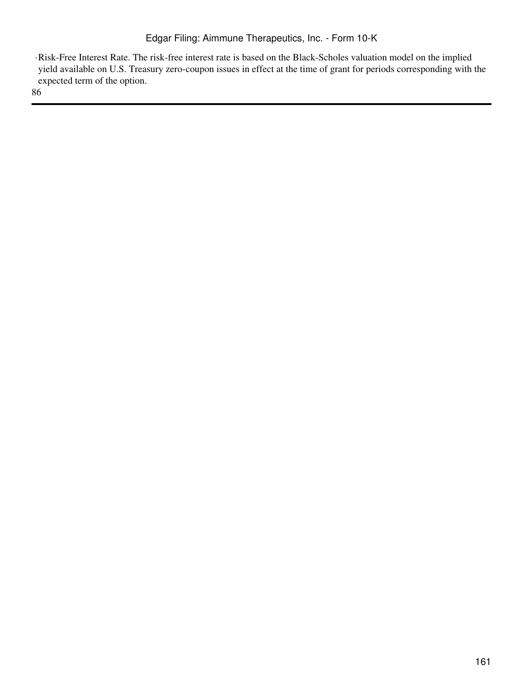·Risk-Free Interest Rate. The risk-free interest rate is based on the Black-Scholes valuation model on the implied yield available on U.S. Treasury zero-coupon issues in effect at the time of grant for periods corresponding with the expected term of the option.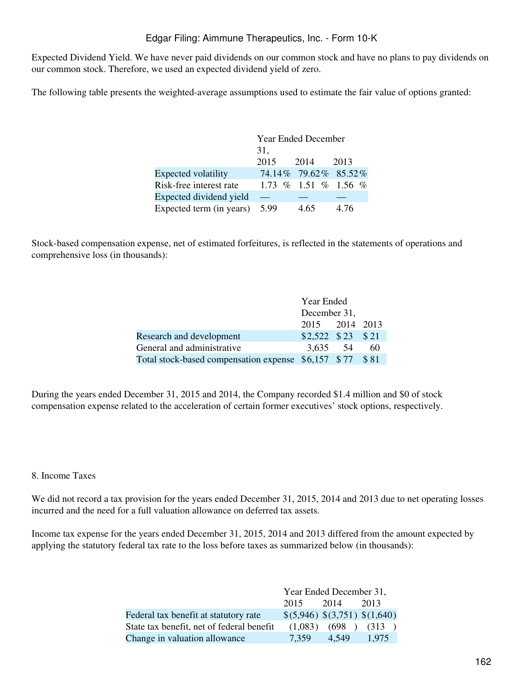Expected Dividend Yield. We have never paid dividends on our common stock and have no plans to pay dividends on our common stock. Therefore, we used an expected dividend yield of zero.

The following table presents the weighted-average assumptions used to estimate the fair value of options granted:

|                          | <b>Year Ended December</b> |                      |      |  |  |
|--------------------------|----------------------------|----------------------|------|--|--|
|                          | 31,                        |                      |      |  |  |
|                          | 2015                       | 2014                 | 2013 |  |  |
| Expected volatility      |                            | 74.14% 79.62% 85.52% |      |  |  |
| Risk-free interest rate  |                            | 1.73 % 1.51 % 1.56 % |      |  |  |
| Expected dividend yield  |                            |                      |      |  |  |
| Expected term (in years) | 5.99                       | 4.65                 | 4.76 |  |  |

Stock-based compensation expense, net of estimated forfeitures, is reflected in the statements of operations and comprehensive loss (in thousands):

|                                                          | Year Ended           |  |     |  |
|----------------------------------------------------------|----------------------|--|-----|--|
|                                                          | December 31,         |  |     |  |
|                                                          | 2015 2014 2013       |  |     |  |
| Research and development                                 | $$2,522$ $$23$ $$21$ |  |     |  |
| General and administrative                               | 3.635 54             |  | 6() |  |
| Total stock-based compensation expense \$6,157 \$77 \$81 |                      |  |     |  |

During the years ended December 31, 2015 and 2014, the Company recorded \$1.4 million and \$0 of stock compensation expense related to the acceleration of certain former executives' stock options, respectively.

#### 8. Income Taxes

We did not record a tax provision for the years ended December 31, 2015, 2014 and 2013 due to net operating losses incurred and the need for a full valuation allowance on deferred tax assets.

Income tax expense for the years ended December 31, 2015, 2014 and 2013 differed from the amount expected by applying the statutory federal tax rate to the loss before taxes as summarized below (in thousands):

|                                           | Year Ended December 31,       |                           |       |  |
|-------------------------------------------|-------------------------------|---------------------------|-------|--|
|                                           | 2015                          | 2014                      | 2013  |  |
| Federal tax benefit at statutory rate     | \$(5,946) \$(3,751) \$(1,640) |                           |       |  |
| State tax benefit, net of federal benefit |                               | $(1,083)$ $(698)$ $(313)$ |       |  |
| Change in valuation allowance             | 7.359                         | 4.549                     | 1.975 |  |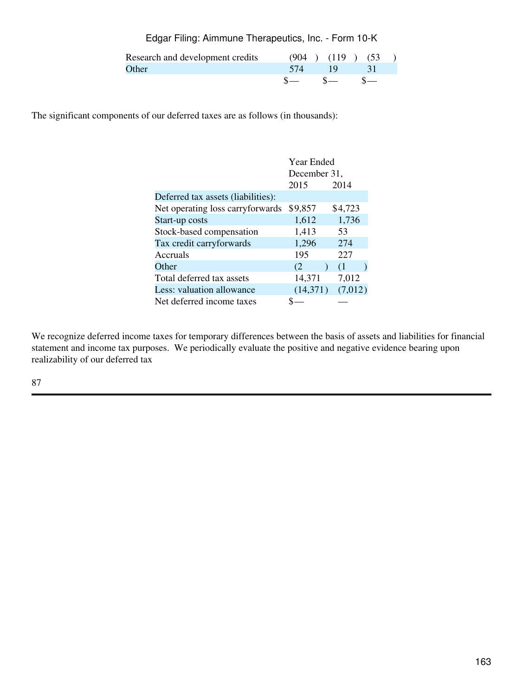Edgar Filing: Aimmune Therapeutics, Inc. - Form 10-K

| Research and development credits |        | $(904)$ $(119)$ $(53)$ |  |
|----------------------------------|--------|------------------------|--|
| Other                            | $-574$ | $-19$                  |  |
|                                  |        | $s =$ $s =$ $s =$      |  |

The significant components of our deferred taxes are as follows (in thousands):

|                                    | Year Ended   |         |  |
|------------------------------------|--------------|---------|--|
|                                    | December 31, |         |  |
|                                    | 2015         | 2014    |  |
| Deferred tax assets (liabilities): |              |         |  |
| Net operating loss carryforwards   | \$9,857      | \$4,723 |  |
| Start-up costs                     | 1,612        | 1,736   |  |
| Stock-based compensation           | 1,413        | 53      |  |
| Tax credit carryforwards           | 1,296        | 274     |  |
| Accruals                           | 195          | 227     |  |
| Other                              | (2)          | (1)     |  |
| Total deferred tax assets          | 14,371       | 7,012   |  |
| Less: valuation allowance          | (14,371)     | (7,012) |  |
| Net deferred income taxes          |              |         |  |

We recognize deferred income taxes for temporary differences between the basis of assets and liabilities for financial statement and income tax purposes. We periodically evaluate the positive and negative evidence bearing upon realizability of our deferred tax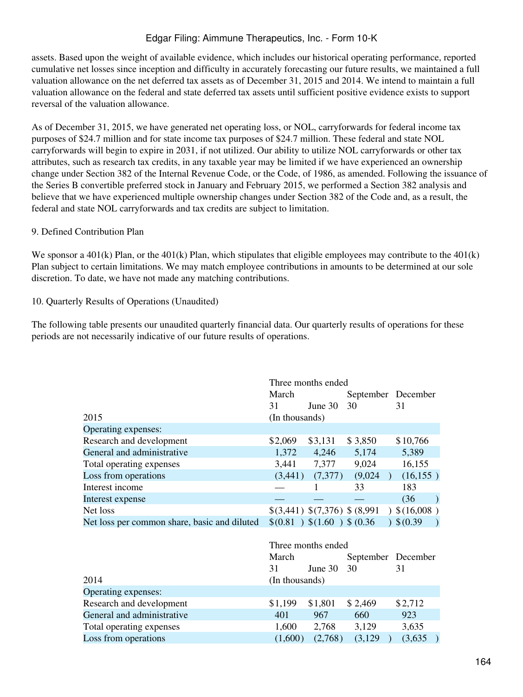assets. Based upon the weight of available evidence, which includes our historical operating performance, reported cumulative net losses since inception and difficulty in accurately forecasting our future results, we maintained a full valuation allowance on the net deferred tax assets as of December 31, 2015 and 2014. We intend to maintain a full valuation allowance on the federal and state deferred tax assets until sufficient positive evidence exists to support reversal of the valuation allowance.

As of December 31, 2015, we have generated net operating loss, or NOL, carryforwards for federal income tax purposes of \$24.7 million and for state income tax purposes of \$24.7 million. These federal and state NOL carryforwards will begin to expire in 2031, if not utilized. Our ability to utilize NOL carryforwards or other tax attributes, such as research tax credits, in any taxable year may be limited if we have experienced an ownership change under Section 382 of the Internal Revenue Code, or the Code, of 1986, as amended. Following the issuance of the Series B convertible preferred stock in January and February 2015, we performed a Section 382 analysis and believe that we have experienced multiple ownership changes under Section 382 of the Code and, as a result, the federal and state NOL carryforwards and tax credits are subject to limitation.

#### 9. Defined Contribution Plan

We sponsor a 401(k) Plan, or the 401(k) Plan, which stipulates that eligible employees may contribute to the  $401(k)$ Plan subject to certain limitations. We may match employee contributions in amounts to be determined at our sole discretion. To date, we have not made any matching contributions.

## 10. Quarterly Results of Operations (Unaudited)

The following table presents our unaudited quarterly financial data. Our quarterly results of operations for these periods are not necessarily indicative of our future results of operations.

|                                              | Three months ended |                               |          |                                |
|----------------------------------------------|--------------------|-------------------------------|----------|--------------------------------|
|                                              | March              |                               |          | September December             |
|                                              | 31                 | June $30$                     | 30       | 31                             |
| 2015                                         | (In thousands)     |                               |          |                                |
| Operating expenses:                          |                    |                               |          |                                |
| Research and development                     | \$2,069            | \$3,131                       | \$3,850  | \$10,766                       |
| General and administrative                   | 1,372              | 4,246                         | 5,174    | 5,389                          |
| Total operating expenses                     | 3,441              | 7,377                         | 9,024    | 16,155                         |
| Loss from operations                         | (3,441)            | (7,377)                       | (9,024)  | (16, 155)                      |
| Interest income                              |                    |                               | 33       | 183                            |
| Interest expense                             |                    |                               |          | (36)<br>$\rightarrow$          |
| Net loss                                     |                    | \$(3,441) \$(7,376) \$(8,991) |          | (16,008)                       |
| Net loss per common share, basic and diluted |                    | \$(0.81) \$(1.60) \$\$(0.36)  |          | $)$ \$ (0.39)<br>$\rightarrow$ |
|                                              |                    |                               |          |                                |
|                                              |                    | Three months ended            |          |                                |
|                                              | March              |                               |          | September December             |
|                                              | 31                 | June 30                       | 30       | 31                             |
| 2014                                         | (In thousands)     |                               |          |                                |
| Operating expenses:                          |                    |                               |          |                                |
| Research and development                     | \$1,199            | \$1,801                       | \$2,469  | \$2,712                        |
| General and administrative                   | 401                | 967                           | 660      | 923                            |
| Total operating expenses                     | 1,600              | 2,768                         | 3,129    | 3,635                          |
| Loss from operations                         | (1,600)            | (2,768)                       | (3, 129) | (3,635)                        |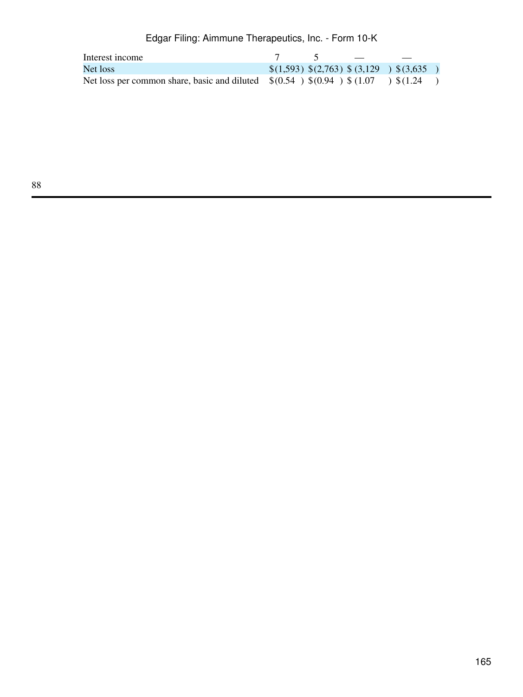| Interest income                                                                                    |  |                                           |  |
|----------------------------------------------------------------------------------------------------|--|-------------------------------------------|--|
| Net loss                                                                                           |  | $\{(1,593) \{(2,763) \}(3,129) \}(3,635)$ |  |
| Net loss per common share, basic and diluted $\quad (0.54 \ ) \ (0.94 \ ) \ (1.07 \ ) \ (1.24 \ )$ |  |                                           |  |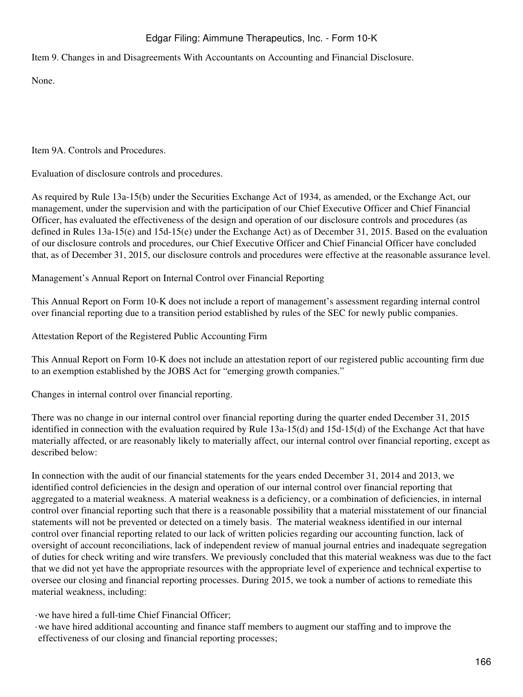Item 9. Changes in and Disagreements With Accountants on Accounting and Financial Disclosure.

None.

Item 9A. Controls and Procedures.

Evaluation of disclosure controls and procedures.

As required by Rule 13a-15(b) under the Securities Exchange Act of 1934, as amended, or the Exchange Act, our management, under the supervision and with the participation of our Chief Executive Officer and Chief Financial Officer, has evaluated the effectiveness of the design and operation of our disclosure controls and procedures (as defined in Rules 13a-15(e) and 15d-15(e) under the Exchange Act) as of December 31, 2015. Based on the evaluation of our disclosure controls and procedures, our Chief Executive Officer and Chief Financial Officer have concluded that, as of December 31, 2015, our disclosure controls and procedures were effective at the reasonable assurance level.

Management's Annual Report on Internal Control over Financial Reporting

This Annual Report on Form 10-K does not include a report of management's assessment regarding internal control over financial reporting due to a transition period established by rules of the SEC for newly public companies.

Attestation Report of the Registered Public Accounting Firm

This Annual Report on Form 10-K does not include an attestation report of our registered public accounting firm due to an exemption established by the JOBS Act for "emerging growth companies."

Changes in internal control over financial reporting.

There was no change in our internal control over financial reporting during the quarter ended December 31, 2015 identified in connection with the evaluation required by Rule 13a-15(d) and 15d-15(d) of the Exchange Act that have materially affected, or are reasonably likely to materially affect, our internal control over financial reporting, except as described below:

In connection with the audit of our financial statements for the years ended December 31, 2014 and 2013, we identified control deficiencies in the design and operation of our internal control over financial reporting that aggregated to a material weakness. A material weakness is a deficiency, or a combination of deficiencies, in internal control over financial reporting such that there is a reasonable possibility that a material misstatement of our financial statements will not be prevented or detected on a timely basis. The material weakness identified in our internal control over financial reporting related to our lack of written policies regarding our accounting function, lack of oversight of account reconciliations, lack of independent review of manual journal entries and inadequate segregation of duties for check writing and wire transfers. We previously concluded that this material weakness was due to the fact that we did not yet have the appropriate resources with the appropriate level of experience and technical expertise to oversee our closing and financial reporting processes. During 2015, we took a number of actions to remediate this material weakness, including:

·we have hired a full-time Chief Financial Officer;

·we have hired additional accounting and finance staff members to augment our staffing and to improve the effectiveness of our closing and financial reporting processes;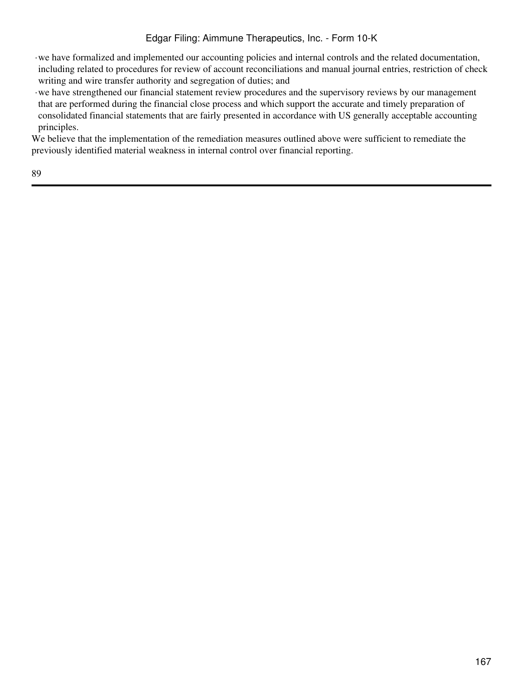- ·we have formalized and implemented our accounting policies and internal controls and the related documentation, including related to procedures for review of account reconciliations and manual journal entries, restriction of check writing and wire transfer authority and segregation of duties; and
- ·we have strengthened our financial statement review procedures and the supervisory reviews by our management that are performed during the financial close process and which support the accurate and timely preparation of consolidated financial statements that are fairly presented in accordance with US generally acceptable accounting principles.

We believe that the implementation of the remediation measures outlined above were sufficient to remediate the previously identified material weakness in internal control over financial reporting.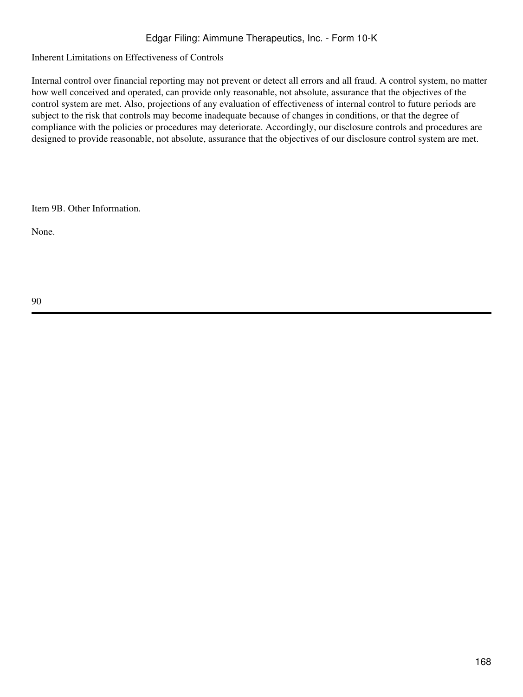Inherent Limitations on Effectiveness of Controls

Internal control over financial reporting may not prevent or detect all errors and all fraud. A control system, no matter how well conceived and operated, can provide only reasonable, not absolute, assurance that the objectives of the control system are met. Also, projections of any evaluation of effectiveness of internal control to future periods are subject to the risk that controls may become inadequate because of changes in conditions, or that the degree of compliance with the policies or procedures may deteriorate. Accordingly, our disclosure controls and procedures are designed to provide reasonable, not absolute, assurance that the objectives of our disclosure control system are met.

Item 9B. Other Information.

None.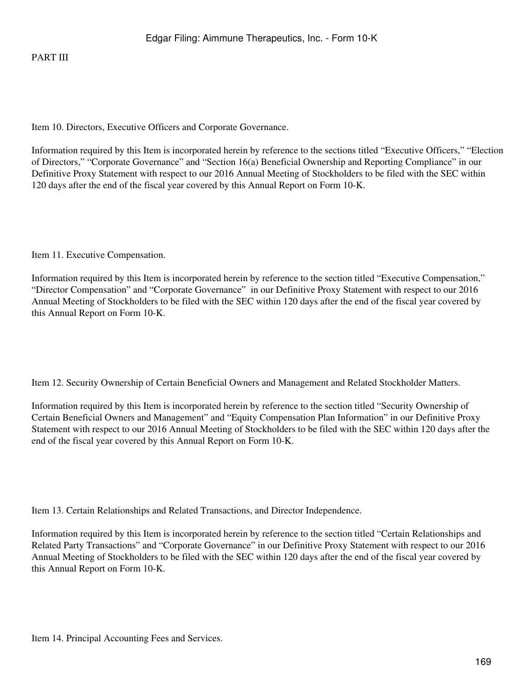Item 10. Directors, Executive Officers and Corporate Governance.

Information required by this Item is incorporated herein by reference to the sections titled "Executive Officers," "Election of Directors," "Corporate Governance" and "Section 16(a) Beneficial Ownership and Reporting Compliance" in our Definitive Proxy Statement with respect to our 2016 Annual Meeting of Stockholders to be filed with the SEC within 120 days after the end of the fiscal year covered by this Annual Report on Form 10-K.

Item 11. Executive Compensation.

Information required by this Item is incorporated herein by reference to the section titled "Executive Compensation," "Director Compensation" and "Corporate Governance" in our Definitive Proxy Statement with respect to our 2016 Annual Meeting of Stockholders to be filed with the SEC within 120 days after the end of the fiscal year covered by this Annual Report on Form 10-K.

Item 12. Security Ownership of Certain Beneficial Owners and Management and Related Stockholder Matters.

Information required by this Item is incorporated herein by reference to the section titled "Security Ownership of Certain Beneficial Owners and Management" and "Equity Compensation Plan Information" in our Definitive Proxy Statement with respect to our 2016 Annual Meeting of Stockholders to be filed with the SEC within 120 days after the end of the fiscal year covered by this Annual Report on Form 10-K.

Item 13. Certain Relationships and Related Transactions, and Director Independence.

Information required by this Item is incorporated herein by reference to the section titled "Certain Relationships and Related Party Transactions" and "Corporate Governance" in our Definitive Proxy Statement with respect to our 2016 Annual Meeting of Stockholders to be filed with the SEC within 120 days after the end of the fiscal year covered by this Annual Report on Form 10-K.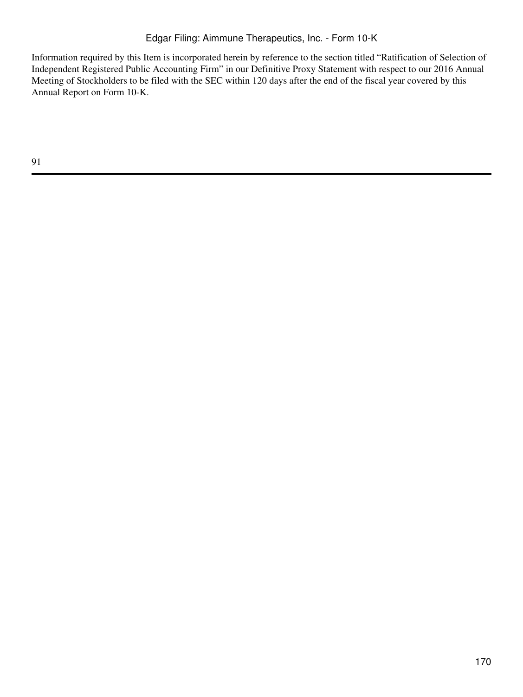Information required by this Item is incorporated herein by reference to the section titled "Ratification of Selection of Independent Registered Public Accounting Firm" in our Definitive Proxy Statement with respect to our 2016 Annual Meeting of Stockholders to be filed with the SEC within 120 days after the end of the fiscal year covered by this Annual Report on Form 10-K.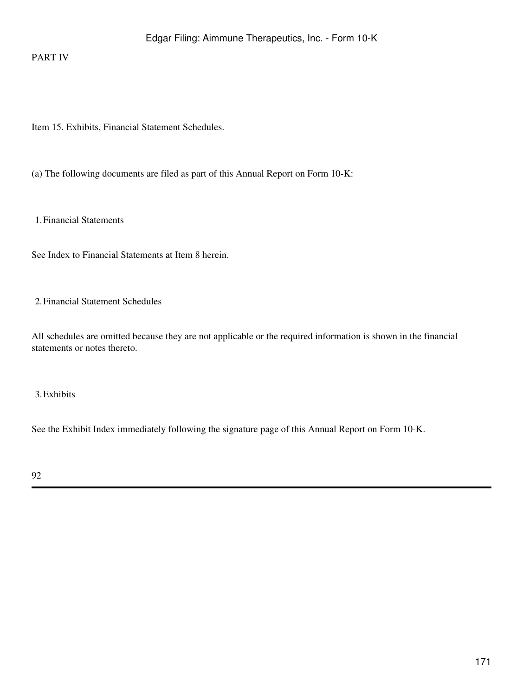### PART IV

Item 15. Exhibits, Financial Statement Schedules.

(a) The following documents are filed as part of this Annual Report on Form 10-K:

1.Financial Statements

See Index to Financial Statements at Item 8 herein.

2.Financial Statement Schedules

All schedules are omitted because they are not applicable or the required information is shown in the financial statements or notes thereto.

3.Exhibits

See the Exhibit Index immediately following the signature page of this Annual Report on Form 10-K.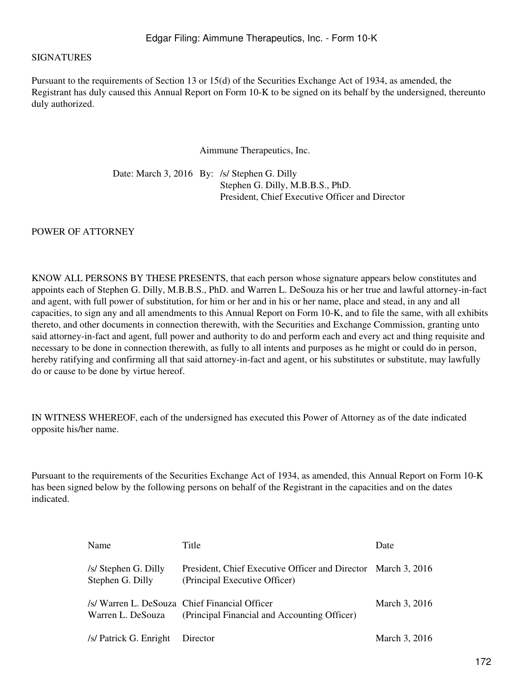#### SIGNATURES

Pursuant to the requirements of Section 13 or 15(d) of the Securities Exchange Act of 1934, as amended, the Registrant has duly caused this Annual Report on Form 10-K to be signed on its behalf by the undersigned, thereunto duly authorized.

Aimmune Therapeutics, Inc.

Date: March 3, 2016 By: /s/ Stephen G. Dilly Stephen G. Dilly, M.B.B.S., PhD. President, Chief Executive Officer and Director

POWER OF ATTORNEY

KNOW ALL PERSONS BY THESE PRESENTS, that each person whose signature appears below constitutes and appoints each of Stephen G. Dilly, M.B.B.S., PhD. and Warren L. DeSouza his or her true and lawful attorney-in-fact and agent, with full power of substitution, for him or her and in his or her name, place and stead, in any and all capacities, to sign any and all amendments to this Annual Report on Form 10-K, and to file the same, with all exhibits thereto, and other documents in connection therewith, with the Securities and Exchange Commission, granting unto said attorney-in-fact and agent, full power and authority to do and perform each and every act and thing requisite and necessary to be done in connection therewith, as fully to all intents and purposes as he might or could do in person, hereby ratifying and confirming all that said attorney-in-fact and agent, or his substitutes or substitute, may lawfully do or cause to be done by virtue hereof.

IN WITNESS WHEREOF, each of the undersigned has executed this Power of Attorney as of the date indicated opposite his/her name.

Pursuant to the requirements of the Securities Exchange Act of 1934, as amended, this Annual Report on Form 10-K has been signed below by the following persons on behalf of the Registrant in the capacities and on the dates indicated.

| Name                                     | Title                                                                                          | Date          |
|------------------------------------------|------------------------------------------------------------------------------------------------|---------------|
| /s/ Stephen G. Dilly<br>Stephen G. Dilly | President, Chief Executive Officer and Director March 3, 2016<br>(Principal Executive Officer) |               |
| Warren L. DeSouza                        | /s/ Warren L. DeSouza Chief Financial Officer<br>(Principal Financial and Accounting Officer)  | March 3, 2016 |
| /s/ Patrick G. Enright                   | Director                                                                                       | March 3, 2016 |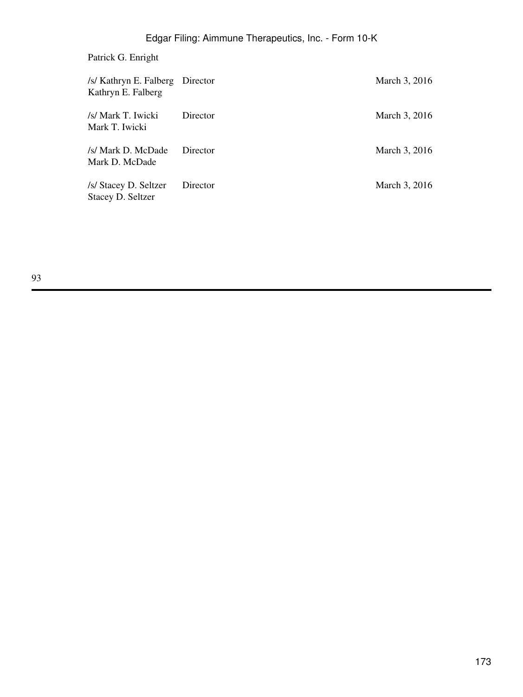## Patrick G. Enright

| /s/ Kathryn E. Falberg Director<br>Kathryn E. Falberg |          | March 3, 2016 |
|-------------------------------------------------------|----------|---------------|
| /s/ Mark T. Iwicki<br>Mark T. Iwicki                  | Director | March 3, 2016 |
| /s/ Mark D. McDade<br>Mark D. McDade                  | Director | March 3, 2016 |
| /s/ Stacey D. Seltzer<br>Stacey D. Seltzer            | Director | March 3, 2016 |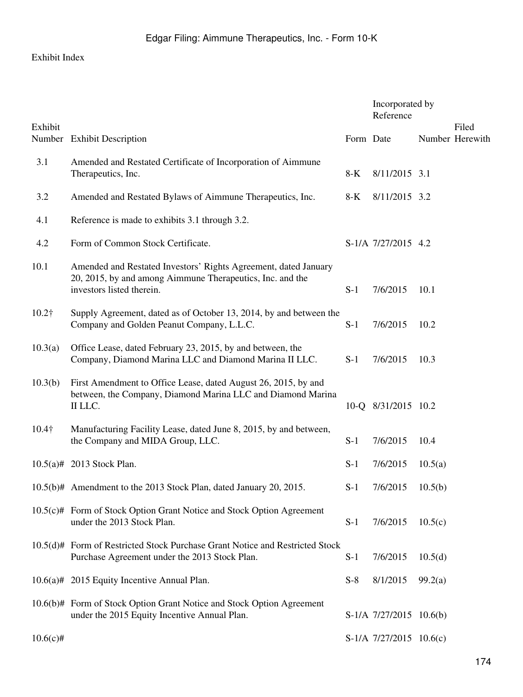## Exhibit Index

|               |                                                                                                                                                           |           | Incorporated by<br>Reference |         |                          |
|---------------|-----------------------------------------------------------------------------------------------------------------------------------------------------------|-----------|------------------------------|---------|--------------------------|
| Exhibit       | Number Exhibit Description                                                                                                                                | Form Date |                              |         | Filed<br>Number Herewith |
| 3.1           | Amended and Restated Certificate of Incorporation of Aimmune<br>Therapeutics, Inc.                                                                        | $8-K$     | 8/11/2015 3.1                |         |                          |
| 3.2           | Amended and Restated Bylaws of Aimmune Therapeutics, Inc.                                                                                                 | 8-K       | 8/11/2015 3.2                |         |                          |
| 4.1           | Reference is made to exhibits 3.1 through 3.2.                                                                                                            |           |                              |         |                          |
| 4.2           | Form of Common Stock Certificate.                                                                                                                         |           | S-1/A 7/27/2015 4.2          |         |                          |
| 10.1          | Amended and Restated Investors' Rights Agreement, dated January<br>20, 2015, by and among Aimmune Therapeutics, Inc. and the<br>investors listed therein. | $S-1$     | 7/6/2015                     | 10.1    |                          |
| $10.2\dagger$ | Supply Agreement, dated as of October 13, 2014, by and between the<br>Company and Golden Peanut Company, L.L.C.                                           | $S-1$     | 7/6/2015                     | 10.2    |                          |
| 10.3(a)       | Office Lease, dated February 23, 2015, by and between, the<br>Company, Diamond Marina LLC and Diamond Marina II LLC.                                      | $S-1$     | 7/6/2015                     | 10.3    |                          |
| 10.3(b)       | First Amendment to Office Lease, dated August 26, 2015, by and<br>between, the Company, Diamond Marina LLC and Diamond Marina<br>II LLC.                  |           | 10-Q 8/31/2015 10.2          |         |                          |
| $10.4\dagger$ | Manufacturing Facility Lease, dated June 8, 2015, by and between,<br>the Company and MIDA Group, LLC.                                                     | $S-1$     | 7/6/2015                     | 10.4    |                          |
|               | 10.5(a)# 2013 Stock Plan.                                                                                                                                 | $S-1$     | 7/6/2015                     | 10.5(a) |                          |
|               | 10.5(b)# Amendment to the 2013 Stock Plan, dated January 20, 2015.                                                                                        | $S-1$     | 7/6/2015                     | 10.5(b) |                          |
|               | 10.5(c)# Form of Stock Option Grant Notice and Stock Option Agreement<br>under the 2013 Stock Plan.                                                       | $S-1$     | 7/6/2015                     | 10.5(c) |                          |
|               | 10.5(d)# Form of Restricted Stock Purchase Grant Notice and Restricted Stock<br>Purchase Agreement under the 2013 Stock Plan.                             | $S-1$     | 7/6/2015                     | 10.5(d) |                          |
|               | 10.6(a)# 2015 Equity Incentive Annual Plan.                                                                                                               | $S-8$     | 8/1/2015                     | 99.2(a) |                          |
|               | 10.6(b)# Form of Stock Option Grant Notice and Stock Option Agreement<br>under the 2015 Equity Incentive Annual Plan.                                     |           | S-1/A 7/27/2015 10.6(b)      |         |                          |
| $10.6(c)$ #   |                                                                                                                                                           |           | S-1/A 7/27/2015 10.6(c)      |         |                          |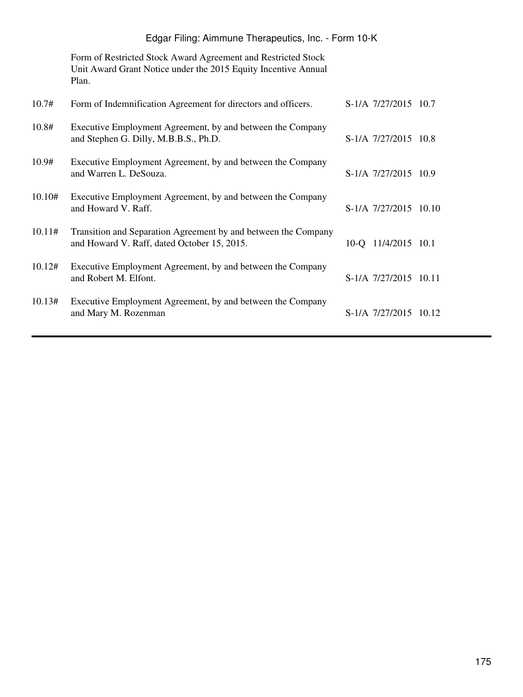Form of Restricted Stock Award Agreement and Restricted Stock Unit Award Grant Notice under the 2015 Equity Incentive Annual Plan.

| 10.7#  | Form of Indemnification Agreement for directors and officers.                                                 | S-1/A 7/27/2015 10.7  |  |
|--------|---------------------------------------------------------------------------------------------------------------|-----------------------|--|
| 10.8#  | Executive Employment Agreement, by and between the Company<br>and Stephen G. Dilly, M.B.B.S., Ph.D.           | S-1/A 7/27/2015 10.8  |  |
| 10.9#  | Executive Employment Agreement, by and between the Company<br>and Warren L. DeSouza.                          | S-1/A 7/27/2015 10.9  |  |
| 10.10# | Executive Employment Agreement, by and between the Company<br>and Howard V. Raff.                             | S-1/A 7/27/2015 10.10 |  |
| 10.11# | Transition and Separation Agreement by and between the Company<br>and Howard V. Raff, dated October 15, 2015. | 10-Q 11/4/2015 10.1   |  |
| 10.12# | Executive Employment Agreement, by and between the Company<br>and Robert M. Elfont.                           | S-1/A 7/27/2015 10.11 |  |
| 10.13# | Executive Employment Agreement, by and between the Company<br>and Mary M. Rozenman                            | S-1/A 7/27/2015 10.12 |  |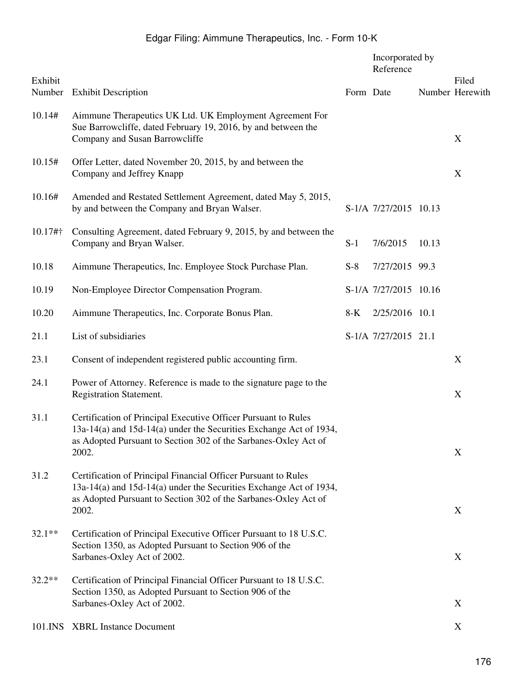|                                                                                                                                                                                                                  |                                                 | Reference |           | Filed                                                                                                                         |
|------------------------------------------------------------------------------------------------------------------------------------------------------------------------------------------------------------------|-------------------------------------------------|-----------|-----------|-------------------------------------------------------------------------------------------------------------------------------|
| <b>Exhibit Description</b>                                                                                                                                                                                       |                                                 |           |           | Number Herewith                                                                                                               |
| Aimmune Therapeutics UK Ltd. UK Employment Agreement For<br>Sue Barrowcliffe, dated February 19, 2016, by and between the<br>Company and Susan Barrowcliffe                                                      |                                                 |           |           | X                                                                                                                             |
| Offer Letter, dated November 20, 2015, by and between the<br>Company and Jeffrey Knapp                                                                                                                           |                                                 |           |           | $\mathbf X$                                                                                                                   |
| Amended and Restated Settlement Agreement, dated May 5, 2015,<br>by and between the Company and Bryan Walser.                                                                                                    |                                                 |           |           |                                                                                                                               |
| Consulting Agreement, dated February 9, 2015, by and between the<br>Company and Bryan Walser.                                                                                                                    | $S-1$                                           | 7/6/2015  | 10.13     |                                                                                                                               |
| Aimmune Therapeutics, Inc. Employee Stock Purchase Plan.                                                                                                                                                         | $S-8$                                           |           |           |                                                                                                                               |
| Non-Employee Director Compensation Program.                                                                                                                                                                      |                                                 |           |           |                                                                                                                               |
| Aimmune Therapeutics, Inc. Corporate Bonus Plan.                                                                                                                                                                 | $8-K$                                           |           |           |                                                                                                                               |
| List of subsidiaries                                                                                                                                                                                             |                                                 |           |           |                                                                                                                               |
| Consent of independent registered public accounting firm.                                                                                                                                                        |                                                 |           |           | X                                                                                                                             |
| Power of Attorney. Reference is made to the signature page to the<br>Registration Statement.                                                                                                                     |                                                 |           |           | X                                                                                                                             |
| Certification of Principal Executive Officer Pursuant to Rules<br>13a-14(a) and 15d-14(a) under the Securities Exchange Act of 1934,<br>as Adopted Pursuant to Section 302 of the Sarbanes-Oxley Act of<br>2002. |                                                 |           |           | $\mathbf X$                                                                                                                   |
| Certification of Principal Financial Officer Pursuant to Rules<br>13a-14(a) and 15d-14(a) under the Securities Exchange Act of 1934,<br>as Adopted Pursuant to Section 302 of the Sarbanes-Oxley Act of          |                                                 |           |           | X                                                                                                                             |
| Certification of Principal Executive Officer Pursuant to 18 U.S.C.<br>Section 1350, as Adopted Pursuant to Section 906 of the<br>Sarbanes-Oxley Act of 2002.                                                     |                                                 |           |           | X                                                                                                                             |
| Certification of Principal Financial Officer Pursuant to 18 U.S.C.<br>Section 1350, as Adopted Pursuant to Section 906 of the                                                                                    |                                                 |           |           | X                                                                                                                             |
| <b>XBRL Instance Document</b>                                                                                                                                                                                    |                                                 |           |           | X                                                                                                                             |
|                                                                                                                                                                                                                  | 2002.<br>Sarbanes-Oxley Act of 2002.<br>101.INS |           | Form Date | Incorporated by<br>S-1/A 7/27/2015 10.13<br>7/27/2015 99.3<br>S-1/A 7/27/2015 10.16<br>2/25/2016 10.1<br>S-1/A 7/27/2015 21.1 |